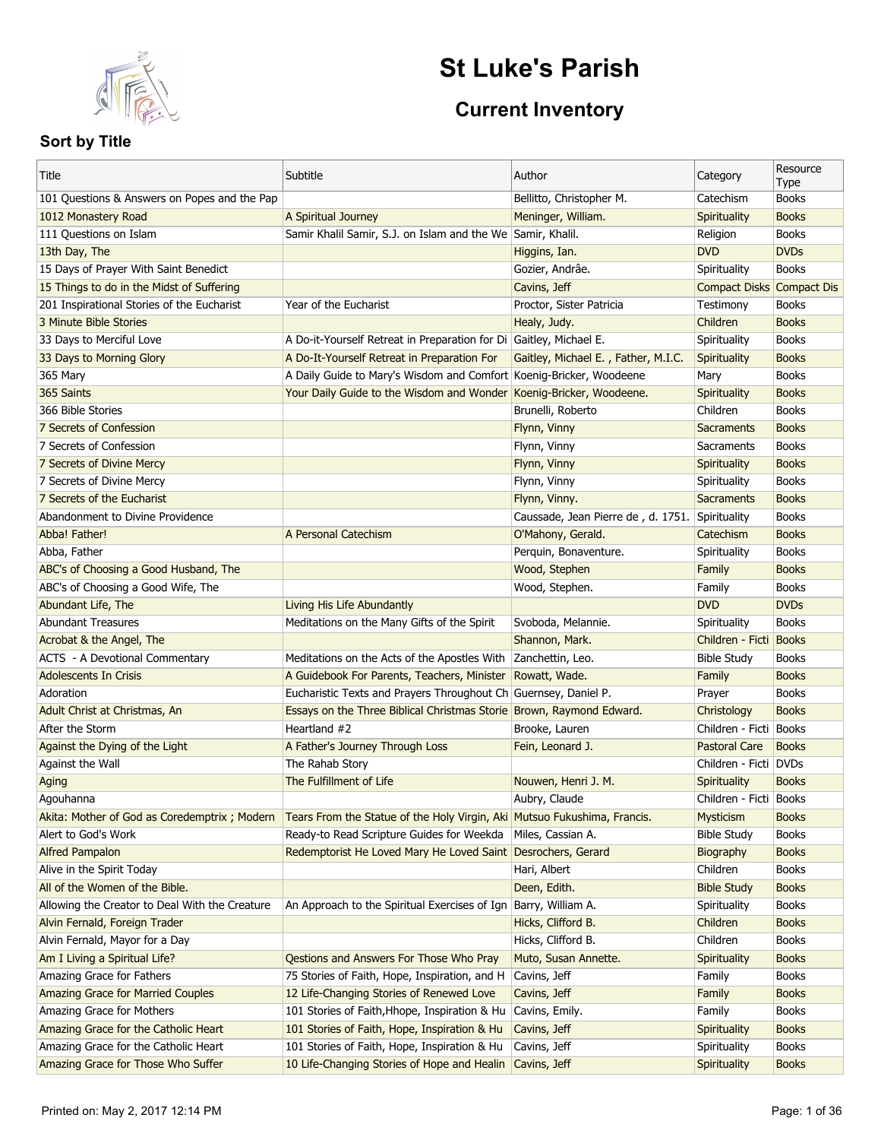

# **St Luke's Parish**

## **Current Inventory**

| Catechism<br><b>Books</b><br>1012 Monastery Road<br>A Spiritual Journey<br>Meninger, William.<br>Spirituality<br>111 Questions on Islam<br>Samir Khalil Samir, S.J. on Islam and the We Samir, Khalil.<br>Religion<br><b>Books</b><br>13th Day, The<br><b>DVD</b><br><b>DVDs</b><br>Higgins, Ian.<br><b>Books</b><br>15 Days of Prayer With Saint Benedict<br>Gozier, Andrâe.<br>Spirituality<br><b>Compact Disks Compact Dis</b><br>15 Things to do in the Midst of Suffering<br>Cavins, Jeff<br>201 Inspirational Stories of the Eucharist<br>Year of the Eucharist<br>Proctor, Sister Patricia<br>Testimony<br><b>Books</b><br>Healy, Judy.<br>Children<br><b>Books</b><br>3 Minute Bible Stories<br>A Do-it-Yourself Retreat in Preparation for Di Gaitley, Michael E.<br><b>Books</b><br>33 Days to Merciful Love<br>Spirituality<br>33 Days to Morning Glory<br>A Do-It-Yourself Retreat in Preparation For<br>Gaitley, Michael E., Father, M.I.C.<br><b>Books</b><br>Spirituality<br><b>Books</b><br>365 Mary<br>A Daily Guide to Mary's Wisdom and Comfort Koenig-Bricker, Woodeene<br>Mary<br>365 Saints<br>Koenig-Bricker, Woodeene.<br><b>Books</b><br>Your Daily Guide to the Wisdom and Wonder<br>Spirituality<br><b>Books</b><br>366 Bible Stories<br>Brunelli, Roberto<br>Children<br><b>Books</b><br>7 Secrets of Confession<br>Flynn, Vinny<br>Sacraments<br>7 Secrets of Confession<br><b>Books</b><br>Flynn, Vinny<br>Sacraments<br><b>Books</b><br>7 Secrets of Divine Mercy<br>Flynn, Vinny<br>Spirituality<br><b>Books</b><br>7 Secrets of Divine Mercy<br>Flynn, Vinny<br>Spirituality<br>7 Secrets of the Eucharist<br><b>Books</b><br>Flynn, Vinny.<br>Sacraments<br><b>Books</b><br>Abandonment to Divine Providence<br>Caussade, Jean Pierre de, d. 1751. Spirituality<br><b>Books</b><br>Abba! Father!<br>A Personal Catechism<br>O'Mahony, Gerald.<br>Catechism<br>Perquin, Bonaventure.<br><b>Books</b><br>Abba, Father<br>Spirituality<br>Wood, Stephen<br><b>Books</b><br>ABC's of Choosing a Good Husband, The<br>Family<br><b>Books</b><br>ABC's of Choosing a Good Wife, The<br>Wood, Stephen.<br>Family<br><b>DVDs</b><br>Abundant Life, The<br>Living His Life Abundantly<br><b>DVD</b><br><b>Abundant Treasures</b><br>Meditations on the Many Gifts of the Spirit<br>Svoboda, Melannie.<br><b>Books</b><br>Spirituality<br>Children - Ficti Books<br>Acrobat & the Angel, The<br>Shannon, Mark.<br>ACTS - A Devotional Commentary<br>Meditations on the Acts of the Apostles With<br>Zanchettin, Leo.<br><b>Bible Study</b><br><b>Books</b><br><b>Adolescents In Crisis</b><br>A Guidebook For Parents, Teachers, Minister<br>Rowatt, Wade.<br>Family<br><b>Books</b><br>Eucharistic Texts and Prayers Throughout Ch Guernsey, Daniel P.<br>Adoration<br><b>Books</b><br>Prayer<br>Essays on the Three Biblical Christmas Storie Brown, Raymond Edward.<br><b>Books</b><br>Adult Christ at Christmas, An<br>Christology<br>Heartland #2<br>Brooke, Lauren<br>Children - Ficti Books<br>After the Storm<br>Against the Dying of the Light<br>A Father's Journey Through Loss<br>Fein, Leonard J.<br><b>Pastoral Care</b><br><b>Books</b><br>The Rahab Story<br>Against the Wall<br>Children - Ficti   DVDs<br>The Fulfillment of Life<br>Nouwen, Henri J. M.<br>Spirituality<br><b>Books</b><br>Aging<br>Aubry, Claude<br>Children - Ficti Books<br>Agouhanna<br>Akita: Mother of God as Coredemptrix; Modern<br>Tears From the Statue of the Holy Virgin, Aki Mutsuo Fukushima, Francis.<br>Mysticism<br><b>Books</b><br>Alert to God's Work<br>Ready-to Read Scripture Guides for Weekda<br>Miles, Cassian A.<br><b>Bible Study</b><br><b>Books</b><br><b>Alfred Pampalon</b><br>Redemptorist He Loved Mary He Loved Saint Desrochers, Gerard<br><b>Books</b><br>Biography<br>Books<br>Alive in the Spirit Today<br>Hari, Albert<br>Children<br><b>Books</b><br>All of the Women of the Bible.<br>Deen, Edith.<br><b>Bible Study</b><br>Allowing the Creator to Deal With the Creature<br>An Approach to the Spiritual Exercises of Ign<br>Barry, William A.<br>Spirituality<br><b>Books</b><br>Alvin Fernald, Foreign Trader<br>Hicks, Clifford B.<br>Children<br><b>Books</b><br>Hicks, Clifford B.<br>Alvin Fernald, Mayor for a Day<br>Children<br><b>Books</b><br>Qestions and Answers For Those Who Pray<br>Am I Living a Spiritual Life?<br>Muto, Susan Annette.<br>Spirituality<br><b>Books</b><br>Amazing Grace for Fathers<br>75 Stories of Faith, Hope, Inspiration, and H<br>Cavins, Jeff<br><b>Books</b><br>Family<br>Amazing Grace for Married Couples<br>12 Life-Changing Stories of Renewed Love<br><b>Books</b><br>Cavins, Jeff<br>Family<br>Amazing Grace for Mothers<br>101 Stories of Faith, Hhope, Inspiration & Hu<br>Cavins, Emily.<br><b>Books</b><br>Family<br>Amazing Grace for the Catholic Heart<br>101 Stories of Faith, Hope, Inspiration & Hu<br>Cavins, Jeff<br>Spirituality<br><b>Books</b><br>Amazing Grace for the Catholic Heart<br>101 Stories of Faith, Hope, Inspiration & Hu<br>Cavins, Jeff<br>Spirituality<br><b>Books</b><br>Amazing Grace for Those Who Suffer<br>10 Life-Changing Stories of Hope and Healin<br><b>Books</b><br>Cavins, Jeff<br>Spirituality | Title                                        | Subtitle | Author                   | Category | Resource<br>Type |
|---------------------------------------------------------------------------------------------------------------------------------------------------------------------------------------------------------------------------------------------------------------------------------------------------------------------------------------------------------------------------------------------------------------------------------------------------------------------------------------------------------------------------------------------------------------------------------------------------------------------------------------------------------------------------------------------------------------------------------------------------------------------------------------------------------------------------------------------------------------------------------------------------------------------------------------------------------------------------------------------------------------------------------------------------------------------------------------------------------------------------------------------------------------------------------------------------------------------------------------------------------------------------------------------------------------------------------------------------------------------------------------------------------------------------------------------------------------------------------------------------------------------------------------------------------------------------------------------------------------------------------------------------------------------------------------------------------------------------------------------------------------------------------------------------------------------------------------------------------------------------------------------------------------------------------------------------------------------------------------------------------------------------------------------------------------------------------------------------------------------------------------------------------------------------------------------------------------------------------------------------------------------------------------------------------------------------------------------------------------------------------------------------------------------------------------------------------------------------------------------------------------------------------------------------------------------------------------------------------------------------------------------------------------------------------------------------------------------------------------------------------------------------------------------------------------------------------------------------------------------------------------------------------------------------------------------------------------------------------------------------------------------------------------------------------------------------------------------------------------------------------------------------------------------------------------------------------------------------------------------------------------------------------------------------------------------------------------------------------------------------------------------------------------------------------------------------------------------------------------------------------------------------------------------------------------------------------------------------------------------------------------------------------------------------------------------------------------------------------------------------------------------------------------------------------------------------------------------------------------------------------------------------------------------------------------------------------------------------------------------------------------------------------------------------------------------------------------------------------------------------------------------------------------------------------------------------------------------------------------------------------------------------------------------------------------------------------------------------------------------------------------------------------------------------------------------------------------------------------------------------------------------------------------------------------------------------------------------------------------------------------------------------------------------------------------------------------------------------------------------------------------------------------------------------------------------------------------------------------------------------------------------------------------------------------------------------------------------------------------------------------------------------------------------------------------------------------------------------------------------------------------------------------------------------------------------------------------------------------------------------|----------------------------------------------|----------|--------------------------|----------|------------------|
|                                                                                                                                                                                                                                                                                                                                                                                                                                                                                                                                                                                                                                                                                                                                                                                                                                                                                                                                                                                                                                                                                                                                                                                                                                                                                                                                                                                                                                                                                                                                                                                                                                                                                                                                                                                                                                                                                                                                                                                                                                                                                                                                                                                                                                                                                                                                                                                                                                                                                                                                                                                                                                                                                                                                                                                                                                                                                                                                                                                                                                                                                                                                                                                                                                                                                                                                                                                                                                                                                                                                                                                                                                                                                                                                                                                                                                                                                                                                                                                                                                                                                                                                                                                                                                                                                                                                                                                                                                                                                                                                                                                                                                                                                                                                                                                                                                                                                                                                                                                                                                                                                                                                                                                                                                                   | 101 Questions & Answers on Popes and the Pap |          | Bellitto, Christopher M. |          | <b>Books</b>     |
|                                                                                                                                                                                                                                                                                                                                                                                                                                                                                                                                                                                                                                                                                                                                                                                                                                                                                                                                                                                                                                                                                                                                                                                                                                                                                                                                                                                                                                                                                                                                                                                                                                                                                                                                                                                                                                                                                                                                                                                                                                                                                                                                                                                                                                                                                                                                                                                                                                                                                                                                                                                                                                                                                                                                                                                                                                                                                                                                                                                                                                                                                                                                                                                                                                                                                                                                                                                                                                                                                                                                                                                                                                                                                                                                                                                                                                                                                                                                                                                                                                                                                                                                                                                                                                                                                                                                                                                                                                                                                                                                                                                                                                                                                                                                                                                                                                                                                                                                                                                                                                                                                                                                                                                                                                                   |                                              |          |                          |          |                  |
|                                                                                                                                                                                                                                                                                                                                                                                                                                                                                                                                                                                                                                                                                                                                                                                                                                                                                                                                                                                                                                                                                                                                                                                                                                                                                                                                                                                                                                                                                                                                                                                                                                                                                                                                                                                                                                                                                                                                                                                                                                                                                                                                                                                                                                                                                                                                                                                                                                                                                                                                                                                                                                                                                                                                                                                                                                                                                                                                                                                                                                                                                                                                                                                                                                                                                                                                                                                                                                                                                                                                                                                                                                                                                                                                                                                                                                                                                                                                                                                                                                                                                                                                                                                                                                                                                                                                                                                                                                                                                                                                                                                                                                                                                                                                                                                                                                                                                                                                                                                                                                                                                                                                                                                                                                                   |                                              |          |                          |          |                  |
|                                                                                                                                                                                                                                                                                                                                                                                                                                                                                                                                                                                                                                                                                                                                                                                                                                                                                                                                                                                                                                                                                                                                                                                                                                                                                                                                                                                                                                                                                                                                                                                                                                                                                                                                                                                                                                                                                                                                                                                                                                                                                                                                                                                                                                                                                                                                                                                                                                                                                                                                                                                                                                                                                                                                                                                                                                                                                                                                                                                                                                                                                                                                                                                                                                                                                                                                                                                                                                                                                                                                                                                                                                                                                                                                                                                                                                                                                                                                                                                                                                                                                                                                                                                                                                                                                                                                                                                                                                                                                                                                                                                                                                                                                                                                                                                                                                                                                                                                                                                                                                                                                                                                                                                                                                                   |                                              |          |                          |          |                  |
|                                                                                                                                                                                                                                                                                                                                                                                                                                                                                                                                                                                                                                                                                                                                                                                                                                                                                                                                                                                                                                                                                                                                                                                                                                                                                                                                                                                                                                                                                                                                                                                                                                                                                                                                                                                                                                                                                                                                                                                                                                                                                                                                                                                                                                                                                                                                                                                                                                                                                                                                                                                                                                                                                                                                                                                                                                                                                                                                                                                                                                                                                                                                                                                                                                                                                                                                                                                                                                                                                                                                                                                                                                                                                                                                                                                                                                                                                                                                                                                                                                                                                                                                                                                                                                                                                                                                                                                                                                                                                                                                                                                                                                                                                                                                                                                                                                                                                                                                                                                                                                                                                                                                                                                                                                                   |                                              |          |                          |          |                  |
|                                                                                                                                                                                                                                                                                                                                                                                                                                                                                                                                                                                                                                                                                                                                                                                                                                                                                                                                                                                                                                                                                                                                                                                                                                                                                                                                                                                                                                                                                                                                                                                                                                                                                                                                                                                                                                                                                                                                                                                                                                                                                                                                                                                                                                                                                                                                                                                                                                                                                                                                                                                                                                                                                                                                                                                                                                                                                                                                                                                                                                                                                                                                                                                                                                                                                                                                                                                                                                                                                                                                                                                                                                                                                                                                                                                                                                                                                                                                                                                                                                                                                                                                                                                                                                                                                                                                                                                                                                                                                                                                                                                                                                                                                                                                                                                                                                                                                                                                                                                                                                                                                                                                                                                                                                                   |                                              |          |                          |          |                  |
|                                                                                                                                                                                                                                                                                                                                                                                                                                                                                                                                                                                                                                                                                                                                                                                                                                                                                                                                                                                                                                                                                                                                                                                                                                                                                                                                                                                                                                                                                                                                                                                                                                                                                                                                                                                                                                                                                                                                                                                                                                                                                                                                                                                                                                                                                                                                                                                                                                                                                                                                                                                                                                                                                                                                                                                                                                                                                                                                                                                                                                                                                                                                                                                                                                                                                                                                                                                                                                                                                                                                                                                                                                                                                                                                                                                                                                                                                                                                                                                                                                                                                                                                                                                                                                                                                                                                                                                                                                                                                                                                                                                                                                                                                                                                                                                                                                                                                                                                                                                                                                                                                                                                                                                                                                                   |                                              |          |                          |          |                  |
|                                                                                                                                                                                                                                                                                                                                                                                                                                                                                                                                                                                                                                                                                                                                                                                                                                                                                                                                                                                                                                                                                                                                                                                                                                                                                                                                                                                                                                                                                                                                                                                                                                                                                                                                                                                                                                                                                                                                                                                                                                                                                                                                                                                                                                                                                                                                                                                                                                                                                                                                                                                                                                                                                                                                                                                                                                                                                                                                                                                                                                                                                                                                                                                                                                                                                                                                                                                                                                                                                                                                                                                                                                                                                                                                                                                                                                                                                                                                                                                                                                                                                                                                                                                                                                                                                                                                                                                                                                                                                                                                                                                                                                                                                                                                                                                                                                                                                                                                                                                                                                                                                                                                                                                                                                                   |                                              |          |                          |          |                  |
|                                                                                                                                                                                                                                                                                                                                                                                                                                                                                                                                                                                                                                                                                                                                                                                                                                                                                                                                                                                                                                                                                                                                                                                                                                                                                                                                                                                                                                                                                                                                                                                                                                                                                                                                                                                                                                                                                                                                                                                                                                                                                                                                                                                                                                                                                                                                                                                                                                                                                                                                                                                                                                                                                                                                                                                                                                                                                                                                                                                                                                                                                                                                                                                                                                                                                                                                                                                                                                                                                                                                                                                                                                                                                                                                                                                                                                                                                                                                                                                                                                                                                                                                                                                                                                                                                                                                                                                                                                                                                                                                                                                                                                                                                                                                                                                                                                                                                                                                                                                                                                                                                                                                                                                                                                                   |                                              |          |                          |          |                  |
|                                                                                                                                                                                                                                                                                                                                                                                                                                                                                                                                                                                                                                                                                                                                                                                                                                                                                                                                                                                                                                                                                                                                                                                                                                                                                                                                                                                                                                                                                                                                                                                                                                                                                                                                                                                                                                                                                                                                                                                                                                                                                                                                                                                                                                                                                                                                                                                                                                                                                                                                                                                                                                                                                                                                                                                                                                                                                                                                                                                                                                                                                                                                                                                                                                                                                                                                                                                                                                                                                                                                                                                                                                                                                                                                                                                                                                                                                                                                                                                                                                                                                                                                                                                                                                                                                                                                                                                                                                                                                                                                                                                                                                                                                                                                                                                                                                                                                                                                                                                                                                                                                                                                                                                                                                                   |                                              |          |                          |          |                  |
|                                                                                                                                                                                                                                                                                                                                                                                                                                                                                                                                                                                                                                                                                                                                                                                                                                                                                                                                                                                                                                                                                                                                                                                                                                                                                                                                                                                                                                                                                                                                                                                                                                                                                                                                                                                                                                                                                                                                                                                                                                                                                                                                                                                                                                                                                                                                                                                                                                                                                                                                                                                                                                                                                                                                                                                                                                                                                                                                                                                                                                                                                                                                                                                                                                                                                                                                                                                                                                                                                                                                                                                                                                                                                                                                                                                                                                                                                                                                                                                                                                                                                                                                                                                                                                                                                                                                                                                                                                                                                                                                                                                                                                                                                                                                                                                                                                                                                                                                                                                                                                                                                                                                                                                                                                                   |                                              |          |                          |          |                  |
|                                                                                                                                                                                                                                                                                                                                                                                                                                                                                                                                                                                                                                                                                                                                                                                                                                                                                                                                                                                                                                                                                                                                                                                                                                                                                                                                                                                                                                                                                                                                                                                                                                                                                                                                                                                                                                                                                                                                                                                                                                                                                                                                                                                                                                                                                                                                                                                                                                                                                                                                                                                                                                                                                                                                                                                                                                                                                                                                                                                                                                                                                                                                                                                                                                                                                                                                                                                                                                                                                                                                                                                                                                                                                                                                                                                                                                                                                                                                                                                                                                                                                                                                                                                                                                                                                                                                                                                                                                                                                                                                                                                                                                                                                                                                                                                                                                                                                                                                                                                                                                                                                                                                                                                                                                                   |                                              |          |                          |          |                  |
|                                                                                                                                                                                                                                                                                                                                                                                                                                                                                                                                                                                                                                                                                                                                                                                                                                                                                                                                                                                                                                                                                                                                                                                                                                                                                                                                                                                                                                                                                                                                                                                                                                                                                                                                                                                                                                                                                                                                                                                                                                                                                                                                                                                                                                                                                                                                                                                                                                                                                                                                                                                                                                                                                                                                                                                                                                                                                                                                                                                                                                                                                                                                                                                                                                                                                                                                                                                                                                                                                                                                                                                                                                                                                                                                                                                                                                                                                                                                                                                                                                                                                                                                                                                                                                                                                                                                                                                                                                                                                                                                                                                                                                                                                                                                                                                                                                                                                                                                                                                                                                                                                                                                                                                                                                                   |                                              |          |                          |          |                  |
|                                                                                                                                                                                                                                                                                                                                                                                                                                                                                                                                                                                                                                                                                                                                                                                                                                                                                                                                                                                                                                                                                                                                                                                                                                                                                                                                                                                                                                                                                                                                                                                                                                                                                                                                                                                                                                                                                                                                                                                                                                                                                                                                                                                                                                                                                                                                                                                                                                                                                                                                                                                                                                                                                                                                                                                                                                                                                                                                                                                                                                                                                                                                                                                                                                                                                                                                                                                                                                                                                                                                                                                                                                                                                                                                                                                                                                                                                                                                                                                                                                                                                                                                                                                                                                                                                                                                                                                                                                                                                                                                                                                                                                                                                                                                                                                                                                                                                                                                                                                                                                                                                                                                                                                                                                                   |                                              |          |                          |          |                  |
|                                                                                                                                                                                                                                                                                                                                                                                                                                                                                                                                                                                                                                                                                                                                                                                                                                                                                                                                                                                                                                                                                                                                                                                                                                                                                                                                                                                                                                                                                                                                                                                                                                                                                                                                                                                                                                                                                                                                                                                                                                                                                                                                                                                                                                                                                                                                                                                                                                                                                                                                                                                                                                                                                                                                                                                                                                                                                                                                                                                                                                                                                                                                                                                                                                                                                                                                                                                                                                                                                                                                                                                                                                                                                                                                                                                                                                                                                                                                                                                                                                                                                                                                                                                                                                                                                                                                                                                                                                                                                                                                                                                                                                                                                                                                                                                                                                                                                                                                                                                                                                                                                                                                                                                                                                                   |                                              |          |                          |          |                  |
|                                                                                                                                                                                                                                                                                                                                                                                                                                                                                                                                                                                                                                                                                                                                                                                                                                                                                                                                                                                                                                                                                                                                                                                                                                                                                                                                                                                                                                                                                                                                                                                                                                                                                                                                                                                                                                                                                                                                                                                                                                                                                                                                                                                                                                                                                                                                                                                                                                                                                                                                                                                                                                                                                                                                                                                                                                                                                                                                                                                                                                                                                                                                                                                                                                                                                                                                                                                                                                                                                                                                                                                                                                                                                                                                                                                                                                                                                                                                                                                                                                                                                                                                                                                                                                                                                                                                                                                                                                                                                                                                                                                                                                                                                                                                                                                                                                                                                                                                                                                                                                                                                                                                                                                                                                                   |                                              |          |                          |          |                  |
|                                                                                                                                                                                                                                                                                                                                                                                                                                                                                                                                                                                                                                                                                                                                                                                                                                                                                                                                                                                                                                                                                                                                                                                                                                                                                                                                                                                                                                                                                                                                                                                                                                                                                                                                                                                                                                                                                                                                                                                                                                                                                                                                                                                                                                                                                                                                                                                                                                                                                                                                                                                                                                                                                                                                                                                                                                                                                                                                                                                                                                                                                                                                                                                                                                                                                                                                                                                                                                                                                                                                                                                                                                                                                                                                                                                                                                                                                                                                                                                                                                                                                                                                                                                                                                                                                                                                                                                                                                                                                                                                                                                                                                                                                                                                                                                                                                                                                                                                                                                                                                                                                                                                                                                                                                                   |                                              |          |                          |          |                  |
|                                                                                                                                                                                                                                                                                                                                                                                                                                                                                                                                                                                                                                                                                                                                                                                                                                                                                                                                                                                                                                                                                                                                                                                                                                                                                                                                                                                                                                                                                                                                                                                                                                                                                                                                                                                                                                                                                                                                                                                                                                                                                                                                                                                                                                                                                                                                                                                                                                                                                                                                                                                                                                                                                                                                                                                                                                                                                                                                                                                                                                                                                                                                                                                                                                                                                                                                                                                                                                                                                                                                                                                                                                                                                                                                                                                                                                                                                                                                                                                                                                                                                                                                                                                                                                                                                                                                                                                                                                                                                                                                                                                                                                                                                                                                                                                                                                                                                                                                                                                                                                                                                                                                                                                                                                                   |                                              |          |                          |          |                  |
|                                                                                                                                                                                                                                                                                                                                                                                                                                                                                                                                                                                                                                                                                                                                                                                                                                                                                                                                                                                                                                                                                                                                                                                                                                                                                                                                                                                                                                                                                                                                                                                                                                                                                                                                                                                                                                                                                                                                                                                                                                                                                                                                                                                                                                                                                                                                                                                                                                                                                                                                                                                                                                                                                                                                                                                                                                                                                                                                                                                                                                                                                                                                                                                                                                                                                                                                                                                                                                                                                                                                                                                                                                                                                                                                                                                                                                                                                                                                                                                                                                                                                                                                                                                                                                                                                                                                                                                                                                                                                                                                                                                                                                                                                                                                                                                                                                                                                                                                                                                                                                                                                                                                                                                                                                                   |                                              |          |                          |          |                  |
|                                                                                                                                                                                                                                                                                                                                                                                                                                                                                                                                                                                                                                                                                                                                                                                                                                                                                                                                                                                                                                                                                                                                                                                                                                                                                                                                                                                                                                                                                                                                                                                                                                                                                                                                                                                                                                                                                                                                                                                                                                                                                                                                                                                                                                                                                                                                                                                                                                                                                                                                                                                                                                                                                                                                                                                                                                                                                                                                                                                                                                                                                                                                                                                                                                                                                                                                                                                                                                                                                                                                                                                                                                                                                                                                                                                                                                                                                                                                                                                                                                                                                                                                                                                                                                                                                                                                                                                                                                                                                                                                                                                                                                                                                                                                                                                                                                                                                                                                                                                                                                                                                                                                                                                                                                                   |                                              |          |                          |          |                  |
|                                                                                                                                                                                                                                                                                                                                                                                                                                                                                                                                                                                                                                                                                                                                                                                                                                                                                                                                                                                                                                                                                                                                                                                                                                                                                                                                                                                                                                                                                                                                                                                                                                                                                                                                                                                                                                                                                                                                                                                                                                                                                                                                                                                                                                                                                                                                                                                                                                                                                                                                                                                                                                                                                                                                                                                                                                                                                                                                                                                                                                                                                                                                                                                                                                                                                                                                                                                                                                                                                                                                                                                                                                                                                                                                                                                                                                                                                                                                                                                                                                                                                                                                                                                                                                                                                                                                                                                                                                                                                                                                                                                                                                                                                                                                                                                                                                                                                                                                                                                                                                                                                                                                                                                                                                                   |                                              |          |                          |          |                  |
|                                                                                                                                                                                                                                                                                                                                                                                                                                                                                                                                                                                                                                                                                                                                                                                                                                                                                                                                                                                                                                                                                                                                                                                                                                                                                                                                                                                                                                                                                                                                                                                                                                                                                                                                                                                                                                                                                                                                                                                                                                                                                                                                                                                                                                                                                                                                                                                                                                                                                                                                                                                                                                                                                                                                                                                                                                                                                                                                                                                                                                                                                                                                                                                                                                                                                                                                                                                                                                                                                                                                                                                                                                                                                                                                                                                                                                                                                                                                                                                                                                                                                                                                                                                                                                                                                                                                                                                                                                                                                                                                                                                                                                                                                                                                                                                                                                                                                                                                                                                                                                                                                                                                                                                                                                                   |                                              |          |                          |          |                  |
|                                                                                                                                                                                                                                                                                                                                                                                                                                                                                                                                                                                                                                                                                                                                                                                                                                                                                                                                                                                                                                                                                                                                                                                                                                                                                                                                                                                                                                                                                                                                                                                                                                                                                                                                                                                                                                                                                                                                                                                                                                                                                                                                                                                                                                                                                                                                                                                                                                                                                                                                                                                                                                                                                                                                                                                                                                                                                                                                                                                                                                                                                                                                                                                                                                                                                                                                                                                                                                                                                                                                                                                                                                                                                                                                                                                                                                                                                                                                                                                                                                                                                                                                                                                                                                                                                                                                                                                                                                                                                                                                                                                                                                                                                                                                                                                                                                                                                                                                                                                                                                                                                                                                                                                                                                                   |                                              |          |                          |          |                  |
|                                                                                                                                                                                                                                                                                                                                                                                                                                                                                                                                                                                                                                                                                                                                                                                                                                                                                                                                                                                                                                                                                                                                                                                                                                                                                                                                                                                                                                                                                                                                                                                                                                                                                                                                                                                                                                                                                                                                                                                                                                                                                                                                                                                                                                                                                                                                                                                                                                                                                                                                                                                                                                                                                                                                                                                                                                                                                                                                                                                                                                                                                                                                                                                                                                                                                                                                                                                                                                                                                                                                                                                                                                                                                                                                                                                                                                                                                                                                                                                                                                                                                                                                                                                                                                                                                                                                                                                                                                                                                                                                                                                                                                                                                                                                                                                                                                                                                                                                                                                                                                                                                                                                                                                                                                                   |                                              |          |                          |          |                  |
|                                                                                                                                                                                                                                                                                                                                                                                                                                                                                                                                                                                                                                                                                                                                                                                                                                                                                                                                                                                                                                                                                                                                                                                                                                                                                                                                                                                                                                                                                                                                                                                                                                                                                                                                                                                                                                                                                                                                                                                                                                                                                                                                                                                                                                                                                                                                                                                                                                                                                                                                                                                                                                                                                                                                                                                                                                                                                                                                                                                                                                                                                                                                                                                                                                                                                                                                                                                                                                                                                                                                                                                                                                                                                                                                                                                                                                                                                                                                                                                                                                                                                                                                                                                                                                                                                                                                                                                                                                                                                                                                                                                                                                                                                                                                                                                                                                                                                                                                                                                                                                                                                                                                                                                                                                                   |                                              |          |                          |          |                  |
|                                                                                                                                                                                                                                                                                                                                                                                                                                                                                                                                                                                                                                                                                                                                                                                                                                                                                                                                                                                                                                                                                                                                                                                                                                                                                                                                                                                                                                                                                                                                                                                                                                                                                                                                                                                                                                                                                                                                                                                                                                                                                                                                                                                                                                                                                                                                                                                                                                                                                                                                                                                                                                                                                                                                                                                                                                                                                                                                                                                                                                                                                                                                                                                                                                                                                                                                                                                                                                                                                                                                                                                                                                                                                                                                                                                                                                                                                                                                                                                                                                                                                                                                                                                                                                                                                                                                                                                                                                                                                                                                                                                                                                                                                                                                                                                                                                                                                                                                                                                                                                                                                                                                                                                                                                                   |                                              |          |                          |          |                  |
|                                                                                                                                                                                                                                                                                                                                                                                                                                                                                                                                                                                                                                                                                                                                                                                                                                                                                                                                                                                                                                                                                                                                                                                                                                                                                                                                                                                                                                                                                                                                                                                                                                                                                                                                                                                                                                                                                                                                                                                                                                                                                                                                                                                                                                                                                                                                                                                                                                                                                                                                                                                                                                                                                                                                                                                                                                                                                                                                                                                                                                                                                                                                                                                                                                                                                                                                                                                                                                                                                                                                                                                                                                                                                                                                                                                                                                                                                                                                                                                                                                                                                                                                                                                                                                                                                                                                                                                                                                                                                                                                                                                                                                                                                                                                                                                                                                                                                                                                                                                                                                                                                                                                                                                                                                                   |                                              |          |                          |          |                  |
|                                                                                                                                                                                                                                                                                                                                                                                                                                                                                                                                                                                                                                                                                                                                                                                                                                                                                                                                                                                                                                                                                                                                                                                                                                                                                                                                                                                                                                                                                                                                                                                                                                                                                                                                                                                                                                                                                                                                                                                                                                                                                                                                                                                                                                                                                                                                                                                                                                                                                                                                                                                                                                                                                                                                                                                                                                                                                                                                                                                                                                                                                                                                                                                                                                                                                                                                                                                                                                                                                                                                                                                                                                                                                                                                                                                                                                                                                                                                                                                                                                                                                                                                                                                                                                                                                                                                                                                                                                                                                                                                                                                                                                                                                                                                                                                                                                                                                                                                                                                                                                                                                                                                                                                                                                                   |                                              |          |                          |          |                  |
|                                                                                                                                                                                                                                                                                                                                                                                                                                                                                                                                                                                                                                                                                                                                                                                                                                                                                                                                                                                                                                                                                                                                                                                                                                                                                                                                                                                                                                                                                                                                                                                                                                                                                                                                                                                                                                                                                                                                                                                                                                                                                                                                                                                                                                                                                                                                                                                                                                                                                                                                                                                                                                                                                                                                                                                                                                                                                                                                                                                                                                                                                                                                                                                                                                                                                                                                                                                                                                                                                                                                                                                                                                                                                                                                                                                                                                                                                                                                                                                                                                                                                                                                                                                                                                                                                                                                                                                                                                                                                                                                                                                                                                                                                                                                                                                                                                                                                                                                                                                                                                                                                                                                                                                                                                                   |                                              |          |                          |          |                  |
|                                                                                                                                                                                                                                                                                                                                                                                                                                                                                                                                                                                                                                                                                                                                                                                                                                                                                                                                                                                                                                                                                                                                                                                                                                                                                                                                                                                                                                                                                                                                                                                                                                                                                                                                                                                                                                                                                                                                                                                                                                                                                                                                                                                                                                                                                                                                                                                                                                                                                                                                                                                                                                                                                                                                                                                                                                                                                                                                                                                                                                                                                                                                                                                                                                                                                                                                                                                                                                                                                                                                                                                                                                                                                                                                                                                                                                                                                                                                                                                                                                                                                                                                                                                                                                                                                                                                                                                                                                                                                                                                                                                                                                                                                                                                                                                                                                                                                                                                                                                                                                                                                                                                                                                                                                                   |                                              |          |                          |          |                  |
|                                                                                                                                                                                                                                                                                                                                                                                                                                                                                                                                                                                                                                                                                                                                                                                                                                                                                                                                                                                                                                                                                                                                                                                                                                                                                                                                                                                                                                                                                                                                                                                                                                                                                                                                                                                                                                                                                                                                                                                                                                                                                                                                                                                                                                                                                                                                                                                                                                                                                                                                                                                                                                                                                                                                                                                                                                                                                                                                                                                                                                                                                                                                                                                                                                                                                                                                                                                                                                                                                                                                                                                                                                                                                                                                                                                                                                                                                                                                                                                                                                                                                                                                                                                                                                                                                                                                                                                                                                                                                                                                                                                                                                                                                                                                                                                                                                                                                                                                                                                                                                                                                                                                                                                                                                                   |                                              |          |                          |          |                  |
|                                                                                                                                                                                                                                                                                                                                                                                                                                                                                                                                                                                                                                                                                                                                                                                                                                                                                                                                                                                                                                                                                                                                                                                                                                                                                                                                                                                                                                                                                                                                                                                                                                                                                                                                                                                                                                                                                                                                                                                                                                                                                                                                                                                                                                                                                                                                                                                                                                                                                                                                                                                                                                                                                                                                                                                                                                                                                                                                                                                                                                                                                                                                                                                                                                                                                                                                                                                                                                                                                                                                                                                                                                                                                                                                                                                                                                                                                                                                                                                                                                                                                                                                                                                                                                                                                                                                                                                                                                                                                                                                                                                                                                                                                                                                                                                                                                                                                                                                                                                                                                                                                                                                                                                                                                                   |                                              |          |                          |          |                  |
|                                                                                                                                                                                                                                                                                                                                                                                                                                                                                                                                                                                                                                                                                                                                                                                                                                                                                                                                                                                                                                                                                                                                                                                                                                                                                                                                                                                                                                                                                                                                                                                                                                                                                                                                                                                                                                                                                                                                                                                                                                                                                                                                                                                                                                                                                                                                                                                                                                                                                                                                                                                                                                                                                                                                                                                                                                                                                                                                                                                                                                                                                                                                                                                                                                                                                                                                                                                                                                                                                                                                                                                                                                                                                                                                                                                                                                                                                                                                                                                                                                                                                                                                                                                                                                                                                                                                                                                                                                                                                                                                                                                                                                                                                                                                                                                                                                                                                                                                                                                                                                                                                                                                                                                                                                                   |                                              |          |                          |          |                  |
|                                                                                                                                                                                                                                                                                                                                                                                                                                                                                                                                                                                                                                                                                                                                                                                                                                                                                                                                                                                                                                                                                                                                                                                                                                                                                                                                                                                                                                                                                                                                                                                                                                                                                                                                                                                                                                                                                                                                                                                                                                                                                                                                                                                                                                                                                                                                                                                                                                                                                                                                                                                                                                                                                                                                                                                                                                                                                                                                                                                                                                                                                                                                                                                                                                                                                                                                                                                                                                                                                                                                                                                                                                                                                                                                                                                                                                                                                                                                                                                                                                                                                                                                                                                                                                                                                                                                                                                                                                                                                                                                                                                                                                                                                                                                                                                                                                                                                                                                                                                                                                                                                                                                                                                                                                                   |                                              |          |                          |          |                  |
|                                                                                                                                                                                                                                                                                                                                                                                                                                                                                                                                                                                                                                                                                                                                                                                                                                                                                                                                                                                                                                                                                                                                                                                                                                                                                                                                                                                                                                                                                                                                                                                                                                                                                                                                                                                                                                                                                                                                                                                                                                                                                                                                                                                                                                                                                                                                                                                                                                                                                                                                                                                                                                                                                                                                                                                                                                                                                                                                                                                                                                                                                                                                                                                                                                                                                                                                                                                                                                                                                                                                                                                                                                                                                                                                                                                                                                                                                                                                                                                                                                                                                                                                                                                                                                                                                                                                                                                                                                                                                                                                                                                                                                                                                                                                                                                                                                                                                                                                                                                                                                                                                                                                                                                                                                                   |                                              |          |                          |          |                  |
|                                                                                                                                                                                                                                                                                                                                                                                                                                                                                                                                                                                                                                                                                                                                                                                                                                                                                                                                                                                                                                                                                                                                                                                                                                                                                                                                                                                                                                                                                                                                                                                                                                                                                                                                                                                                                                                                                                                                                                                                                                                                                                                                                                                                                                                                                                                                                                                                                                                                                                                                                                                                                                                                                                                                                                                                                                                                                                                                                                                                                                                                                                                                                                                                                                                                                                                                                                                                                                                                                                                                                                                                                                                                                                                                                                                                                                                                                                                                                                                                                                                                                                                                                                                                                                                                                                                                                                                                                                                                                                                                                                                                                                                                                                                                                                                                                                                                                                                                                                                                                                                                                                                                                                                                                                                   |                                              |          |                          |          |                  |
|                                                                                                                                                                                                                                                                                                                                                                                                                                                                                                                                                                                                                                                                                                                                                                                                                                                                                                                                                                                                                                                                                                                                                                                                                                                                                                                                                                                                                                                                                                                                                                                                                                                                                                                                                                                                                                                                                                                                                                                                                                                                                                                                                                                                                                                                                                                                                                                                                                                                                                                                                                                                                                                                                                                                                                                                                                                                                                                                                                                                                                                                                                                                                                                                                                                                                                                                                                                                                                                                                                                                                                                                                                                                                                                                                                                                                                                                                                                                                                                                                                                                                                                                                                                                                                                                                                                                                                                                                                                                                                                                                                                                                                                                                                                                                                                                                                                                                                                                                                                                                                                                                                                                                                                                                                                   |                                              |          |                          |          |                  |
|                                                                                                                                                                                                                                                                                                                                                                                                                                                                                                                                                                                                                                                                                                                                                                                                                                                                                                                                                                                                                                                                                                                                                                                                                                                                                                                                                                                                                                                                                                                                                                                                                                                                                                                                                                                                                                                                                                                                                                                                                                                                                                                                                                                                                                                                                                                                                                                                                                                                                                                                                                                                                                                                                                                                                                                                                                                                                                                                                                                                                                                                                                                                                                                                                                                                                                                                                                                                                                                                                                                                                                                                                                                                                                                                                                                                                                                                                                                                                                                                                                                                                                                                                                                                                                                                                                                                                                                                                                                                                                                                                                                                                                                                                                                                                                                                                                                                                                                                                                                                                                                                                                                                                                                                                                                   |                                              |          |                          |          |                  |
|                                                                                                                                                                                                                                                                                                                                                                                                                                                                                                                                                                                                                                                                                                                                                                                                                                                                                                                                                                                                                                                                                                                                                                                                                                                                                                                                                                                                                                                                                                                                                                                                                                                                                                                                                                                                                                                                                                                                                                                                                                                                                                                                                                                                                                                                                                                                                                                                                                                                                                                                                                                                                                                                                                                                                                                                                                                                                                                                                                                                                                                                                                                                                                                                                                                                                                                                                                                                                                                                                                                                                                                                                                                                                                                                                                                                                                                                                                                                                                                                                                                                                                                                                                                                                                                                                                                                                                                                                                                                                                                                                                                                                                                                                                                                                                                                                                                                                                                                                                                                                                                                                                                                                                                                                                                   |                                              |          |                          |          |                  |
|                                                                                                                                                                                                                                                                                                                                                                                                                                                                                                                                                                                                                                                                                                                                                                                                                                                                                                                                                                                                                                                                                                                                                                                                                                                                                                                                                                                                                                                                                                                                                                                                                                                                                                                                                                                                                                                                                                                                                                                                                                                                                                                                                                                                                                                                                                                                                                                                                                                                                                                                                                                                                                                                                                                                                                                                                                                                                                                                                                                                                                                                                                                                                                                                                                                                                                                                                                                                                                                                                                                                                                                                                                                                                                                                                                                                                                                                                                                                                                                                                                                                                                                                                                                                                                                                                                                                                                                                                                                                                                                                                                                                                                                                                                                                                                                                                                                                                                                                                                                                                                                                                                                                                                                                                                                   |                                              |          |                          |          |                  |
|                                                                                                                                                                                                                                                                                                                                                                                                                                                                                                                                                                                                                                                                                                                                                                                                                                                                                                                                                                                                                                                                                                                                                                                                                                                                                                                                                                                                                                                                                                                                                                                                                                                                                                                                                                                                                                                                                                                                                                                                                                                                                                                                                                                                                                                                                                                                                                                                                                                                                                                                                                                                                                                                                                                                                                                                                                                                                                                                                                                                                                                                                                                                                                                                                                                                                                                                                                                                                                                                                                                                                                                                                                                                                                                                                                                                                                                                                                                                                                                                                                                                                                                                                                                                                                                                                                                                                                                                                                                                                                                                                                                                                                                                                                                                                                                                                                                                                                                                                                                                                                                                                                                                                                                                                                                   |                                              |          |                          |          |                  |
|                                                                                                                                                                                                                                                                                                                                                                                                                                                                                                                                                                                                                                                                                                                                                                                                                                                                                                                                                                                                                                                                                                                                                                                                                                                                                                                                                                                                                                                                                                                                                                                                                                                                                                                                                                                                                                                                                                                                                                                                                                                                                                                                                                                                                                                                                                                                                                                                                                                                                                                                                                                                                                                                                                                                                                                                                                                                                                                                                                                                                                                                                                                                                                                                                                                                                                                                                                                                                                                                                                                                                                                                                                                                                                                                                                                                                                                                                                                                                                                                                                                                                                                                                                                                                                                                                                                                                                                                                                                                                                                                                                                                                                                                                                                                                                                                                                                                                                                                                                                                                                                                                                                                                                                                                                                   |                                              |          |                          |          |                  |
|                                                                                                                                                                                                                                                                                                                                                                                                                                                                                                                                                                                                                                                                                                                                                                                                                                                                                                                                                                                                                                                                                                                                                                                                                                                                                                                                                                                                                                                                                                                                                                                                                                                                                                                                                                                                                                                                                                                                                                                                                                                                                                                                                                                                                                                                                                                                                                                                                                                                                                                                                                                                                                                                                                                                                                                                                                                                                                                                                                                                                                                                                                                                                                                                                                                                                                                                                                                                                                                                                                                                                                                                                                                                                                                                                                                                                                                                                                                                                                                                                                                                                                                                                                                                                                                                                                                                                                                                                                                                                                                                                                                                                                                                                                                                                                                                                                                                                                                                                                                                                                                                                                                                                                                                                                                   |                                              |          |                          |          |                  |
|                                                                                                                                                                                                                                                                                                                                                                                                                                                                                                                                                                                                                                                                                                                                                                                                                                                                                                                                                                                                                                                                                                                                                                                                                                                                                                                                                                                                                                                                                                                                                                                                                                                                                                                                                                                                                                                                                                                                                                                                                                                                                                                                                                                                                                                                                                                                                                                                                                                                                                                                                                                                                                                                                                                                                                                                                                                                                                                                                                                                                                                                                                                                                                                                                                                                                                                                                                                                                                                                                                                                                                                                                                                                                                                                                                                                                                                                                                                                                                                                                                                                                                                                                                                                                                                                                                                                                                                                                                                                                                                                                                                                                                                                                                                                                                                                                                                                                                                                                                                                                                                                                                                                                                                                                                                   |                                              |          |                          |          |                  |
|                                                                                                                                                                                                                                                                                                                                                                                                                                                                                                                                                                                                                                                                                                                                                                                                                                                                                                                                                                                                                                                                                                                                                                                                                                                                                                                                                                                                                                                                                                                                                                                                                                                                                                                                                                                                                                                                                                                                                                                                                                                                                                                                                                                                                                                                                                                                                                                                                                                                                                                                                                                                                                                                                                                                                                                                                                                                                                                                                                                                                                                                                                                                                                                                                                                                                                                                                                                                                                                                                                                                                                                                                                                                                                                                                                                                                                                                                                                                                                                                                                                                                                                                                                                                                                                                                                                                                                                                                                                                                                                                                                                                                                                                                                                                                                                                                                                                                                                                                                                                                                                                                                                                                                                                                                                   |                                              |          |                          |          |                  |
|                                                                                                                                                                                                                                                                                                                                                                                                                                                                                                                                                                                                                                                                                                                                                                                                                                                                                                                                                                                                                                                                                                                                                                                                                                                                                                                                                                                                                                                                                                                                                                                                                                                                                                                                                                                                                                                                                                                                                                                                                                                                                                                                                                                                                                                                                                                                                                                                                                                                                                                                                                                                                                                                                                                                                                                                                                                                                                                                                                                                                                                                                                                                                                                                                                                                                                                                                                                                                                                                                                                                                                                                                                                                                                                                                                                                                                                                                                                                                                                                                                                                                                                                                                                                                                                                                                                                                                                                                                                                                                                                                                                                                                                                                                                                                                                                                                                                                                                                                                                                                                                                                                                                                                                                                                                   |                                              |          |                          |          |                  |
|                                                                                                                                                                                                                                                                                                                                                                                                                                                                                                                                                                                                                                                                                                                                                                                                                                                                                                                                                                                                                                                                                                                                                                                                                                                                                                                                                                                                                                                                                                                                                                                                                                                                                                                                                                                                                                                                                                                                                                                                                                                                                                                                                                                                                                                                                                                                                                                                                                                                                                                                                                                                                                                                                                                                                                                                                                                                                                                                                                                                                                                                                                                                                                                                                                                                                                                                                                                                                                                                                                                                                                                                                                                                                                                                                                                                                                                                                                                                                                                                                                                                                                                                                                                                                                                                                                                                                                                                                                                                                                                                                                                                                                                                                                                                                                                                                                                                                                                                                                                                                                                                                                                                                                                                                                                   |                                              |          |                          |          |                  |
|                                                                                                                                                                                                                                                                                                                                                                                                                                                                                                                                                                                                                                                                                                                                                                                                                                                                                                                                                                                                                                                                                                                                                                                                                                                                                                                                                                                                                                                                                                                                                                                                                                                                                                                                                                                                                                                                                                                                                                                                                                                                                                                                                                                                                                                                                                                                                                                                                                                                                                                                                                                                                                                                                                                                                                                                                                                                                                                                                                                                                                                                                                                                                                                                                                                                                                                                                                                                                                                                                                                                                                                                                                                                                                                                                                                                                                                                                                                                                                                                                                                                                                                                                                                                                                                                                                                                                                                                                                                                                                                                                                                                                                                                                                                                                                                                                                                                                                                                                                                                                                                                                                                                                                                                                                                   |                                              |          |                          |          |                  |
|                                                                                                                                                                                                                                                                                                                                                                                                                                                                                                                                                                                                                                                                                                                                                                                                                                                                                                                                                                                                                                                                                                                                                                                                                                                                                                                                                                                                                                                                                                                                                                                                                                                                                                                                                                                                                                                                                                                                                                                                                                                                                                                                                                                                                                                                                                                                                                                                                                                                                                                                                                                                                                                                                                                                                                                                                                                                                                                                                                                                                                                                                                                                                                                                                                                                                                                                                                                                                                                                                                                                                                                                                                                                                                                                                                                                                                                                                                                                                                                                                                                                                                                                                                                                                                                                                                                                                                                                                                                                                                                                                                                                                                                                                                                                                                                                                                                                                                                                                                                                                                                                                                                                                                                                                                                   |                                              |          |                          |          |                  |
|                                                                                                                                                                                                                                                                                                                                                                                                                                                                                                                                                                                                                                                                                                                                                                                                                                                                                                                                                                                                                                                                                                                                                                                                                                                                                                                                                                                                                                                                                                                                                                                                                                                                                                                                                                                                                                                                                                                                                                                                                                                                                                                                                                                                                                                                                                                                                                                                                                                                                                                                                                                                                                                                                                                                                                                                                                                                                                                                                                                                                                                                                                                                                                                                                                                                                                                                                                                                                                                                                                                                                                                                                                                                                                                                                                                                                                                                                                                                                                                                                                                                                                                                                                                                                                                                                                                                                                                                                                                                                                                                                                                                                                                                                                                                                                                                                                                                                                                                                                                                                                                                                                                                                                                                                                                   |                                              |          |                          |          |                  |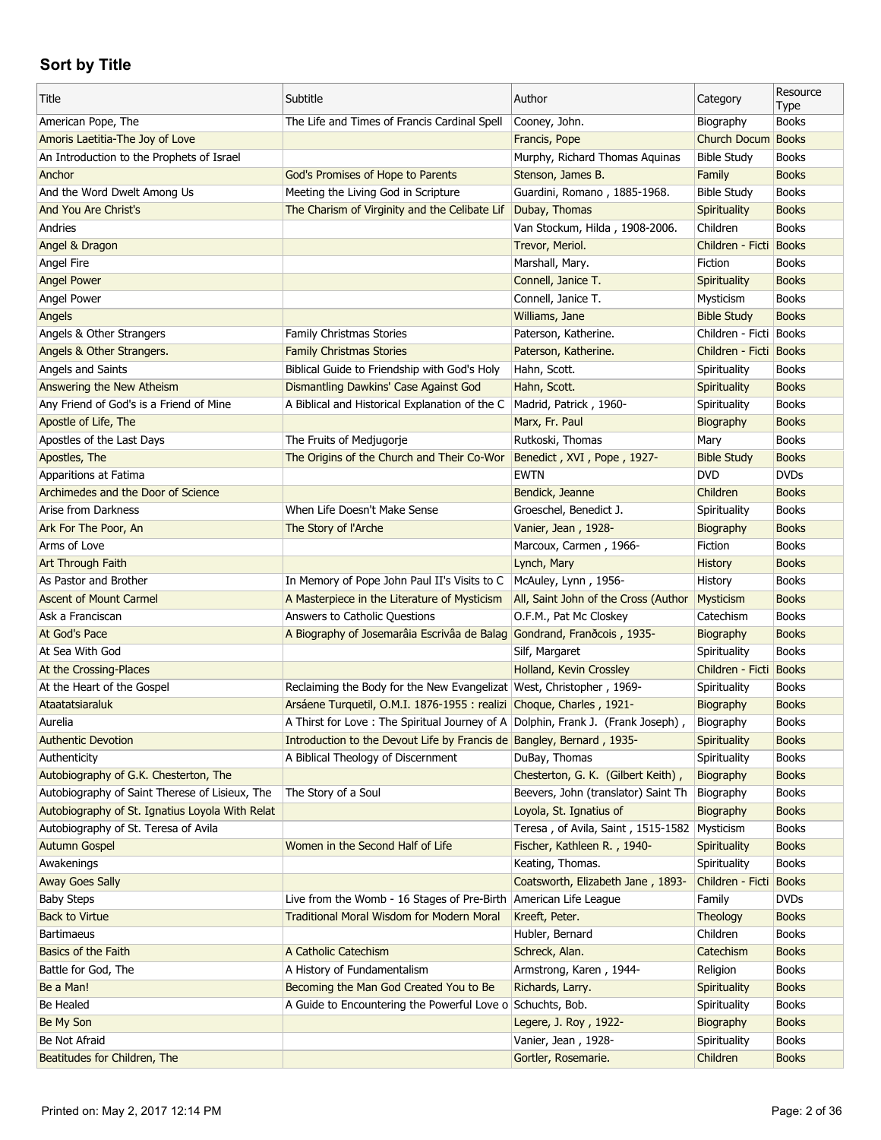| Title                                           | Subtitle                                                                       | Author                                       | Category               | Resource             |
|-------------------------------------------------|--------------------------------------------------------------------------------|----------------------------------------------|------------------------|----------------------|
| American Pope, The                              | The Life and Times of Francis Cardinal Spell                                   | Cooney, John.                                | Biography              | Type<br><b>Books</b> |
| Amoris Laetitia-The Joy of Love                 |                                                                                | Francis, Pope                                | Church Docum Books     |                      |
| An Introduction to the Prophets of Israel       |                                                                                | Murphy, Richard Thomas Aquinas               | <b>Bible Study</b>     | <b>Books</b>         |
| Anchor                                          | God's Promises of Hope to Parents                                              | Stenson, James B.                            | Family                 | <b>Books</b>         |
| And the Word Dwelt Among Us                     | Meeting the Living God in Scripture                                            | Guardini, Romano, 1885-1968.                 | <b>Bible Study</b>     | <b>Books</b>         |
| And You Are Christ's                            | The Charism of Virginity and the Celibate Lif                                  | Dubay, Thomas                                | Spirituality           | <b>Books</b>         |
| Andries                                         |                                                                                | Van Stockum, Hilda, 1908-2006.               | Children               | <b>Books</b>         |
| Angel & Dragon                                  |                                                                                | Trevor, Meriol.                              | Children - Ficti Books |                      |
| Angel Fire                                      |                                                                                | Marshall, Mary.                              | Fiction                | <b>Books</b>         |
| <b>Angel Power</b>                              |                                                                                | Connell, Janice T.                           | Spirituality           | <b>Books</b>         |
| Angel Power                                     |                                                                                | Connell, Janice T.                           | Mysticism              | <b>Books</b>         |
| Angels                                          |                                                                                | Williams, Jane                               | <b>Bible Study</b>     | <b>Books</b>         |
| Angels & Other Strangers                        | <b>Family Christmas Stories</b>                                                | Paterson, Katherine.                         | Children - Ficti Books |                      |
| Angels & Other Strangers.                       | <b>Family Christmas Stories</b>                                                | Paterson, Katherine.                         | Children - Ficti Books |                      |
| Angels and Saints                               | Biblical Guide to Friendship with God's Holy                                   | Hahn, Scott.                                 | Spirituality           | <b>Books</b>         |
| Answering the New Atheism                       | Dismantling Dawkins' Case Against God                                          | Hahn, Scott.                                 | Spirituality           | <b>Books</b>         |
| Any Friend of God's is a Friend of Mine         | A Biblical and Historical Explanation of the C                                 |                                              | Spirituality           | <b>Books</b>         |
|                                                 |                                                                                | Madrid, Patrick, 1960-                       |                        | <b>Books</b>         |
| Apostle of Life, The                            |                                                                                | Marx, Fr. Paul                               | Biography              |                      |
| Apostles of the Last Days                       | The Fruits of Medjugorje                                                       | Rutkoski, Thomas                             | Mary                   | <b>Books</b>         |
| Apostles, The                                   | The Origins of the Church and Their Co-Wor                                     | Benedict, XVI, Pope, 1927-                   | <b>Bible Study</b>     | <b>Books</b>         |
| Apparitions at Fatima                           |                                                                                | <b>EWTN</b>                                  | <b>DVD</b>             | <b>DVDs</b>          |
| Archimedes and the Door of Science              |                                                                                | Bendick, Jeanne                              | Children               | <b>Books</b>         |
| Arise from Darkness                             | When Life Doesn't Make Sense                                                   | Groeschel, Benedict J.                       | Spirituality           | <b>Books</b>         |
| Ark For The Poor, An                            | The Story of l'Arche                                                           | Vanier, Jean, 1928-                          | Biography              | <b>Books</b>         |
| Arms of Love                                    |                                                                                | Marcoux, Carmen, 1966-                       | Fiction                | <b>Books</b>         |
| Art Through Faith                               |                                                                                | Lynch, Mary                                  | <b>History</b>         | <b>Books</b>         |
| As Pastor and Brother                           | In Memory of Pope John Paul II's Visits to C                                   | McAuley, Lynn, 1956-                         | History                | <b>Books</b>         |
| <b>Ascent of Mount Carmel</b>                   | A Masterpiece in the Literature of Mysticism                                   | All, Saint John of the Cross (Author         | Mysticism              | <b>Books</b>         |
| Ask a Franciscan                                | Answers to Catholic Questions                                                  | O.F.M., Pat Mc Closkey                       | Catechism              | <b>Books</b>         |
| At God's Pace                                   | A Biography of Josemarâia Escrivâa de Balag Gondrand, Franãcois, 1935-         |                                              | Biography              | <b>Books</b>         |
| At Sea With God                                 |                                                                                | Silf, Margaret                               | Spirituality           | <b>Books</b>         |
| At the Crossing-Places                          |                                                                                | Holland, Kevin Crossley                      | Children - Ficti Books |                      |
| At the Heart of the Gospel                      | Reclaiming the Body for the New Evangelizat West, Christopher, 1969-           |                                              | Spirituality           | <b>Books</b>         |
| Ataatatsiaraluk                                 | Arsáene Turquetil, O.M.I. 1876-1955 : realizi Choque, Charles, 1921-           |                                              | Biography              | <b>Books</b>         |
| Aurelia                                         | A Thirst for Love: The Spiritual Journey of A Dolphin, Frank J. (Frank Joseph) |                                              | Biography              | <b>Books</b>         |
| <b>Authentic Devotion</b>                       | Introduction to the Devout Life by Francis de Bangley, Bernard, 1935-          |                                              | Spirituality           | <b>Books</b>         |
| Authenticity                                    | A Biblical Theology of Discernment                                             | DuBay, Thomas                                | Spirituality           | <b>Books</b>         |
| Autobiography of G.K. Chesterton, The           |                                                                                | Chesterton, G. K. (Gilbert Keith),           | Biography              | <b>Books</b>         |
| Autobiography of Saint Therese of Lisieux, The  | The Story of a Soul                                                            | Beevers, John (translator) Saint Th          | Biography              | <b>Books</b>         |
| Autobiography of St. Ignatius Loyola With Relat |                                                                                | Loyola, St. Ignatius of                      | Biography              | <b>Books</b>         |
| Autobiography of St. Teresa of Avila            |                                                                                | Teresa, of Avila, Saint, 1515-1582 Mysticism |                        | <b>Books</b>         |
| <b>Autumn Gospel</b>                            | Women in the Second Half of Life                                               | Fischer, Kathleen R., 1940-                  | Spirituality           | <b>Books</b>         |
| Awakenings                                      |                                                                                | Keating, Thomas.                             | Spirituality           | <b>Books</b>         |
| <b>Away Goes Sally</b>                          |                                                                                | Coatsworth, Elizabeth Jane, 1893-            | Children - Ficti       | <b>Books</b>         |
| <b>Baby Steps</b>                               | Live from the Womb - 16 Stages of Pre-Birth                                    | American Life League                         | Family                 | <b>DVDs</b>          |
| <b>Back to Virtue</b>                           | <b>Traditional Moral Wisdom for Modern Moral</b>                               | Kreeft, Peter.                               | Theology               | <b>Books</b>         |
| <b>Bartimaeus</b>                               |                                                                                | Hubler, Bernard                              | Children               | <b>Books</b>         |
| Basics of the Faith                             | A Catholic Catechism                                                           | Schreck, Alan.                               | Catechism              | <b>Books</b>         |
| Battle for God, The                             | A History of Fundamentalism                                                    | Armstrong, Karen, 1944-                      | Religion               | <b>Books</b>         |
| Be a Man!                                       | Becoming the Man God Created You to Be                                         | Richards, Larry.                             | Spirituality           | <b>Books</b>         |
| Be Healed                                       | A Guide to Encountering the Powerful Love o Schuchts, Bob.                     |                                              | Spirituality           | <b>Books</b>         |
| Be My Son                                       |                                                                                | Legere, J. Roy, 1922-                        | Biography              | <b>Books</b>         |
| Be Not Afraid                                   |                                                                                | Vanier, Jean, 1928-                          | Spirituality           | <b>Books</b>         |
| Beatitudes for Children, The                    |                                                                                | Gortler, Rosemarie.                          | Children               | <b>Books</b>         |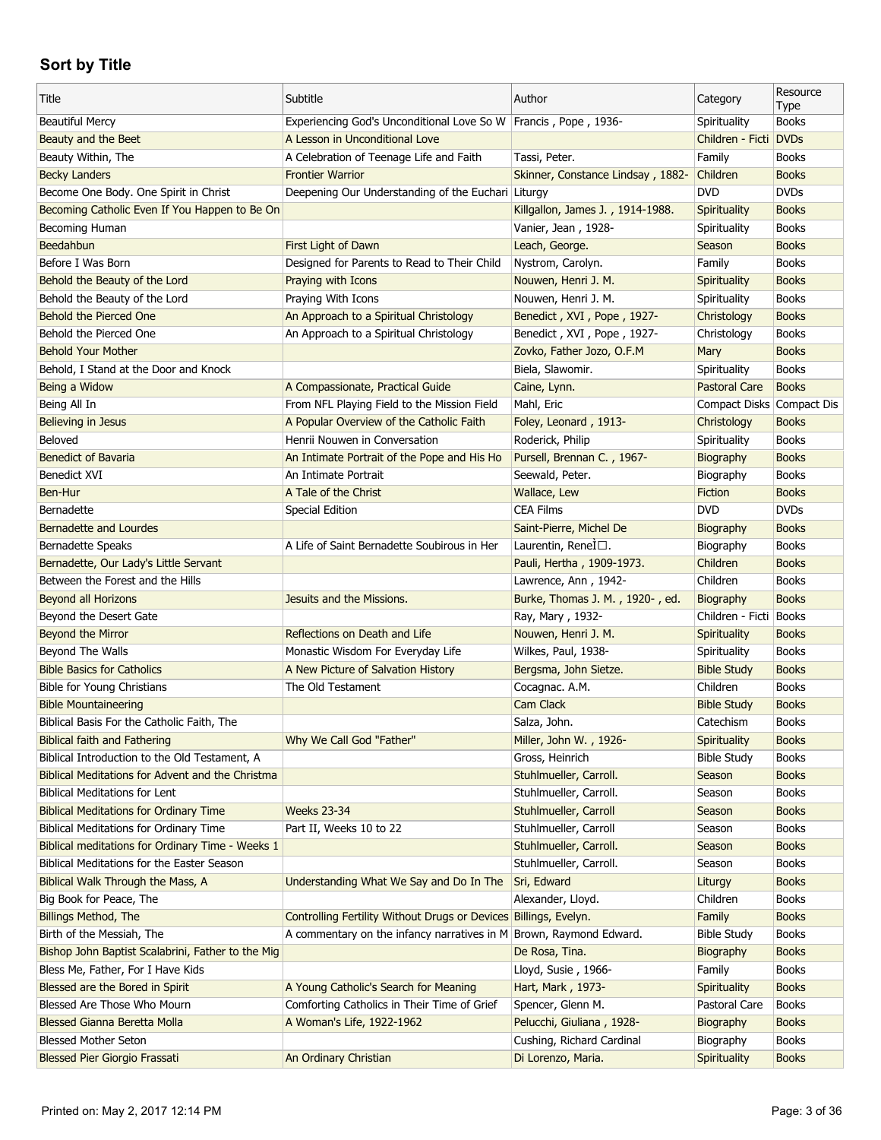| Title                                             | Subtitle                                                             | Author                            | Category                  | Resource     |
|---------------------------------------------------|----------------------------------------------------------------------|-----------------------------------|---------------------------|--------------|
|                                                   |                                                                      |                                   |                           | Type         |
| <b>Beautiful Mercy</b>                            | Experiencing God's Unconditional Love So W   Francis, Pope, 1936-    |                                   | Spirituality              | <b>Books</b> |
| Beauty and the Beet                               | A Lesson in Unconditional Love                                       |                                   | Children - Ficti DVDs     |              |
| Beauty Within, The                                | A Celebration of Teenage Life and Faith                              | Tassi, Peter.                     | Family                    | <b>Books</b> |
| <b>Becky Landers</b>                              | <b>Frontier Warrior</b>                                              | Skinner, Constance Lindsay, 1882- | Children                  | <b>Books</b> |
| Become One Body. One Spirit in Christ             | Deepening Our Understanding of the Euchari Liturgy                   |                                   | <b>DVD</b>                | <b>DVDs</b>  |
| Becoming Catholic Even If You Happen to Be On     |                                                                      | Killgallon, James J., 1914-1988.  | Spirituality              | <b>Books</b> |
| Becoming Human                                    |                                                                      | Vanier, Jean, 1928-               | Spirituality              | <b>Books</b> |
| Beedahbun                                         | First Light of Dawn                                                  | Leach, George.                    | Season                    | <b>Books</b> |
| Before I Was Born                                 | Designed for Parents to Read to Their Child                          | Nystrom, Carolyn.                 | Family                    | <b>Books</b> |
| Behold the Beauty of the Lord                     | Praying with Icons                                                   | Nouwen, Henri J. M.               | Spirituality              | <b>Books</b> |
| Behold the Beauty of the Lord                     | Praying With Icons                                                   | Nouwen, Henri J. M.               | Spirituality              | <b>Books</b> |
| Behold the Pierced One                            | An Approach to a Spiritual Christology                               | Benedict, XVI, Pope, 1927-        | Christology               | <b>Books</b> |
| Behold the Pierced One                            | An Approach to a Spiritual Christology                               | Benedict, XVI, Pope, 1927-        | Christology               | <b>Books</b> |
| <b>Behold Your Mother</b>                         |                                                                      | Zovko, Father Jozo, O.F.M         | Mary                      | <b>Books</b> |
| Behold, I Stand at the Door and Knock             |                                                                      | Biela, Slawomir.                  | Spirituality              | <b>Books</b> |
| Being a Widow                                     | A Compassionate, Practical Guide                                     | Caine, Lynn.                      | <b>Pastoral Care</b>      | <b>Books</b> |
| Being All In                                      | From NFL Playing Field to the Mission Field                          | Mahl, Eric                        | Compact Disks Compact Dis |              |
| <b>Believing in Jesus</b>                         | A Popular Overview of the Catholic Faith                             | Foley, Leonard, 1913-             | Christology               | <b>Books</b> |
| Beloved                                           | Henrii Nouwen in Conversation                                        | Roderick, Philip                  | Spirituality              | <b>Books</b> |
| <b>Benedict of Bavaria</b>                        | An Intimate Portrait of the Pope and His Ho                          | Pursell, Brennan C., 1967-        | Biography                 | <b>Books</b> |
| Benedict XVI                                      | An Intimate Portrait                                                 | Seewald, Peter.                   | Biography                 | <b>Books</b> |
| Ben-Hur                                           | A Tale of the Christ                                                 | Wallace, Lew                      | Fiction                   | <b>Books</b> |
| Bernadette                                        | Special Edition                                                      | <b>CEA Films</b>                  | <b>DVD</b>                | <b>DVDs</b>  |
| Bernadette and Lourdes                            |                                                                      | Saint-Pierre, Michel De           | Biography                 | <b>Books</b> |
| <b>Bernadette Speaks</b>                          | A Life of Saint Bernadette Soubirous in Her                          | Laurentin, ReneÌ□.                | Biography                 | <b>Books</b> |
| Bernadette, Our Lady's Little Servant             |                                                                      | Pauli, Hertha, 1909-1973.         | Children                  | <b>Books</b> |
| Between the Forest and the Hills                  |                                                                      | Lawrence, Ann, 1942-              | Children                  | <b>Books</b> |
| Beyond all Horizons                               | Jesuits and the Missions.                                            | Burke, Thomas J. M., 1920-, ed.   | <b>Biography</b>          | <b>Books</b> |
| Beyond the Desert Gate                            |                                                                      | Ray, Mary, 1932-                  | Children - Ficti Books    |              |
| Beyond the Mirror                                 | Reflections on Death and Life                                        | Nouwen, Henri J. M.               | Spirituality              | <b>Books</b> |
| Beyond The Walls                                  | Monastic Wisdom For Everyday Life                                    | Wilkes, Paul, 1938-               | Spirituality              | <b>Books</b> |
| <b>Bible Basics for Catholics</b>                 | A New Picture of Salvation History                                   | Bergsma, John Sietze.             | <b>Bible Study</b>        | <b>Books</b> |
| Bible for Young Christians                        | The Old Testament                                                    | Cocagnac. A.M.                    | Children                  | <b>Books</b> |
| <b>Bible Mountaineering</b>                       |                                                                      | <b>Cam Clack</b>                  | <b>Bible Study</b>        | <b>Books</b> |
| Biblical Basis For the Catholic Faith, The        |                                                                      | Salza, John.                      | Catechism                 | <b>Books</b> |
| <b>Biblical faith and Fathering</b>               | Why We Call God "Father"                                             | Miller, John W., 1926-            | Spirituality              | <b>Books</b> |
| Biblical Introduction to the Old Testament, A     |                                                                      | Gross, Heinrich                   | <b>Bible Study</b>        | <b>Books</b> |
| Biblical Meditations for Advent and the Christma  |                                                                      | Stuhlmueller, Carroll.            | Season                    | <b>Books</b> |
| <b>Biblical Meditations for Lent</b>              |                                                                      | Stuhlmueller, Carroll.            | Season                    | <b>Books</b> |
| <b>Biblical Meditations for Ordinary Time</b>     | <b>Weeks 23-34</b>                                                   | Stuhlmueller, Carroll             | Season                    | <b>Books</b> |
| <b>Biblical Meditations for Ordinary Time</b>     | Part II, Weeks 10 to 22                                              | Stuhlmueller, Carroll             | Season                    | <b>Books</b> |
| Biblical meditations for Ordinary Time - Weeks 1  |                                                                      | Stuhlmueller, Carroll.            | Season                    | <b>Books</b> |
| <b>Biblical Meditations for the Easter Season</b> |                                                                      | Stuhlmueller, Carroll.            | Season                    | <b>Books</b> |
| Biblical Walk Through the Mass, A                 | Understanding What We Say and Do In The                              | Sri, Edward                       | Liturgy                   | <b>Books</b> |
| Big Book for Peace, The                           |                                                                      | Alexander, Lloyd.                 | Children                  | <b>Books</b> |
| <b>Billings Method, The</b>                       | Controlling Fertility Without Drugs or Devices Billings, Evelyn.     |                                   | Family                    | <b>Books</b> |
| Birth of the Messiah, The                         | A commentary on the infancy narratives in $M$ Brown, Raymond Edward. |                                   | <b>Bible Study</b>        | <b>Books</b> |
| Bishop John Baptist Scalabrini, Father to the Mig |                                                                      | De Rosa, Tina.                    | Biography                 | <b>Books</b> |
|                                                   |                                                                      |                                   |                           | <b>Books</b> |
| Bless Me, Father, For I Have Kids                 |                                                                      | Lloyd, Susie, 1966-               | Family                    |              |
| Blessed are the Bored in Spirit                   | A Young Catholic's Search for Meaning                                | Hart, Mark, 1973-                 | Spirituality              | <b>Books</b> |
| Blessed Are Those Who Mourn                       | Comforting Catholics in Their Time of Grief                          | Spencer, Glenn M.                 | Pastoral Care             | <b>Books</b> |
| Blessed Gianna Beretta Molla                      | A Woman's Life, 1922-1962                                            | Pelucchi, Giuliana, 1928-         | Biography                 | <b>Books</b> |
| <b>Blessed Mother Seton</b>                       |                                                                      | Cushing, Richard Cardinal         | Biography                 | <b>Books</b> |
| <b>Blessed Pier Giorgio Frassati</b>              | An Ordinary Christian                                                | Di Lorenzo, Maria.                | Spirituality              | <b>Books</b> |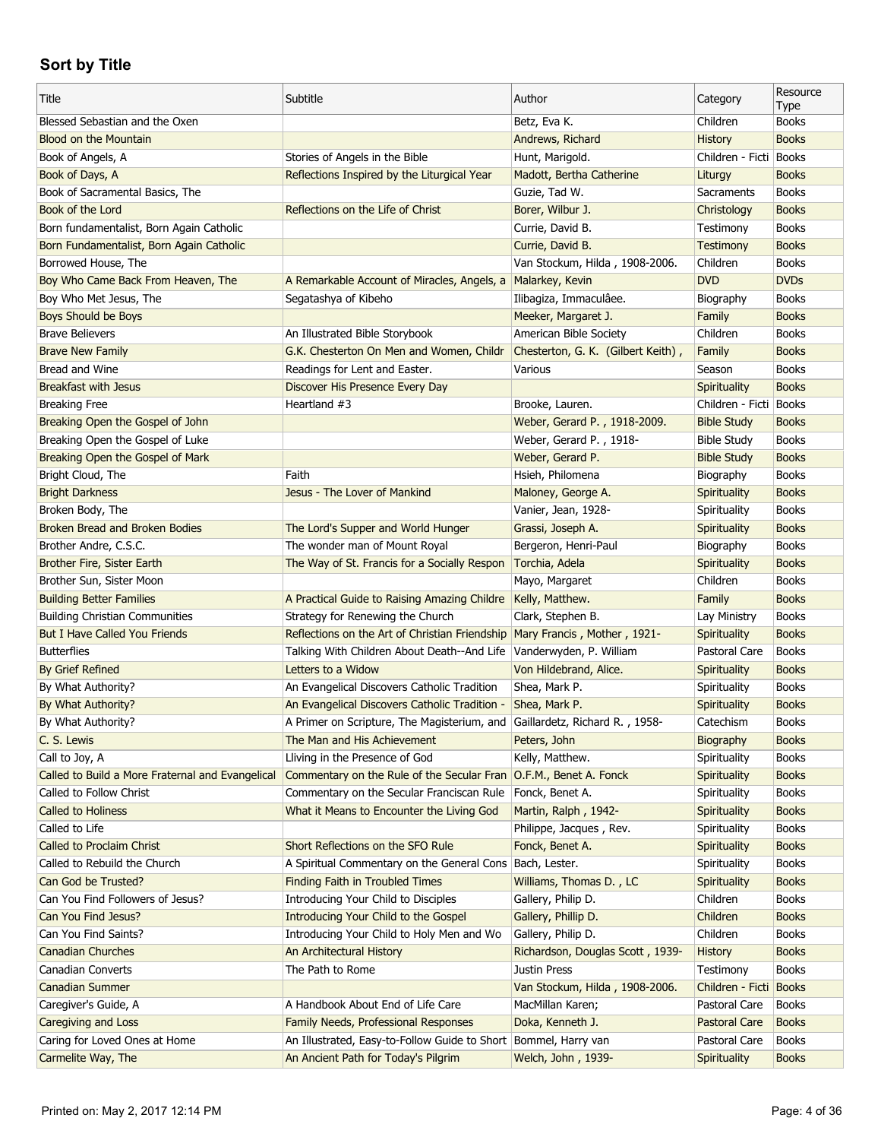| Subtitle<br>Author<br>Title<br>Category                                                                                                      | Resource             |
|----------------------------------------------------------------------------------------------------------------------------------------------|----------------------|
| Blessed Sebastian and the Oxen<br>Betz, Eva K.<br>Children                                                                                   | Type<br><b>Books</b> |
| <b>Blood on the Mountain</b><br>Andrews, Richard<br><b>History</b>                                                                           | <b>Books</b>         |
| Book of Angels, A<br>Stories of Angels in the Bible<br>Hunt, Marigold.<br>Children - Ficti                                                   | <b>Books</b>         |
| Book of Days, A<br>Reflections Inspired by the Liturgical Year<br>Madott, Bertha Catherine<br>Liturgy                                        | <b>Books</b>         |
| Guzie, Tad W.<br>Book of Sacramental Basics, The<br>Sacraments                                                                               | <b>Books</b>         |
| Book of the Lord<br>Reflections on the Life of Christ<br>Borer, Wilbur J.<br>Christology                                                     | <b>Books</b>         |
| Born fundamentalist, Born Again Catholic<br>Currie, David B.<br>Testimony                                                                    | <b>Books</b>         |
| Born Fundamentalist, Born Again Catholic<br>Currie, David B.<br><b>Testimony</b>                                                             | <b>Books</b>         |
| Borrowed House, The<br>Van Stockum, Hilda, 1908-2006.<br>Children                                                                            | <b>Books</b>         |
| <b>DVD</b><br>Boy Who Came Back From Heaven, The<br>Malarkey, Kevin<br>A Remarkable Account of Miracles, Angels, a                           | <b>DVDs</b>          |
| Ilibagiza, Immaculâee.<br>Boy Who Met Jesus, The<br>Segatashya of Kibeho<br>Biography                                                        | <b>Books</b>         |
| Boys Should be Boys<br>Meeker, Margaret J.<br>Family                                                                                         | <b>Books</b>         |
| <b>Brave Believers</b><br>American Bible Society<br>Children<br>An Illustrated Bible Storybook                                               | <b>Books</b>         |
| <b>Brave New Family</b><br>G.K. Chesterton On Men and Women, Childr<br>Chesterton, G. K. (Gilbert Keith),<br>Family                          | <b>Books</b>         |
| Bread and Wine<br>Readings for Lent and Easter.<br>Various<br>Season                                                                         | <b>Books</b>         |
| <b>Breakfast with Jesus</b><br>Spirituality<br>Discover His Presence Every Day                                                               | <b>Books</b>         |
| Children - Ficti Books<br><b>Breaking Free</b><br>Heartland #3<br>Brooke, Lauren.                                                            |                      |
| Breaking Open the Gospel of John<br>Weber, Gerard P., 1918-2009.<br><b>Bible Study</b>                                                       | <b>Books</b>         |
| Breaking Open the Gospel of Luke<br>Weber, Gerard P., 1918-<br><b>Bible Study</b>                                                            | <b>Books</b>         |
| Breaking Open the Gospel of Mark<br>Weber, Gerard P.<br><b>Bible Study</b>                                                                   | <b>Books</b>         |
| Bright Cloud, The<br>Faith<br>Hsieh, Philomena<br>Biography                                                                                  | <b>Books</b>         |
| <b>Bright Darkness</b><br>Jesus - The Lover of Mankind<br>Maloney, George A.<br><b>Spirituality</b>                                          | <b>Books</b>         |
| Broken Body, The<br>Vanier, Jean, 1928-<br>Spirituality                                                                                      | <b>Books</b>         |
| Broken Bread and Broken Bodies<br>The Lord's Supper and World Hunger<br>Grassi, Joseph A.<br>Spirituality                                    | <b>Books</b>         |
| Brother Andre, C.S.C.<br>The wonder man of Mount Royal<br>Bergeron, Henri-Paul<br>Biography                                                  | <b>Books</b>         |
| The Way of St. Francis for a Socially Respon<br>Torchia, Adela<br>Spirituality<br>Brother Fire, Sister Earth                                 | <b>Books</b>         |
| Mayo, Margaret<br>Children<br>Brother Sun, Sister Moon                                                                                       | <b>Books</b>         |
| <b>Building Better Families</b><br>A Practical Guide to Raising Amazing Childre<br>Kelly, Matthew.<br>Family                                 | <b>Books</b>         |
| <b>Building Christian Communities</b><br>Strategy for Renewing the Church<br>Clark, Stephen B.<br>Lay Ministry                               | <b>Books</b>         |
| <b>But I Have Called You Friends</b><br>Reflections on the Art of Christian Friendship<br>Mary Francis, Mother, 1921-<br><b>Spirituality</b> | <b>Books</b>         |
| <b>Butterflies</b><br>Vanderwyden, P. William<br>Talking With Children About Death--And Life<br>Pastoral Care                                | <b>Books</b>         |
| Letters to a Widow<br>By Grief Refined<br>Von Hildebrand, Alice.<br><b>Spirituality</b>                                                      | <b>Books</b>         |
| Shea, Mark P.<br>By What Authority?<br>An Evangelical Discovers Catholic Tradition<br>Spirituality                                           | <b>Books</b>         |
| By What Authority?<br>An Evangelical Discovers Catholic Tradition -<br>Shea, Mark P.<br>Spirituality                                         | <b>Books</b>         |
| By What Authority?<br>A Primer on Scripture, The Magisterium, and Gaillardetz, Richard R., 1958-<br>Catechism                                | <b>Books</b>         |
| C. S. Lewis<br>The Man and His Achievement<br>Peters, John<br>Biography                                                                      | <b>Books</b>         |
| Call to Joy, A<br>Lliving in the Presence of God<br>Kelly, Matthew.<br>Spirituality                                                          | <b>Books</b>         |
| Commentary on the Rule of the Secular Fran O.F.M., Benet A. Fonck<br>Spirituality<br>Called to Build a More Fraternal and Evangelical        | <b>Books</b>         |
| Called to Follow Christ<br>Commentary on the Secular Franciscan Rule<br>Fonck, Benet A.<br>Spirituality                                      | <b>Books</b>         |
| <b>Called to Holiness</b><br>What it Means to Encounter the Living God<br>Martin, Ralph, 1942-<br><b>Spirituality</b>                        | <b>Books</b>         |
| Called to Life<br>Philippe, Jacques, Rev.<br>Spirituality                                                                                    | <b>Books</b>         |
| Fonck, Benet A.<br>Called to Proclaim Christ<br>Short Reflections on the SFO Rule<br><b>Spirituality</b>                                     | <b>Books</b>         |
| Bach, Lester.<br>Called to Rebuild the Church<br>A Spiritual Commentary on the General Cons<br>Spirituality                                  | <b>Books</b>         |
| Can God be Trusted?<br><b>Finding Faith in Troubled Times</b><br>Williams, Thomas D., LC<br>Spirituality                                     | <b>Books</b>         |
| Can You Find Followers of Jesus?<br>Introducing Your Child to Disciples<br>Gallery, Philip D.<br>Children                                    | <b>Books</b>         |
| Can You Find Jesus?<br>Introducing Your Child to the Gospel<br>Gallery, Phillip D.<br>Children                                               | <b>Books</b>         |
| Introducing Your Child to Holy Men and Wo<br>Gallery, Philip D.<br>Children<br>Can You Find Saints?                                          | <b>Books</b>         |
| <b>Canadian Churches</b><br>An Architectural History<br>Richardson, Douglas Scott, 1939-<br><b>History</b>                                   | <b>Books</b>         |
| Canadian Converts<br>The Path to Rome<br>Justin Press<br>Testimony                                                                           | <b>Books</b>         |
| <b>Canadian Summer</b><br>Van Stockum, Hilda, 1908-2006.<br>Children - Ficti Books                                                           |                      |
| Caregiver's Guide, A<br>A Handbook About End of Life Care<br>MacMillan Karen;<br>Pastoral Care                                               | <b>Books</b>         |
| Caregiving and Loss<br><b>Family Needs, Professional Responses</b><br>Doka, Kenneth J.<br>Pastoral Care                                      | <b>Books</b>         |
| Caring for Loved Ones at Home<br>An Illustrated, Easy-to-Follow Guide to Short   Bommel, Harry van<br>Pastoral Care                          | <b>Books</b>         |
| Welch, John, 1939-                                                                                                                           |                      |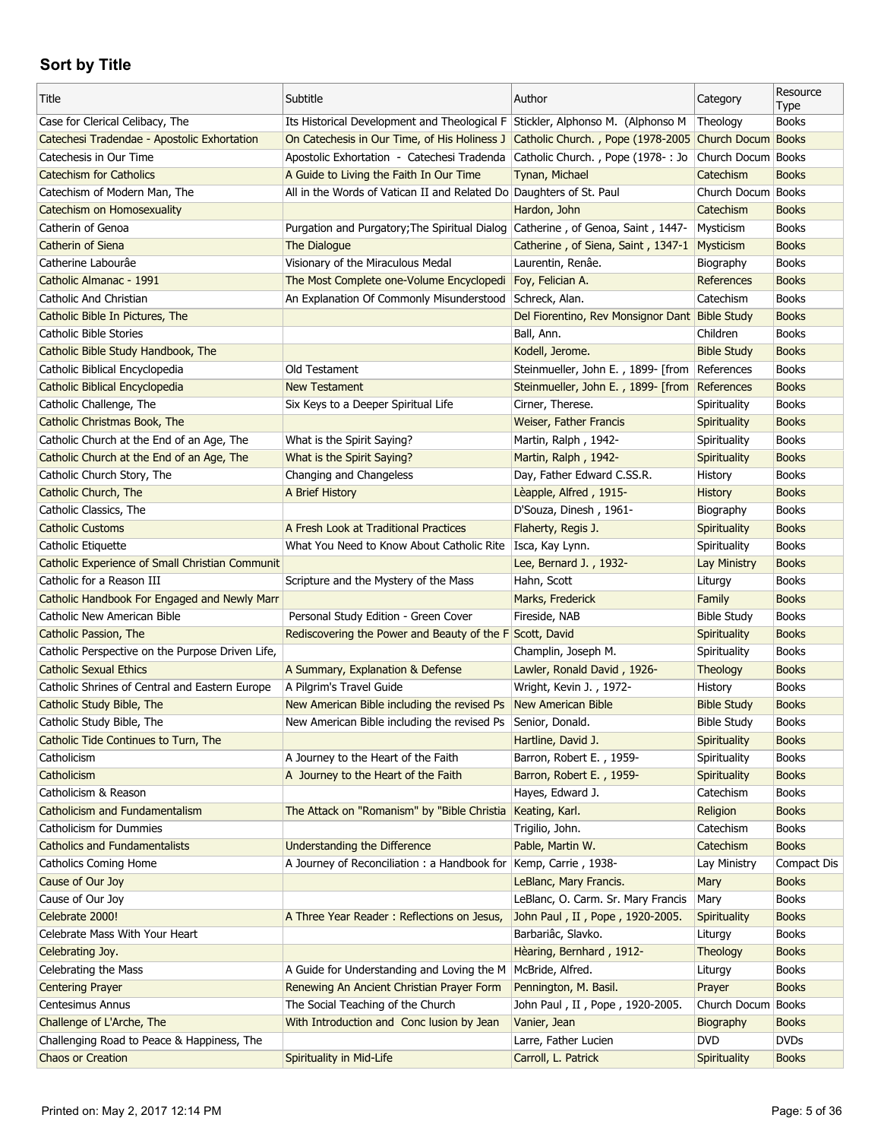| Title                                                                  | Subtitle                                                                                          | Author                                         | Category                   | Resource<br>Type            |
|------------------------------------------------------------------------|---------------------------------------------------------------------------------------------------|------------------------------------------------|----------------------------|-----------------------------|
| Case for Clerical Celibacy, The                                        | Its Historical Development and Theological F Stickler, Alphonso M. (Alphonso M                    |                                                | Theology                   | <b>Books</b>                |
| Catechesi Tradendae - Apostolic Exhortation                            | On Catechesis in Our Time, of His Holiness J Catholic Church., Pope (1978-2005 Church Docum Books |                                                |                            |                             |
| Catechesis in Our Time                                                 | Apostolic Exhortation - Catechesi Tradenda Catholic Church., Pope (1978-: Jo                      |                                                | Church Docum Books         |                             |
| <b>Catechism for Catholics</b>                                         | A Guide to Living the Faith In Our Time                                                           | Tynan, Michael                                 | Catechism                  | <b>Books</b>                |
| Catechism of Modern Man, The                                           | All in the Words of Vatican II and Related Do Daughters of St. Paul                               |                                                | Church Docum Books         |                             |
| Catechism on Homosexuality                                             |                                                                                                   | Hardon, John                                   | Catechism                  | <b>Books</b>                |
| Catherin of Genoa                                                      | Purgation and Purgatory; The Spiritual Dialog Catherine, of Genoa, Saint, 1447-                   |                                                | Mysticism                  | <b>Books</b>                |
| Catherin of Siena                                                      | The Dialogue                                                                                      | Catherine, of Siena, Saint, 1347-1             | Mysticism                  | <b>Books</b>                |
| Catherine Labourâe                                                     | Visionary of the Miraculous Medal                                                                 | Laurentin, Renâe.                              | Biography                  | <b>Books</b>                |
| Catholic Almanac - 1991                                                | The Most Complete one-Volume Encyclopedi                                                          | Foy, Felician A.                               | References                 | <b>Books</b>                |
| Catholic And Christian                                                 | An Explanation Of Commonly Misunderstood Schreck, Alan.                                           |                                                | Catechism                  | <b>Books</b>                |
| Catholic Bible In Pictures, The                                        |                                                                                                   | Del Fiorentino, Rev Monsignor Dant Bible Study |                            | <b>Books</b>                |
| Catholic Bible Stories                                                 |                                                                                                   | Ball, Ann.                                     | Children                   | <b>Books</b>                |
| Catholic Bible Study Handbook, The                                     |                                                                                                   | Kodell, Jerome.                                | <b>Bible Study</b>         | <b>Books</b>                |
| Catholic Biblical Encyclopedia                                         | Old Testament                                                                                     | Steinmueller, John E., 1899- [from References  |                            | <b>Books</b>                |
| Catholic Biblical Encyclopedia                                         | <b>New Testament</b>                                                                              | Steinmueller, John E., 1899- [from             | References                 | <b>Books</b>                |
| Catholic Challenge, The                                                | Six Keys to a Deeper Spiritual Life                                                               | Cirner, Therese.                               | Spirituality               | <b>Books</b>                |
| Catholic Christmas Book, The                                           |                                                                                                   | Weiser, Father Francis                         | Spirituality               | <b>Books</b>                |
| Catholic Church at the End of an Age, The                              | What is the Spirit Saying?                                                                        | Martin, Ralph, 1942-                           | Spirituality               | <b>Books</b>                |
| Catholic Church at the End of an Age, The                              | What is the Spirit Saying?                                                                        | Martin, Ralph, 1942-                           | Spirituality               | <b>Books</b>                |
| Catholic Church Story, The                                             | Changing and Changeless                                                                           | Day, Father Edward C.SS.R.                     | History                    | <b>Books</b>                |
| Catholic Church, The                                                   | A Brief History                                                                                   | Lèapple, Alfred, 1915-                         | <b>History</b>             | <b>Books</b>                |
| Catholic Classics, The                                                 |                                                                                                   | D'Souza, Dinesh, 1961-                         | Biography                  | <b>Books</b>                |
| <b>Catholic Customs</b>                                                | A Fresh Look at Traditional Practices                                                             | Flaherty, Regis J.                             | Spirituality               | <b>Books</b>                |
| Catholic Etiquette                                                     | What You Need to Know About Catholic Rite                                                         | Isca, Kay Lynn.                                | Spirituality               | <b>Books</b>                |
| <b>Catholic Experience of Small Christian Communit</b>                 |                                                                                                   | Lee, Bernard J., 1932-                         | Lay Ministry               | <b>Books</b>                |
|                                                                        |                                                                                                   |                                                |                            |                             |
|                                                                        |                                                                                                   |                                                |                            |                             |
| Catholic for a Reason III                                              | Scripture and the Mystery of the Mass                                                             | Hahn, Scott                                    | Liturgy                    | <b>Books</b>                |
| Catholic Handbook For Engaged and Newly Marr                           |                                                                                                   | Marks, Frederick                               | Family                     | <b>Books</b>                |
| Catholic New American Bible                                            | Personal Study Edition - Green Cover                                                              | Fireside, NAB                                  | Bible Study                | <b>Books</b>                |
| Catholic Passion, The                                                  | Rediscovering the Power and Beauty of the F Scott, David                                          |                                                | Spirituality               | <b>Books</b>                |
| Catholic Perspective on the Purpose Driven Life,                       |                                                                                                   | Champlin, Joseph M.                            | Spirituality               | <b>Books</b>                |
| <b>Catholic Sexual Ethics</b>                                          | A Summary, Explanation & Defense                                                                  | Lawler, Ronald David, 1926-                    | Theology                   | <b>Books</b>                |
| Catholic Shrines of Central and Eastern Europe                         | A Pilgrim's Travel Guide                                                                          | Wright, Kevin J., 1972-                        | History                    | <b>Books</b>                |
| Catholic Study Bible, The                                              | New American Bible including the revised Ps                                                       | New American Bible                             | <b>Bible Study</b>         | <b>Books</b>                |
| Catholic Study Bible, The                                              | New American Bible including the revised Ps Senior, Donald.                                       |                                                | <b>Bible Study</b>         | <b>Books</b>                |
| Catholic Tide Continues to Turn, The                                   |                                                                                                   | Hartline, David J.                             | Spirituality               | <b>Books</b>                |
| Catholicism                                                            | A Journey to the Heart of the Faith                                                               | Barron, Robert E., 1959-                       | Spirituality               | <b>Books</b>                |
| Catholicism                                                            | A Journey to the Heart of the Faith                                                               | Barron, Robert E., 1959-                       | Spirituality               | <b>Books</b>                |
| Catholicism & Reason                                                   |                                                                                                   | Hayes, Edward J.                               | Catechism                  | <b>Books</b>                |
| Catholicism and Fundamentalism                                         | The Attack on "Romanism" by "Bible Christia                                                       | Keating, Karl.                                 | Religion                   | <b>Books</b>                |
| Catholicism for Dummies                                                |                                                                                                   | Trigilio, John.                                | Catechism                  | <b>Books</b>                |
| <b>Catholics and Fundamentalists</b>                                   | <b>Understanding the Difference</b>                                                               | Pable, Martin W.                               | Catechism                  | <b>Books</b>                |
| <b>Catholics Coming Home</b>                                           | A Journey of Reconciliation: a Handbook for                                                       | Kemp, Carrie, 1938-                            | Lay Ministry               | <b>Compact Dis</b>          |
| Cause of Our Joy                                                       |                                                                                                   | LeBlanc, Mary Francis.                         | Mary                       | <b>Books</b>                |
| Cause of Our Joy                                                       |                                                                                                   | LeBlanc, O. Carm. Sr. Mary Francis             | Mary                       | <b>Books</b>                |
| Celebrate 2000!                                                        | A Three Year Reader: Reflections on Jesus,                                                        | John Paul, II, Pope, 1920-2005.                | Spirituality               | <b>Books</b>                |
| Celebrate Mass With Your Heart                                         |                                                                                                   | Barbariâc, Slavko.                             | Liturgy                    | <b>Books</b>                |
| Celebrating Joy.                                                       |                                                                                                   | Hèaring, Bernhard, 1912-                       | Theology                   | <b>Books</b>                |
| Celebrating the Mass                                                   | A Guide for Understanding and Loving the M                                                        | McBride, Alfred.                               | Liturgy                    | <b>Books</b>                |
| <b>Centering Prayer</b>                                                | Renewing An Ancient Christian Prayer Form                                                         | Pennington, M. Basil.                          | Prayer                     | <b>Books</b>                |
| Centesimus Annus                                                       | The Social Teaching of the Church                                                                 | John Paul, II, Pope, 1920-2005.                | Church Docum Books         |                             |
| Challenge of L'Arche, The                                              | With Introduction and Conc lusion by Jean                                                         | Vanier, Jean                                   | Biography                  | <b>Books</b>                |
| Challenging Road to Peace & Happiness, The<br><b>Chaos or Creation</b> | Spirituality in Mid-Life                                                                          | Larre, Father Lucien<br>Carroll, L. Patrick    | <b>DVD</b><br>Spirituality | <b>DVDs</b><br><b>Books</b> |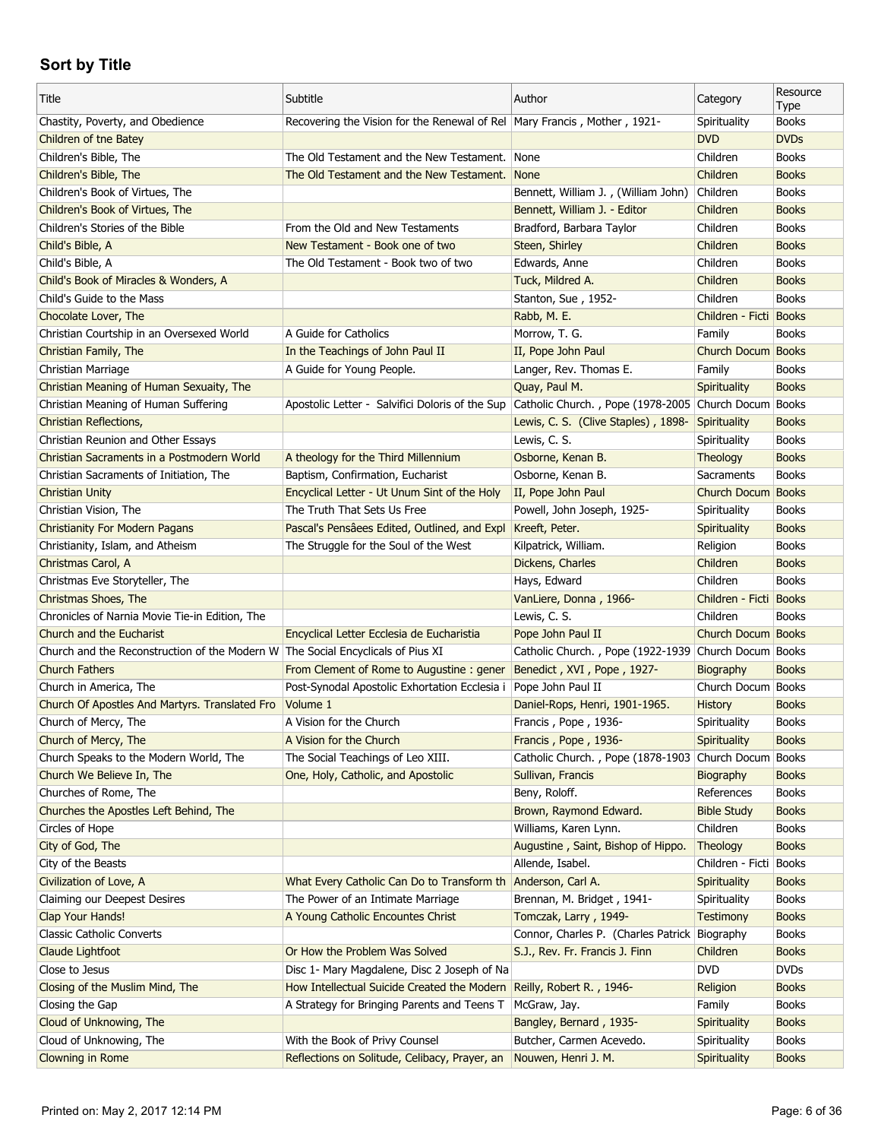| Title                                                                           | Subtitle                                                                   | Author                                               | Category               | Resource<br>Type |
|---------------------------------------------------------------------------------|----------------------------------------------------------------------------|------------------------------------------------------|------------------------|------------------|
| Chastity, Poverty, and Obedience                                                | Recovering the Vision for the Renewal of Rel   Mary Francis, Mother, 1921- |                                                      | Spirituality           | <b>Books</b>     |
| Children of the Batey                                                           |                                                                            |                                                      | <b>DVD</b>             | <b>DVDs</b>      |
| Children's Bible, The                                                           | The Old Testament and the New Testament. None                              |                                                      | Children               | <b>Books</b>     |
| Children's Bible, The                                                           | The Old Testament and the New Testament.                                   | None                                                 | Children               | <b>Books</b>     |
| Children's Book of Virtues, The                                                 |                                                                            | Bennett, William J., (William John)                  | Children               | <b>Books</b>     |
| Children's Book of Virtues, The                                                 |                                                                            | Bennett, William J. - Editor                         | Children               | <b>Books</b>     |
| Children's Stories of the Bible                                                 | From the Old and New Testaments                                            | Bradford, Barbara Taylor                             | Children               | <b>Books</b>     |
| Child's Bible, A                                                                | New Testament - Book one of two                                            | Steen, Shirley                                       | Children               | <b>Books</b>     |
| Child's Bible, A                                                                | The Old Testament - Book two of two                                        | Edwards, Anne                                        | Children               | <b>Books</b>     |
| Child's Book of Miracles & Wonders, A                                           |                                                                            | Tuck, Mildred A.                                     | Children               | <b>Books</b>     |
| Child's Guide to the Mass                                                       |                                                                            | Stanton, Sue, 1952-                                  | Children               | <b>Books</b>     |
| Chocolate Lover, The                                                            |                                                                            | Rabb, M. E.                                          | Children - Ficti       | <b>Books</b>     |
| Christian Courtship in an Oversexed World                                       | A Guide for Catholics                                                      | Morrow, T. G.                                        | Family                 | <b>Books</b>     |
| Christian Family, The                                                           | In the Teachings of John Paul II                                           | II, Pope John Paul                                   | Church Docum Books     |                  |
| Christian Marriage                                                              | A Guide for Young People.                                                  | Langer, Rev. Thomas E.                               | Family                 | <b>Books</b>     |
| Christian Meaning of Human Sexuaity, The                                        |                                                                            | Quay, Paul M.                                        | <b>Spirituality</b>    | <b>Books</b>     |
| Christian Meaning of Human Suffering                                            | Apostolic Letter - Salvifici Doloris of the Sup                            | Catholic Church., Pope (1978-2005 Church Docum Books |                        |                  |
| <b>Christian Reflections,</b>                                                   |                                                                            | Lewis, C. S. (Clive Staples), 1898-                  | Spirituality           | <b>Books</b>     |
| Christian Reunion and Other Essays                                              |                                                                            | Lewis, C. S.                                         | Spirituality           | <b>Books</b>     |
| Christian Sacraments in a Postmodern World                                      | A theology for the Third Millennium                                        | Osborne, Kenan B.                                    | <b>Theology</b>        | <b>Books</b>     |
| Christian Sacraments of Initiation, The                                         | Baptism, Confirmation, Eucharist                                           | Osborne, Kenan B.                                    | Sacraments             | <b>Books</b>     |
| <b>Christian Unity</b>                                                          | Encyclical Letter - Ut Unum Sint of the Holy                               | II, Pope John Paul                                   | Church Docum           | <b>Books</b>     |
| Christian Vision, The                                                           | The Truth That Sets Us Free                                                | Powell, John Joseph, 1925-                           | Spirituality           | <b>Books</b>     |
| <b>Christianity For Modern Pagans</b>                                           | Pascal's Pensâees Edited, Outlined, and Expl                               | Kreeft, Peter.                                       | Spirituality           | <b>Books</b>     |
| Christianity, Islam, and Atheism                                                | The Struggle for the Soul of the West                                      | Kilpatrick, William.                                 | Religion               | <b>Books</b>     |
| Christmas Carol, A                                                              |                                                                            | Dickens, Charles                                     | Children               | <b>Books</b>     |
| Christmas Eve Storyteller, The                                                  |                                                                            | Hays, Edward                                         | Children               | <b>Books</b>     |
| Christmas Shoes, The                                                            |                                                                            | VanLiere, Donna, 1966-                               | Children - Ficti Books |                  |
| Chronicles of Narnia Movie Tie-in Edition, The                                  |                                                                            | Lewis, C. S.                                         | Children               | <b>Books</b>     |
| Church and the Eucharist                                                        | Encyclical Letter Ecclesia de Eucharistia                                  | Pope John Paul II                                    | Church Docum Books     |                  |
| Church and the Reconstruction of the Modern W The Social Encyclicals of Pius XI |                                                                            | Catholic Church., Pope (1922-1939 Church Docum Books |                        |                  |
| <b>Church Fathers</b>                                                           | From Clement of Rome to Augustine: gener                                   | Benedict, XVI, Pope, 1927-                           | Biography              | <b>Books</b>     |
| Church in America, The                                                          | Post-Synodal Apostolic Exhortation Ecclesia i                              | Pope John Paul II                                    | Church Docum Books     |                  |
| Church Of Apostles And Martyrs. Translated Fro                                  | Volume 1                                                                   | Daniel-Rops, Henri, 1901-1965.                       | <b>History</b>         | <b>Books</b>     |
| Church of Mercy, The                                                            | A Vision for the Church                                                    | Francis, Pope, 1936-                                 | Spirituality           | <b>Books</b>     |
| Church of Mercy, The                                                            | A Vision for the Church                                                    | Francis, Pope, 1936-                                 | Spirituality           | <b>Books</b>     |
| Church Speaks to the Modern World, The                                          | The Social Teachings of Leo XIII.                                          | Catholic Church., Pope (1878-1903 Church Docum       |                        | <b>Books</b>     |
| Church We Believe In, The                                                       | One, Holy, Catholic, and Apostolic                                         | Sullivan, Francis                                    | Biography              | <b>Books</b>     |
| Churches of Rome, The                                                           |                                                                            | Beny, Roloff.                                        | References             | <b>Books</b>     |
| Churches the Apostles Left Behind, The                                          |                                                                            | Brown, Raymond Edward.                               | <b>Bible Study</b>     | <b>Books</b>     |
| Circles of Hope                                                                 |                                                                            | Williams, Karen Lynn.                                | Children               | <b>Books</b>     |
| City of God, The                                                                |                                                                            | Augustine, Saint, Bishop of Hippo.                   |                        | <b>Books</b>     |
|                                                                                 |                                                                            |                                                      | Theology               |                  |
| City of the Beasts                                                              |                                                                            | Allende, Isabel.                                     | Children - Ficti       | <b>Books</b>     |
| Civilization of Love, A                                                         | What Every Catholic Can Do to Transform th                                 | Anderson, Carl A.                                    | <b>Spirituality</b>    | <b>Books</b>     |
| Claiming our Deepest Desires                                                    | The Power of an Intimate Marriage                                          | Brennan, M. Bridget, 1941-                           | Spirituality           | <b>Books</b>     |
| Clap Your Hands!                                                                | A Young Catholic Encountes Christ                                          | Tomczak, Larry, 1949-                                | <b>Testimony</b>       | <b>Books</b>     |
| <b>Classic Catholic Converts</b>                                                |                                                                            | Connor, Charles P. (Charles Patrick Biography        |                        | <b>Books</b>     |
| Claude Lightfoot                                                                | Or How the Problem Was Solved                                              | S.J., Rev. Fr. Francis J. Finn                       | Children               | <b>Books</b>     |
| Close to Jesus                                                                  | Disc 1- Mary Magdalene, Disc 2 Joseph of Na                                |                                                      | <b>DVD</b>             | <b>DVDs</b>      |
| Closing of the Muslim Mind, The                                                 | How Intellectual Suicide Created the Modern Reilly, Robert R., 1946-       |                                                      | Religion               | <b>Books</b>     |
| Closing the Gap                                                                 | A Strategy for Bringing Parents and Teens T                                | McGraw, Jay.                                         | Family                 | <b>Books</b>     |
| Cloud of Unknowing, The                                                         |                                                                            | Bangley, Bernard, 1935-                              | Spirituality           | <b>Books</b>     |
| Cloud of Unknowing, The                                                         | With the Book of Privy Counsel                                             | Butcher, Carmen Acevedo.                             | Spirituality           | <b>Books</b>     |
| Clowning in Rome                                                                | Reflections on Solitude, Celibacy, Prayer, an                              | Nouwen, Henri J. M.                                  | Spirituality           | <b>Books</b>     |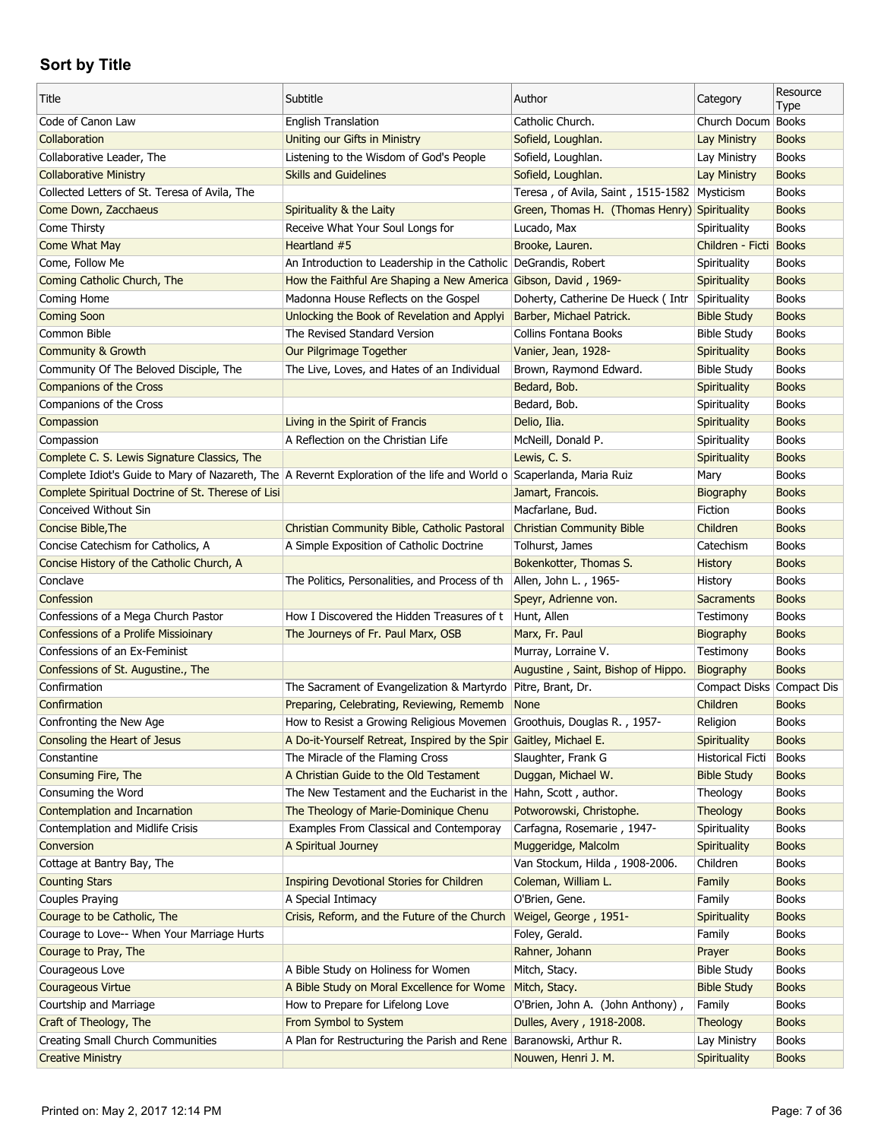| Title                                                                                                                 | Subtitle                                                               | Author                                       | Category                  | Resource<br>Type |
|-----------------------------------------------------------------------------------------------------------------------|------------------------------------------------------------------------|----------------------------------------------|---------------------------|------------------|
| Code of Canon Law                                                                                                     | <b>English Translation</b>                                             | Catholic Church.                             | Church Docum Books        |                  |
| Collaboration                                                                                                         | Uniting our Gifts in Ministry                                          | Sofield, Loughlan.                           | Lay Ministry              | <b>Books</b>     |
| Collaborative Leader, The                                                                                             | Listening to the Wisdom of God's People                                | Sofield, Loughlan.                           | Lay Ministry              | <b>Books</b>     |
| <b>Collaborative Ministry</b>                                                                                         | <b>Skills and Guidelines</b>                                           | Sofield, Loughlan.                           | <b>Lay Ministry</b>       | <b>Books</b>     |
| Collected Letters of St. Teresa of Avila, The                                                                         |                                                                        | Teresa, of Avila, Saint, 1515-1582 Mysticism |                           | <b>Books</b>     |
| Come Down, Zacchaeus                                                                                                  | Spirituality & the Laity                                               | Green, Thomas H. (Thomas Henry) Spirituality |                           | <b>Books</b>     |
| Come Thirsty                                                                                                          | Receive What Your Soul Longs for                                       | Lucado, Max                                  | Spirituality              | <b>Books</b>     |
| Come What May                                                                                                         | Heartland #5                                                           | Brooke, Lauren.                              | Children - Ficti Books    |                  |
| Come, Follow Me                                                                                                       | An Introduction to Leadership in the Catholic DeGrandis, Robert        |                                              | Spirituality              | <b>Books</b>     |
| Coming Catholic Church, The                                                                                           | How the Faithful Are Shaping a New America Gibson, David, 1969-        |                                              | Spirituality              | <b>Books</b>     |
| Coming Home                                                                                                           | Madonna House Reflects on the Gospel                                   | Doherty, Catherine De Hueck ( Intr           | Spirituality              | <b>Books</b>     |
| <b>Coming Soon</b>                                                                                                    | Unlocking the Book of Revelation and Applyi                            | Barber, Michael Patrick.                     | <b>Bible Study</b>        | <b>Books</b>     |
| Common Bible                                                                                                          | The Revised Standard Version                                           | Collins Fontana Books                        | <b>Bible Study</b>        | <b>Books</b>     |
| <b>Community &amp; Growth</b>                                                                                         | Our Pilgrimage Together                                                | Vanier, Jean, 1928-                          | <b>Spirituality</b>       | <b>Books</b>     |
| Community Of The Beloved Disciple, The                                                                                | The Live, Loves, and Hates of an Individual                            | Brown, Raymond Edward.                       | <b>Bible Study</b>        | <b>Books</b>     |
| <b>Companions of the Cross</b>                                                                                        |                                                                        | Bedard, Bob.                                 | Spirituality              | <b>Books</b>     |
| Companions of the Cross                                                                                               |                                                                        | Bedard, Bob.                                 | Spirituality              | <b>Books</b>     |
| Compassion                                                                                                            | Living in the Spirit of Francis                                        | Delio, Ilia.                                 | Spirituality              | <b>Books</b>     |
| Compassion                                                                                                            | A Reflection on the Christian Life                                     | McNeill, Donald P.                           | Spirituality              | <b>Books</b>     |
| Complete C. S. Lewis Signature Classics, The                                                                          |                                                                        | Lewis, C. S.                                 | Spirituality              | <b>Books</b>     |
| Complete Idiot's Guide to Mary of Nazareth, The A Revernt Exploration of the life and World o Scaperlanda, Maria Ruiz |                                                                        |                                              | Mary                      | <b>Books</b>     |
| Complete Spiritual Doctrine of St. Therese of Lisi                                                                    |                                                                        | Jamart, Francois.                            | Biography                 | <b>Books</b>     |
| Conceived Without Sin                                                                                                 |                                                                        | Macfarlane, Bud.                             | Fiction                   | <b>Books</b>     |
| Concise Bible, The                                                                                                    | Christian Community Bible, Catholic Pastoral                           | <b>Christian Community Bible</b>             | Children                  | <b>Books</b>     |
| Concise Catechism for Catholics, A                                                                                    | A Simple Exposition of Catholic Doctrine                               | Tolhurst, James                              | Catechism                 | <b>Books</b>     |
| Concise History of the Catholic Church, A                                                                             |                                                                        | Bokenkotter, Thomas S.                       | History                   | <b>Books</b>     |
|                                                                                                                       |                                                                        |                                              |                           |                  |
| Conclave                                                                                                              | The Politics, Personalities, and Process of th                         | Allen, John L., 1965-                        | History                   | <b>Books</b>     |
| Confession                                                                                                            |                                                                        | Speyr, Adrienne von.                         | <b>Sacraments</b>         | <b>Books</b>     |
| Confessions of a Mega Church Pastor                                                                                   | How I Discovered the Hidden Treasures of t                             | Hunt, Allen                                  | Testimony                 | <b>Books</b>     |
| <b>Confessions of a Prolife Missioinary</b>                                                                           | The Journeys of Fr. Paul Marx, OSB                                     | Marx, Fr. Paul                               | Biography                 | <b>Books</b>     |
| Confessions of an Ex-Feminist                                                                                         |                                                                        | Murray, Lorraine V.                          | Testimony                 | <b>Books</b>     |
| Confessions of St. Augustine., The                                                                                    |                                                                        | Augustine, Saint, Bishop of Hippo.           | Biography                 | <b>Books</b>     |
| Confirmation                                                                                                          | The Sacrament of Evangelization & Martyrdo   Pitre, Brant, Dr.         |                                              | Compact Disks Compact Dis |                  |
| Confirmation                                                                                                          | Preparing, Celebrating, Reviewing, Rememb                              | <b>None</b>                                  | Children                  | <b>Books</b>     |
| Confronting the New Age                                                                                               | How to Resist a Growing Religious Movemen Groothuis, Douglas R., 1957- |                                              | Religion                  | <b>Books</b>     |
| Consoling the Heart of Jesus                                                                                          | A Do-it-Yourself Retreat, Inspired by the Spir Gaitley, Michael E.     |                                              | <b>Spirituality</b>       | <b>Books</b>     |
| Constantine                                                                                                           | The Miracle of the Flaming Cross                                       | Slaughter, Frank G                           | <b>Historical Ficti</b>   | <b>Books</b>     |
| Consuming Fire, The                                                                                                   | A Christian Guide to the Old Testament                                 | Duggan, Michael W.                           | <b>Bible Study</b>        | <b>Books</b>     |
| Consuming the Word                                                                                                    | The New Testament and the Eucharist in the Hahn, Scott, author.        |                                              | Theology                  | <b>Books</b>     |
| Contemplation and Incarnation                                                                                         | The Theology of Marie-Dominique Chenu                                  | Potworowski, Christophe.                     | Theology                  | <b>Books</b>     |
| Contemplation and Midlife Crisis                                                                                      | Examples From Classical and Contemporay                                | Carfagna, Rosemarie, 1947-                   | Spirituality              | <b>Books</b>     |
| Conversion                                                                                                            | A Spiritual Journey                                                    | Muggeridge, Malcolm                          | Spirituality              | <b>Books</b>     |
| Cottage at Bantry Bay, The                                                                                            |                                                                        | Van Stockum, Hilda, 1908-2006.               | Children                  | <b>Books</b>     |
| <b>Counting Stars</b>                                                                                                 | <b>Inspiring Devotional Stories for Children</b>                       | Coleman, William L.                          | Family                    | <b>Books</b>     |
| Couples Praying                                                                                                       | A Special Intimacy                                                     | O'Brien, Gene.                               | Family                    | <b>Books</b>     |
| Courage to be Catholic, The                                                                                           | Crisis, Reform, and the Future of the Church                           | Weigel, George, 1951-                        | Spirituality              | <b>Books</b>     |
| Courage to Love-- When Your Marriage Hurts                                                                            |                                                                        | Foley, Gerald.                               | Family                    | <b>Books</b>     |
| Courage to Pray, The                                                                                                  |                                                                        | Rahner, Johann                               | Prayer                    | <b>Books</b>     |
| Courageous Love                                                                                                       | A Bible Study on Holiness for Women                                    | Mitch, Stacy.                                | <b>Bible Study</b>        | <b>Books</b>     |
| <b>Courageous Virtue</b>                                                                                              | A Bible Study on Moral Excellence for Wome                             | Mitch, Stacy.                                | <b>Bible Study</b>        | <b>Books</b>     |
| Courtship and Marriage                                                                                                | How to Prepare for Lifelong Love                                       | O'Brien, John A. (John Anthony),             | Family                    | <b>Books</b>     |
| Craft of Theology, The                                                                                                | From Symbol to System                                                  | Dulles, Avery, 1918-2008.                    | Theology                  | <b>Books</b>     |
| Creating Small Church Communities                                                                                     | A Plan for Restructuring the Parish and Rene Baranowski, Arthur R.     |                                              | Lay Ministry              | <b>Books</b>     |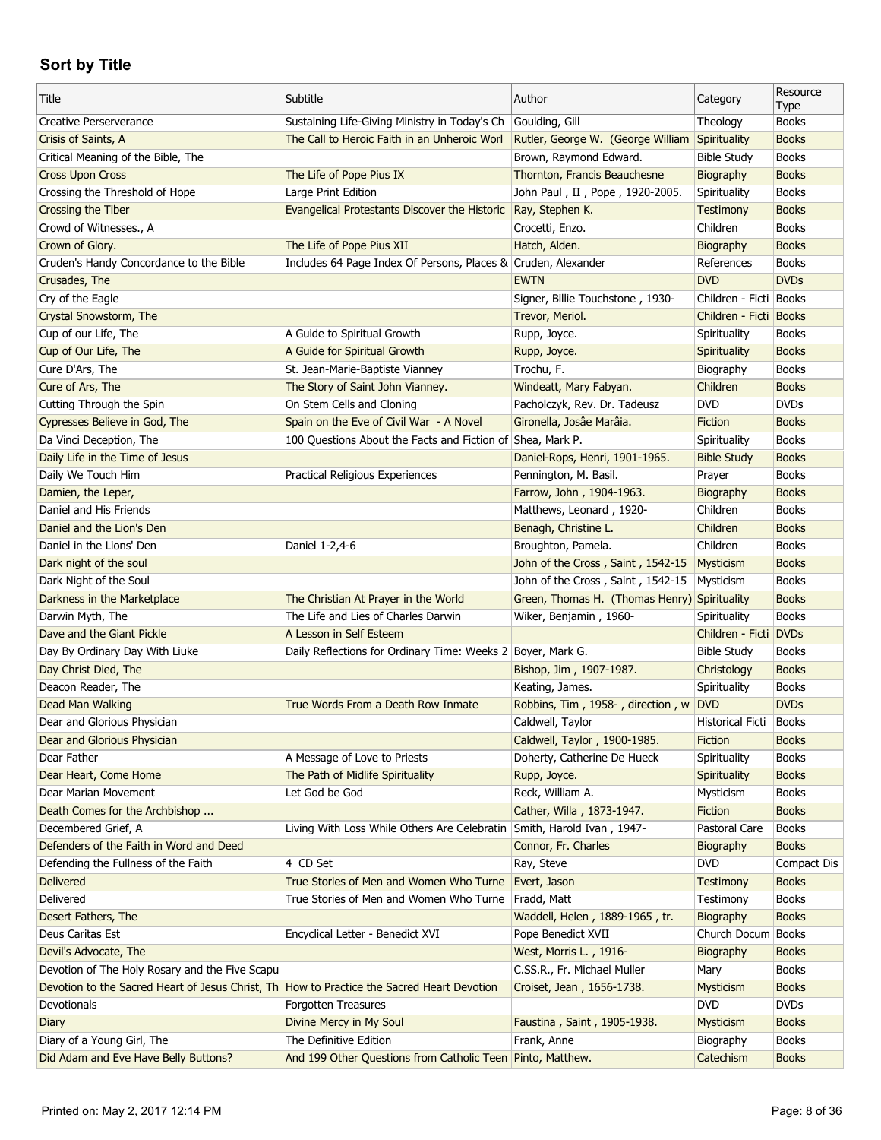| Title                                                                                      | Subtitle                                                                             | Author                                               | Category                        | Resource<br>Type            |
|--------------------------------------------------------------------------------------------|--------------------------------------------------------------------------------------|------------------------------------------------------|---------------------------------|-----------------------------|
| Creative Perserverance                                                                     | Sustaining Life-Giving Ministry in Today's Ch                                        | Goulding, Gill                                       | Theology                        | <b>Books</b>                |
| Crisis of Saints, A                                                                        | The Call to Heroic Faith in an Unheroic Worl                                         | Rutler, George W. (George William                    | Spirituality                    | <b>Books</b>                |
| Critical Meaning of the Bible, The                                                         |                                                                                      | Brown, Raymond Edward.                               | <b>Bible Study</b>              | <b>Books</b>                |
| <b>Cross Upon Cross</b>                                                                    | The Life of Pope Pius IX                                                             | Thornton, Francis Beauchesne                         | Biography                       | <b>Books</b>                |
| Crossing the Threshold of Hope                                                             | Large Print Edition                                                                  | John Paul, II, Pope, 1920-2005.                      | Spirituality                    | <b>Books</b>                |
| Crossing the Tiber                                                                         | Evangelical Protestants Discover the Historic Ray, Stephen K.                        |                                                      | <b>Testimony</b>                | <b>Books</b>                |
| Crowd of Witnesses., A                                                                     |                                                                                      | Crocetti, Enzo.                                      | Children                        | <b>Books</b>                |
| Crown of Glory.                                                                            | The Life of Pope Pius XII                                                            | Hatch, Alden.                                        | Biography                       | <b>Books</b>                |
| Cruden's Handy Concordance to the Bible                                                    | Includes 64 Page Index Of Persons, Places & Cruden, Alexander                        |                                                      | References                      | <b>Books</b>                |
| Crusades, The                                                                              |                                                                                      | <b>EWTN</b>                                          | <b>DVD</b>                      | <b>DVDs</b>                 |
| Cry of the Eagle                                                                           |                                                                                      | Signer, Billie Touchstone, 1930-                     | Children - Ficti Books          |                             |
| Crystal Snowstorm, The                                                                     |                                                                                      | Trevor, Meriol.                                      | Children - Ficti Books          |                             |
| Cup of our Life, The                                                                       | A Guide to Spiritual Growth                                                          | Rupp, Joyce.                                         | Spirituality                    | Books                       |
| Cup of Our Life, The                                                                       | A Guide for Spiritual Growth                                                         | Rupp, Joyce.                                         | Spirituality                    | <b>Books</b>                |
| Cure D'Ars, The                                                                            | St. Jean-Marie-Baptiste Vianney                                                      | Trochu, F.                                           | Biography                       | <b>Books</b>                |
| Cure of Ars, The                                                                           | The Story of Saint John Vianney.                                                     | Windeatt, Mary Fabyan.                               | Children                        | <b>Books</b>                |
| Cutting Through the Spin                                                                   | On Stem Cells and Cloning                                                            | Pacholczyk, Rev. Dr. Tadeusz                         | <b>DVD</b>                      | <b>DVDs</b>                 |
| Cypresses Believe in God, The                                                              | Spain on the Eve of Civil War - A Novel                                              | Gironella, Josâe Marâia.                             | Fiction                         | <b>Books</b>                |
| Da Vinci Deception, The                                                                    | 100 Questions About the Facts and Fiction of Shea, Mark P.                           |                                                      | Spirituality                    | <b>Books</b>                |
| Daily Life in the Time of Jesus                                                            |                                                                                      | Daniel-Rops, Henri, 1901-1965.                       | <b>Bible Study</b>              | <b>Books</b>                |
| Daily We Touch Him                                                                         | Practical Religious Experiences                                                      | Pennington, M. Basil.                                | Prayer                          | <b>Books</b>                |
| Damien, the Leper,                                                                         |                                                                                      | Farrow, John, 1904-1963.                             | Biography                       | <b>Books</b>                |
| Daniel and His Friends                                                                     |                                                                                      | Matthews, Leonard, 1920-                             | Children                        | <b>Books</b>                |
| Daniel and the Lion's Den                                                                  |                                                                                      | Benagh, Christine L.                                 | Children                        | <b>Books</b>                |
| Daniel in the Lions' Den                                                                   | Daniel 1-2,4-6                                                                       | Broughton, Pamela.                                   | Children                        | <b>Books</b>                |
| Dark night of the soul                                                                     |                                                                                      | John of the Cross, Saint, 1542-15                    | Mysticism                       | <b>Books</b>                |
| Dark Night of the Soul                                                                     |                                                                                      | John of the Cross, Saint, 1542-15                    | Mysticism                       | <b>Books</b>                |
| Darkness in the Marketplace                                                                | The Christian At Prayer in the World                                                 | Green, Thomas H. (Thomas Henry)                      | Spirituality                    | <b>Books</b>                |
| Darwin Myth, The                                                                           | The Life and Lies of Charles Darwin                                                  | Wiker, Benjamin, 1960-                               | Spirituality                    | <b>Books</b>                |
| Dave and the Giant Pickle                                                                  | A Lesson in Self Esteem                                                              |                                                      | Children - Ficti DVDs           |                             |
| Day By Ordinary Day With Liuke                                                             | Daily Reflections for Ordinary Time: Weeks 2 Boyer, Mark G.                          |                                                      | <b>Bible Study</b>              | <b>Books</b>                |
| Day Christ Died, The                                                                       |                                                                                      | Bishop, Jim, 1907-1987.                              | Christology                     | <b>Books</b>                |
| Deacon Reader, The                                                                         |                                                                                      | Keating, James.                                      | Spirituality                    | <b>Books</b>                |
| Dead Man Walking                                                                           | True Words From a Death Row Inmate                                                   | Robbins, Tim, 1958-, direction, w DVD                |                                 | <b>DVDs</b>                 |
| Dear and Glorious Physician                                                                |                                                                                      | Caldwell, Taylor                                     | Historical Ficti                | Books                       |
| Dear and Glorious Physician                                                                |                                                                                      | Caldwell, Taylor, 1900-1985.                         | Fiction                         | <b>Books</b>                |
| Dear Father                                                                                | A Message of Love to Priests                                                         | Doherty, Catherine De Hueck                          | Spirituality                    | <b>Books</b>                |
| Dear Heart, Come Home                                                                      | The Path of Midlife Spirituality                                                     | Rupp, Joyce.                                         | Spirituality                    | <b>Books</b>                |
| Dear Marian Movement                                                                       | Let God be God                                                                       | Reck, William A.                                     | Mysticism                       | <b>Books</b>                |
| Death Comes for the Archbishop                                                             |                                                                                      | Cather, Willa, 1873-1947.                            | <b>Fiction</b>                  | <b>Books</b>                |
| Decembered Grief, A                                                                        | Living With Loss While Others Are Celebratin Smith, Harold Ivan, 1947-               |                                                      | Pastoral Care                   | <b>Books</b>                |
| Defenders of the Faith in Word and Deed                                                    |                                                                                      | Connor, Fr. Charles                                  | Biography                       | <b>Books</b>                |
| Defending the Fullness of the Faith                                                        | 4 CD Set                                                                             | Ray, Steve                                           | <b>DVD</b>                      | Compact Dis                 |
| <b>Delivered</b>                                                                           | True Stories of Men and Women Who Turne                                              | Evert, Jason                                         | <b>Testimony</b>                | <b>Books</b>                |
| Delivered                                                                                  | True Stories of Men and Women Who Turne                                              | Fradd, Matt                                          | Testimony                       | <b>Books</b>                |
|                                                                                            |                                                                                      |                                                      |                                 | <b>Books</b>                |
| Desert Fathers, The<br>Deus Caritas Est                                                    | Encyclical Letter - Benedict XVI                                                     | Waddell, Helen, 1889-1965, tr.<br>Pope Benedict XVII | Biography<br>Church Docum Books |                             |
|                                                                                            |                                                                                      |                                                      |                                 |                             |
| Devil's Advocate, The                                                                      |                                                                                      | West, Morris L., 1916-                               | Biography                       | <b>Books</b>                |
| Devotion of The Holy Rosary and the Five Scapu                                             |                                                                                      | C.SS.R., Fr. Michael Muller                          | Mary                            | <b>Books</b>                |
| Devotion to the Sacred Heart of Jesus Christ, Th How to Practice the Sacred Heart Devotion |                                                                                      | Croiset, Jean, 1656-1738.                            | Mysticism                       | <b>Books</b><br><b>DVDs</b> |
| Devotionals                                                                                | Forgotten Treasures                                                                  |                                                      | <b>DVD</b>                      |                             |
| Diary                                                                                      | Divine Mercy in My Soul                                                              | Faustina, Saint, 1905-1938.                          | Mysticism                       | <b>Books</b>                |
| Diary of a Young Girl, The                                                                 | The Definitive Edition<br>And 199 Other Questions from Catholic Teen Pinto, Matthew. | Frank, Anne                                          | Biography                       | <b>Books</b>                |
| Did Adam and Eve Have Belly Buttons?                                                       |                                                                                      |                                                      | Catechism                       | <b>Books</b>                |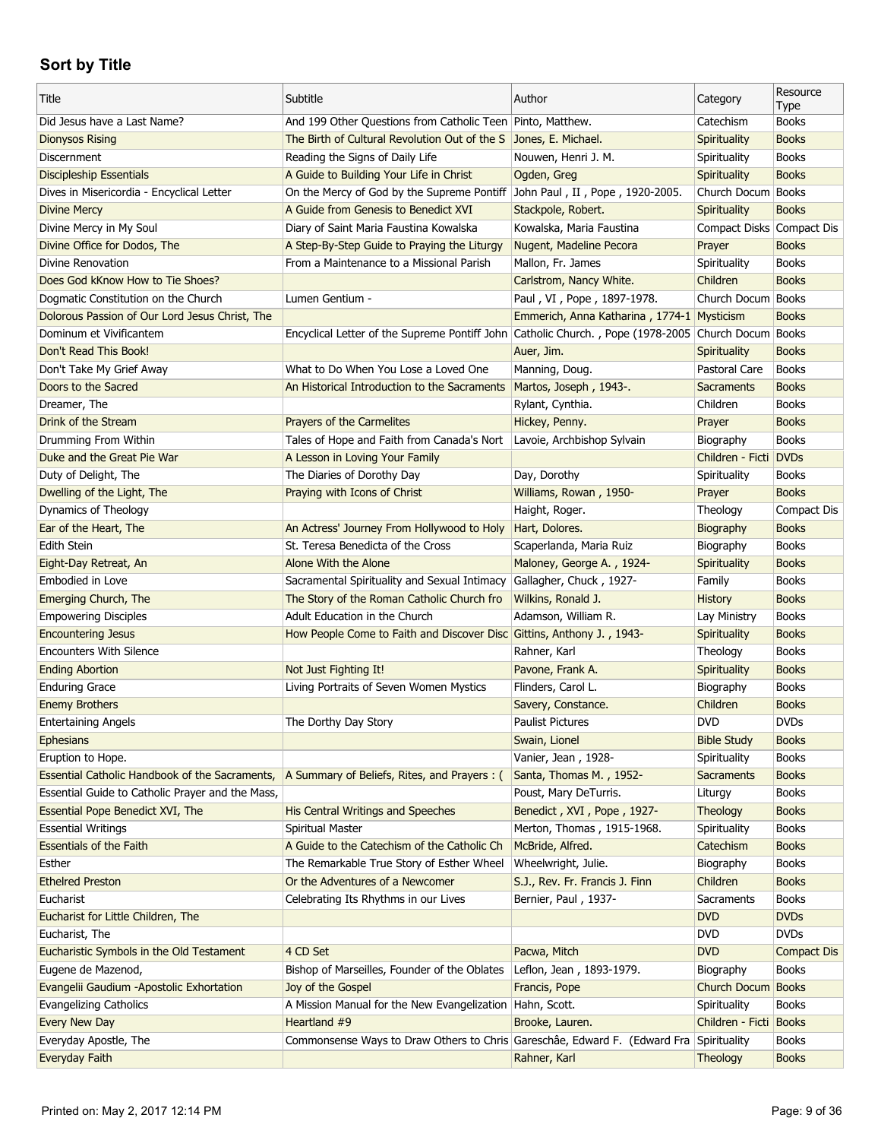| Title                                            | Subtitle                                                                                           | Author                                     | Category                  | Resource<br><b>Type</b> |
|--------------------------------------------------|----------------------------------------------------------------------------------------------------|--------------------------------------------|---------------------------|-------------------------|
| Did Jesus have a Last Name?                      | And 199 Other Questions from Catholic Teen Pinto, Matthew.                                         |                                            | Catechism                 | <b>Books</b>            |
| <b>Dionysos Rising</b>                           | The Birth of Cultural Revolution Out of the S Jones, E. Michael.                                   |                                            | Spirituality              | <b>Books</b>            |
| Discernment                                      | Reading the Signs of Daily Life                                                                    | Nouwen, Henri J. M.                        | Spirituality              | <b>Books</b>            |
| <b>Discipleship Essentials</b>                   | A Guide to Building Your Life in Christ                                                            | Ogden, Greg                                | Spirituality              | <b>Books</b>            |
| Dives in Misericordia - Encyclical Letter        | On the Mercy of God by the Supreme Pontiff John Paul, II, Pope, 1920-2005.                         |                                            | Church Docum Books        |                         |
| <b>Divine Mercy</b>                              | A Guide from Genesis to Benedict XVI                                                               | Stackpole, Robert.                         | Spirituality              | <b>Books</b>            |
| Divine Mercy in My Soul                          | Diary of Saint Maria Faustina Kowalska                                                             | Kowalska, Maria Faustina                   | Compact Disks Compact Dis |                         |
| Divine Office for Dodos, The                     | A Step-By-Step Guide to Praying the Liturgy                                                        | Nugent, Madeline Pecora                    | Prayer                    | <b>Books</b>            |
| Divine Renovation                                | From a Maintenance to a Missional Parish                                                           | Mallon, Fr. James                          | Spirituality              | <b>Books</b>            |
| Does God kKnow How to Tie Shoes?                 |                                                                                                    | Carlstrom, Nancy White.                    | Children                  | <b>Books</b>            |
| Dogmatic Constitution on the Church              | Lumen Gentium -                                                                                    | Paul, VI, Pope, 1897-1978.                 | Church Docum Books        |                         |
| Dolorous Passion of Our Lord Jesus Christ, The   |                                                                                                    | Emmerich, Anna Katharina, 1774-1 Mysticism |                           | <b>Books</b>            |
| Dominum et Vivificantem                          | Encyclical Letter of the Supreme Pontiff John Catholic Church., Pope (1978-2005 Church Docum Books |                                            |                           |                         |
| Don't Read This Book!                            |                                                                                                    | Auer, Jim.                                 | Spirituality              | <b>Books</b>            |
| Don't Take My Grief Away                         | What to Do When You Lose a Loved One                                                               | Manning, Doug.                             | Pastoral Care             | <b>Books</b>            |
| Doors to the Sacred                              | An Historical Introduction to the Sacraments                                                       | Martos, Joseph, 1943-.                     | <b>Sacraments</b>         | <b>Books</b>            |
| Dreamer, The                                     |                                                                                                    | Rylant, Cynthia.                           | Children                  | <b>Books</b>            |
| Drink of the Stream                              | <b>Prayers of the Carmelites</b>                                                                   | Hickey, Penny.                             | Prayer                    | <b>Books</b>            |
| Drumming From Within                             | Tales of Hope and Faith from Canada's Nort                                                         | Lavoie, Archbishop Sylvain                 | Biography                 | <b>Books</b>            |
| Duke and the Great Pie War                       | A Lesson in Loving Your Family                                                                     |                                            | Children - Ficti DVDs     |                         |
| Duty of Delight, The                             | The Diaries of Dorothy Day                                                                         | Day, Dorothy                               | Spirituality              | <b>Books</b>            |
| Dwelling of the Light, The                       | Praying with Icons of Christ                                                                       | Williams, Rowan, 1950-                     | Prayer                    | <b>Books</b>            |
| Dynamics of Theology                             |                                                                                                    | Haight, Roger.                             | Theology                  | <b>Compact Dis</b>      |
| Ear of the Heart, The                            | An Actress' Journey From Hollywood to Holy                                                         | Hart, Dolores.                             | Biography                 | <b>Books</b>            |
| Edith Stein                                      | St. Teresa Benedicta of the Cross                                                                  | Scaperlanda, Maria Ruiz                    | Biography                 | <b>Books</b>            |
| Eight-Day Retreat, An                            | Alone With the Alone                                                                               | Maloney, George A., 1924-                  | Spirituality              | <b>Books</b>            |
| Embodied in Love                                 | Sacramental Spirituality and Sexual Intimacy                                                       | Gallagher, Chuck, 1927-                    | Family                    | <b>Books</b>            |
| Emerging Church, The                             | The Story of the Roman Catholic Church fro                                                         | Wilkins, Ronald J.                         | <b>History</b>            | <b>Books</b>            |
| <b>Empowering Disciples</b>                      | Adult Education in the Church                                                                      | Adamson, William R.                        | Lay Ministry              | <b>Books</b>            |
| <b>Encountering Jesus</b>                        | How People Come to Faith and Discover Disc Gittins, Anthony J., 1943-                              |                                            | <b>Spirituality</b>       | <b>Books</b>            |
| <b>Encounters With Silence</b>                   |                                                                                                    | Rahner, Karl                               | Theology                  | <b>Books</b>            |
| <b>Ending Abortion</b>                           | Not Just Fighting It!                                                                              | Pavone, Frank A.                           | Spirituality              | <b>Books</b>            |
| <b>Enduring Grace</b>                            | Living Portraits of Seven Women Mystics                                                            | Flinders, Carol L.                         | Biography                 | <b>Books</b>            |
| <b>Enemy Brothers</b>                            |                                                                                                    | Savery, Constance.                         | Children                  | <b>Books</b>            |
| <b>Entertaining Angels</b>                       | The Dorthy Day Story                                                                               | <b>Paulist Pictures</b>                    | <b>DVD</b>                | <b>DVDs</b>             |
| <b>Ephesians</b>                                 |                                                                                                    | Swain, Lionel                              | <b>Bible Study</b>        | <b>Books</b>            |
| Eruption to Hope.                                |                                                                                                    | Vanier, Jean, 1928-                        | Spirituality              | <b>Books</b>            |
| Essential Catholic Handbook of the Sacraments,   | A Summary of Beliefs, Rites, and Prayers : (                                                       | Santa, Thomas M., 1952-                    | <b>Sacraments</b>         | <b>Books</b>            |
| Essential Guide to Catholic Prayer and the Mass, |                                                                                                    | Poust, Mary DeTurris.                      | Liturgy                   | <b>Books</b>            |
| Essential Pope Benedict XVI, The                 | <b>His Central Writings and Speeches</b>                                                           | Benedict, XVI, Pope, 1927-                 | Theology                  | <b>Books</b>            |
| <b>Essential Writings</b>                        | <b>Spiritual Master</b>                                                                            | Merton, Thomas, 1915-1968.                 | Spirituality              | <b>Books</b>            |
| <b>Essentials of the Faith</b>                   | A Guide to the Catechism of the Catholic Ch                                                        | McBride, Alfred.                           | Catechism                 | <b>Books</b>            |
| Esther                                           | The Remarkable True Story of Esther Wheel                                                          | Wheelwright, Julie.                        | Biography                 | <b>Books</b>            |
| <b>Ethelred Preston</b>                          | Or the Adventures of a Newcomer                                                                    | S.J., Rev. Fr. Francis J. Finn             | Children                  | <b>Books</b>            |
| Eucharist                                        | Celebrating Its Rhythms in our Lives                                                               | Bernier, Paul, 1937-                       | Sacraments                | <b>Books</b>            |
| Eucharist for Little Children, The               |                                                                                                    |                                            | <b>DVD</b>                | <b>DVDs</b>             |
| Eucharist, The                                   |                                                                                                    |                                            | <b>DVD</b>                | <b>DVDs</b>             |
| Eucharistic Symbols in the Old Testament         | 4 CD Set                                                                                           | Pacwa, Mitch                               | <b>DVD</b>                | <b>Compact Dis</b>      |
| Eugene de Mazenod,                               | Bishop of Marseilles, Founder of the Oblates                                                       | Leflon, Jean, 1893-1979.                   | Biography                 | <b>Books</b>            |
| Evangelii Gaudium -Apostolic Exhortation         | Joy of the Gospel                                                                                  | Francis, Pope                              | Church Docum              | <b>Books</b>            |
| <b>Evangelizing Catholics</b>                    | A Mission Manual for the New Evangelization   Hahn, Scott.                                         |                                            | Spirituality              | <b>Books</b>            |
| Every New Day                                    | Heartland #9                                                                                       | Brooke, Lauren.                            | Children - Ficti Books    |                         |
| Everyday Apostle, The                            | Commonsense Ways to Draw Others to Chris Gareschâe, Edward F. (Edward Fra Spirituality             |                                            |                           | <b>Books</b>            |
| <b>Everyday Faith</b>                            |                                                                                                    | Rahner, Karl                               | Theology                  | <b>Books</b>            |
|                                                  |                                                                                                    |                                            |                           |                         |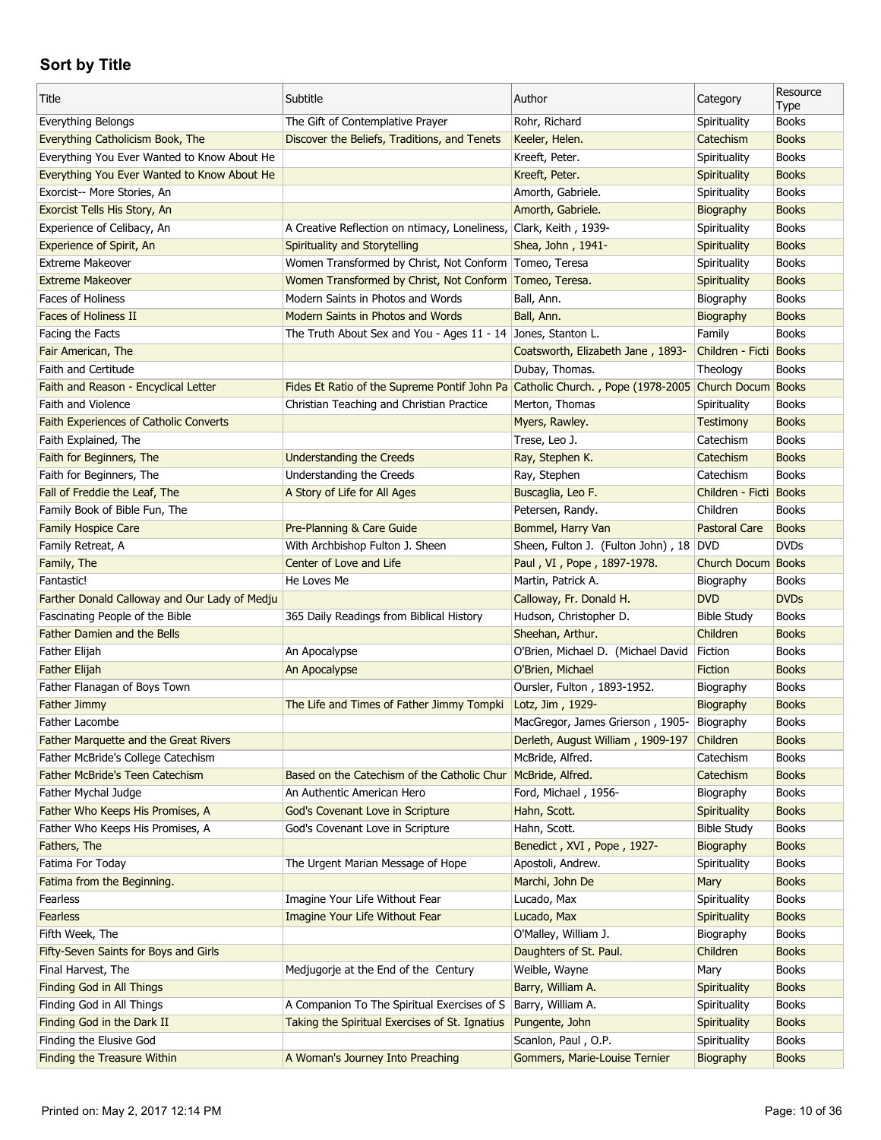| Title                                         | Subtitle                                                                                          | Author                                 | Category             | Resource<br><b>Type</b> |
|-----------------------------------------------|---------------------------------------------------------------------------------------------------|----------------------------------------|----------------------|-------------------------|
| Everything Belongs                            | The Gift of Contemplative Prayer                                                                  | Rohr, Richard                          | Spirituality         | <b>Books</b>            |
| Everything Catholicism Book, The              | Discover the Beliefs, Traditions, and Tenets                                                      | Keeler, Helen.                         | Catechism            | <b>Books</b>            |
| Everything You Ever Wanted to Know About He   |                                                                                                   | Kreeft, Peter.                         | Spirituality         | <b>Books</b>            |
| Everything You Ever Wanted to Know About He   |                                                                                                   | Kreeft, Peter.                         | Spirituality         | <b>Books</b>            |
| Exorcist-- More Stories, An                   |                                                                                                   | Amorth, Gabriele.                      | Spirituality         | <b>Books</b>            |
| Exorcist Tells His Story, An                  |                                                                                                   | Amorth, Gabriele.                      | Biography            | <b>Books</b>            |
| Experience of Celibacy, An                    | A Creative Reflection on ntimacy, Loneliness, Clark, Keith, 1939-                                 |                                        | Spirituality         | <b>Books</b>            |
| Experience of Spirit, An                      | Spirituality and Storytelling                                                                     | Shea, John, 1941-                      | <b>Spirituality</b>  | <b>Books</b>            |
| <b>Extreme Makeover</b>                       | Women Transformed by Christ, Not Conform   Tomeo, Teresa                                          |                                        | Spirituality         | <b>Books</b>            |
| <b>Extreme Makeover</b>                       | Women Transformed by Christ, Not Conform Tomeo, Teresa.                                           |                                        | Spirituality         | <b>Books</b>            |
| <b>Faces of Holiness</b>                      | Modern Saints in Photos and Words                                                                 | Ball, Ann.                             | Biography            | <b>Books</b>            |
| <b>Faces of Holiness II</b>                   | Modern Saints in Photos and Words                                                                 | Ball, Ann.                             | Biography            | <b>Books</b>            |
| Facing the Facts                              | The Truth About Sex and You - Ages 11 - 14 Jones, Stanton L.                                      |                                        | Family               | <b>Books</b>            |
| Fair American, The                            |                                                                                                   | Coatsworth, Elizabeth Jane, 1893-      | Children - Ficti     | <b>Books</b>            |
| <b>Faith and Certitude</b>                    |                                                                                                   | Dubay, Thomas.                         | Theology             | <b>Books</b>            |
| Faith and Reason - Encyclical Letter          | Fides Et Ratio of the Supreme Pontif John Pa Catholic Church., Pope (1978-2005 Church Docum Books |                                        |                      |                         |
| Faith and Violence                            | Christian Teaching and Christian Practice                                                         | Merton, Thomas                         | Spirituality         | <b>Books</b>            |
| Faith Experiences of Catholic Converts        |                                                                                                   | Myers, Rawley.                         | <b>Testimony</b>     | <b>Books</b>            |
| Faith Explained, The                          |                                                                                                   | Trese, Leo J.                          | Catechism            | <b>Books</b>            |
| Faith for Beginners, The                      | <b>Understanding the Creeds</b>                                                                   | Ray, Stephen K.                        | Catechism            | <b>Books</b>            |
| Faith for Beginners, The                      | Understanding the Creeds                                                                          | Ray, Stephen                           | Catechism            | <b>Books</b>            |
| Fall of Freddie the Leaf, The                 | A Story of Life for All Ages                                                                      | Buscaglia, Leo F.                      | Children - Ficti     | <b>Books</b>            |
| Family Book of Bible Fun, The                 |                                                                                                   | Petersen, Randy.                       | Children             | <b>Books</b>            |
|                                               |                                                                                                   | Bommel, Harry Van                      | <b>Pastoral Care</b> | <b>Books</b>            |
| Family Hospice Care                           | Pre-Planning & Care Guide                                                                         |                                        |                      | <b>DVDs</b>             |
| Family Retreat, A                             | With Archbishop Fulton J. Sheen<br>Center of Love and Life                                        | Sheen, Fulton J. (Fulton John), 18 DVD |                      |                         |
| Family, The                                   |                                                                                                   | Paul, VI, Pope, 1897-1978.             | Church Docum         | <b>Books</b>            |
| Fantastic!                                    | He Loves Me                                                                                       | Martin, Patrick A.                     | Biography            | <b>Books</b>            |
| Farther Donald Calloway and Our Lady of Medju |                                                                                                   | Calloway, Fr. Donald H.                | <b>DVD</b>           | <b>DVDs</b>             |
| Fascinating People of the Bible               | 365 Daily Readings from Biblical History                                                          | Hudson, Christopher D.                 | <b>Bible Study</b>   | <b>Books</b>            |
| <b>Father Damien and the Bells</b>            |                                                                                                   | Sheehan, Arthur.                       | Children             | <b>Books</b>            |
| Father Elijah                                 | An Apocalypse                                                                                     | O'Brien, Michael D. (Michael David     | Fiction              | <b>Books</b>            |
| <b>Father Elijah</b>                          | An Apocalypse                                                                                     | O'Brien, Michael                       | Fiction              | <b>Books</b>            |
| Father Flanagan of Boys Town                  |                                                                                                   | Oursler, Fulton, 1893-1952.            | Biography            | <b>Books</b>            |
| Father Jimmy                                  | The Life and Times of Father Jimmy Tompki                                                         | Lotz, Jim, 1929-                       | Biography            | <b>Books</b>            |
| Father Lacombe                                |                                                                                                   | MacGregor, James Grierson, 1905-       | Biography            | <b>Books</b>            |
| Father Marquette and the Great Rivers         |                                                                                                   | Derleth, August William, 1909-197      | Children             | <b>Books</b>            |
| Father McBride's College Catechism            |                                                                                                   | McBride, Alfred.                       | Catechism            | <b>Books</b>            |
| Father McBride's Teen Catechism               | Based on the Catechism of the Catholic Chur                                                       | McBride, Alfred.                       | Catechism            | <b>Books</b>            |
| Father Mychal Judge                           | An Authentic American Hero                                                                        | Ford, Michael, 1956-                   | Biography            | <b>Books</b>            |
| Father Who Keeps His Promises, A              | God's Covenant Love in Scripture                                                                  | Hahn, Scott.                           | Spirituality         | <b>Books</b>            |
| Father Who Keeps His Promises, A              | God's Covenant Love in Scripture                                                                  | Hahn, Scott.                           | <b>Bible Study</b>   | <b>Books</b>            |
| Fathers, The                                  |                                                                                                   | Benedict, XVI, Pope, 1927-             | Biography            | <b>Books</b>            |
| Fatima For Today                              | The Urgent Marian Message of Hope                                                                 | Apostoli, Andrew.                      | Spirituality         | <b>Books</b>            |
| Fatima from the Beginning.                    |                                                                                                   | Marchi, John De                        | Mary                 | <b>Books</b>            |
| Fearless                                      | Imagine Your Life Without Fear                                                                    | Lucado, Max                            | Spirituality         | <b>Books</b>            |
| Fearless                                      | Imagine Your Life Without Fear                                                                    | Lucado, Max                            | Spirituality         | <b>Books</b>            |
| Fifth Week, The                               |                                                                                                   | O'Malley, William J.                   | Biography            | <b>Books</b>            |
| Fifty-Seven Saints for Boys and Girls         |                                                                                                   | Daughters of St. Paul.                 | Children             | <b>Books</b>            |
| Final Harvest, The                            | Medjugorje at the End of the Century                                                              | Weible, Wayne                          | Mary                 | <b>Books</b>            |
| Finding God in All Things                     |                                                                                                   | Barry, William A.                      | Spirituality         | <b>Books</b>            |
| Finding God in All Things                     | A Companion To The Spiritual Exercises of S                                                       | Barry, William A.                      | Spirituality         | <b>Books</b>            |
| Finding God in the Dark II                    | Taking the Spiritual Exercises of St. Ignatius                                                    | Pungente, John                         | Spirituality         | <b>Books</b>            |
| Finding the Elusive God                       |                                                                                                   | Scanlon, Paul, O.P.                    | Spirituality         | <b>Books</b>            |
| <b>Finding the Treasure Within</b>            | A Woman's Journey Into Preaching                                                                  | Gommers, Marie-Louise Ternier          | Biography            | <b>Books</b>            |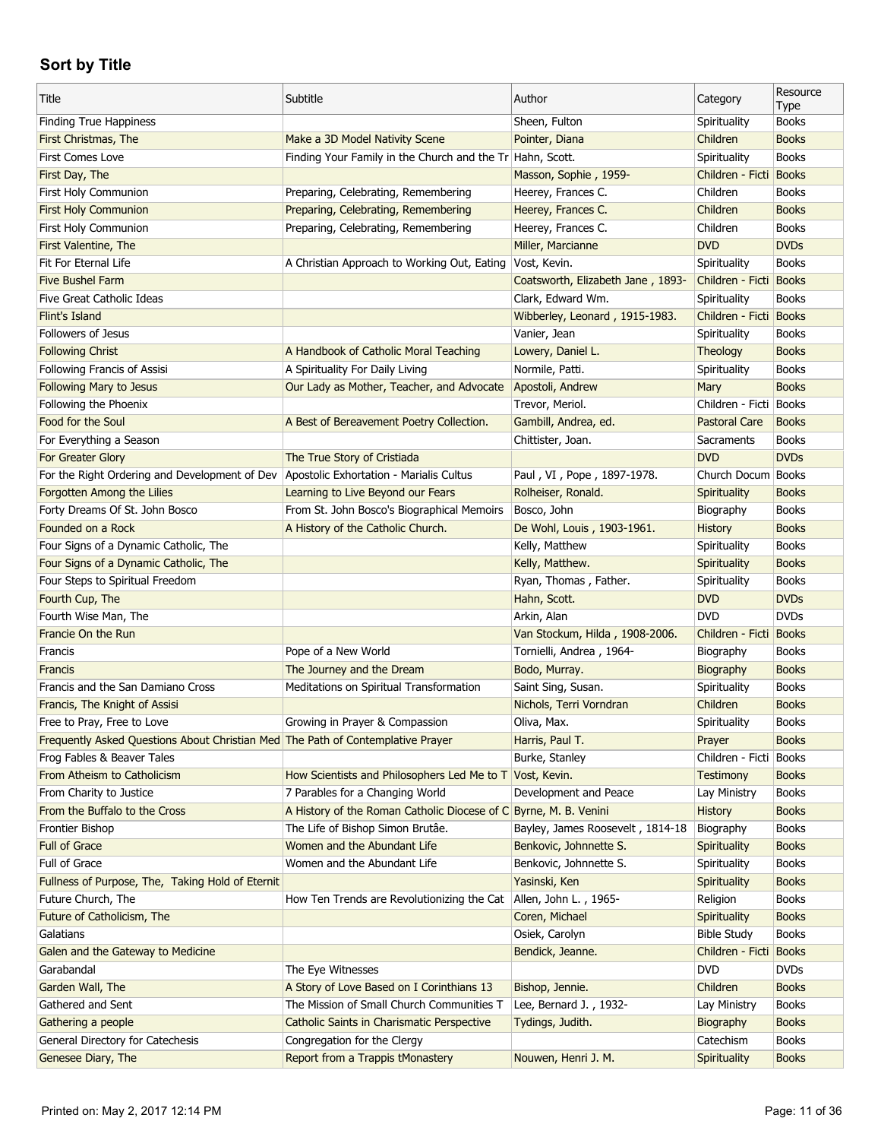| Title                                                                           | Subtitle                                                         | Author                            | Category               | Resource<br>Type |
|---------------------------------------------------------------------------------|------------------------------------------------------------------|-----------------------------------|------------------------|------------------|
| <b>Finding True Happiness</b>                                                   |                                                                  | Sheen, Fulton                     | Spirituality           | <b>Books</b>     |
| First Christmas, The                                                            | Make a 3D Model Nativity Scene                                   | Pointer, Diana                    | Children               | <b>Books</b>     |
| First Comes Love                                                                | Finding Your Family in the Church and the Tr Hahn, Scott.        |                                   | Spirituality           | <b>Books</b>     |
| First Day, The                                                                  |                                                                  | Masson, Sophie, 1959-             | Children - Ficti Books |                  |
| First Holy Communion                                                            | Preparing, Celebrating, Remembering                              | Heerey, Frances C.                | Children               | <b>Books</b>     |
| <b>First Holy Communion</b>                                                     | Preparing, Celebrating, Remembering                              | Heerey, Frances C.                | Children               | <b>Books</b>     |
| First Holy Communion                                                            | Preparing, Celebrating, Remembering                              | Heerey, Frances C.                | Children               | <b>Books</b>     |
| First Valentine, The                                                            |                                                                  | Miller, Marcianne                 | <b>DVD</b>             | <b>DVDs</b>      |
| Fit For Eternal Life                                                            | A Christian Approach to Working Out, Eating Vost, Kevin.         |                                   | Spirituality           | <b>Books</b>     |
| <b>Five Bushel Farm</b>                                                         |                                                                  | Coatsworth, Elizabeth Jane, 1893- | Children - Ficti Books |                  |
| Five Great Catholic Ideas                                                       |                                                                  | Clark, Edward Wm.                 | Spirituality           | <b>Books</b>     |
| Flint's Island                                                                  |                                                                  | Wibberley, Leonard, 1915-1983.    | Children - Ficti Books |                  |
| <b>Followers of Jesus</b>                                                       |                                                                  | Vanier, Jean                      | Spirituality           | <b>Books</b>     |
| <b>Following Christ</b>                                                         | A Handbook of Catholic Moral Teaching                            | Lowery, Daniel L.                 | <b>Theology</b>        | <b>Books</b>     |
| Following Francis of Assisi                                                     | A Spirituality For Daily Living                                  | Normile, Patti.                   | Spirituality           | <b>Books</b>     |
| Following Mary to Jesus                                                         | Our Lady as Mother, Teacher, and Advocate                        | Apostoli, Andrew                  | Mary                   | <b>Books</b>     |
| Following the Phoenix                                                           |                                                                  | Trevor, Meriol.                   | Children - Ficti       | <b>Books</b>     |
| Food for the Soul                                                               | A Best of Bereavement Poetry Collection.                         | Gambill, Andrea, ed.              | <b>Pastoral Care</b>   | <b>Books</b>     |
| For Everything a Season                                                         |                                                                  | Chittister, Joan.                 | Sacraments             | <b>Books</b>     |
| For Greater Glory                                                               | The True Story of Cristiada                                      |                                   | <b>DVD</b>             | <b>DVDs</b>      |
| For the Right Ordering and Development of Dev                                   | Apostolic Exhortation - Marialis Cultus                          | Paul, VI, Pope, 1897-1978.        | Church Docum Books     |                  |
| Forgotten Among the Lilies                                                      | Learning to Live Beyond our Fears                                | Rolheiser, Ronald.                | Spirituality           | <b>Books</b>     |
| Forty Dreams Of St. John Bosco                                                  | From St. John Bosco's Biographical Memoirs                       | Bosco, John                       | Biography              | <b>Books</b>     |
| Founded on a Rock                                                               | A History of the Catholic Church.                                | De Wohl, Louis, 1903-1961.        | History                | <b>Books</b>     |
| Four Signs of a Dynamic Catholic, The                                           |                                                                  | Kelly, Matthew                    | Spirituality           | <b>Books</b>     |
| Four Signs of a Dynamic Catholic, The                                           |                                                                  | Kelly, Matthew.                   | Spirituality           | <b>Books</b>     |
| Four Steps to Spiritual Freedom                                                 |                                                                  | Ryan, Thomas, Father.             | Spirituality           | <b>Books</b>     |
| Fourth Cup, The                                                                 |                                                                  | Hahn, Scott.                      | <b>DVD</b>             | <b>DVDs</b>      |
| Fourth Wise Man, The                                                            |                                                                  | Arkin, Alan                       | <b>DVD</b>             | <b>DVDs</b>      |
| Francie On the Run                                                              |                                                                  | Van Stockum, Hilda, 1908-2006.    | Children - Ficti Books |                  |
| Francis                                                                         | Pope of a New World                                              | Tornielli, Andrea, 1964-          | Biography              | <b>Books</b>     |
| Francis                                                                         | The Journey and the Dream                                        | Bodo, Murray.                     | Biography              | <b>Books</b>     |
| Francis and the San Damiano Cross                                               | Meditations on Spiritual Transformation                          | Saint Sing, Susan.                | Spirituality           | <b>Books</b>     |
| Francis, The Knight of Assisi                                                   |                                                                  | Nichols, Terri Vorndran           | Children               | <b>Books</b>     |
| Free to Pray, Free to Love                                                      | Growing in Prayer & Compassion                                   | Oliva, Max.                       | Spirituality           | <b>Books</b>     |
| Frequently Asked Questions About Christian Med The Path of Contemplative Prayer |                                                                  | Harris, Paul T.                   | Prayer                 | <b>Books</b>     |
| Frog Fables & Beaver Tales                                                      |                                                                  | Burke, Stanley                    | Children - Ficti       | <b>Books</b>     |
| From Atheism to Catholicism                                                     | How Scientists and Philosophers Led Me to T Vost, Kevin.         |                                   | <b>Testimony</b>       | <b>Books</b>     |
| From Charity to Justice                                                         | 7 Parables for a Changing World                                  | Development and Peace             | Lay Ministry           | <b>Books</b>     |
| From the Buffalo to the Cross                                                   | A History of the Roman Catholic Diocese of C Byrne, M. B. Venini |                                   | <b>History</b>         | <b>Books</b>     |
| Frontier Bishop                                                                 | The Life of Bishop Simon Brutâe.                                 | Bayley, James Roosevelt, 1814-18  | Biography              | <b>Books</b>     |
| <b>Full of Grace</b>                                                            | Women and the Abundant Life                                      | Benkovic, Johnnette S.            | Spirituality           | <b>Books</b>     |
| Full of Grace                                                                   | Women and the Abundant Life                                      | Benkovic, Johnnette S.            | Spirituality           | <b>Books</b>     |
| Fullness of Purpose, The, Taking Hold of Eternit                                |                                                                  | Yasinski, Ken                     | Spirituality           | <b>Books</b>     |
| Future Church, The                                                              | How Ten Trends are Revolutionizing the Cat                       | Allen, John L., 1965-             | Religion               | <b>Books</b>     |
| Future of Catholicism, The                                                      |                                                                  | Coren, Michael                    | Spirituality           | <b>Books</b>     |
| Galatians                                                                       |                                                                  | Osiek, Carolyn                    | <b>Bible Study</b>     | <b>Books</b>     |
| Galen and the Gateway to Medicine                                               |                                                                  | Bendick, Jeanne.                  | Children - Ficti       | <b>Books</b>     |
| Garabandal                                                                      | The Eye Witnesses                                                |                                   | <b>DVD</b>             | <b>DVDs</b>      |
| Garden Wall, The                                                                | A Story of Love Based on I Corinthians 13                        | Bishop, Jennie.                   | Children               | <b>Books</b>     |
| Gathered and Sent                                                               | The Mission of Small Church Communities T                        | Lee, Bernard J., 1932-            | Lay Ministry           | <b>Books</b>     |
| Gathering a people                                                              | Catholic Saints in Charismatic Perspective                       | Tydings, Judith.                  | Biography              | <b>Books</b>     |
| General Directory for Catechesis                                                | Congregation for the Clergy                                      |                                   | Catechism              | <b>Books</b>     |
| Genesee Diary, The                                                              | Report from a Trappis tMonastery                                 | Nouwen, Henri J. M.               | Spirituality           | <b>Books</b>     |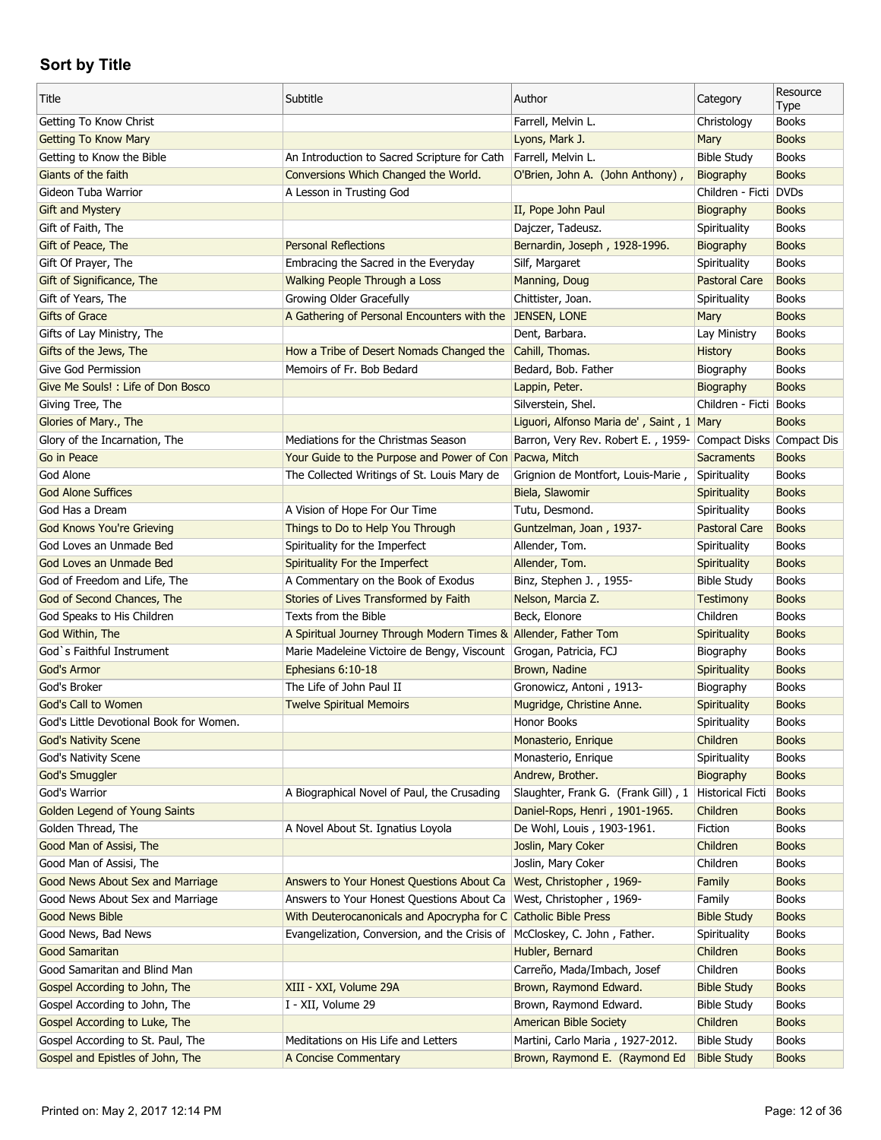| <b>Books</b><br>Getting To Know Christ<br>Farrell, Melvin L.<br>Christology<br><b>Books</b><br><b>Getting To Know Mary</b><br>Lyons, Mark J.<br>Mary<br>An Introduction to Sacred Scripture for Cath<br>Farrell, Melvin L.<br><b>Books</b><br>Getting to Know the Bible<br><b>Bible Study</b><br>Giants of the faith<br>Conversions Which Changed the World.<br>O'Brien, John A. (John Anthony),<br><b>Books</b><br>Biography<br><b>DVDs</b><br>Gideon Tuba Warrior<br>A Lesson in Trusting God<br>Children - Ficti<br>II, Pope John Paul<br><b>Books</b><br><b>Gift and Mystery</b><br>Biography<br><b>Books</b><br>Gift of Faith, The<br>Dajczer, Tadeusz.<br>Spirituality<br><b>Personal Reflections</b><br><b>Books</b><br>Gift of Peace, The<br>Bernardin, Joseph, 1928-1996.<br>Biography<br>Gift Of Prayer, The<br>Embracing the Sacred in the Everyday<br>Silf, Margaret<br><b>Books</b><br>Spirituality<br><b>Books</b><br>Gift of Significance, The<br><b>Walking People Through a Loss</b><br>Manning, Doug<br><b>Pastoral Care</b><br>Growing Older Gracefully<br>Gift of Years, The<br>Chittister, Joan.<br>Spirituality<br><b>Books</b><br>A Gathering of Personal Encounters with the JENSEN, LONE<br><b>Gifts of Grace</b><br>Mary<br><b>Books</b><br>Gifts of Lay Ministry, The<br>Dent, Barbara.<br>Lay Ministry<br><b>Books</b><br>Cahill, Thomas.<br><b>Books</b><br>Gifts of the Jews, The<br>How a Tribe of Desert Nomads Changed the<br>History<br>Give God Permission<br>Memoirs of Fr. Bob Bedard<br>Bedard, Bob. Father<br>Biography<br><b>Books</b><br>Give Me Souls! : Life of Don Bosco<br>Lappin, Peter.<br>Biography<br><b>Books</b><br>Children - Ficti<br><b>Books</b><br>Giving Tree, The<br>Silverstein, Shel.<br><b>Books</b><br>Glories of Mary., The<br>Liguori, Alfonso Maria de', Saint, 1 Mary<br>Glory of the Incarnation, The<br>Mediations for the Christmas Season<br>Barron, Very Rev. Robert E., 1959- Compact Disks Compact Dis<br>Go in Peace<br>Your Guide to the Purpose and Power of Con Pacwa, Mitch<br><b>Sacraments</b><br><b>Books</b><br>God Alone<br>The Collected Writings of St. Louis Mary de<br>Grignion de Montfort, Louis-Marie,<br>Spirituality<br><b>Books</b><br><b>Books</b><br><b>God Alone Suffices</b><br>Biela, Slawomir<br>Spirituality<br><b>Books</b><br>God Has a Dream<br>A Vision of Hope For Our Time<br>Tutu, Desmond.<br>Spirituality<br><b>Books</b><br><b>God Knows You're Grieving</b><br>Things to Do to Help You Through<br>Guntzelman, Joan, 1937-<br><b>Pastoral Care</b><br>God Loves an Unmade Bed<br>Spirituality for the Imperfect<br>Allender, Tom.<br>Spirituality<br><b>Books</b><br><b>Books</b><br>God Loves an Unmade Bed<br>Spirituality For the Imperfect<br>Allender, Tom.<br>Spirituality<br>God of Freedom and Life, The<br>A Commentary on the Book of Exodus<br>Binz, Stephen J., 1955-<br><b>Bible Study</b><br><b>Books</b><br><b>Books</b><br>God of Second Chances, The<br>Stories of Lives Transformed by Faith<br>Nelson, Marcia Z.<br>Testimony<br><b>Books</b><br>God Speaks to His Children<br>Texts from the Bible<br>Beck, Elonore<br>Children<br><b>Books</b><br>God Within, The<br>A Spiritual Journey Through Modern Times & Allender, Father Tom<br>Spirituality<br>God `s Faithful Instrument<br>Marie Madeleine Victoire de Bengy, Viscount Grogan, Patricia, FCJ<br><b>Books</b><br>Biography<br>God's Armor<br>Ephesians 6:10-18<br>Brown, Nadine<br>Spirituality<br><b>Books</b><br>God's Broker<br>The Life of John Paul II<br>Gronowicz, Antoni, 1913-<br><b>Books</b><br>Biography<br>God's Call to Women<br><b>Twelve Spiritual Memoirs</b><br>Mugridge, Christine Anne.<br>Spirituality<br><b>Books</b><br>Honor Books<br>God's Little Devotional Book for Women.<br>Spirituality<br><b>Books</b><br>Children<br><b>God's Nativity Scene</b><br>Monasterio, Enrique<br><b>Books</b><br>God's Nativity Scene<br>Monasterio, Enrique<br>Spirituality<br><b>Books</b><br>God's Smuggler<br>Andrew, Brother.<br>Biography<br><b>Books</b><br>God's Warrior<br>Slaughter, Frank G. (Frank Gill), 1<br><b>Historical Ficti</b><br>A Biographical Novel of Paul, the Crusading<br><b>Books</b><br><b>Golden Legend of Young Saints</b><br>Daniel-Rops, Henri, 1901-1965.<br>Children<br><b>Books</b><br>A Novel About St. Ignatius Loyola<br>De Wohl, Louis, 1903-1961.<br>Golden Thread, The<br>Fiction<br><b>Books</b><br>Joslin, Mary Coker<br>Children<br>Good Man of Assisi, The<br><b>Books</b><br>Joslin, Mary Coker<br>Good Man of Assisi, The<br>Children<br><b>Books</b><br>Good News About Sex and Marriage<br>Answers to Your Honest Questions About Ca<br>West, Christopher, 1969-<br>Family<br><b>Books</b><br>Answers to Your Honest Questions About Ca<br>Good News About Sex and Marriage<br>West, Christopher, 1969-<br>Family<br><b>Books</b><br><b>Good News Bible</b><br>With Deuterocanonicals and Apocrypha for C<br><b>Catholic Bible Press</b><br><b>Bible Study</b><br><b>Books</b><br>Evangelization, Conversion, and the Crisis of<br>Good News, Bad News<br>McCloskey, C. John, Father.<br>Spirituality<br><b>Books</b><br>Children<br><b>Good Samaritan</b><br>Hubler, Bernard<br><b>Books</b><br>Good Samaritan and Blind Man<br>Carreño, Mada/Imbach, Josef<br>Children<br><b>Books</b><br>XIII - XXI, Volume 29A<br>Brown, Raymond Edward.<br>Gospel According to John, The<br><b>Bible Study</b><br><b>Books</b><br>Gospel According to John, The<br>I - XII, Volume 29<br>Brown, Raymond Edward.<br><b>Bible Study</b><br><b>Books</b><br>Gospel According to Luke, The<br><b>American Bible Society</b><br>Children<br><b>Books</b><br>Gospel According to St. Paul, The<br>Meditations on His Life and Letters<br>Martini, Carlo Maria, 1927-2012.<br><b>Bible Study</b><br><b>Books</b> | Title                            | Subtitle             | Author                        | Category           | Resource<br>Type |
|----------------------------------------------------------------------------------------------------------------------------------------------------------------------------------------------------------------------------------------------------------------------------------------------------------------------------------------------------------------------------------------------------------------------------------------------------------------------------------------------------------------------------------------------------------------------------------------------------------------------------------------------------------------------------------------------------------------------------------------------------------------------------------------------------------------------------------------------------------------------------------------------------------------------------------------------------------------------------------------------------------------------------------------------------------------------------------------------------------------------------------------------------------------------------------------------------------------------------------------------------------------------------------------------------------------------------------------------------------------------------------------------------------------------------------------------------------------------------------------------------------------------------------------------------------------------------------------------------------------------------------------------------------------------------------------------------------------------------------------------------------------------------------------------------------------------------------------------------------------------------------------------------------------------------------------------------------------------------------------------------------------------------------------------------------------------------------------------------------------------------------------------------------------------------------------------------------------------------------------------------------------------------------------------------------------------------------------------------------------------------------------------------------------------------------------------------------------------------------------------------------------------------------------------------------------------------------------------------------------------------------------------------------------------------------------------------------------------------------------------------------------------------------------------------------------------------------------------------------------------------------------------------------------------------------------------------------------------------------------------------------------------------------------------------------------------------------------------------------------------------------------------------------------------------------------------------------------------------------------------------------------------------------------------------------------------------------------------------------------------------------------------------------------------------------------------------------------------------------------------------------------------------------------------------------------------------------------------------------------------------------------------------------------------------------------------------------------------------------------------------------------------------------------------------------------------------------------------------------------------------------------------------------------------------------------------------------------------------------------------------------------------------------------------------------------------------------------------------------------------------------------------------------------------------------------------------------------------------------------------------------------------------------------------------------------------------------------------------------------------------------------------------------------------------------------------------------------------------------------------------------------------------------------------------------------------------------------------------------------------------------------------------------------------------------------------------------------------------------------------------------------------------------------------------------------------------------------------------------------------------------------------------------------------------------------------------------------------------------------------------------------------------------------------------------------------------------------------------------------------------------------------------------------------------------------------------------------------------------------------------------------------------------------------------------------------------------------------------------------------------------------------------------------------------------------------------------------------------------------------------------------------------------------------------------------------------------------------------------------------------------------------------------------------------------------------------------------------------------------------------------------------------------------------------------------------------------------------------------|----------------------------------|----------------------|-------------------------------|--------------------|------------------|
|                                                                                                                                                                                                                                                                                                                                                                                                                                                                                                                                                                                                                                                                                                                                                                                                                                                                                                                                                                                                                                                                                                                                                                                                                                                                                                                                                                                                                                                                                                                                                                                                                                                                                                                                                                                                                                                                                                                                                                                                                                                                                                                                                                                                                                                                                                                                                                                                                                                                                                                                                                                                                                                                                                                                                                                                                                                                                                                                                                                                                                                                                                                                                                                                                                                                                                                                                                                                                                                                                                                                                                                                                                                                                                                                                                                                                                                                                                                                                                                                                                                                                                                                                                                                                                                                                                                                                                                                                                                                                                                                                                                                                                                                                                                                                                                                                                                                                                                                                                                                                                                                                                                                                                                                                                                                                                                                                                                                                                                                                                                                                                                                                                                                                                                                                                                                                                                          |                                  |                      |                               |                    |                  |
|                                                                                                                                                                                                                                                                                                                                                                                                                                                                                                                                                                                                                                                                                                                                                                                                                                                                                                                                                                                                                                                                                                                                                                                                                                                                                                                                                                                                                                                                                                                                                                                                                                                                                                                                                                                                                                                                                                                                                                                                                                                                                                                                                                                                                                                                                                                                                                                                                                                                                                                                                                                                                                                                                                                                                                                                                                                                                                                                                                                                                                                                                                                                                                                                                                                                                                                                                                                                                                                                                                                                                                                                                                                                                                                                                                                                                                                                                                                                                                                                                                                                                                                                                                                                                                                                                                                                                                                                                                                                                                                                                                                                                                                                                                                                                                                                                                                                                                                                                                                                                                                                                                                                                                                                                                                                                                                                                                                                                                                                                                                                                                                                                                                                                                                                                                                                                                                          |                                  |                      |                               |                    |                  |
|                                                                                                                                                                                                                                                                                                                                                                                                                                                                                                                                                                                                                                                                                                                                                                                                                                                                                                                                                                                                                                                                                                                                                                                                                                                                                                                                                                                                                                                                                                                                                                                                                                                                                                                                                                                                                                                                                                                                                                                                                                                                                                                                                                                                                                                                                                                                                                                                                                                                                                                                                                                                                                                                                                                                                                                                                                                                                                                                                                                                                                                                                                                                                                                                                                                                                                                                                                                                                                                                                                                                                                                                                                                                                                                                                                                                                                                                                                                                                                                                                                                                                                                                                                                                                                                                                                                                                                                                                                                                                                                                                                                                                                                                                                                                                                                                                                                                                                                                                                                                                                                                                                                                                                                                                                                                                                                                                                                                                                                                                                                                                                                                                                                                                                                                                                                                                                                          |                                  |                      |                               |                    |                  |
|                                                                                                                                                                                                                                                                                                                                                                                                                                                                                                                                                                                                                                                                                                                                                                                                                                                                                                                                                                                                                                                                                                                                                                                                                                                                                                                                                                                                                                                                                                                                                                                                                                                                                                                                                                                                                                                                                                                                                                                                                                                                                                                                                                                                                                                                                                                                                                                                                                                                                                                                                                                                                                                                                                                                                                                                                                                                                                                                                                                                                                                                                                                                                                                                                                                                                                                                                                                                                                                                                                                                                                                                                                                                                                                                                                                                                                                                                                                                                                                                                                                                                                                                                                                                                                                                                                                                                                                                                                                                                                                                                                                                                                                                                                                                                                                                                                                                                                                                                                                                                                                                                                                                                                                                                                                                                                                                                                                                                                                                                                                                                                                                                                                                                                                                                                                                                                                          |                                  |                      |                               |                    |                  |
|                                                                                                                                                                                                                                                                                                                                                                                                                                                                                                                                                                                                                                                                                                                                                                                                                                                                                                                                                                                                                                                                                                                                                                                                                                                                                                                                                                                                                                                                                                                                                                                                                                                                                                                                                                                                                                                                                                                                                                                                                                                                                                                                                                                                                                                                                                                                                                                                                                                                                                                                                                                                                                                                                                                                                                                                                                                                                                                                                                                                                                                                                                                                                                                                                                                                                                                                                                                                                                                                                                                                                                                                                                                                                                                                                                                                                                                                                                                                                                                                                                                                                                                                                                                                                                                                                                                                                                                                                                                                                                                                                                                                                                                                                                                                                                                                                                                                                                                                                                                                                                                                                                                                                                                                                                                                                                                                                                                                                                                                                                                                                                                                                                                                                                                                                                                                                                                          |                                  |                      |                               |                    |                  |
|                                                                                                                                                                                                                                                                                                                                                                                                                                                                                                                                                                                                                                                                                                                                                                                                                                                                                                                                                                                                                                                                                                                                                                                                                                                                                                                                                                                                                                                                                                                                                                                                                                                                                                                                                                                                                                                                                                                                                                                                                                                                                                                                                                                                                                                                                                                                                                                                                                                                                                                                                                                                                                                                                                                                                                                                                                                                                                                                                                                                                                                                                                                                                                                                                                                                                                                                                                                                                                                                                                                                                                                                                                                                                                                                                                                                                                                                                                                                                                                                                                                                                                                                                                                                                                                                                                                                                                                                                                                                                                                                                                                                                                                                                                                                                                                                                                                                                                                                                                                                                                                                                                                                                                                                                                                                                                                                                                                                                                                                                                                                                                                                                                                                                                                                                                                                                                                          |                                  |                      |                               |                    |                  |
|                                                                                                                                                                                                                                                                                                                                                                                                                                                                                                                                                                                                                                                                                                                                                                                                                                                                                                                                                                                                                                                                                                                                                                                                                                                                                                                                                                                                                                                                                                                                                                                                                                                                                                                                                                                                                                                                                                                                                                                                                                                                                                                                                                                                                                                                                                                                                                                                                                                                                                                                                                                                                                                                                                                                                                                                                                                                                                                                                                                                                                                                                                                                                                                                                                                                                                                                                                                                                                                                                                                                                                                                                                                                                                                                                                                                                                                                                                                                                                                                                                                                                                                                                                                                                                                                                                                                                                                                                                                                                                                                                                                                                                                                                                                                                                                                                                                                                                                                                                                                                                                                                                                                                                                                                                                                                                                                                                                                                                                                                                                                                                                                                                                                                                                                                                                                                                                          |                                  |                      |                               |                    |                  |
|                                                                                                                                                                                                                                                                                                                                                                                                                                                                                                                                                                                                                                                                                                                                                                                                                                                                                                                                                                                                                                                                                                                                                                                                                                                                                                                                                                                                                                                                                                                                                                                                                                                                                                                                                                                                                                                                                                                                                                                                                                                                                                                                                                                                                                                                                                                                                                                                                                                                                                                                                                                                                                                                                                                                                                                                                                                                                                                                                                                                                                                                                                                                                                                                                                                                                                                                                                                                                                                                                                                                                                                                                                                                                                                                                                                                                                                                                                                                                                                                                                                                                                                                                                                                                                                                                                                                                                                                                                                                                                                                                                                                                                                                                                                                                                                                                                                                                                                                                                                                                                                                                                                                                                                                                                                                                                                                                                                                                                                                                                                                                                                                                                                                                                                                                                                                                                                          |                                  |                      |                               |                    |                  |
|                                                                                                                                                                                                                                                                                                                                                                                                                                                                                                                                                                                                                                                                                                                                                                                                                                                                                                                                                                                                                                                                                                                                                                                                                                                                                                                                                                                                                                                                                                                                                                                                                                                                                                                                                                                                                                                                                                                                                                                                                                                                                                                                                                                                                                                                                                                                                                                                                                                                                                                                                                                                                                                                                                                                                                                                                                                                                                                                                                                                                                                                                                                                                                                                                                                                                                                                                                                                                                                                                                                                                                                                                                                                                                                                                                                                                                                                                                                                                                                                                                                                                                                                                                                                                                                                                                                                                                                                                                                                                                                                                                                                                                                                                                                                                                                                                                                                                                                                                                                                                                                                                                                                                                                                                                                                                                                                                                                                                                                                                                                                                                                                                                                                                                                                                                                                                                                          |                                  |                      |                               |                    |                  |
|                                                                                                                                                                                                                                                                                                                                                                                                                                                                                                                                                                                                                                                                                                                                                                                                                                                                                                                                                                                                                                                                                                                                                                                                                                                                                                                                                                                                                                                                                                                                                                                                                                                                                                                                                                                                                                                                                                                                                                                                                                                                                                                                                                                                                                                                                                                                                                                                                                                                                                                                                                                                                                                                                                                                                                                                                                                                                                                                                                                                                                                                                                                                                                                                                                                                                                                                                                                                                                                                                                                                                                                                                                                                                                                                                                                                                                                                                                                                                                                                                                                                                                                                                                                                                                                                                                                                                                                                                                                                                                                                                                                                                                                                                                                                                                                                                                                                                                                                                                                                                                                                                                                                                                                                                                                                                                                                                                                                                                                                                                                                                                                                                                                                                                                                                                                                                                                          |                                  |                      |                               |                    |                  |
|                                                                                                                                                                                                                                                                                                                                                                                                                                                                                                                                                                                                                                                                                                                                                                                                                                                                                                                                                                                                                                                                                                                                                                                                                                                                                                                                                                                                                                                                                                                                                                                                                                                                                                                                                                                                                                                                                                                                                                                                                                                                                                                                                                                                                                                                                                                                                                                                                                                                                                                                                                                                                                                                                                                                                                                                                                                                                                                                                                                                                                                                                                                                                                                                                                                                                                                                                                                                                                                                                                                                                                                                                                                                                                                                                                                                                                                                                                                                                                                                                                                                                                                                                                                                                                                                                                                                                                                                                                                                                                                                                                                                                                                                                                                                                                                                                                                                                                                                                                                                                                                                                                                                                                                                                                                                                                                                                                                                                                                                                                                                                                                                                                                                                                                                                                                                                                                          |                                  |                      |                               |                    |                  |
|                                                                                                                                                                                                                                                                                                                                                                                                                                                                                                                                                                                                                                                                                                                                                                                                                                                                                                                                                                                                                                                                                                                                                                                                                                                                                                                                                                                                                                                                                                                                                                                                                                                                                                                                                                                                                                                                                                                                                                                                                                                                                                                                                                                                                                                                                                                                                                                                                                                                                                                                                                                                                                                                                                                                                                                                                                                                                                                                                                                                                                                                                                                                                                                                                                                                                                                                                                                                                                                                                                                                                                                                                                                                                                                                                                                                                                                                                                                                                                                                                                                                                                                                                                                                                                                                                                                                                                                                                                                                                                                                                                                                                                                                                                                                                                                                                                                                                                                                                                                                                                                                                                                                                                                                                                                                                                                                                                                                                                                                                                                                                                                                                                                                                                                                                                                                                                                          |                                  |                      |                               |                    |                  |
|                                                                                                                                                                                                                                                                                                                                                                                                                                                                                                                                                                                                                                                                                                                                                                                                                                                                                                                                                                                                                                                                                                                                                                                                                                                                                                                                                                                                                                                                                                                                                                                                                                                                                                                                                                                                                                                                                                                                                                                                                                                                                                                                                                                                                                                                                                                                                                                                                                                                                                                                                                                                                                                                                                                                                                                                                                                                                                                                                                                                                                                                                                                                                                                                                                                                                                                                                                                                                                                                                                                                                                                                                                                                                                                                                                                                                                                                                                                                                                                                                                                                                                                                                                                                                                                                                                                                                                                                                                                                                                                                                                                                                                                                                                                                                                                                                                                                                                                                                                                                                                                                                                                                                                                                                                                                                                                                                                                                                                                                                                                                                                                                                                                                                                                                                                                                                                                          |                                  |                      |                               |                    |                  |
|                                                                                                                                                                                                                                                                                                                                                                                                                                                                                                                                                                                                                                                                                                                                                                                                                                                                                                                                                                                                                                                                                                                                                                                                                                                                                                                                                                                                                                                                                                                                                                                                                                                                                                                                                                                                                                                                                                                                                                                                                                                                                                                                                                                                                                                                                                                                                                                                                                                                                                                                                                                                                                                                                                                                                                                                                                                                                                                                                                                                                                                                                                                                                                                                                                                                                                                                                                                                                                                                                                                                                                                                                                                                                                                                                                                                                                                                                                                                                                                                                                                                                                                                                                                                                                                                                                                                                                                                                                                                                                                                                                                                                                                                                                                                                                                                                                                                                                                                                                                                                                                                                                                                                                                                                                                                                                                                                                                                                                                                                                                                                                                                                                                                                                                                                                                                                                                          |                                  |                      |                               |                    |                  |
|                                                                                                                                                                                                                                                                                                                                                                                                                                                                                                                                                                                                                                                                                                                                                                                                                                                                                                                                                                                                                                                                                                                                                                                                                                                                                                                                                                                                                                                                                                                                                                                                                                                                                                                                                                                                                                                                                                                                                                                                                                                                                                                                                                                                                                                                                                                                                                                                                                                                                                                                                                                                                                                                                                                                                                                                                                                                                                                                                                                                                                                                                                                                                                                                                                                                                                                                                                                                                                                                                                                                                                                                                                                                                                                                                                                                                                                                                                                                                                                                                                                                                                                                                                                                                                                                                                                                                                                                                                                                                                                                                                                                                                                                                                                                                                                                                                                                                                                                                                                                                                                                                                                                                                                                                                                                                                                                                                                                                                                                                                                                                                                                                                                                                                                                                                                                                                                          |                                  |                      |                               |                    |                  |
|                                                                                                                                                                                                                                                                                                                                                                                                                                                                                                                                                                                                                                                                                                                                                                                                                                                                                                                                                                                                                                                                                                                                                                                                                                                                                                                                                                                                                                                                                                                                                                                                                                                                                                                                                                                                                                                                                                                                                                                                                                                                                                                                                                                                                                                                                                                                                                                                                                                                                                                                                                                                                                                                                                                                                                                                                                                                                                                                                                                                                                                                                                                                                                                                                                                                                                                                                                                                                                                                                                                                                                                                                                                                                                                                                                                                                                                                                                                                                                                                                                                                                                                                                                                                                                                                                                                                                                                                                                                                                                                                                                                                                                                                                                                                                                                                                                                                                                                                                                                                                                                                                                                                                                                                                                                                                                                                                                                                                                                                                                                                                                                                                                                                                                                                                                                                                                                          |                                  |                      |                               |                    |                  |
|                                                                                                                                                                                                                                                                                                                                                                                                                                                                                                                                                                                                                                                                                                                                                                                                                                                                                                                                                                                                                                                                                                                                                                                                                                                                                                                                                                                                                                                                                                                                                                                                                                                                                                                                                                                                                                                                                                                                                                                                                                                                                                                                                                                                                                                                                                                                                                                                                                                                                                                                                                                                                                                                                                                                                                                                                                                                                                                                                                                                                                                                                                                                                                                                                                                                                                                                                                                                                                                                                                                                                                                                                                                                                                                                                                                                                                                                                                                                                                                                                                                                                                                                                                                                                                                                                                                                                                                                                                                                                                                                                                                                                                                                                                                                                                                                                                                                                                                                                                                                                                                                                                                                                                                                                                                                                                                                                                                                                                                                                                                                                                                                                                                                                                                                                                                                                                                          |                                  |                      |                               |                    |                  |
|                                                                                                                                                                                                                                                                                                                                                                                                                                                                                                                                                                                                                                                                                                                                                                                                                                                                                                                                                                                                                                                                                                                                                                                                                                                                                                                                                                                                                                                                                                                                                                                                                                                                                                                                                                                                                                                                                                                                                                                                                                                                                                                                                                                                                                                                                                                                                                                                                                                                                                                                                                                                                                                                                                                                                                                                                                                                                                                                                                                                                                                                                                                                                                                                                                                                                                                                                                                                                                                                                                                                                                                                                                                                                                                                                                                                                                                                                                                                                                                                                                                                                                                                                                                                                                                                                                                                                                                                                                                                                                                                                                                                                                                                                                                                                                                                                                                                                                                                                                                                                                                                                                                                                                                                                                                                                                                                                                                                                                                                                                                                                                                                                                                                                                                                                                                                                                                          |                                  |                      |                               |                    |                  |
|                                                                                                                                                                                                                                                                                                                                                                                                                                                                                                                                                                                                                                                                                                                                                                                                                                                                                                                                                                                                                                                                                                                                                                                                                                                                                                                                                                                                                                                                                                                                                                                                                                                                                                                                                                                                                                                                                                                                                                                                                                                                                                                                                                                                                                                                                                                                                                                                                                                                                                                                                                                                                                                                                                                                                                                                                                                                                                                                                                                                                                                                                                                                                                                                                                                                                                                                                                                                                                                                                                                                                                                                                                                                                                                                                                                                                                                                                                                                                                                                                                                                                                                                                                                                                                                                                                                                                                                                                                                                                                                                                                                                                                                                                                                                                                                                                                                                                                                                                                                                                                                                                                                                                                                                                                                                                                                                                                                                                                                                                                                                                                                                                                                                                                                                                                                                                                                          |                                  |                      |                               |                    |                  |
|                                                                                                                                                                                                                                                                                                                                                                                                                                                                                                                                                                                                                                                                                                                                                                                                                                                                                                                                                                                                                                                                                                                                                                                                                                                                                                                                                                                                                                                                                                                                                                                                                                                                                                                                                                                                                                                                                                                                                                                                                                                                                                                                                                                                                                                                                                                                                                                                                                                                                                                                                                                                                                                                                                                                                                                                                                                                                                                                                                                                                                                                                                                                                                                                                                                                                                                                                                                                                                                                                                                                                                                                                                                                                                                                                                                                                                                                                                                                                                                                                                                                                                                                                                                                                                                                                                                                                                                                                                                                                                                                                                                                                                                                                                                                                                                                                                                                                                                                                                                                                                                                                                                                                                                                                                                                                                                                                                                                                                                                                                                                                                                                                                                                                                                                                                                                                                                          |                                  |                      |                               |                    |                  |
|                                                                                                                                                                                                                                                                                                                                                                                                                                                                                                                                                                                                                                                                                                                                                                                                                                                                                                                                                                                                                                                                                                                                                                                                                                                                                                                                                                                                                                                                                                                                                                                                                                                                                                                                                                                                                                                                                                                                                                                                                                                                                                                                                                                                                                                                                                                                                                                                                                                                                                                                                                                                                                                                                                                                                                                                                                                                                                                                                                                                                                                                                                                                                                                                                                                                                                                                                                                                                                                                                                                                                                                                                                                                                                                                                                                                                                                                                                                                                                                                                                                                                                                                                                                                                                                                                                                                                                                                                                                                                                                                                                                                                                                                                                                                                                                                                                                                                                                                                                                                                                                                                                                                                                                                                                                                                                                                                                                                                                                                                                                                                                                                                                                                                                                                                                                                                                                          |                                  |                      |                               |                    |                  |
|                                                                                                                                                                                                                                                                                                                                                                                                                                                                                                                                                                                                                                                                                                                                                                                                                                                                                                                                                                                                                                                                                                                                                                                                                                                                                                                                                                                                                                                                                                                                                                                                                                                                                                                                                                                                                                                                                                                                                                                                                                                                                                                                                                                                                                                                                                                                                                                                                                                                                                                                                                                                                                                                                                                                                                                                                                                                                                                                                                                                                                                                                                                                                                                                                                                                                                                                                                                                                                                                                                                                                                                                                                                                                                                                                                                                                                                                                                                                                                                                                                                                                                                                                                                                                                                                                                                                                                                                                                                                                                                                                                                                                                                                                                                                                                                                                                                                                                                                                                                                                                                                                                                                                                                                                                                                                                                                                                                                                                                                                                                                                                                                                                                                                                                                                                                                                                                          |                                  |                      |                               |                    |                  |
|                                                                                                                                                                                                                                                                                                                                                                                                                                                                                                                                                                                                                                                                                                                                                                                                                                                                                                                                                                                                                                                                                                                                                                                                                                                                                                                                                                                                                                                                                                                                                                                                                                                                                                                                                                                                                                                                                                                                                                                                                                                                                                                                                                                                                                                                                                                                                                                                                                                                                                                                                                                                                                                                                                                                                                                                                                                                                                                                                                                                                                                                                                                                                                                                                                                                                                                                                                                                                                                                                                                                                                                                                                                                                                                                                                                                                                                                                                                                                                                                                                                                                                                                                                                                                                                                                                                                                                                                                                                                                                                                                                                                                                                                                                                                                                                                                                                                                                                                                                                                                                                                                                                                                                                                                                                                                                                                                                                                                                                                                                                                                                                                                                                                                                                                                                                                                                                          |                                  |                      |                               |                    |                  |
|                                                                                                                                                                                                                                                                                                                                                                                                                                                                                                                                                                                                                                                                                                                                                                                                                                                                                                                                                                                                                                                                                                                                                                                                                                                                                                                                                                                                                                                                                                                                                                                                                                                                                                                                                                                                                                                                                                                                                                                                                                                                                                                                                                                                                                                                                                                                                                                                                                                                                                                                                                                                                                                                                                                                                                                                                                                                                                                                                                                                                                                                                                                                                                                                                                                                                                                                                                                                                                                                                                                                                                                                                                                                                                                                                                                                                                                                                                                                                                                                                                                                                                                                                                                                                                                                                                                                                                                                                                                                                                                                                                                                                                                                                                                                                                                                                                                                                                                                                                                                                                                                                                                                                                                                                                                                                                                                                                                                                                                                                                                                                                                                                                                                                                                                                                                                                                                          |                                  |                      |                               |                    |                  |
|                                                                                                                                                                                                                                                                                                                                                                                                                                                                                                                                                                                                                                                                                                                                                                                                                                                                                                                                                                                                                                                                                                                                                                                                                                                                                                                                                                                                                                                                                                                                                                                                                                                                                                                                                                                                                                                                                                                                                                                                                                                                                                                                                                                                                                                                                                                                                                                                                                                                                                                                                                                                                                                                                                                                                                                                                                                                                                                                                                                                                                                                                                                                                                                                                                                                                                                                                                                                                                                                                                                                                                                                                                                                                                                                                                                                                                                                                                                                                                                                                                                                                                                                                                                                                                                                                                                                                                                                                                                                                                                                                                                                                                                                                                                                                                                                                                                                                                                                                                                                                                                                                                                                                                                                                                                                                                                                                                                                                                                                                                                                                                                                                                                                                                                                                                                                                                                          |                                  |                      |                               |                    |                  |
|                                                                                                                                                                                                                                                                                                                                                                                                                                                                                                                                                                                                                                                                                                                                                                                                                                                                                                                                                                                                                                                                                                                                                                                                                                                                                                                                                                                                                                                                                                                                                                                                                                                                                                                                                                                                                                                                                                                                                                                                                                                                                                                                                                                                                                                                                                                                                                                                                                                                                                                                                                                                                                                                                                                                                                                                                                                                                                                                                                                                                                                                                                                                                                                                                                                                                                                                                                                                                                                                                                                                                                                                                                                                                                                                                                                                                                                                                                                                                                                                                                                                                                                                                                                                                                                                                                                                                                                                                                                                                                                                                                                                                                                                                                                                                                                                                                                                                                                                                                                                                                                                                                                                                                                                                                                                                                                                                                                                                                                                                                                                                                                                                                                                                                                                                                                                                                                          |                                  |                      |                               |                    |                  |
|                                                                                                                                                                                                                                                                                                                                                                                                                                                                                                                                                                                                                                                                                                                                                                                                                                                                                                                                                                                                                                                                                                                                                                                                                                                                                                                                                                                                                                                                                                                                                                                                                                                                                                                                                                                                                                                                                                                                                                                                                                                                                                                                                                                                                                                                                                                                                                                                                                                                                                                                                                                                                                                                                                                                                                                                                                                                                                                                                                                                                                                                                                                                                                                                                                                                                                                                                                                                                                                                                                                                                                                                                                                                                                                                                                                                                                                                                                                                                                                                                                                                                                                                                                                                                                                                                                                                                                                                                                                                                                                                                                                                                                                                                                                                                                                                                                                                                                                                                                                                                                                                                                                                                                                                                                                                                                                                                                                                                                                                                                                                                                                                                                                                                                                                                                                                                                                          |                                  |                      |                               |                    |                  |
|                                                                                                                                                                                                                                                                                                                                                                                                                                                                                                                                                                                                                                                                                                                                                                                                                                                                                                                                                                                                                                                                                                                                                                                                                                                                                                                                                                                                                                                                                                                                                                                                                                                                                                                                                                                                                                                                                                                                                                                                                                                                                                                                                                                                                                                                                                                                                                                                                                                                                                                                                                                                                                                                                                                                                                                                                                                                                                                                                                                                                                                                                                                                                                                                                                                                                                                                                                                                                                                                                                                                                                                                                                                                                                                                                                                                                                                                                                                                                                                                                                                                                                                                                                                                                                                                                                                                                                                                                                                                                                                                                                                                                                                                                                                                                                                                                                                                                                                                                                                                                                                                                                                                                                                                                                                                                                                                                                                                                                                                                                                                                                                                                                                                                                                                                                                                                                                          |                                  |                      |                               |                    |                  |
|                                                                                                                                                                                                                                                                                                                                                                                                                                                                                                                                                                                                                                                                                                                                                                                                                                                                                                                                                                                                                                                                                                                                                                                                                                                                                                                                                                                                                                                                                                                                                                                                                                                                                                                                                                                                                                                                                                                                                                                                                                                                                                                                                                                                                                                                                                                                                                                                                                                                                                                                                                                                                                                                                                                                                                                                                                                                                                                                                                                                                                                                                                                                                                                                                                                                                                                                                                                                                                                                                                                                                                                                                                                                                                                                                                                                                                                                                                                                                                                                                                                                                                                                                                                                                                                                                                                                                                                                                                                                                                                                                                                                                                                                                                                                                                                                                                                                                                                                                                                                                                                                                                                                                                                                                                                                                                                                                                                                                                                                                                                                                                                                                                                                                                                                                                                                                                                          |                                  |                      |                               |                    |                  |
|                                                                                                                                                                                                                                                                                                                                                                                                                                                                                                                                                                                                                                                                                                                                                                                                                                                                                                                                                                                                                                                                                                                                                                                                                                                                                                                                                                                                                                                                                                                                                                                                                                                                                                                                                                                                                                                                                                                                                                                                                                                                                                                                                                                                                                                                                                                                                                                                                                                                                                                                                                                                                                                                                                                                                                                                                                                                                                                                                                                                                                                                                                                                                                                                                                                                                                                                                                                                                                                                                                                                                                                                                                                                                                                                                                                                                                                                                                                                                                                                                                                                                                                                                                                                                                                                                                                                                                                                                                                                                                                                                                                                                                                                                                                                                                                                                                                                                                                                                                                                                                                                                                                                                                                                                                                                                                                                                                                                                                                                                                                                                                                                                                                                                                                                                                                                                                                          |                                  |                      |                               |                    |                  |
|                                                                                                                                                                                                                                                                                                                                                                                                                                                                                                                                                                                                                                                                                                                                                                                                                                                                                                                                                                                                                                                                                                                                                                                                                                                                                                                                                                                                                                                                                                                                                                                                                                                                                                                                                                                                                                                                                                                                                                                                                                                                                                                                                                                                                                                                                                                                                                                                                                                                                                                                                                                                                                                                                                                                                                                                                                                                                                                                                                                                                                                                                                                                                                                                                                                                                                                                                                                                                                                                                                                                                                                                                                                                                                                                                                                                                                                                                                                                                                                                                                                                                                                                                                                                                                                                                                                                                                                                                                                                                                                                                                                                                                                                                                                                                                                                                                                                                                                                                                                                                                                                                                                                                                                                                                                                                                                                                                                                                                                                                                                                                                                                                                                                                                                                                                                                                                                          |                                  |                      |                               |                    |                  |
|                                                                                                                                                                                                                                                                                                                                                                                                                                                                                                                                                                                                                                                                                                                                                                                                                                                                                                                                                                                                                                                                                                                                                                                                                                                                                                                                                                                                                                                                                                                                                                                                                                                                                                                                                                                                                                                                                                                                                                                                                                                                                                                                                                                                                                                                                                                                                                                                                                                                                                                                                                                                                                                                                                                                                                                                                                                                                                                                                                                                                                                                                                                                                                                                                                                                                                                                                                                                                                                                                                                                                                                                                                                                                                                                                                                                                                                                                                                                                                                                                                                                                                                                                                                                                                                                                                                                                                                                                                                                                                                                                                                                                                                                                                                                                                                                                                                                                                                                                                                                                                                                                                                                                                                                                                                                                                                                                                                                                                                                                                                                                                                                                                                                                                                                                                                                                                                          |                                  |                      |                               |                    |                  |
|                                                                                                                                                                                                                                                                                                                                                                                                                                                                                                                                                                                                                                                                                                                                                                                                                                                                                                                                                                                                                                                                                                                                                                                                                                                                                                                                                                                                                                                                                                                                                                                                                                                                                                                                                                                                                                                                                                                                                                                                                                                                                                                                                                                                                                                                                                                                                                                                                                                                                                                                                                                                                                                                                                                                                                                                                                                                                                                                                                                                                                                                                                                                                                                                                                                                                                                                                                                                                                                                                                                                                                                                                                                                                                                                                                                                                                                                                                                                                                                                                                                                                                                                                                                                                                                                                                                                                                                                                                                                                                                                                                                                                                                                                                                                                                                                                                                                                                                                                                                                                                                                                                                                                                                                                                                                                                                                                                                                                                                                                                                                                                                                                                                                                                                                                                                                                                                          |                                  |                      |                               |                    |                  |
|                                                                                                                                                                                                                                                                                                                                                                                                                                                                                                                                                                                                                                                                                                                                                                                                                                                                                                                                                                                                                                                                                                                                                                                                                                                                                                                                                                                                                                                                                                                                                                                                                                                                                                                                                                                                                                                                                                                                                                                                                                                                                                                                                                                                                                                                                                                                                                                                                                                                                                                                                                                                                                                                                                                                                                                                                                                                                                                                                                                                                                                                                                                                                                                                                                                                                                                                                                                                                                                                                                                                                                                                                                                                                                                                                                                                                                                                                                                                                                                                                                                                                                                                                                                                                                                                                                                                                                                                                                                                                                                                                                                                                                                                                                                                                                                                                                                                                                                                                                                                                                                                                                                                                                                                                                                                                                                                                                                                                                                                                                                                                                                                                                                                                                                                                                                                                                                          |                                  |                      |                               |                    |                  |
|                                                                                                                                                                                                                                                                                                                                                                                                                                                                                                                                                                                                                                                                                                                                                                                                                                                                                                                                                                                                                                                                                                                                                                                                                                                                                                                                                                                                                                                                                                                                                                                                                                                                                                                                                                                                                                                                                                                                                                                                                                                                                                                                                                                                                                                                                                                                                                                                                                                                                                                                                                                                                                                                                                                                                                                                                                                                                                                                                                                                                                                                                                                                                                                                                                                                                                                                                                                                                                                                                                                                                                                                                                                                                                                                                                                                                                                                                                                                                                                                                                                                                                                                                                                                                                                                                                                                                                                                                                                                                                                                                                                                                                                                                                                                                                                                                                                                                                                                                                                                                                                                                                                                                                                                                                                                                                                                                                                                                                                                                                                                                                                                                                                                                                                                                                                                                                                          |                                  |                      |                               |                    |                  |
|                                                                                                                                                                                                                                                                                                                                                                                                                                                                                                                                                                                                                                                                                                                                                                                                                                                                                                                                                                                                                                                                                                                                                                                                                                                                                                                                                                                                                                                                                                                                                                                                                                                                                                                                                                                                                                                                                                                                                                                                                                                                                                                                                                                                                                                                                                                                                                                                                                                                                                                                                                                                                                                                                                                                                                                                                                                                                                                                                                                                                                                                                                                                                                                                                                                                                                                                                                                                                                                                                                                                                                                                                                                                                                                                                                                                                                                                                                                                                                                                                                                                                                                                                                                                                                                                                                                                                                                                                                                                                                                                                                                                                                                                                                                                                                                                                                                                                                                                                                                                                                                                                                                                                                                                                                                                                                                                                                                                                                                                                                                                                                                                                                                                                                                                                                                                                                                          |                                  |                      |                               |                    |                  |
|                                                                                                                                                                                                                                                                                                                                                                                                                                                                                                                                                                                                                                                                                                                                                                                                                                                                                                                                                                                                                                                                                                                                                                                                                                                                                                                                                                                                                                                                                                                                                                                                                                                                                                                                                                                                                                                                                                                                                                                                                                                                                                                                                                                                                                                                                                                                                                                                                                                                                                                                                                                                                                                                                                                                                                                                                                                                                                                                                                                                                                                                                                                                                                                                                                                                                                                                                                                                                                                                                                                                                                                                                                                                                                                                                                                                                                                                                                                                                                                                                                                                                                                                                                                                                                                                                                                                                                                                                                                                                                                                                                                                                                                                                                                                                                                                                                                                                                                                                                                                                                                                                                                                                                                                                                                                                                                                                                                                                                                                                                                                                                                                                                                                                                                                                                                                                                                          |                                  |                      |                               |                    |                  |
|                                                                                                                                                                                                                                                                                                                                                                                                                                                                                                                                                                                                                                                                                                                                                                                                                                                                                                                                                                                                                                                                                                                                                                                                                                                                                                                                                                                                                                                                                                                                                                                                                                                                                                                                                                                                                                                                                                                                                                                                                                                                                                                                                                                                                                                                                                                                                                                                                                                                                                                                                                                                                                                                                                                                                                                                                                                                                                                                                                                                                                                                                                                                                                                                                                                                                                                                                                                                                                                                                                                                                                                                                                                                                                                                                                                                                                                                                                                                                                                                                                                                                                                                                                                                                                                                                                                                                                                                                                                                                                                                                                                                                                                                                                                                                                                                                                                                                                                                                                                                                                                                                                                                                                                                                                                                                                                                                                                                                                                                                                                                                                                                                                                                                                                                                                                                                                                          |                                  |                      |                               |                    |                  |
|                                                                                                                                                                                                                                                                                                                                                                                                                                                                                                                                                                                                                                                                                                                                                                                                                                                                                                                                                                                                                                                                                                                                                                                                                                                                                                                                                                                                                                                                                                                                                                                                                                                                                                                                                                                                                                                                                                                                                                                                                                                                                                                                                                                                                                                                                                                                                                                                                                                                                                                                                                                                                                                                                                                                                                                                                                                                                                                                                                                                                                                                                                                                                                                                                                                                                                                                                                                                                                                                                                                                                                                                                                                                                                                                                                                                                                                                                                                                                                                                                                                                                                                                                                                                                                                                                                                                                                                                                                                                                                                                                                                                                                                                                                                                                                                                                                                                                                                                                                                                                                                                                                                                                                                                                                                                                                                                                                                                                                                                                                                                                                                                                                                                                                                                                                                                                                                          |                                  |                      |                               |                    |                  |
|                                                                                                                                                                                                                                                                                                                                                                                                                                                                                                                                                                                                                                                                                                                                                                                                                                                                                                                                                                                                                                                                                                                                                                                                                                                                                                                                                                                                                                                                                                                                                                                                                                                                                                                                                                                                                                                                                                                                                                                                                                                                                                                                                                                                                                                                                                                                                                                                                                                                                                                                                                                                                                                                                                                                                                                                                                                                                                                                                                                                                                                                                                                                                                                                                                                                                                                                                                                                                                                                                                                                                                                                                                                                                                                                                                                                                                                                                                                                                                                                                                                                                                                                                                                                                                                                                                                                                                                                                                                                                                                                                                                                                                                                                                                                                                                                                                                                                                                                                                                                                                                                                                                                                                                                                                                                                                                                                                                                                                                                                                                                                                                                                                                                                                                                                                                                                                                          |                                  |                      |                               |                    |                  |
|                                                                                                                                                                                                                                                                                                                                                                                                                                                                                                                                                                                                                                                                                                                                                                                                                                                                                                                                                                                                                                                                                                                                                                                                                                                                                                                                                                                                                                                                                                                                                                                                                                                                                                                                                                                                                                                                                                                                                                                                                                                                                                                                                                                                                                                                                                                                                                                                                                                                                                                                                                                                                                                                                                                                                                                                                                                                                                                                                                                                                                                                                                                                                                                                                                                                                                                                                                                                                                                                                                                                                                                                                                                                                                                                                                                                                                                                                                                                                                                                                                                                                                                                                                                                                                                                                                                                                                                                                                                                                                                                                                                                                                                                                                                                                                                                                                                                                                                                                                                                                                                                                                                                                                                                                                                                                                                                                                                                                                                                                                                                                                                                                                                                                                                                                                                                                                                          |                                  |                      |                               |                    |                  |
|                                                                                                                                                                                                                                                                                                                                                                                                                                                                                                                                                                                                                                                                                                                                                                                                                                                                                                                                                                                                                                                                                                                                                                                                                                                                                                                                                                                                                                                                                                                                                                                                                                                                                                                                                                                                                                                                                                                                                                                                                                                                                                                                                                                                                                                                                                                                                                                                                                                                                                                                                                                                                                                                                                                                                                                                                                                                                                                                                                                                                                                                                                                                                                                                                                                                                                                                                                                                                                                                                                                                                                                                                                                                                                                                                                                                                                                                                                                                                                                                                                                                                                                                                                                                                                                                                                                                                                                                                                                                                                                                                                                                                                                                                                                                                                                                                                                                                                                                                                                                                                                                                                                                                                                                                                                                                                                                                                                                                                                                                                                                                                                                                                                                                                                                                                                                                                                          |                                  |                      |                               |                    |                  |
|                                                                                                                                                                                                                                                                                                                                                                                                                                                                                                                                                                                                                                                                                                                                                                                                                                                                                                                                                                                                                                                                                                                                                                                                                                                                                                                                                                                                                                                                                                                                                                                                                                                                                                                                                                                                                                                                                                                                                                                                                                                                                                                                                                                                                                                                                                                                                                                                                                                                                                                                                                                                                                                                                                                                                                                                                                                                                                                                                                                                                                                                                                                                                                                                                                                                                                                                                                                                                                                                                                                                                                                                                                                                                                                                                                                                                                                                                                                                                                                                                                                                                                                                                                                                                                                                                                                                                                                                                                                                                                                                                                                                                                                                                                                                                                                                                                                                                                                                                                                                                                                                                                                                                                                                                                                                                                                                                                                                                                                                                                                                                                                                                                                                                                                                                                                                                                                          |                                  |                      |                               |                    |                  |
|                                                                                                                                                                                                                                                                                                                                                                                                                                                                                                                                                                                                                                                                                                                                                                                                                                                                                                                                                                                                                                                                                                                                                                                                                                                                                                                                                                                                                                                                                                                                                                                                                                                                                                                                                                                                                                                                                                                                                                                                                                                                                                                                                                                                                                                                                                                                                                                                                                                                                                                                                                                                                                                                                                                                                                                                                                                                                                                                                                                                                                                                                                                                                                                                                                                                                                                                                                                                                                                                                                                                                                                                                                                                                                                                                                                                                                                                                                                                                                                                                                                                                                                                                                                                                                                                                                                                                                                                                                                                                                                                                                                                                                                                                                                                                                                                                                                                                                                                                                                                                                                                                                                                                                                                                                                                                                                                                                                                                                                                                                                                                                                                                                                                                                                                                                                                                                                          |                                  |                      |                               |                    |                  |
|                                                                                                                                                                                                                                                                                                                                                                                                                                                                                                                                                                                                                                                                                                                                                                                                                                                                                                                                                                                                                                                                                                                                                                                                                                                                                                                                                                                                                                                                                                                                                                                                                                                                                                                                                                                                                                                                                                                                                                                                                                                                                                                                                                                                                                                                                                                                                                                                                                                                                                                                                                                                                                                                                                                                                                                                                                                                                                                                                                                                                                                                                                                                                                                                                                                                                                                                                                                                                                                                                                                                                                                                                                                                                                                                                                                                                                                                                                                                                                                                                                                                                                                                                                                                                                                                                                                                                                                                                                                                                                                                                                                                                                                                                                                                                                                                                                                                                                                                                                                                                                                                                                                                                                                                                                                                                                                                                                                                                                                                                                                                                                                                                                                                                                                                                                                                                                                          |                                  |                      |                               |                    |                  |
|                                                                                                                                                                                                                                                                                                                                                                                                                                                                                                                                                                                                                                                                                                                                                                                                                                                                                                                                                                                                                                                                                                                                                                                                                                                                                                                                                                                                                                                                                                                                                                                                                                                                                                                                                                                                                                                                                                                                                                                                                                                                                                                                                                                                                                                                                                                                                                                                                                                                                                                                                                                                                                                                                                                                                                                                                                                                                                                                                                                                                                                                                                                                                                                                                                                                                                                                                                                                                                                                                                                                                                                                                                                                                                                                                                                                                                                                                                                                                                                                                                                                                                                                                                                                                                                                                                                                                                                                                                                                                                                                                                                                                                                                                                                                                                                                                                                                                                                                                                                                                                                                                                                                                                                                                                                                                                                                                                                                                                                                                                                                                                                                                                                                                                                                                                                                                                                          |                                  |                      |                               |                    |                  |
|                                                                                                                                                                                                                                                                                                                                                                                                                                                                                                                                                                                                                                                                                                                                                                                                                                                                                                                                                                                                                                                                                                                                                                                                                                                                                                                                                                                                                                                                                                                                                                                                                                                                                                                                                                                                                                                                                                                                                                                                                                                                                                                                                                                                                                                                                                                                                                                                                                                                                                                                                                                                                                                                                                                                                                                                                                                                                                                                                                                                                                                                                                                                                                                                                                                                                                                                                                                                                                                                                                                                                                                                                                                                                                                                                                                                                                                                                                                                                                                                                                                                                                                                                                                                                                                                                                                                                                                                                                                                                                                                                                                                                                                                                                                                                                                                                                                                                                                                                                                                                                                                                                                                                                                                                                                                                                                                                                                                                                                                                                                                                                                                                                                                                                                                                                                                                                                          |                                  |                      |                               |                    |                  |
|                                                                                                                                                                                                                                                                                                                                                                                                                                                                                                                                                                                                                                                                                                                                                                                                                                                                                                                                                                                                                                                                                                                                                                                                                                                                                                                                                                                                                                                                                                                                                                                                                                                                                                                                                                                                                                                                                                                                                                                                                                                                                                                                                                                                                                                                                                                                                                                                                                                                                                                                                                                                                                                                                                                                                                                                                                                                                                                                                                                                                                                                                                                                                                                                                                                                                                                                                                                                                                                                                                                                                                                                                                                                                                                                                                                                                                                                                                                                                                                                                                                                                                                                                                                                                                                                                                                                                                                                                                                                                                                                                                                                                                                                                                                                                                                                                                                                                                                                                                                                                                                                                                                                                                                                                                                                                                                                                                                                                                                                                                                                                                                                                                                                                                                                                                                                                                                          |                                  |                      |                               |                    |                  |
|                                                                                                                                                                                                                                                                                                                                                                                                                                                                                                                                                                                                                                                                                                                                                                                                                                                                                                                                                                                                                                                                                                                                                                                                                                                                                                                                                                                                                                                                                                                                                                                                                                                                                                                                                                                                                                                                                                                                                                                                                                                                                                                                                                                                                                                                                                                                                                                                                                                                                                                                                                                                                                                                                                                                                                                                                                                                                                                                                                                                                                                                                                                                                                                                                                                                                                                                                                                                                                                                                                                                                                                                                                                                                                                                                                                                                                                                                                                                                                                                                                                                                                                                                                                                                                                                                                                                                                                                                                                                                                                                                                                                                                                                                                                                                                                                                                                                                                                                                                                                                                                                                                                                                                                                                                                                                                                                                                                                                                                                                                                                                                                                                                                                                                                                                                                                                                                          |                                  |                      |                               |                    |                  |
|                                                                                                                                                                                                                                                                                                                                                                                                                                                                                                                                                                                                                                                                                                                                                                                                                                                                                                                                                                                                                                                                                                                                                                                                                                                                                                                                                                                                                                                                                                                                                                                                                                                                                                                                                                                                                                                                                                                                                                                                                                                                                                                                                                                                                                                                                                                                                                                                                                                                                                                                                                                                                                                                                                                                                                                                                                                                                                                                                                                                                                                                                                                                                                                                                                                                                                                                                                                                                                                                                                                                                                                                                                                                                                                                                                                                                                                                                                                                                                                                                                                                                                                                                                                                                                                                                                                                                                                                                                                                                                                                                                                                                                                                                                                                                                                                                                                                                                                                                                                                                                                                                                                                                                                                                                                                                                                                                                                                                                                                                                                                                                                                                                                                                                                                                                                                                                                          |                                  |                      |                               |                    |                  |
|                                                                                                                                                                                                                                                                                                                                                                                                                                                                                                                                                                                                                                                                                                                                                                                                                                                                                                                                                                                                                                                                                                                                                                                                                                                                                                                                                                                                                                                                                                                                                                                                                                                                                                                                                                                                                                                                                                                                                                                                                                                                                                                                                                                                                                                                                                                                                                                                                                                                                                                                                                                                                                                                                                                                                                                                                                                                                                                                                                                                                                                                                                                                                                                                                                                                                                                                                                                                                                                                                                                                                                                                                                                                                                                                                                                                                                                                                                                                                                                                                                                                                                                                                                                                                                                                                                                                                                                                                                                                                                                                                                                                                                                                                                                                                                                                                                                                                                                                                                                                                                                                                                                                                                                                                                                                                                                                                                                                                                                                                                                                                                                                                                                                                                                                                                                                                                                          |                                  |                      |                               |                    |                  |
|                                                                                                                                                                                                                                                                                                                                                                                                                                                                                                                                                                                                                                                                                                                                                                                                                                                                                                                                                                                                                                                                                                                                                                                                                                                                                                                                                                                                                                                                                                                                                                                                                                                                                                                                                                                                                                                                                                                                                                                                                                                                                                                                                                                                                                                                                                                                                                                                                                                                                                                                                                                                                                                                                                                                                                                                                                                                                                                                                                                                                                                                                                                                                                                                                                                                                                                                                                                                                                                                                                                                                                                                                                                                                                                                                                                                                                                                                                                                                                                                                                                                                                                                                                                                                                                                                                                                                                                                                                                                                                                                                                                                                                                                                                                                                                                                                                                                                                                                                                                                                                                                                                                                                                                                                                                                                                                                                                                                                                                                                                                                                                                                                                                                                                                                                                                                                                                          |                                  |                      |                               |                    |                  |
|                                                                                                                                                                                                                                                                                                                                                                                                                                                                                                                                                                                                                                                                                                                                                                                                                                                                                                                                                                                                                                                                                                                                                                                                                                                                                                                                                                                                                                                                                                                                                                                                                                                                                                                                                                                                                                                                                                                                                                                                                                                                                                                                                                                                                                                                                                                                                                                                                                                                                                                                                                                                                                                                                                                                                                                                                                                                                                                                                                                                                                                                                                                                                                                                                                                                                                                                                                                                                                                                                                                                                                                                                                                                                                                                                                                                                                                                                                                                                                                                                                                                                                                                                                                                                                                                                                                                                                                                                                                                                                                                                                                                                                                                                                                                                                                                                                                                                                                                                                                                                                                                                                                                                                                                                                                                                                                                                                                                                                                                                                                                                                                                                                                                                                                                                                                                                                                          |                                  |                      |                               |                    |                  |
|                                                                                                                                                                                                                                                                                                                                                                                                                                                                                                                                                                                                                                                                                                                                                                                                                                                                                                                                                                                                                                                                                                                                                                                                                                                                                                                                                                                                                                                                                                                                                                                                                                                                                                                                                                                                                                                                                                                                                                                                                                                                                                                                                                                                                                                                                                                                                                                                                                                                                                                                                                                                                                                                                                                                                                                                                                                                                                                                                                                                                                                                                                                                                                                                                                                                                                                                                                                                                                                                                                                                                                                                                                                                                                                                                                                                                                                                                                                                                                                                                                                                                                                                                                                                                                                                                                                                                                                                                                                                                                                                                                                                                                                                                                                                                                                                                                                                                                                                                                                                                                                                                                                                                                                                                                                                                                                                                                                                                                                                                                                                                                                                                                                                                                                                                                                                                                                          | Gospel and Epistles of John, The | A Concise Commentary | Brown, Raymond E. (Raymond Ed | <b>Bible Study</b> | <b>Books</b>     |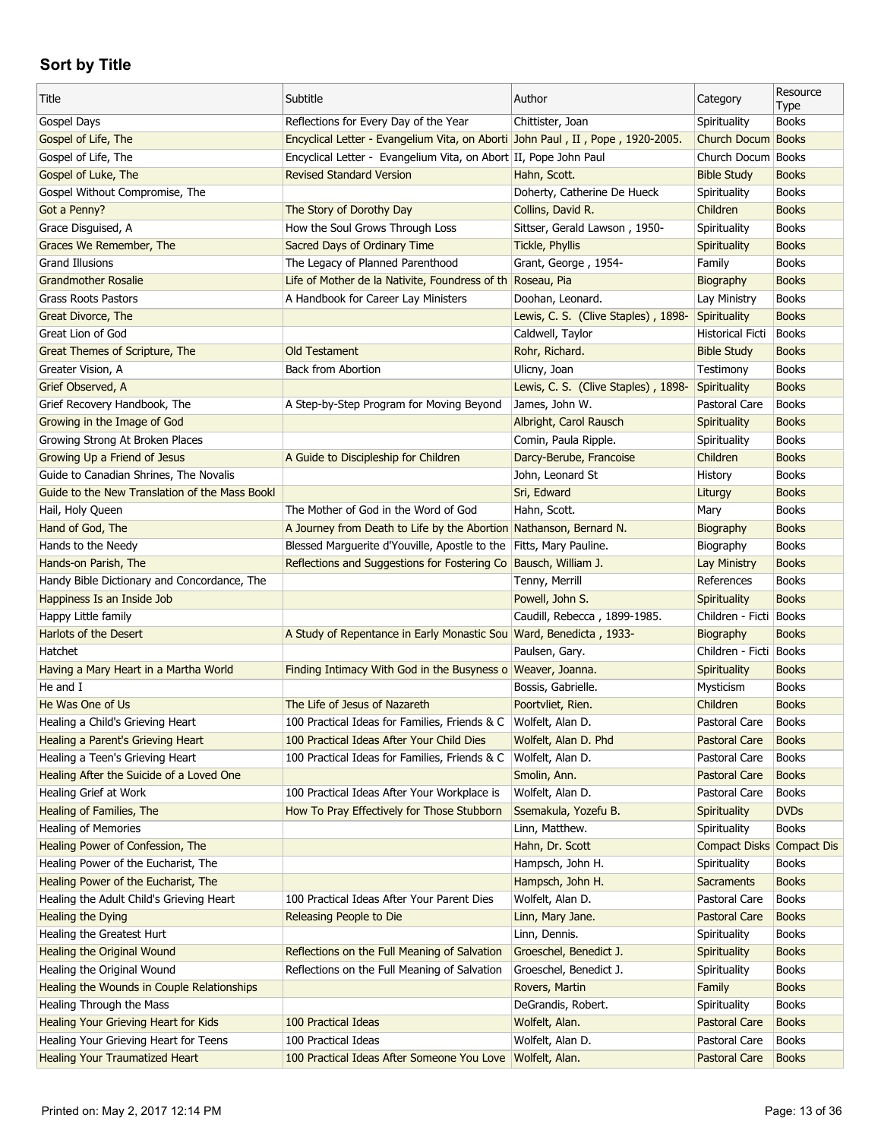| Title                                          | Subtitle                                                                       | Author                              | Category                  | Resource<br>Type |
|------------------------------------------------|--------------------------------------------------------------------------------|-------------------------------------|---------------------------|------------------|
| Gospel Days                                    | Reflections for Every Day of the Year                                          | Chittister, Joan                    | Spirituality              | <b>Books</b>     |
| Gospel of Life, The                            | Encyclical Letter - Evangelium Vita, on Aborti John Paul, II, Pope, 1920-2005. |                                     | Church Docum Books        |                  |
| Gospel of Life, The                            | Encyclical Letter - Evangelium Vita, on Abort II, Pope John Paul               |                                     | Church Docum Books        |                  |
| Gospel of Luke, The                            | <b>Revised Standard Version</b>                                                | Hahn, Scott.                        | <b>Bible Study</b>        | <b>Books</b>     |
| Gospel Without Compromise, The                 |                                                                                | Doherty, Catherine De Hueck         | Spirituality              | <b>Books</b>     |
| Got a Penny?                                   | The Story of Dorothy Day                                                       | Collins, David R.                   | Children                  | <b>Books</b>     |
| Grace Disguised, A                             | How the Soul Grows Through Loss                                                | Sittser, Gerald Lawson, 1950-       | Spirituality              | <b>Books</b>     |
| Graces We Remember, The                        | Sacred Days of Ordinary Time                                                   | Tickle, Phyllis                     | <b>Spirituality</b>       | <b>Books</b>     |
| <b>Grand Illusions</b>                         | The Legacy of Planned Parenthood                                               | Grant, George, 1954-                | Family                    | <b>Books</b>     |
| <b>Grandmother Rosalie</b>                     | Life of Mother de la Nativite, Foundress of th Roseau, Pia                     |                                     | Biography                 | <b>Books</b>     |
| <b>Grass Roots Pastors</b>                     | A Handbook for Career Lay Ministers                                            | Doohan, Leonard.                    | Lay Ministry              | <b>Books</b>     |
| Great Divorce, The                             |                                                                                | Lewis, C. S. (Clive Staples), 1898- | Spirituality              | <b>Books</b>     |
| Great Lion of God                              |                                                                                | Caldwell, Taylor                    | Historical Ficti          | Books            |
| Great Themes of Scripture, The                 | <b>Old Testament</b>                                                           | Rohr, Richard.                      | <b>Bible Study</b>        | <b>Books</b>     |
| Greater Vision, A                              | <b>Back from Abortion</b>                                                      | Ulicny, Joan                        | Testimony                 | <b>Books</b>     |
| Grief Observed, A                              |                                                                                | Lewis, C. S. (Clive Staples), 1898- | Spirituality              | <b>Books</b>     |
| Grief Recovery Handbook, The                   | A Step-by-Step Program for Moving Beyond                                       | James, John W.                      | Pastoral Care             | <b>Books</b>     |
| Growing in the Image of God                    |                                                                                | Albright, Carol Rausch              | Spirituality              | <b>Books</b>     |
| Growing Strong At Broken Places                |                                                                                | Comin, Paula Ripple.                | Spirituality              | <b>Books</b>     |
| Growing Up a Friend of Jesus                   | A Guide to Discipleship for Children                                           | Darcy-Berube, Francoise             | Children                  | <b>Books</b>     |
| Guide to Canadian Shrines, The Novalis         |                                                                                | John, Leonard St                    | History                   | <b>Books</b>     |
| Guide to the New Translation of the Mass Bookl |                                                                                | Sri, Edward                         | Liturgy                   | <b>Books</b>     |
| Hail, Holy Queen                               | The Mother of God in the Word of God                                           | Hahn, Scott.                        | Mary                      | <b>Books</b>     |
| Hand of God, The                               | A Journey from Death to Life by the Abortion Nathanson, Bernard N.             |                                     | Biography                 | <b>Books</b>     |
| Hands to the Needy                             | Blessed Marguerite d'Youville, Apostle to the Fitts, Mary Pauline.             |                                     | Biography                 | <b>Books</b>     |
| Hands-on Parish, The                           | Reflections and Suggestions for Fostering Co                                   | Bausch, William J.                  | Lay Ministry              | <b>Books</b>     |
|                                                |                                                                                |                                     | References                | <b>Books</b>     |
| Handy Bible Dictionary and Concordance, The    |                                                                                | Tenny, Merrill<br>Powell, John S.   | Spirituality              | <b>Books</b>     |
| Happiness Is an Inside Job                     |                                                                                |                                     |                           |                  |
| Happy Little family                            |                                                                                | Caudill, Rebecca, 1899-1985.        | Children - Ficti   Books  |                  |
| Harlots of the Desert<br>Hatchet               | A Study of Repentance in Early Monastic Sou Ward, Benedicta, 1933-             |                                     | Biography                 | <b>Books</b>     |
|                                                |                                                                                | Paulsen, Gary.                      | Children - Ficti Books    |                  |
| Having a Mary Heart in a Martha World          | Finding Intimacy With God in the Busyness o Weaver, Joanna.                    |                                     | Spirituality              | <b>Books</b>     |
| He and I                                       |                                                                                | Bossis, Gabrielle.                  | Mysticism                 | <b>Books</b>     |
| He Was One of Us                               | The Life of Jesus of Nazareth                                                  | Poortvliet, Rien.                   | Children                  | <b>Books</b>     |
| Healing a Child's Grieving Heart               | 100 Practical Ideas for Families, Friends & C   Wolfelt, Alan D.               |                                     | Pastoral Care             | Books            |
| Healing a Parent's Grieving Heart              | 100 Practical Ideas After Your Child Dies                                      | Wolfelt, Alan D. Phd                | Pastoral Care             | <b>Books</b>     |
| Healing a Teen's Grieving Heart                | 100 Practical Ideas for Families, Friends & C                                  | Wolfelt, Alan D.                    | Pastoral Care             | <b>Books</b>     |
| Healing After the Suicide of a Loved One       |                                                                                | Smolin, Ann.                        | Pastoral Care             | <b>Books</b>     |
| Healing Grief at Work                          | 100 Practical Ideas After Your Workplace is                                    | Wolfelt, Alan D.                    | Pastoral Care             | <b>Books</b>     |
| Healing of Families, The                       | How To Pray Effectively for Those Stubborn                                     | Ssemakula, Yozefu B.                | <b>Spirituality</b>       | <b>DVDs</b>      |
| <b>Healing of Memories</b>                     |                                                                                | Linn, Matthew.                      | Spirituality              | <b>Books</b>     |
| Healing Power of Confession, The               |                                                                                | Hahn, Dr. Scott                     | Compact Disks Compact Dis |                  |
| Healing Power of the Eucharist, The            |                                                                                | Hampsch, John H.                    | Spirituality              | <b>Books</b>     |
| Healing Power of the Eucharist, The            |                                                                                | Hampsch, John H.                    | Sacraments                | <b>Books</b>     |
| Healing the Adult Child's Grieving Heart       | 100 Practical Ideas After Your Parent Dies                                     | Wolfelt, Alan D.                    | Pastoral Care             | <b>Books</b>     |
| Healing the Dying                              | Releasing People to Die                                                        | Linn, Mary Jane.                    | Pastoral Care             | <b>Books</b>     |
| Healing the Greatest Hurt                      |                                                                                | Linn, Dennis.                       | Spirituality              | <b>Books</b>     |
| <b>Healing the Original Wound</b>              | Reflections on the Full Meaning of Salvation                                   | Groeschel, Benedict J.              | Spirituality              | <b>Books</b>     |
| Healing the Original Wound                     | Reflections on the Full Meaning of Salvation                                   | Groeschel, Benedict J.              | Spirituality              | <b>Books</b>     |
| Healing the Wounds in Couple Relationships     |                                                                                | Rovers, Martin                      | Family                    | <b>Books</b>     |
| Healing Through the Mass                       |                                                                                | DeGrandis, Robert.                  | Spirituality              | <b>Books</b>     |
| <b>Healing Your Grieving Heart for Kids</b>    | 100 Practical Ideas                                                            | Wolfelt, Alan.                      | Pastoral Care             | <b>Books</b>     |
| Healing Your Grieving Heart for Teens          | 100 Practical Ideas                                                            | Wolfelt, Alan D.                    | Pastoral Care             | <b>Books</b>     |
| <b>Healing Your Traumatized Heart</b>          | 100 Practical Ideas After Someone You Love   Wolfelt, Alan.                    |                                     | Pastoral Care             | <b>Books</b>     |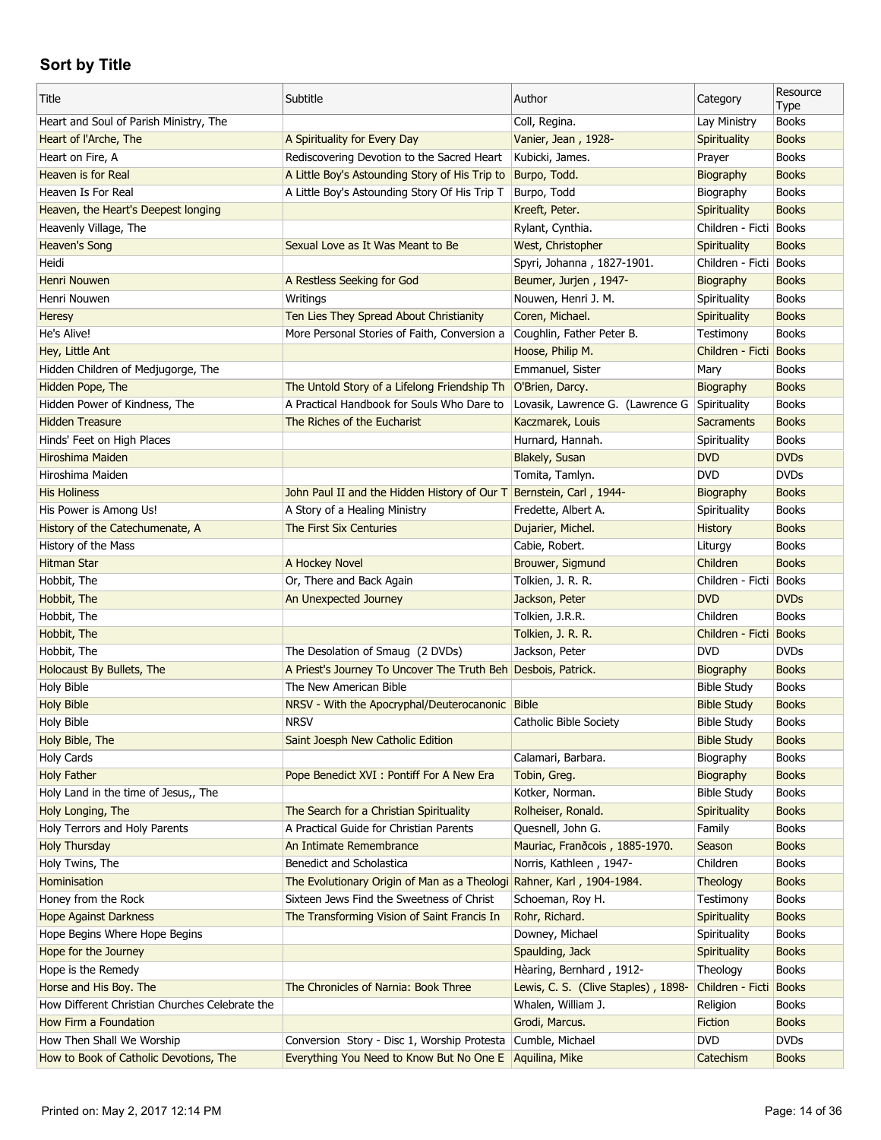| Title                                          | Subtitle                                                            | Author                                        | Category               | Resource<br>Type             |
|------------------------------------------------|---------------------------------------------------------------------|-----------------------------------------------|------------------------|------------------------------|
| Heart and Soul of Parish Ministry, The         |                                                                     | Coll, Regina.                                 | Lay Ministry           | <b>Books</b>                 |
| Heart of l'Arche, The                          | A Spirituality for Every Day                                        | Vanier, Jean, 1928-                           | Spirituality           | <b>Books</b>                 |
| Heart on Fire, A                               | Rediscovering Devotion to the Sacred Heart                          | Kubicki, James.                               | Prayer                 | <b>Books</b>                 |
| <b>Heaven is for Real</b>                      | A Little Boy's Astounding Story of His Trip to                      | Burpo, Todd.                                  | Biography              | <b>Books</b>                 |
| Heaven Is For Real                             | A Little Boy's Astounding Story Of His Trip T                       | Burpo, Todd                                   | Biography              | <b>Books</b>                 |
| Heaven, the Heart's Deepest longing            |                                                                     | Kreeft, Peter.                                | Spirituality           | <b>Books</b>                 |
| Heavenly Village, The                          |                                                                     | Rylant, Cynthia.                              | Children - Ficti Books |                              |
| <b>Heaven's Song</b>                           | Sexual Love as It Was Meant to Be                                   | West, Christopher                             | Spirituality           | <b>Books</b>                 |
| Heidi                                          |                                                                     | Spyri, Johanna, 1827-1901.                    | Children - Ficti Books |                              |
| <b>Henri Nouwen</b>                            | A Restless Seeking for God                                          | Beumer, Jurjen, 1947-                         | Biography              | <b>Books</b>                 |
| Henri Nouwen                                   | Writings                                                            | Nouwen, Henri J. M.                           | Spirituality           | <b>Books</b>                 |
| <b>Heresy</b>                                  | Ten Lies They Spread About Christianity                             | Coren, Michael.                               | Spirituality           | <b>Books</b>                 |
| He's Alive!                                    | More Personal Stories of Faith, Conversion a                        | Coughlin, Father Peter B.                     | Testimony              | <b>Books</b>                 |
| Hey, Little Ant                                |                                                                     | Hoose, Philip M.                              | Children - Ficti       | <b>Books</b>                 |
| Hidden Children of Medjugorge, The             |                                                                     | Emmanuel, Sister                              | Mary                   | <b>Books</b>                 |
| Hidden Pope, The                               | The Untold Story of a Lifelong Friendship Th                        | O'Brien, Darcy.                               | Biography              | <b>Books</b>                 |
| Hidden Power of Kindness, The                  | A Practical Handbook for Souls Who Dare to                          | Lovasik, Lawrence G. (Lawrence G Spirituality |                        | <b>Books</b>                 |
| <b>Hidden Treasure</b>                         | The Riches of the Eucharist                                         | Kaczmarek, Louis                              | <b>Sacraments</b>      | <b>Books</b>                 |
| Hinds' Feet on High Places                     |                                                                     | Hurnard, Hannah.                              | Spirituality           | <b>Books</b>                 |
| Hiroshima Maiden                               |                                                                     | Blakely, Susan                                | <b>DVD</b>             | <b>DVDs</b>                  |
| Hiroshima Maiden                               |                                                                     | Tomita, Tamlyn.                               | <b>DVD</b>             | <b>DVDs</b>                  |
| <b>His Holiness</b>                            | John Paul II and the Hidden History of Our T Bernstein, Carl, 1944- |                                               | Biography              | <b>Books</b>                 |
| His Power is Among Us!                         | A Story of a Healing Ministry                                       | Fredette, Albert A.                           | Spirituality           | <b>Books</b>                 |
| History of the Catechumenate, A                | The First Six Centuries                                             |                                               | History                | <b>Books</b>                 |
|                                                |                                                                     | Dujarier, Michel.                             |                        |                              |
| History of the Mass<br><b>Hitman Star</b>      |                                                                     | Cabie, Robert.                                | Liturgy<br>Children    | <b>Books</b><br><b>Books</b> |
|                                                | A Hockey Novel                                                      | Brouwer, Sigmund                              |                        |                              |
| Hobbit, The                                    | Or, There and Back Again                                            | Tolkien, J. R. R.                             | Children - Ficti       | <b>Books</b>                 |
| Hobbit, The                                    | An Unexpected Journey                                               | Jackson, Peter                                | <b>DVD</b>             | <b>DVDs</b>                  |
| Hobbit, The                                    |                                                                     | Tolkien, J.R.R.                               | Children               | <b>Books</b>                 |
| Hobbit, The                                    |                                                                     | Tolkien, J. R. R.                             | Children - Ficti Books |                              |
| Hobbit, The                                    | The Desolation of Smaug (2 DVDs)                                    | Jackson, Peter                                | <b>DVD</b>             | <b>DVDs</b>                  |
| Holocaust By Bullets, The                      | A Priest's Journey To Uncover The Truth Beh Desbois, Patrick.       |                                               | Biography              | <b>Books</b>                 |
| <b>Holy Bible</b>                              | The New American Bible                                              |                                               | <b>Bible Study</b>     | <b>Books</b>                 |
| <b>Holy Bible</b>                              | NRSV - With the Apocryphal/Deuterocanonic Bible                     |                                               | <b>Bible Study</b>     | <b>Books</b>                 |
| <b>Holy Bible</b>                              | <b>NRSV</b>                                                         | Catholic Bible Society                        | <b>Bible Study</b>     | <b>Books</b>                 |
| Holy Bible, The                                | Saint Joesph New Catholic Edition                                   |                                               | <b>Bible Study</b>     | <b>Books</b>                 |
| <b>Holy Cards</b>                              |                                                                     | Calamari, Barbara.                            | Biography              | <b>Books</b>                 |
| <b>Holy Father</b>                             | Pope Benedict XVI : Pontiff For A New Era                           | Tobin, Greg.                                  | Biography              | <b>Books</b>                 |
| Holy Land in the time of Jesus,, The           |                                                                     | Kotker, Norman.                               | <b>Bible Study</b>     | Books                        |
| Holy Longing, The                              | The Search for a Christian Spirituality                             | Rolheiser, Ronald.                            | Spirituality           | <b>Books</b>                 |
| Holy Terrors and Holy Parents                  | A Practical Guide for Christian Parents                             | Quesnell, John G.                             | Family                 | <b>Books</b>                 |
| <b>Holy Thursday</b>                           | An Intimate Remembrance                                             | Mauriac, Frandcois, 1885-1970.                | Season                 | <b>Books</b>                 |
| Holy Twins, The                                | Benedict and Scholastica                                            | Norris, Kathleen, 1947-                       | Children               | <b>Books</b>                 |
| Hominisation                                   | The Evolutionary Origin of Man as a Theologi                        | Rahner, Karl, 1904-1984.                      | Theology               | <b>Books</b>                 |
| Honey from the Rock                            | Sixteen Jews Find the Sweetness of Christ                           | Schoeman, Roy H.                              | Testimony              | <b>Books</b>                 |
| <b>Hope Against Darkness</b>                   | The Transforming Vision of Saint Francis In                         | Rohr, Richard.                                | Spirituality           | <b>Books</b>                 |
| Hope Begins Where Hope Begins                  |                                                                     | Downey, Michael                               | Spirituality           | <b>Books</b>                 |
| Hope for the Journey                           |                                                                     | Spaulding, Jack                               | Spirituality           | <b>Books</b>                 |
| Hope is the Remedy                             |                                                                     | Hèaring, Bernhard, 1912-                      | Theology               | <b>Books</b>                 |
| Horse and His Boy. The                         | The Chronicles of Narnia: Book Three                                | Lewis, C. S. (Clive Staples), 1898-           | Children - Ficti       | <b>Books</b>                 |
| How Different Christian Churches Celebrate the |                                                                     |                                               |                        |                              |
|                                                |                                                                     | Whalen, William J.                            | Religion               | <b>Books</b>                 |
| How Firm a Foundation                          |                                                                     | Grodi, Marcus.                                | Fiction                | <b>Books</b>                 |
| How Then Shall We Worship                      | Conversion Story - Disc 1, Worship Protesta                         | Cumble, Michael                               | <b>DVD</b>             | <b>DVDs</b>                  |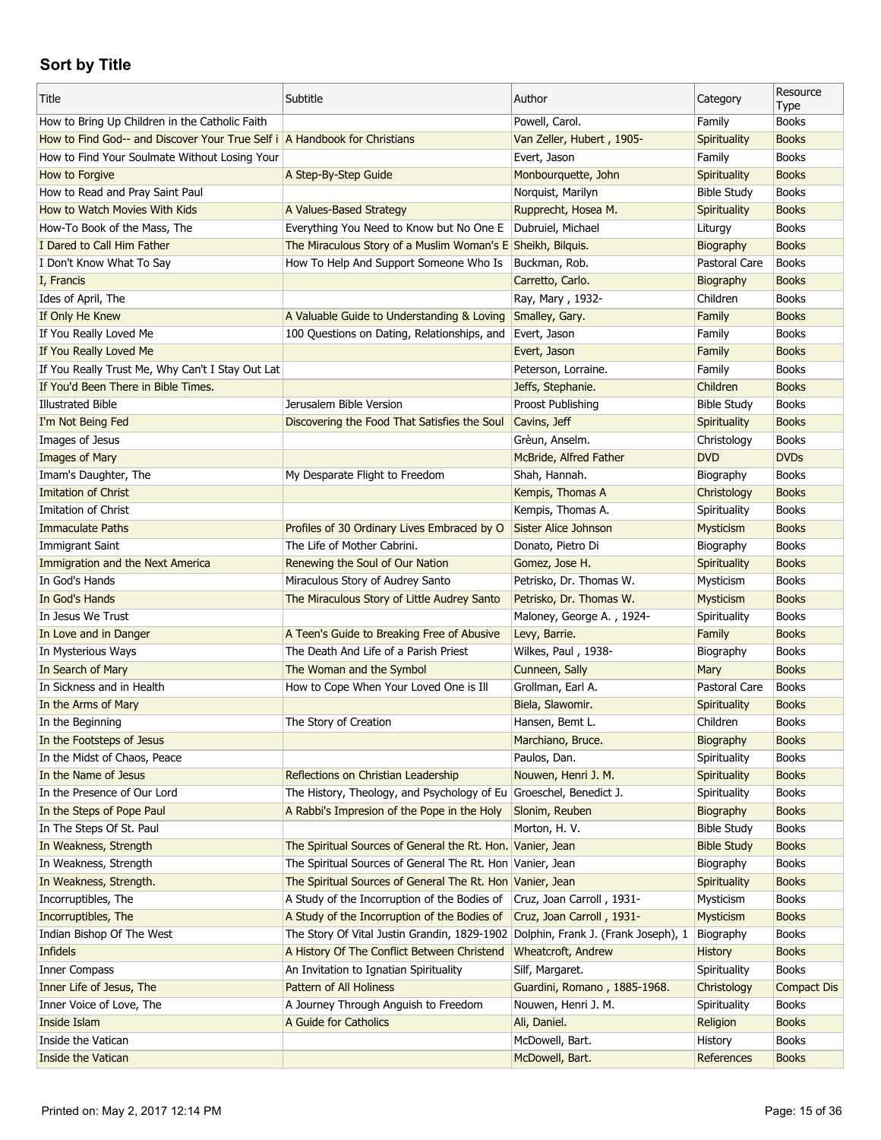| Title                                                                     | Subtitle                                                           | Author                              | Category              | Resource<br>Type   |
|---------------------------------------------------------------------------|--------------------------------------------------------------------|-------------------------------------|-----------------------|--------------------|
| How to Bring Up Children in the Catholic Faith                            |                                                                    | Powell, Carol.                      | Family                | <b>Books</b>       |
| How to Find God-- and Discover Your True Self i A Handbook for Christians |                                                                    | Van Zeller, Hubert, 1905-           | Spirituality          | <b>Books</b>       |
| How to Find Your Soulmate Without Losing Your                             |                                                                    | Evert, Jason                        | Family                | <b>Books</b>       |
| How to Forgive                                                            | A Step-By-Step Guide                                               | Monbourquette, John                 | Spirituality          | <b>Books</b>       |
| How to Read and Pray Saint Paul                                           |                                                                    | Norquist, Marilyn                   | <b>Bible Study</b>    | <b>Books</b>       |
| How to Watch Movies With Kids                                             | A Values-Based Strategy                                            | Rupprecht, Hosea M.                 | Spirituality          | <b>Books</b>       |
| How-To Book of the Mass, The                                              | Everything You Need to Know but No One E                           | Dubruiel, Michael                   | Liturgy               | <b>Books</b>       |
| I Dared to Call Him Father                                                | The Miraculous Story of a Muslim Woman's E Sheikh, Bilguis.        |                                     | Biography             | <b>Books</b>       |
| I Don't Know What To Say                                                  | How To Help And Support Someone Who Is                             | Buckman, Rob.                       | Pastoral Care         | <b>Books</b>       |
| I, Francis                                                                |                                                                    | Carretto, Carlo.                    | Biography             | <b>Books</b>       |
| Ides of April, The                                                        |                                                                    | Ray, Mary, 1932-                    | Children              | <b>Books</b>       |
| If Only He Knew                                                           | A Valuable Guide to Understanding & Loving                         | Smalley, Gary.                      | Family                | <b>Books</b>       |
| If You Really Loved Me                                                    | 100 Questions on Dating, Relationships, and                        | Evert, Jason                        | Family                | <b>Books</b>       |
| If You Really Loved Me                                                    |                                                                    | Evert, Jason                        | Family                | <b>Books</b>       |
| If You Really Trust Me, Why Can't I Stay Out Lat                          |                                                                    | Peterson, Lorraine.                 | Family                | <b>Books</b>       |
| If You'd Been There in Bible Times.                                       |                                                                    | Jeffs, Stephanie.                   | Children              | <b>Books</b>       |
| <b>Illustrated Bible</b>                                                  | Jerusalem Bible Version                                            | Proost Publishing                   | <b>Bible Study</b>    | <b>Books</b>       |
| I'm Not Being Fed                                                         | Discovering the Food That Satisfies the Soul                       | Cavins, Jeff                        | <b>Spirituality</b>   | <b>Books</b>       |
| Images of Jesus                                                           |                                                                    | Grèun, Anselm.                      | Christology           | <b>Books</b>       |
| Images of Mary                                                            |                                                                    | McBride, Alfred Father              | <b>DVD</b>            | <b>DVDs</b>        |
| Imam's Daughter, The                                                      | My Desparate Flight to Freedom                                     | Shah, Hannah.                       | Biography             | <b>Books</b>       |
| <b>Imitation of Christ</b>                                                |                                                                    | Kempis, Thomas A                    | Christology           | <b>Books</b>       |
| Imitation of Christ                                                       |                                                                    | Kempis, Thomas A.                   | Spirituality          | <b>Books</b>       |
| <b>Immaculate Paths</b>                                                   | Profiles of 30 Ordinary Lives Embraced by O                        | Sister Alice Johnson                | Mysticism             | <b>Books</b>       |
| Immigrant Saint                                                           | The Life of Mother Cabrini.                                        | Donato, Pietro Di                   | Biography             | <b>Books</b>       |
| Immigration and the Next America                                          | Renewing the Soul of Our Nation                                    | Gomez, Jose H.                      | Spirituality          | <b>Books</b>       |
| In God's Hands                                                            | Miraculous Story of Audrey Santo                                   | Petrisko, Dr. Thomas W.             | Mysticism             | <b>Books</b>       |
| In God's Hands                                                            | The Miraculous Story of Little Audrey Santo                        | Petrisko, Dr. Thomas W.             | Mysticism             | <b>Books</b>       |
| In Jesus We Trust                                                         |                                                                    | Maloney, George A., 1924-           | Spirituality          | <b>Books</b>       |
| In Love and in Danger                                                     | A Teen's Guide to Breaking Free of Abusive                         | Levy, Barrie.                       | Family                | <b>Books</b>       |
| In Mysterious Ways                                                        | The Death And Life of a Parish Priest                              | Wilkes, Paul, 1938-                 | Biography             | <b>Books</b>       |
| In Search of Mary                                                         | The Woman and the Symbol                                           |                                     |                       | <b>Books</b>       |
| In Sickness and in Health                                                 |                                                                    | Cunneen, Sally<br>Grollman, Earl A. | Mary<br>Pastoral Care | <b>Books</b>       |
|                                                                           | How to Cope When Your Loved One is Ill                             |                                     |                       |                    |
| In the Arms of Mary                                                       |                                                                    | Biela, Slawomir.                    | Spirituality          | <b>Books</b>       |
| In the Beginning                                                          | The Story of Creation                                              | Hansen, Bemt L.                     | Children              | <b>Books</b>       |
| In the Footsteps of Jesus                                                 |                                                                    | Marchiano, Bruce.                   | Biography             | <b>Books</b>       |
| In the Midst of Chaos, Peace                                              |                                                                    | Paulos, Dan.                        | Spirituality          | <b>Books</b>       |
| In the Name of Jesus                                                      | Reflections on Christian Leadership                                | Nouwen, Henri J. M.                 | Spirituality          | <b>Books</b>       |
| In the Presence of Our Lord                                               | The History, Theology, and Psychology of Eu Groeschel, Benedict J. |                                     | Spirituality          | <b>Books</b>       |
| In the Steps of Pope Paul                                                 | A Rabbi's Impresion of the Pope in the Holy                        | Slonim, Reuben                      | Biography             | <b>Books</b>       |
| In The Steps Of St. Paul                                                  |                                                                    | Morton, H. V.                       | <b>Bible Study</b>    | <b>Books</b>       |
| In Weakness, Strength                                                     | The Spiritual Sources of General the Rt. Hon. Vanier, Jean         |                                     | <b>Bible Study</b>    | <b>Books</b>       |
| In Weakness, Strength                                                     | The Spiritual Sources of General The Rt. Hon Vanier, Jean          |                                     | Biography             | <b>Books</b>       |
| In Weakness, Strength.                                                    | The Spiritual Sources of General The Rt. Hon Vanier, Jean          |                                     | Spirituality          | <b>Books</b>       |
| Incorruptibles, The                                                       | A Study of the Incorruption of the Bodies of                       | Cruz, Joan Carroll, 1931-           | Mysticism             | <b>Books</b>       |
| Incorruptibles, The                                                       | A Study of the Incorruption of the Bodies of                       | Cruz, Joan Carroll, 1931-           | Mysticism             | <b>Books</b>       |
| Indian Bishop Of The West                                                 | The Story Of Vital Justin Grandin, 1829-1902                       | Dolphin, Frank J. (Frank Joseph), 1 | Biography             | <b>Books</b>       |
| Infidels                                                                  | A History Of The Conflict Between Christend                        | Wheatcroft, Andrew                  | <b>History</b>        | <b>Books</b>       |
| <b>Inner Compass</b>                                                      | An Invitation to Ignatian Spirituality                             | Silf, Margaret.                     | Spirituality          | <b>Books</b>       |
| Inner Life of Jesus, The                                                  | Pattern of All Holiness                                            | Guardini, Romano, 1885-1968.        | Christology           | <b>Compact Dis</b> |
| Inner Voice of Love, The                                                  | A Journey Through Anguish to Freedom                               | Nouwen, Henri J. M.                 | Spirituality          | <b>Books</b>       |
| Inside Islam                                                              | A Guide for Catholics                                              | Ali, Daniel.                        | Religion              | <b>Books</b>       |
| Inside the Vatican                                                        |                                                                    | McDowell, Bart.                     | History               | <b>Books</b>       |
| Inside the Vatican                                                        |                                                                    | McDowell, Bart.                     | References            | <b>Books</b>       |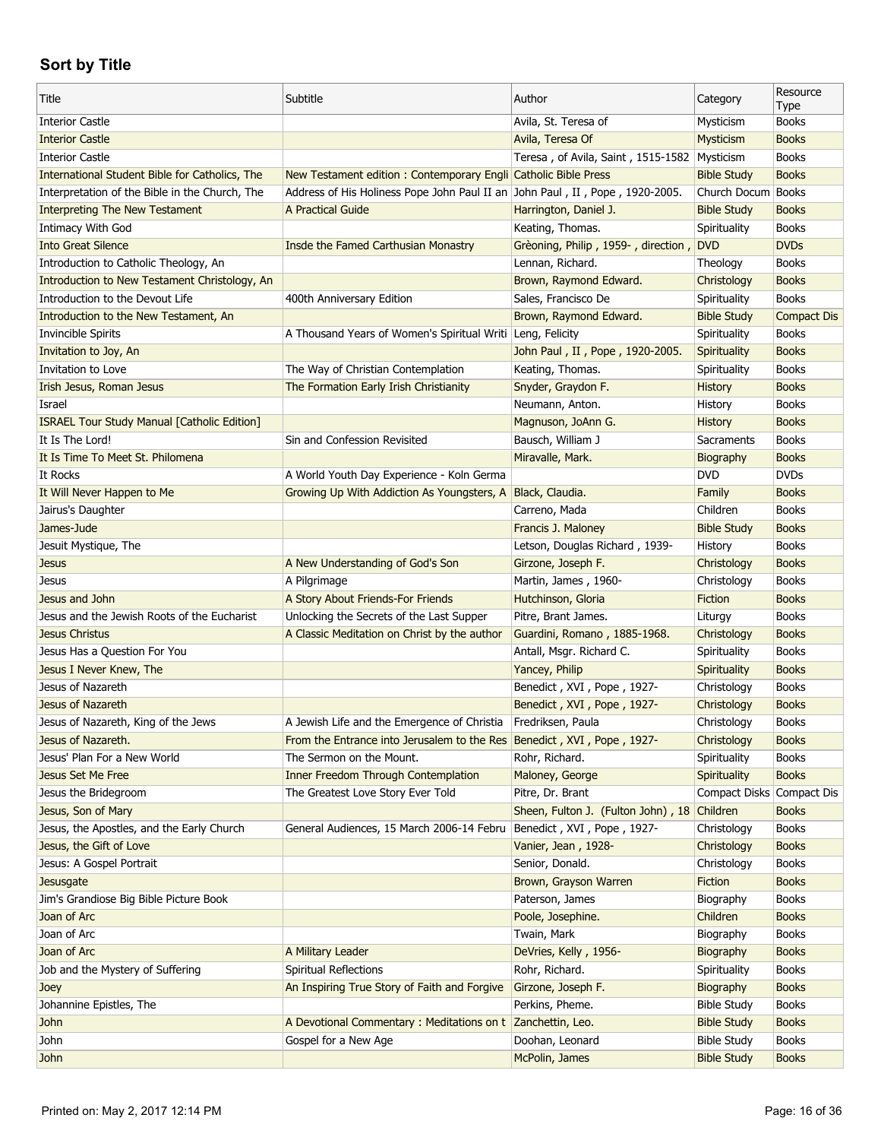| <b>Books</b><br><b>Interior Castle</b><br>Avila, St. Teresa of<br>Mysticism<br><b>Interior Castle</b><br>Avila, Teresa Of<br>Mysticism<br><b>Books</b><br><b>Interior Castle</b><br><b>Books</b><br>Teresa, of Avila, Saint, 1515-1582<br>Mysticism<br>International Student Bible for Catholics, The<br>New Testament edition : Contemporary Engli Catholic Bible Press<br><b>Books</b><br><b>Bible Study</b><br>Address of His Holiness Pope John Paul II an John Paul, II, Pope, 1920-2005.<br><b>Books</b><br>Interpretation of the Bible in the Church, The<br>Church Docum<br><b>Books</b><br><b>Interpreting The New Testament</b><br>A Practical Guide<br>Harrington, Daniel J.<br><b>Bible Study</b><br>Intimacy With God<br>Keating, Thomas.<br>Spirituality<br><b>Books</b><br><b>Into Great Silence</b><br>Insde the Famed Carthusian Monastry<br>Grèoning, Philip, 1959-, direction,<br><b>DVD</b><br><b>DVDs</b><br>Lennan, Richard.<br><b>Books</b><br>Introduction to Catholic Theology, An<br>Theology<br>Introduction to New Testament Christology, An<br>Brown, Raymond Edward.<br><b>Books</b><br>Christology<br><b>Books</b><br>Introduction to the Devout Life<br>400th Anniversary Edition<br>Sales, Francisco De<br>Spirituality<br>Brown, Raymond Edward.<br><b>Bible Study</b><br><b>Compact Dis</b><br>Introduction to the New Testament, An<br>A Thousand Years of Women's Spiritual Writi Leng, Felicity<br>Invincible Spirits<br><b>Books</b><br>Spirituality<br>Invitation to Joy, An<br>John Paul, II, Pope, 1920-2005.<br>Spirituality<br><b>Books</b><br>The Way of Christian Contemplation<br>Keating, Thomas.<br><b>Books</b><br>Invitation to Love<br>Spirituality<br>Irish Jesus, Roman Jesus<br>The Formation Early Irish Christianity<br>Snyder, Graydon F.<br><b>Books</b><br><b>History</b><br>Neumann, Anton.<br>History<br><b>Books</b><br>Israel<br><b>Books</b><br><b>ISRAEL Tour Study Manual [Catholic Edition]</b><br>Magnuson, JoAnn G.<br><b>History</b><br>It Is The Lord!<br>Bausch, William J<br><b>Books</b><br>Sin and Confession Revisited<br>Sacraments<br>Miravalle, Mark.<br>It Is Time To Meet St. Philomena<br><b>Books</b><br>Biography<br><b>DVD</b><br><b>DVDs</b><br>It Rocks<br>A World Youth Day Experience - Koln Germa<br>It Will Never Happen to Me<br>Growing Up With Addiction As Youngsters, A<br>Black, Claudia.<br><b>Books</b><br>Family<br>Jairus's Daughter<br>Carreno, Mada<br>Children<br><b>Books</b><br>James-Jude<br>Francis J. Maloney<br><b>Bible Study</b><br><b>Books</b><br><b>Books</b><br>Jesuit Mystique, The<br>Letson, Douglas Richard, 1939-<br>History<br><b>Books</b><br>A New Understanding of God's Son<br>Girzone, Joseph F.<br>Christology<br><b>Jesus</b><br>A Pilgrimage<br>Martin, James, 1960-<br>Christology<br><b>Books</b><br>Jesus<br>Jesus and John<br>Hutchinson, Gloria<br><b>Books</b><br>A Story About Friends-For Friends<br>Fiction<br><b>Books</b><br>Jesus and the Jewish Roots of the Eucharist<br>Unlocking the Secrets of the Last Supper<br>Pitre, Brant James.<br>Liturgy<br>A Classic Meditation on Christ by the author<br>Guardini, Romano, 1885-1968.<br><b>Books</b><br>Jesus Christus<br>Christology<br><b>Books</b><br>Jesus Has a Question For You<br>Antall, Msgr. Richard C.<br>Spirituality<br>Jesus I Never Knew, The<br>Yancey, Philip<br>Spirituality<br><b>Books</b><br>Jesus of Nazareth<br>Benedict, XVI, Pope, 1927-<br>Christology<br><b>Books</b><br>Jesus of Nazareth<br>Benedict, XVI, Pope, 1927-<br><b>Books</b><br>Christology<br>Jesus of Nazareth, King of the Jews<br>A Jewish Life and the Emergence of Christia<br>Fredriksen, Paula<br><b>Books</b><br>Christology<br>Jesus of Nazareth.<br>From the Entrance into Jerusalem to the Res Benedict, XVI, Pope, 1927-<br>Christology<br><b>Books</b><br>Jesus' Plan For a New World<br>The Sermon on the Mount.<br>Rohr, Richard.<br>Spirituality<br><b>Books</b><br><b>Inner Freedom Through Contemplation</b><br><b>Books</b><br><b>Jesus Set Me Free</b><br>Maloney, George<br>Spirituality<br>Jesus the Bridegroom<br>The Greatest Love Story Ever Told<br>Pitre, Dr. Brant<br>Compact Disks Compact Dis<br>Sheen, Fulton J. (Fulton John), 18 Children<br>Jesus, Son of Mary<br><b>Books</b><br>Jesus, the Apostles, and the Early Church<br>General Audiences, 15 March 2006-14 Febru<br>Benedict, XVI, Pope, 1927-<br>Christology<br><b>Books</b><br>Jesus, the Gift of Love<br>Vanier, Jean, 1928-<br>Christology<br><b>Books</b><br>Jesus: A Gospel Portrait<br>Senior, Donald.<br>Christology<br><b>Books</b><br>Brown, Grayson Warren<br>Fiction<br><b>Books</b><br>Jesusgate<br>Jim's Grandiose Big Bible Picture Book<br>Paterson, James<br>Biography<br><b>Books</b><br>Joan of Arc<br>Poole, Josephine.<br>Children<br><b>Books</b><br>Joan of Arc<br>Twain, Mark<br>Biography<br><b>Books</b><br>Joan of Arc<br>A Military Leader<br>DeVries, Kelly, 1956-<br><b>Books</b><br>Biography<br>Job and the Mystery of Suffering<br><b>Spiritual Reflections</b><br>Rohr, Richard.<br>Spirituality<br><b>Books</b> | Title | Subtitle                                     | Author             | Category           | Resource<br>Type |
|--------------------------------------------------------------------------------------------------------------------------------------------------------------------------------------------------------------------------------------------------------------------------------------------------------------------------------------------------------------------------------------------------------------------------------------------------------------------------------------------------------------------------------------------------------------------------------------------------------------------------------------------------------------------------------------------------------------------------------------------------------------------------------------------------------------------------------------------------------------------------------------------------------------------------------------------------------------------------------------------------------------------------------------------------------------------------------------------------------------------------------------------------------------------------------------------------------------------------------------------------------------------------------------------------------------------------------------------------------------------------------------------------------------------------------------------------------------------------------------------------------------------------------------------------------------------------------------------------------------------------------------------------------------------------------------------------------------------------------------------------------------------------------------------------------------------------------------------------------------------------------------------------------------------------------------------------------------------------------------------------------------------------------------------------------------------------------------------------------------------------------------------------------------------------------------------------------------------------------------------------------------------------------------------------------------------------------------------------------------------------------------------------------------------------------------------------------------------------------------------------------------------------------------------------------------------------------------------------------------------------------------------------------------------------------------------------------------------------------------------------------------------------------------------------------------------------------------------------------------------------------------------------------------------------------------------------------------------------------------------------------------------------------------------------------------------------------------------------------------------------------------------------------------------------------------------------------------------------------------------------------------------------------------------------------------------------------------------------------------------------------------------------------------------------------------------------------------------------------------------------------------------------------------------------------------------------------------------------------------------------------------------------------------------------------------------------------------------------------------------------------------------------------------------------------------------------------------------------------------------------------------------------------------------------------------------------------------------------------------------------------------------------------------------------------------------------------------------------------------------------------------------------------------------------------------------------------------------------------------------------------------------------------------------------------------------------------------------------------------------------------------------------------------------------------------------------------------------------------------------------------------------------------------------------------------------------------------------------------------------------------------------------------------------------------------------------------------------------------------------------------------------------------------------------------------------------------------------------------------------------------------------------------------------------------------------------------------------------------------------------------------------------------------------------------------------------------------------------------------------------------------|-------|----------------------------------------------|--------------------|--------------------|------------------|
|                                                                                                                                                                                                                                                                                                                                                                                                                                                                                                                                                                                                                                                                                                                                                                                                                                                                                                                                                                                                                                                                                                                                                                                                                                                                                                                                                                                                                                                                                                                                                                                                                                                                                                                                                                                                                                                                                                                                                                                                                                                                                                                                                                                                                                                                                                                                                                                                                                                                                                                                                                                                                                                                                                                                                                                                                                                                                                                                                                                                                                                                                                                                                                                                                                                                                                                                                                                                                                                                                                                                                                                                                                                                                                                                                                                                                                                                                                                                                                                                                                                                                                                                                                                                                                                                                                                                                                                                                                                                                                                                                                                                                                                                                                                                                                                                                                                                                                                                                                                                                                                                                                                                      |       |                                              |                    |                    |                  |
|                                                                                                                                                                                                                                                                                                                                                                                                                                                                                                                                                                                                                                                                                                                                                                                                                                                                                                                                                                                                                                                                                                                                                                                                                                                                                                                                                                                                                                                                                                                                                                                                                                                                                                                                                                                                                                                                                                                                                                                                                                                                                                                                                                                                                                                                                                                                                                                                                                                                                                                                                                                                                                                                                                                                                                                                                                                                                                                                                                                                                                                                                                                                                                                                                                                                                                                                                                                                                                                                                                                                                                                                                                                                                                                                                                                                                                                                                                                                                                                                                                                                                                                                                                                                                                                                                                                                                                                                                                                                                                                                                                                                                                                                                                                                                                                                                                                                                                                                                                                                                                                                                                                                      |       |                                              |                    |                    |                  |
|                                                                                                                                                                                                                                                                                                                                                                                                                                                                                                                                                                                                                                                                                                                                                                                                                                                                                                                                                                                                                                                                                                                                                                                                                                                                                                                                                                                                                                                                                                                                                                                                                                                                                                                                                                                                                                                                                                                                                                                                                                                                                                                                                                                                                                                                                                                                                                                                                                                                                                                                                                                                                                                                                                                                                                                                                                                                                                                                                                                                                                                                                                                                                                                                                                                                                                                                                                                                                                                                                                                                                                                                                                                                                                                                                                                                                                                                                                                                                                                                                                                                                                                                                                                                                                                                                                                                                                                                                                                                                                                                                                                                                                                                                                                                                                                                                                                                                                                                                                                                                                                                                                                                      |       |                                              |                    |                    |                  |
|                                                                                                                                                                                                                                                                                                                                                                                                                                                                                                                                                                                                                                                                                                                                                                                                                                                                                                                                                                                                                                                                                                                                                                                                                                                                                                                                                                                                                                                                                                                                                                                                                                                                                                                                                                                                                                                                                                                                                                                                                                                                                                                                                                                                                                                                                                                                                                                                                                                                                                                                                                                                                                                                                                                                                                                                                                                                                                                                                                                                                                                                                                                                                                                                                                                                                                                                                                                                                                                                                                                                                                                                                                                                                                                                                                                                                                                                                                                                                                                                                                                                                                                                                                                                                                                                                                                                                                                                                                                                                                                                                                                                                                                                                                                                                                                                                                                                                                                                                                                                                                                                                                                                      |       |                                              |                    |                    |                  |
|                                                                                                                                                                                                                                                                                                                                                                                                                                                                                                                                                                                                                                                                                                                                                                                                                                                                                                                                                                                                                                                                                                                                                                                                                                                                                                                                                                                                                                                                                                                                                                                                                                                                                                                                                                                                                                                                                                                                                                                                                                                                                                                                                                                                                                                                                                                                                                                                                                                                                                                                                                                                                                                                                                                                                                                                                                                                                                                                                                                                                                                                                                                                                                                                                                                                                                                                                                                                                                                                                                                                                                                                                                                                                                                                                                                                                                                                                                                                                                                                                                                                                                                                                                                                                                                                                                                                                                                                                                                                                                                                                                                                                                                                                                                                                                                                                                                                                                                                                                                                                                                                                                                                      |       |                                              |                    |                    |                  |
|                                                                                                                                                                                                                                                                                                                                                                                                                                                                                                                                                                                                                                                                                                                                                                                                                                                                                                                                                                                                                                                                                                                                                                                                                                                                                                                                                                                                                                                                                                                                                                                                                                                                                                                                                                                                                                                                                                                                                                                                                                                                                                                                                                                                                                                                                                                                                                                                                                                                                                                                                                                                                                                                                                                                                                                                                                                                                                                                                                                                                                                                                                                                                                                                                                                                                                                                                                                                                                                                                                                                                                                                                                                                                                                                                                                                                                                                                                                                                                                                                                                                                                                                                                                                                                                                                                                                                                                                                                                                                                                                                                                                                                                                                                                                                                                                                                                                                                                                                                                                                                                                                                                                      |       |                                              |                    |                    |                  |
|                                                                                                                                                                                                                                                                                                                                                                                                                                                                                                                                                                                                                                                                                                                                                                                                                                                                                                                                                                                                                                                                                                                                                                                                                                                                                                                                                                                                                                                                                                                                                                                                                                                                                                                                                                                                                                                                                                                                                                                                                                                                                                                                                                                                                                                                                                                                                                                                                                                                                                                                                                                                                                                                                                                                                                                                                                                                                                                                                                                                                                                                                                                                                                                                                                                                                                                                                                                                                                                                                                                                                                                                                                                                                                                                                                                                                                                                                                                                                                                                                                                                                                                                                                                                                                                                                                                                                                                                                                                                                                                                                                                                                                                                                                                                                                                                                                                                                                                                                                                                                                                                                                                                      |       |                                              |                    |                    |                  |
|                                                                                                                                                                                                                                                                                                                                                                                                                                                                                                                                                                                                                                                                                                                                                                                                                                                                                                                                                                                                                                                                                                                                                                                                                                                                                                                                                                                                                                                                                                                                                                                                                                                                                                                                                                                                                                                                                                                                                                                                                                                                                                                                                                                                                                                                                                                                                                                                                                                                                                                                                                                                                                                                                                                                                                                                                                                                                                                                                                                                                                                                                                                                                                                                                                                                                                                                                                                                                                                                                                                                                                                                                                                                                                                                                                                                                                                                                                                                                                                                                                                                                                                                                                                                                                                                                                                                                                                                                                                                                                                                                                                                                                                                                                                                                                                                                                                                                                                                                                                                                                                                                                                                      |       |                                              |                    |                    |                  |
|                                                                                                                                                                                                                                                                                                                                                                                                                                                                                                                                                                                                                                                                                                                                                                                                                                                                                                                                                                                                                                                                                                                                                                                                                                                                                                                                                                                                                                                                                                                                                                                                                                                                                                                                                                                                                                                                                                                                                                                                                                                                                                                                                                                                                                                                                                                                                                                                                                                                                                                                                                                                                                                                                                                                                                                                                                                                                                                                                                                                                                                                                                                                                                                                                                                                                                                                                                                                                                                                                                                                                                                                                                                                                                                                                                                                                                                                                                                                                                                                                                                                                                                                                                                                                                                                                                                                                                                                                                                                                                                                                                                                                                                                                                                                                                                                                                                                                                                                                                                                                                                                                                                                      |       |                                              |                    |                    |                  |
|                                                                                                                                                                                                                                                                                                                                                                                                                                                                                                                                                                                                                                                                                                                                                                                                                                                                                                                                                                                                                                                                                                                                                                                                                                                                                                                                                                                                                                                                                                                                                                                                                                                                                                                                                                                                                                                                                                                                                                                                                                                                                                                                                                                                                                                                                                                                                                                                                                                                                                                                                                                                                                                                                                                                                                                                                                                                                                                                                                                                                                                                                                                                                                                                                                                                                                                                                                                                                                                                                                                                                                                                                                                                                                                                                                                                                                                                                                                                                                                                                                                                                                                                                                                                                                                                                                                                                                                                                                                                                                                                                                                                                                                                                                                                                                                                                                                                                                                                                                                                                                                                                                                                      |       |                                              |                    |                    |                  |
|                                                                                                                                                                                                                                                                                                                                                                                                                                                                                                                                                                                                                                                                                                                                                                                                                                                                                                                                                                                                                                                                                                                                                                                                                                                                                                                                                                                                                                                                                                                                                                                                                                                                                                                                                                                                                                                                                                                                                                                                                                                                                                                                                                                                                                                                                                                                                                                                                                                                                                                                                                                                                                                                                                                                                                                                                                                                                                                                                                                                                                                                                                                                                                                                                                                                                                                                                                                                                                                                                                                                                                                                                                                                                                                                                                                                                                                                                                                                                                                                                                                                                                                                                                                                                                                                                                                                                                                                                                                                                                                                                                                                                                                                                                                                                                                                                                                                                                                                                                                                                                                                                                                                      |       |                                              |                    |                    |                  |
|                                                                                                                                                                                                                                                                                                                                                                                                                                                                                                                                                                                                                                                                                                                                                                                                                                                                                                                                                                                                                                                                                                                                                                                                                                                                                                                                                                                                                                                                                                                                                                                                                                                                                                                                                                                                                                                                                                                                                                                                                                                                                                                                                                                                                                                                                                                                                                                                                                                                                                                                                                                                                                                                                                                                                                                                                                                                                                                                                                                                                                                                                                                                                                                                                                                                                                                                                                                                                                                                                                                                                                                                                                                                                                                                                                                                                                                                                                                                                                                                                                                                                                                                                                                                                                                                                                                                                                                                                                                                                                                                                                                                                                                                                                                                                                                                                                                                                                                                                                                                                                                                                                                                      |       |                                              |                    |                    |                  |
|                                                                                                                                                                                                                                                                                                                                                                                                                                                                                                                                                                                                                                                                                                                                                                                                                                                                                                                                                                                                                                                                                                                                                                                                                                                                                                                                                                                                                                                                                                                                                                                                                                                                                                                                                                                                                                                                                                                                                                                                                                                                                                                                                                                                                                                                                                                                                                                                                                                                                                                                                                                                                                                                                                                                                                                                                                                                                                                                                                                                                                                                                                                                                                                                                                                                                                                                                                                                                                                                                                                                                                                                                                                                                                                                                                                                                                                                                                                                                                                                                                                                                                                                                                                                                                                                                                                                                                                                                                                                                                                                                                                                                                                                                                                                                                                                                                                                                                                                                                                                                                                                                                                                      |       |                                              |                    |                    |                  |
|                                                                                                                                                                                                                                                                                                                                                                                                                                                                                                                                                                                                                                                                                                                                                                                                                                                                                                                                                                                                                                                                                                                                                                                                                                                                                                                                                                                                                                                                                                                                                                                                                                                                                                                                                                                                                                                                                                                                                                                                                                                                                                                                                                                                                                                                                                                                                                                                                                                                                                                                                                                                                                                                                                                                                                                                                                                                                                                                                                                                                                                                                                                                                                                                                                                                                                                                                                                                                                                                                                                                                                                                                                                                                                                                                                                                                                                                                                                                                                                                                                                                                                                                                                                                                                                                                                                                                                                                                                                                                                                                                                                                                                                                                                                                                                                                                                                                                                                                                                                                                                                                                                                                      |       |                                              |                    |                    |                  |
|                                                                                                                                                                                                                                                                                                                                                                                                                                                                                                                                                                                                                                                                                                                                                                                                                                                                                                                                                                                                                                                                                                                                                                                                                                                                                                                                                                                                                                                                                                                                                                                                                                                                                                                                                                                                                                                                                                                                                                                                                                                                                                                                                                                                                                                                                                                                                                                                                                                                                                                                                                                                                                                                                                                                                                                                                                                                                                                                                                                                                                                                                                                                                                                                                                                                                                                                                                                                                                                                                                                                                                                                                                                                                                                                                                                                                                                                                                                                                                                                                                                                                                                                                                                                                                                                                                                                                                                                                                                                                                                                                                                                                                                                                                                                                                                                                                                                                                                                                                                                                                                                                                                                      |       |                                              |                    |                    |                  |
|                                                                                                                                                                                                                                                                                                                                                                                                                                                                                                                                                                                                                                                                                                                                                                                                                                                                                                                                                                                                                                                                                                                                                                                                                                                                                                                                                                                                                                                                                                                                                                                                                                                                                                                                                                                                                                                                                                                                                                                                                                                                                                                                                                                                                                                                                                                                                                                                                                                                                                                                                                                                                                                                                                                                                                                                                                                                                                                                                                                                                                                                                                                                                                                                                                                                                                                                                                                                                                                                                                                                                                                                                                                                                                                                                                                                                                                                                                                                                                                                                                                                                                                                                                                                                                                                                                                                                                                                                                                                                                                                                                                                                                                                                                                                                                                                                                                                                                                                                                                                                                                                                                                                      |       |                                              |                    |                    |                  |
|                                                                                                                                                                                                                                                                                                                                                                                                                                                                                                                                                                                                                                                                                                                                                                                                                                                                                                                                                                                                                                                                                                                                                                                                                                                                                                                                                                                                                                                                                                                                                                                                                                                                                                                                                                                                                                                                                                                                                                                                                                                                                                                                                                                                                                                                                                                                                                                                                                                                                                                                                                                                                                                                                                                                                                                                                                                                                                                                                                                                                                                                                                                                                                                                                                                                                                                                                                                                                                                                                                                                                                                                                                                                                                                                                                                                                                                                                                                                                                                                                                                                                                                                                                                                                                                                                                                                                                                                                                                                                                                                                                                                                                                                                                                                                                                                                                                                                                                                                                                                                                                                                                                                      |       |                                              |                    |                    |                  |
|                                                                                                                                                                                                                                                                                                                                                                                                                                                                                                                                                                                                                                                                                                                                                                                                                                                                                                                                                                                                                                                                                                                                                                                                                                                                                                                                                                                                                                                                                                                                                                                                                                                                                                                                                                                                                                                                                                                                                                                                                                                                                                                                                                                                                                                                                                                                                                                                                                                                                                                                                                                                                                                                                                                                                                                                                                                                                                                                                                                                                                                                                                                                                                                                                                                                                                                                                                                                                                                                                                                                                                                                                                                                                                                                                                                                                                                                                                                                                                                                                                                                                                                                                                                                                                                                                                                                                                                                                                                                                                                                                                                                                                                                                                                                                                                                                                                                                                                                                                                                                                                                                                                                      |       |                                              |                    |                    |                  |
|                                                                                                                                                                                                                                                                                                                                                                                                                                                                                                                                                                                                                                                                                                                                                                                                                                                                                                                                                                                                                                                                                                                                                                                                                                                                                                                                                                                                                                                                                                                                                                                                                                                                                                                                                                                                                                                                                                                                                                                                                                                                                                                                                                                                                                                                                                                                                                                                                                                                                                                                                                                                                                                                                                                                                                                                                                                                                                                                                                                                                                                                                                                                                                                                                                                                                                                                                                                                                                                                                                                                                                                                                                                                                                                                                                                                                                                                                                                                                                                                                                                                                                                                                                                                                                                                                                                                                                                                                                                                                                                                                                                                                                                                                                                                                                                                                                                                                                                                                                                                                                                                                                                                      |       |                                              |                    |                    |                  |
|                                                                                                                                                                                                                                                                                                                                                                                                                                                                                                                                                                                                                                                                                                                                                                                                                                                                                                                                                                                                                                                                                                                                                                                                                                                                                                                                                                                                                                                                                                                                                                                                                                                                                                                                                                                                                                                                                                                                                                                                                                                                                                                                                                                                                                                                                                                                                                                                                                                                                                                                                                                                                                                                                                                                                                                                                                                                                                                                                                                                                                                                                                                                                                                                                                                                                                                                                                                                                                                                                                                                                                                                                                                                                                                                                                                                                                                                                                                                                                                                                                                                                                                                                                                                                                                                                                                                                                                                                                                                                                                                                                                                                                                                                                                                                                                                                                                                                                                                                                                                                                                                                                                                      |       |                                              |                    |                    |                  |
|                                                                                                                                                                                                                                                                                                                                                                                                                                                                                                                                                                                                                                                                                                                                                                                                                                                                                                                                                                                                                                                                                                                                                                                                                                                                                                                                                                                                                                                                                                                                                                                                                                                                                                                                                                                                                                                                                                                                                                                                                                                                                                                                                                                                                                                                                                                                                                                                                                                                                                                                                                                                                                                                                                                                                                                                                                                                                                                                                                                                                                                                                                                                                                                                                                                                                                                                                                                                                                                                                                                                                                                                                                                                                                                                                                                                                                                                                                                                                                                                                                                                                                                                                                                                                                                                                                                                                                                                                                                                                                                                                                                                                                                                                                                                                                                                                                                                                                                                                                                                                                                                                                                                      |       |                                              |                    |                    |                  |
|                                                                                                                                                                                                                                                                                                                                                                                                                                                                                                                                                                                                                                                                                                                                                                                                                                                                                                                                                                                                                                                                                                                                                                                                                                                                                                                                                                                                                                                                                                                                                                                                                                                                                                                                                                                                                                                                                                                                                                                                                                                                                                                                                                                                                                                                                                                                                                                                                                                                                                                                                                                                                                                                                                                                                                                                                                                                                                                                                                                                                                                                                                                                                                                                                                                                                                                                                                                                                                                                                                                                                                                                                                                                                                                                                                                                                                                                                                                                                                                                                                                                                                                                                                                                                                                                                                                                                                                                                                                                                                                                                                                                                                                                                                                                                                                                                                                                                                                                                                                                                                                                                                                                      |       |                                              |                    |                    |                  |
|                                                                                                                                                                                                                                                                                                                                                                                                                                                                                                                                                                                                                                                                                                                                                                                                                                                                                                                                                                                                                                                                                                                                                                                                                                                                                                                                                                                                                                                                                                                                                                                                                                                                                                                                                                                                                                                                                                                                                                                                                                                                                                                                                                                                                                                                                                                                                                                                                                                                                                                                                                                                                                                                                                                                                                                                                                                                                                                                                                                                                                                                                                                                                                                                                                                                                                                                                                                                                                                                                                                                                                                                                                                                                                                                                                                                                                                                                                                                                                                                                                                                                                                                                                                                                                                                                                                                                                                                                                                                                                                                                                                                                                                                                                                                                                                                                                                                                                                                                                                                                                                                                                                                      |       |                                              |                    |                    |                  |
|                                                                                                                                                                                                                                                                                                                                                                                                                                                                                                                                                                                                                                                                                                                                                                                                                                                                                                                                                                                                                                                                                                                                                                                                                                                                                                                                                                                                                                                                                                                                                                                                                                                                                                                                                                                                                                                                                                                                                                                                                                                                                                                                                                                                                                                                                                                                                                                                                                                                                                                                                                                                                                                                                                                                                                                                                                                                                                                                                                                                                                                                                                                                                                                                                                                                                                                                                                                                                                                                                                                                                                                                                                                                                                                                                                                                                                                                                                                                                                                                                                                                                                                                                                                                                                                                                                                                                                                                                                                                                                                                                                                                                                                                                                                                                                                                                                                                                                                                                                                                                                                                                                                                      |       |                                              |                    |                    |                  |
|                                                                                                                                                                                                                                                                                                                                                                                                                                                                                                                                                                                                                                                                                                                                                                                                                                                                                                                                                                                                                                                                                                                                                                                                                                                                                                                                                                                                                                                                                                                                                                                                                                                                                                                                                                                                                                                                                                                                                                                                                                                                                                                                                                                                                                                                                                                                                                                                                                                                                                                                                                                                                                                                                                                                                                                                                                                                                                                                                                                                                                                                                                                                                                                                                                                                                                                                                                                                                                                                                                                                                                                                                                                                                                                                                                                                                                                                                                                                                                                                                                                                                                                                                                                                                                                                                                                                                                                                                                                                                                                                                                                                                                                                                                                                                                                                                                                                                                                                                                                                                                                                                                                                      |       |                                              |                    |                    |                  |
|                                                                                                                                                                                                                                                                                                                                                                                                                                                                                                                                                                                                                                                                                                                                                                                                                                                                                                                                                                                                                                                                                                                                                                                                                                                                                                                                                                                                                                                                                                                                                                                                                                                                                                                                                                                                                                                                                                                                                                                                                                                                                                                                                                                                                                                                                                                                                                                                                                                                                                                                                                                                                                                                                                                                                                                                                                                                                                                                                                                                                                                                                                                                                                                                                                                                                                                                                                                                                                                                                                                                                                                                                                                                                                                                                                                                                                                                                                                                                                                                                                                                                                                                                                                                                                                                                                                                                                                                                                                                                                                                                                                                                                                                                                                                                                                                                                                                                                                                                                                                                                                                                                                                      |       |                                              |                    |                    |                  |
|                                                                                                                                                                                                                                                                                                                                                                                                                                                                                                                                                                                                                                                                                                                                                                                                                                                                                                                                                                                                                                                                                                                                                                                                                                                                                                                                                                                                                                                                                                                                                                                                                                                                                                                                                                                                                                                                                                                                                                                                                                                                                                                                                                                                                                                                                                                                                                                                                                                                                                                                                                                                                                                                                                                                                                                                                                                                                                                                                                                                                                                                                                                                                                                                                                                                                                                                                                                                                                                                                                                                                                                                                                                                                                                                                                                                                                                                                                                                                                                                                                                                                                                                                                                                                                                                                                                                                                                                                                                                                                                                                                                                                                                                                                                                                                                                                                                                                                                                                                                                                                                                                                                                      |       |                                              |                    |                    |                  |
|                                                                                                                                                                                                                                                                                                                                                                                                                                                                                                                                                                                                                                                                                                                                                                                                                                                                                                                                                                                                                                                                                                                                                                                                                                                                                                                                                                                                                                                                                                                                                                                                                                                                                                                                                                                                                                                                                                                                                                                                                                                                                                                                                                                                                                                                                                                                                                                                                                                                                                                                                                                                                                                                                                                                                                                                                                                                                                                                                                                                                                                                                                                                                                                                                                                                                                                                                                                                                                                                                                                                                                                                                                                                                                                                                                                                                                                                                                                                                                                                                                                                                                                                                                                                                                                                                                                                                                                                                                                                                                                                                                                                                                                                                                                                                                                                                                                                                                                                                                                                                                                                                                                                      |       |                                              |                    |                    |                  |
|                                                                                                                                                                                                                                                                                                                                                                                                                                                                                                                                                                                                                                                                                                                                                                                                                                                                                                                                                                                                                                                                                                                                                                                                                                                                                                                                                                                                                                                                                                                                                                                                                                                                                                                                                                                                                                                                                                                                                                                                                                                                                                                                                                                                                                                                                                                                                                                                                                                                                                                                                                                                                                                                                                                                                                                                                                                                                                                                                                                                                                                                                                                                                                                                                                                                                                                                                                                                                                                                                                                                                                                                                                                                                                                                                                                                                                                                                                                                                                                                                                                                                                                                                                                                                                                                                                                                                                                                                                                                                                                                                                                                                                                                                                                                                                                                                                                                                                                                                                                                                                                                                                                                      |       |                                              |                    |                    |                  |
|                                                                                                                                                                                                                                                                                                                                                                                                                                                                                                                                                                                                                                                                                                                                                                                                                                                                                                                                                                                                                                                                                                                                                                                                                                                                                                                                                                                                                                                                                                                                                                                                                                                                                                                                                                                                                                                                                                                                                                                                                                                                                                                                                                                                                                                                                                                                                                                                                                                                                                                                                                                                                                                                                                                                                                                                                                                                                                                                                                                                                                                                                                                                                                                                                                                                                                                                                                                                                                                                                                                                                                                                                                                                                                                                                                                                                                                                                                                                                                                                                                                                                                                                                                                                                                                                                                                                                                                                                                                                                                                                                                                                                                                                                                                                                                                                                                                                                                                                                                                                                                                                                                                                      |       |                                              |                    |                    |                  |
|                                                                                                                                                                                                                                                                                                                                                                                                                                                                                                                                                                                                                                                                                                                                                                                                                                                                                                                                                                                                                                                                                                                                                                                                                                                                                                                                                                                                                                                                                                                                                                                                                                                                                                                                                                                                                                                                                                                                                                                                                                                                                                                                                                                                                                                                                                                                                                                                                                                                                                                                                                                                                                                                                                                                                                                                                                                                                                                                                                                                                                                                                                                                                                                                                                                                                                                                                                                                                                                                                                                                                                                                                                                                                                                                                                                                                                                                                                                                                                                                                                                                                                                                                                                                                                                                                                                                                                                                                                                                                                                                                                                                                                                                                                                                                                                                                                                                                                                                                                                                                                                                                                                                      |       |                                              |                    |                    |                  |
|                                                                                                                                                                                                                                                                                                                                                                                                                                                                                                                                                                                                                                                                                                                                                                                                                                                                                                                                                                                                                                                                                                                                                                                                                                                                                                                                                                                                                                                                                                                                                                                                                                                                                                                                                                                                                                                                                                                                                                                                                                                                                                                                                                                                                                                                                                                                                                                                                                                                                                                                                                                                                                                                                                                                                                                                                                                                                                                                                                                                                                                                                                                                                                                                                                                                                                                                                                                                                                                                                                                                                                                                                                                                                                                                                                                                                                                                                                                                                                                                                                                                                                                                                                                                                                                                                                                                                                                                                                                                                                                                                                                                                                                                                                                                                                                                                                                                                                                                                                                                                                                                                                                                      |       |                                              |                    |                    |                  |
|                                                                                                                                                                                                                                                                                                                                                                                                                                                                                                                                                                                                                                                                                                                                                                                                                                                                                                                                                                                                                                                                                                                                                                                                                                                                                                                                                                                                                                                                                                                                                                                                                                                                                                                                                                                                                                                                                                                                                                                                                                                                                                                                                                                                                                                                                                                                                                                                                                                                                                                                                                                                                                                                                                                                                                                                                                                                                                                                                                                                                                                                                                                                                                                                                                                                                                                                                                                                                                                                                                                                                                                                                                                                                                                                                                                                                                                                                                                                                                                                                                                                                                                                                                                                                                                                                                                                                                                                                                                                                                                                                                                                                                                                                                                                                                                                                                                                                                                                                                                                                                                                                                                                      |       |                                              |                    |                    |                  |
|                                                                                                                                                                                                                                                                                                                                                                                                                                                                                                                                                                                                                                                                                                                                                                                                                                                                                                                                                                                                                                                                                                                                                                                                                                                                                                                                                                                                                                                                                                                                                                                                                                                                                                                                                                                                                                                                                                                                                                                                                                                                                                                                                                                                                                                                                                                                                                                                                                                                                                                                                                                                                                                                                                                                                                                                                                                                                                                                                                                                                                                                                                                                                                                                                                                                                                                                                                                                                                                                                                                                                                                                                                                                                                                                                                                                                                                                                                                                                                                                                                                                                                                                                                                                                                                                                                                                                                                                                                                                                                                                                                                                                                                                                                                                                                                                                                                                                                                                                                                                                                                                                                                                      |       |                                              |                    |                    |                  |
|                                                                                                                                                                                                                                                                                                                                                                                                                                                                                                                                                                                                                                                                                                                                                                                                                                                                                                                                                                                                                                                                                                                                                                                                                                                                                                                                                                                                                                                                                                                                                                                                                                                                                                                                                                                                                                                                                                                                                                                                                                                                                                                                                                                                                                                                                                                                                                                                                                                                                                                                                                                                                                                                                                                                                                                                                                                                                                                                                                                                                                                                                                                                                                                                                                                                                                                                                                                                                                                                                                                                                                                                                                                                                                                                                                                                                                                                                                                                                                                                                                                                                                                                                                                                                                                                                                                                                                                                                                                                                                                                                                                                                                                                                                                                                                                                                                                                                                                                                                                                                                                                                                                                      |       |                                              |                    |                    |                  |
|                                                                                                                                                                                                                                                                                                                                                                                                                                                                                                                                                                                                                                                                                                                                                                                                                                                                                                                                                                                                                                                                                                                                                                                                                                                                                                                                                                                                                                                                                                                                                                                                                                                                                                                                                                                                                                                                                                                                                                                                                                                                                                                                                                                                                                                                                                                                                                                                                                                                                                                                                                                                                                                                                                                                                                                                                                                                                                                                                                                                                                                                                                                                                                                                                                                                                                                                                                                                                                                                                                                                                                                                                                                                                                                                                                                                                                                                                                                                                                                                                                                                                                                                                                                                                                                                                                                                                                                                                                                                                                                                                                                                                                                                                                                                                                                                                                                                                                                                                                                                                                                                                                                                      |       |                                              |                    |                    |                  |
|                                                                                                                                                                                                                                                                                                                                                                                                                                                                                                                                                                                                                                                                                                                                                                                                                                                                                                                                                                                                                                                                                                                                                                                                                                                                                                                                                                                                                                                                                                                                                                                                                                                                                                                                                                                                                                                                                                                                                                                                                                                                                                                                                                                                                                                                                                                                                                                                                                                                                                                                                                                                                                                                                                                                                                                                                                                                                                                                                                                                                                                                                                                                                                                                                                                                                                                                                                                                                                                                                                                                                                                                                                                                                                                                                                                                                                                                                                                                                                                                                                                                                                                                                                                                                                                                                                                                                                                                                                                                                                                                                                                                                                                                                                                                                                                                                                                                                                                                                                                                                                                                                                                                      |       |                                              |                    |                    |                  |
|                                                                                                                                                                                                                                                                                                                                                                                                                                                                                                                                                                                                                                                                                                                                                                                                                                                                                                                                                                                                                                                                                                                                                                                                                                                                                                                                                                                                                                                                                                                                                                                                                                                                                                                                                                                                                                                                                                                                                                                                                                                                                                                                                                                                                                                                                                                                                                                                                                                                                                                                                                                                                                                                                                                                                                                                                                                                                                                                                                                                                                                                                                                                                                                                                                                                                                                                                                                                                                                                                                                                                                                                                                                                                                                                                                                                                                                                                                                                                                                                                                                                                                                                                                                                                                                                                                                                                                                                                                                                                                                                                                                                                                                                                                                                                                                                                                                                                                                                                                                                                                                                                                                                      |       |                                              |                    |                    |                  |
|                                                                                                                                                                                                                                                                                                                                                                                                                                                                                                                                                                                                                                                                                                                                                                                                                                                                                                                                                                                                                                                                                                                                                                                                                                                                                                                                                                                                                                                                                                                                                                                                                                                                                                                                                                                                                                                                                                                                                                                                                                                                                                                                                                                                                                                                                                                                                                                                                                                                                                                                                                                                                                                                                                                                                                                                                                                                                                                                                                                                                                                                                                                                                                                                                                                                                                                                                                                                                                                                                                                                                                                                                                                                                                                                                                                                                                                                                                                                                                                                                                                                                                                                                                                                                                                                                                                                                                                                                                                                                                                                                                                                                                                                                                                                                                                                                                                                                                                                                                                                                                                                                                                                      |       |                                              |                    |                    |                  |
|                                                                                                                                                                                                                                                                                                                                                                                                                                                                                                                                                                                                                                                                                                                                                                                                                                                                                                                                                                                                                                                                                                                                                                                                                                                                                                                                                                                                                                                                                                                                                                                                                                                                                                                                                                                                                                                                                                                                                                                                                                                                                                                                                                                                                                                                                                                                                                                                                                                                                                                                                                                                                                                                                                                                                                                                                                                                                                                                                                                                                                                                                                                                                                                                                                                                                                                                                                                                                                                                                                                                                                                                                                                                                                                                                                                                                                                                                                                                                                                                                                                                                                                                                                                                                                                                                                                                                                                                                                                                                                                                                                                                                                                                                                                                                                                                                                                                                                                                                                                                                                                                                                                                      |       |                                              |                    |                    |                  |
|                                                                                                                                                                                                                                                                                                                                                                                                                                                                                                                                                                                                                                                                                                                                                                                                                                                                                                                                                                                                                                                                                                                                                                                                                                                                                                                                                                                                                                                                                                                                                                                                                                                                                                                                                                                                                                                                                                                                                                                                                                                                                                                                                                                                                                                                                                                                                                                                                                                                                                                                                                                                                                                                                                                                                                                                                                                                                                                                                                                                                                                                                                                                                                                                                                                                                                                                                                                                                                                                                                                                                                                                                                                                                                                                                                                                                                                                                                                                                                                                                                                                                                                                                                                                                                                                                                                                                                                                                                                                                                                                                                                                                                                                                                                                                                                                                                                                                                                                                                                                                                                                                                                                      |       |                                              |                    |                    |                  |
|                                                                                                                                                                                                                                                                                                                                                                                                                                                                                                                                                                                                                                                                                                                                                                                                                                                                                                                                                                                                                                                                                                                                                                                                                                                                                                                                                                                                                                                                                                                                                                                                                                                                                                                                                                                                                                                                                                                                                                                                                                                                                                                                                                                                                                                                                                                                                                                                                                                                                                                                                                                                                                                                                                                                                                                                                                                                                                                                                                                                                                                                                                                                                                                                                                                                                                                                                                                                                                                                                                                                                                                                                                                                                                                                                                                                                                                                                                                                                                                                                                                                                                                                                                                                                                                                                                                                                                                                                                                                                                                                                                                                                                                                                                                                                                                                                                                                                                                                                                                                                                                                                                                                      |       |                                              |                    |                    |                  |
|                                                                                                                                                                                                                                                                                                                                                                                                                                                                                                                                                                                                                                                                                                                                                                                                                                                                                                                                                                                                                                                                                                                                                                                                                                                                                                                                                                                                                                                                                                                                                                                                                                                                                                                                                                                                                                                                                                                                                                                                                                                                                                                                                                                                                                                                                                                                                                                                                                                                                                                                                                                                                                                                                                                                                                                                                                                                                                                                                                                                                                                                                                                                                                                                                                                                                                                                                                                                                                                                                                                                                                                                                                                                                                                                                                                                                                                                                                                                                                                                                                                                                                                                                                                                                                                                                                                                                                                                                                                                                                                                                                                                                                                                                                                                                                                                                                                                                                                                                                                                                                                                                                                                      |       |                                              |                    |                    |                  |
|                                                                                                                                                                                                                                                                                                                                                                                                                                                                                                                                                                                                                                                                                                                                                                                                                                                                                                                                                                                                                                                                                                                                                                                                                                                                                                                                                                                                                                                                                                                                                                                                                                                                                                                                                                                                                                                                                                                                                                                                                                                                                                                                                                                                                                                                                                                                                                                                                                                                                                                                                                                                                                                                                                                                                                                                                                                                                                                                                                                                                                                                                                                                                                                                                                                                                                                                                                                                                                                                                                                                                                                                                                                                                                                                                                                                                                                                                                                                                                                                                                                                                                                                                                                                                                                                                                                                                                                                                                                                                                                                                                                                                                                                                                                                                                                                                                                                                                                                                                                                                                                                                                                                      |       |                                              |                    |                    |                  |
|                                                                                                                                                                                                                                                                                                                                                                                                                                                                                                                                                                                                                                                                                                                                                                                                                                                                                                                                                                                                                                                                                                                                                                                                                                                                                                                                                                                                                                                                                                                                                                                                                                                                                                                                                                                                                                                                                                                                                                                                                                                                                                                                                                                                                                                                                                                                                                                                                                                                                                                                                                                                                                                                                                                                                                                                                                                                                                                                                                                                                                                                                                                                                                                                                                                                                                                                                                                                                                                                                                                                                                                                                                                                                                                                                                                                                                                                                                                                                                                                                                                                                                                                                                                                                                                                                                                                                                                                                                                                                                                                                                                                                                                                                                                                                                                                                                                                                                                                                                                                                                                                                                                                      |       |                                              |                    |                    |                  |
|                                                                                                                                                                                                                                                                                                                                                                                                                                                                                                                                                                                                                                                                                                                                                                                                                                                                                                                                                                                                                                                                                                                                                                                                                                                                                                                                                                                                                                                                                                                                                                                                                                                                                                                                                                                                                                                                                                                                                                                                                                                                                                                                                                                                                                                                                                                                                                                                                                                                                                                                                                                                                                                                                                                                                                                                                                                                                                                                                                                                                                                                                                                                                                                                                                                                                                                                                                                                                                                                                                                                                                                                                                                                                                                                                                                                                                                                                                                                                                                                                                                                                                                                                                                                                                                                                                                                                                                                                                                                                                                                                                                                                                                                                                                                                                                                                                                                                                                                                                                                                                                                                                                                      |       |                                              |                    |                    |                  |
|                                                                                                                                                                                                                                                                                                                                                                                                                                                                                                                                                                                                                                                                                                                                                                                                                                                                                                                                                                                                                                                                                                                                                                                                                                                                                                                                                                                                                                                                                                                                                                                                                                                                                                                                                                                                                                                                                                                                                                                                                                                                                                                                                                                                                                                                                                                                                                                                                                                                                                                                                                                                                                                                                                                                                                                                                                                                                                                                                                                                                                                                                                                                                                                                                                                                                                                                                                                                                                                                                                                                                                                                                                                                                                                                                                                                                                                                                                                                                                                                                                                                                                                                                                                                                                                                                                                                                                                                                                                                                                                                                                                                                                                                                                                                                                                                                                                                                                                                                                                                                                                                                                                                      |       |                                              |                    |                    |                  |
|                                                                                                                                                                                                                                                                                                                                                                                                                                                                                                                                                                                                                                                                                                                                                                                                                                                                                                                                                                                                                                                                                                                                                                                                                                                                                                                                                                                                                                                                                                                                                                                                                                                                                                                                                                                                                                                                                                                                                                                                                                                                                                                                                                                                                                                                                                                                                                                                                                                                                                                                                                                                                                                                                                                                                                                                                                                                                                                                                                                                                                                                                                                                                                                                                                                                                                                                                                                                                                                                                                                                                                                                                                                                                                                                                                                                                                                                                                                                                                                                                                                                                                                                                                                                                                                                                                                                                                                                                                                                                                                                                                                                                                                                                                                                                                                                                                                                                                                                                                                                                                                                                                                                      |       |                                              |                    |                    |                  |
|                                                                                                                                                                                                                                                                                                                                                                                                                                                                                                                                                                                                                                                                                                                                                                                                                                                                                                                                                                                                                                                                                                                                                                                                                                                                                                                                                                                                                                                                                                                                                                                                                                                                                                                                                                                                                                                                                                                                                                                                                                                                                                                                                                                                                                                                                                                                                                                                                                                                                                                                                                                                                                                                                                                                                                                                                                                                                                                                                                                                                                                                                                                                                                                                                                                                                                                                                                                                                                                                                                                                                                                                                                                                                                                                                                                                                                                                                                                                                                                                                                                                                                                                                                                                                                                                                                                                                                                                                                                                                                                                                                                                                                                                                                                                                                                                                                                                                                                                                                                                                                                                                                                                      |       |                                              |                    |                    |                  |
|                                                                                                                                                                                                                                                                                                                                                                                                                                                                                                                                                                                                                                                                                                                                                                                                                                                                                                                                                                                                                                                                                                                                                                                                                                                                                                                                                                                                                                                                                                                                                                                                                                                                                                                                                                                                                                                                                                                                                                                                                                                                                                                                                                                                                                                                                                                                                                                                                                                                                                                                                                                                                                                                                                                                                                                                                                                                                                                                                                                                                                                                                                                                                                                                                                                                                                                                                                                                                                                                                                                                                                                                                                                                                                                                                                                                                                                                                                                                                                                                                                                                                                                                                                                                                                                                                                                                                                                                                                                                                                                                                                                                                                                                                                                                                                                                                                                                                                                                                                                                                                                                                                                                      | Joey  | An Inspiring True Story of Faith and Forgive | Girzone, Joseph F. | Biography          | <b>Books</b>     |
| Johannine Epistles, The<br>Perkins, Pheme.<br><b>Bible Study</b><br><b>Books</b>                                                                                                                                                                                                                                                                                                                                                                                                                                                                                                                                                                                                                                                                                                                                                                                                                                                                                                                                                                                                                                                                                                                                                                                                                                                                                                                                                                                                                                                                                                                                                                                                                                                                                                                                                                                                                                                                                                                                                                                                                                                                                                                                                                                                                                                                                                                                                                                                                                                                                                                                                                                                                                                                                                                                                                                                                                                                                                                                                                                                                                                                                                                                                                                                                                                                                                                                                                                                                                                                                                                                                                                                                                                                                                                                                                                                                                                                                                                                                                                                                                                                                                                                                                                                                                                                                                                                                                                                                                                                                                                                                                                                                                                                                                                                                                                                                                                                                                                                                                                                                                                     |       |                                              |                    |                    |                  |
| A Devotional Commentary : Meditations on t Zanchettin, Leo.<br>John<br><b>Bible Study</b><br><b>Books</b>                                                                                                                                                                                                                                                                                                                                                                                                                                                                                                                                                                                                                                                                                                                                                                                                                                                                                                                                                                                                                                                                                                                                                                                                                                                                                                                                                                                                                                                                                                                                                                                                                                                                                                                                                                                                                                                                                                                                                                                                                                                                                                                                                                                                                                                                                                                                                                                                                                                                                                                                                                                                                                                                                                                                                                                                                                                                                                                                                                                                                                                                                                                                                                                                                                                                                                                                                                                                                                                                                                                                                                                                                                                                                                                                                                                                                                                                                                                                                                                                                                                                                                                                                                                                                                                                                                                                                                                                                                                                                                                                                                                                                                                                                                                                                                                                                                                                                                                                                                                                                            |       |                                              |                    |                    |                  |
| John<br>Gospel for a New Age<br>Doohan, Leonard<br><b>Bible Study</b><br><b>Books</b>                                                                                                                                                                                                                                                                                                                                                                                                                                                                                                                                                                                                                                                                                                                                                                                                                                                                                                                                                                                                                                                                                                                                                                                                                                                                                                                                                                                                                                                                                                                                                                                                                                                                                                                                                                                                                                                                                                                                                                                                                                                                                                                                                                                                                                                                                                                                                                                                                                                                                                                                                                                                                                                                                                                                                                                                                                                                                                                                                                                                                                                                                                                                                                                                                                                                                                                                                                                                                                                                                                                                                                                                                                                                                                                                                                                                                                                                                                                                                                                                                                                                                                                                                                                                                                                                                                                                                                                                                                                                                                                                                                                                                                                                                                                                                                                                                                                                                                                                                                                                                                                |       |                                              |                    |                    |                  |
|                                                                                                                                                                                                                                                                                                                                                                                                                                                                                                                                                                                                                                                                                                                                                                                                                                                                                                                                                                                                                                                                                                                                                                                                                                                                                                                                                                                                                                                                                                                                                                                                                                                                                                                                                                                                                                                                                                                                                                                                                                                                                                                                                                                                                                                                                                                                                                                                                                                                                                                                                                                                                                                                                                                                                                                                                                                                                                                                                                                                                                                                                                                                                                                                                                                                                                                                                                                                                                                                                                                                                                                                                                                                                                                                                                                                                                                                                                                                                                                                                                                                                                                                                                                                                                                                                                                                                                                                                                                                                                                                                                                                                                                                                                                                                                                                                                                                                                                                                                                                                                                                                                                                      | John  |                                              | McPolin, James     | <b>Bible Study</b> | <b>Books</b>     |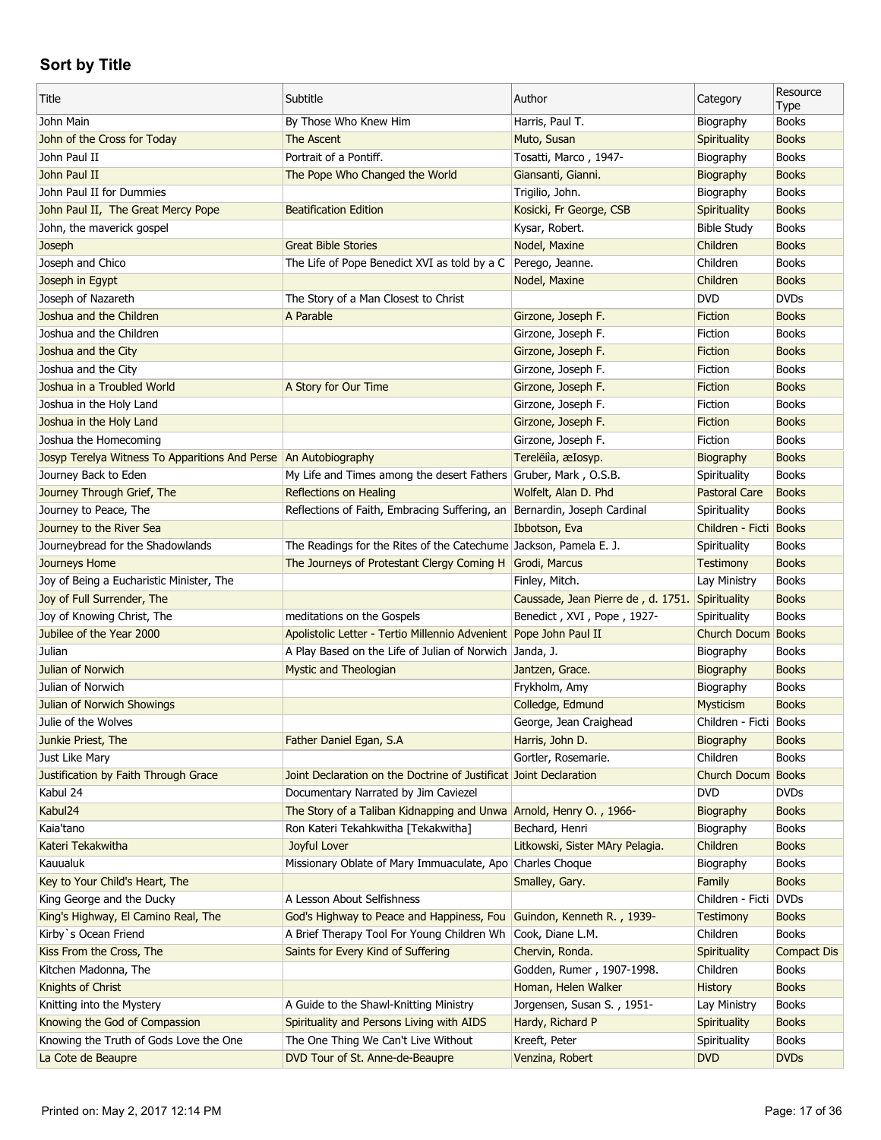| Title                                                           | Subtitle                                                                                        | Author                                          | Category               | Resource<br>Type   |
|-----------------------------------------------------------------|-------------------------------------------------------------------------------------------------|-------------------------------------------------|------------------------|--------------------|
| John Main                                                       | By Those Who Knew Him                                                                           | Harris, Paul T.                                 | Biography              | <b>Books</b>       |
| John of the Cross for Today                                     | The Ascent                                                                                      | Muto, Susan                                     | Spirituality           | <b>Books</b>       |
| John Paul II                                                    | Portrait of a Pontiff.                                                                          | Tosatti, Marco, 1947-                           | Biography              | <b>Books</b>       |
| John Paul II                                                    | The Pope Who Changed the World                                                                  | Giansanti, Gianni.                              | Biography              | <b>Books</b>       |
| John Paul II for Dummies                                        |                                                                                                 | Trigilio, John.                                 | Biography              | <b>Books</b>       |
| John Paul II, The Great Mercy Pope                              | <b>Beatification Edition</b>                                                                    | Kosicki, Fr George, CSB                         | Spirituality           | <b>Books</b>       |
| John, the maverick gospel                                       |                                                                                                 | Kysar, Robert.                                  | <b>Bible Study</b>     | <b>Books</b>       |
| Joseph                                                          | <b>Great Bible Stories</b>                                                                      | Nodel, Maxine                                   | Children               | <b>Books</b>       |
| Joseph and Chico                                                | The Life of Pope Benedict XVI as told by a C   Perego, Jeanne.                                  |                                                 | Children               | <b>Books</b>       |
| Joseph in Egypt                                                 |                                                                                                 | Nodel, Maxine                                   | Children               | <b>Books</b>       |
| Joseph of Nazareth                                              | The Story of a Man Closest to Christ                                                            |                                                 | <b>DVD</b>             | <b>DVDs</b>        |
| Joshua and the Children                                         | A Parable                                                                                       | Girzone, Joseph F.                              | Fiction                | <b>Books</b>       |
| Joshua and the Children                                         |                                                                                                 | Girzone, Joseph F.                              | Fiction                | <b>Books</b>       |
| Joshua and the City                                             |                                                                                                 | Girzone, Joseph F.                              | Fiction                | <b>Books</b>       |
| Joshua and the City                                             |                                                                                                 | Girzone, Joseph F.                              | Fiction                | <b>Books</b>       |
| Joshua in a Troubled World                                      | A Story for Our Time                                                                            | Girzone, Joseph F.                              | Fiction                | <b>Books</b>       |
| Joshua in the Holy Land                                         |                                                                                                 | Girzone, Joseph F.                              | Fiction                | <b>Books</b>       |
| Joshua in the Holy Land                                         |                                                                                                 | Girzone, Joseph F.                              | Fiction                | <b>Books</b>       |
| Joshua the Homecoming                                           |                                                                                                 | Girzone, Joseph F.                              | Fiction                | <b>Books</b>       |
| Josyp Terelya Witness To Apparitions And Perse An Autobiography |                                                                                                 | Terelëiìa, æIosyp.                              | Biography              | <b>Books</b>       |
| Journey Back to Eden                                            | My Life and Times among the desert Fathers Gruber, Mark, O.S.B.                                 |                                                 | Spirituality           | <b>Books</b>       |
| Journey Through Grief, The                                      | <b>Reflections on Healing</b>                                                                   | Wolfelt, Alan D. Phd                            | <b>Pastoral Care</b>   | <b>Books</b>       |
| Journey to Peace, The                                           | Reflections of Faith, Embracing Suffering, an                                                   | Bernardin, Joseph Cardinal                      | Spirituality           | <b>Books</b>       |
| Journey to the River Sea                                        |                                                                                                 | Ibbotson, Eva                                   | Children - Ficti       | <b>Books</b>       |
| Journeybread for the Shadowlands                                | The Readings for the Rites of the Catechume Jackson, Pamela E. J.                               |                                                 | Spirituality           | <b>Books</b>       |
| <b>Journeys Home</b>                                            | The Journeys of Protestant Clergy Coming H                                                      | Grodi, Marcus                                   | <b>Testimony</b>       | <b>Books</b>       |
| Joy of Being a Eucharistic Minister, The                        |                                                                                                 | Finley, Mitch.                                  | Lay Ministry           | <b>Books</b>       |
| Joy of Full Surrender, The                                      |                                                                                                 |                                                 |                        | <b>Books</b>       |
|                                                                 |                                                                                                 | Caussade, Jean Pierre de, d. 1751. Spirituality |                        |                    |
| Joy of Knowing Christ, The<br>Jubilee of the Year 2000          | meditations on the Gospels<br>Apolistolic Letter - Tertio Millennio Advenient Pope John Paul II | Benedict, XVI, Pope, 1927-                      | Spirituality           | <b>Books</b>       |
|                                                                 |                                                                                                 |                                                 | Church Docum Books     |                    |
| Julian<br>Julian of Norwich                                     | A Play Based on the Life of Julian of Norwich Janda, J.                                         |                                                 | Biography              | <b>Books</b>       |
| Julian of Norwich                                               | <b>Mystic and Theologian</b>                                                                    | Jantzen, Grace.                                 | Biography              | <b>Books</b>       |
|                                                                 |                                                                                                 | Frykholm, Amy                                   | Biography              | <b>Books</b>       |
| Julian of Norwich Showings                                      |                                                                                                 | Colledge, Edmund                                | Mysticism              | <b>Books</b>       |
| Julie of the Wolves                                             |                                                                                                 | George, Jean Craighead                          | Children - Ficti Books |                    |
| Junkie Priest, The                                              | Father Daniel Egan, S.A                                                                         | Harris, John D.                                 | Biography              | <b>Books</b>       |
| Just Like Mary                                                  |                                                                                                 | Gortler, Rosemarie.                             | Children               | <b>Books</b>       |
| Justification by Faith Through Grace                            | Joint Declaration on the Doctrine of Justificat Joint Declaration                               |                                                 | Church Docum           | <b>Books</b>       |
| Kabul 24                                                        | Documentary Narrated by Jim Caviezel                                                            |                                                 | <b>DVD</b>             | <b>DVDs</b>        |
| Kabul24                                                         | The Story of a Taliban Kidnapping and Unwa Arnold, Henry O., 1966-                              |                                                 | Biography              | <b>Books</b>       |
| Kaia'tano                                                       | Ron Kateri Tekahkwitha [Tekakwitha]                                                             | Bechard, Henri                                  | Biography              | <b>Books</b>       |
| Kateri Tekakwitha                                               | Joyful Lover                                                                                    | Litkowski, Sister MAry Pelagia.                 | Children               | <b>Books</b>       |
| Kauualuk                                                        | Missionary Oblate of Mary Immuaculate, Apo                                                      | Charles Choque                                  | Biography              | <b>Books</b>       |
| Key to Your Child's Heart, The                                  |                                                                                                 | Smalley, Gary.                                  | Family                 | <b>Books</b>       |
| King George and the Ducky                                       | A Lesson About Selfishness                                                                      |                                                 | Children - Ficti       | <b>DVDs</b>        |
| King's Highway, El Camino Real, The                             | God's Highway to Peace and Happiness, Fou                                                       | Guindon, Kenneth R., 1939-                      | <b>Testimony</b>       | <b>Books</b>       |
| Kirby's Ocean Friend                                            | A Brief Therapy Tool For Young Children Wh                                                      | Cook, Diane L.M.                                | Children               | <b>Books</b>       |
| Kiss From the Cross, The                                        | Saints for Every Kind of Suffering                                                              | Chervin, Ronda.                                 | Spirituality           | <b>Compact Dis</b> |
| Kitchen Madonna, The                                            |                                                                                                 | Godden, Rumer, 1907-1998.                       | Children               | <b>Books</b>       |
| Knights of Christ                                               |                                                                                                 | Homan, Helen Walker                             | <b>History</b>         | <b>Books</b>       |
| Knitting into the Mystery                                       | A Guide to the Shawl-Knitting Ministry                                                          | Jorgensen, Susan S., 1951-                      | Lay Ministry           | <b>Books</b>       |
| Knowing the God of Compassion                                   | Spirituality and Persons Living with AIDS                                                       | Hardy, Richard P                                | Spirituality           | <b>Books</b>       |
| Knowing the Truth of Gods Love the One                          | The One Thing We Can't Live Without                                                             | Kreeft, Peter                                   | Spirituality           | <b>Books</b>       |
| La Cote de Beaupre                                              | DVD Tour of St. Anne-de-Beaupre                                                                 | Venzina, Robert                                 | <b>DVD</b>             | <b>DVDs</b>        |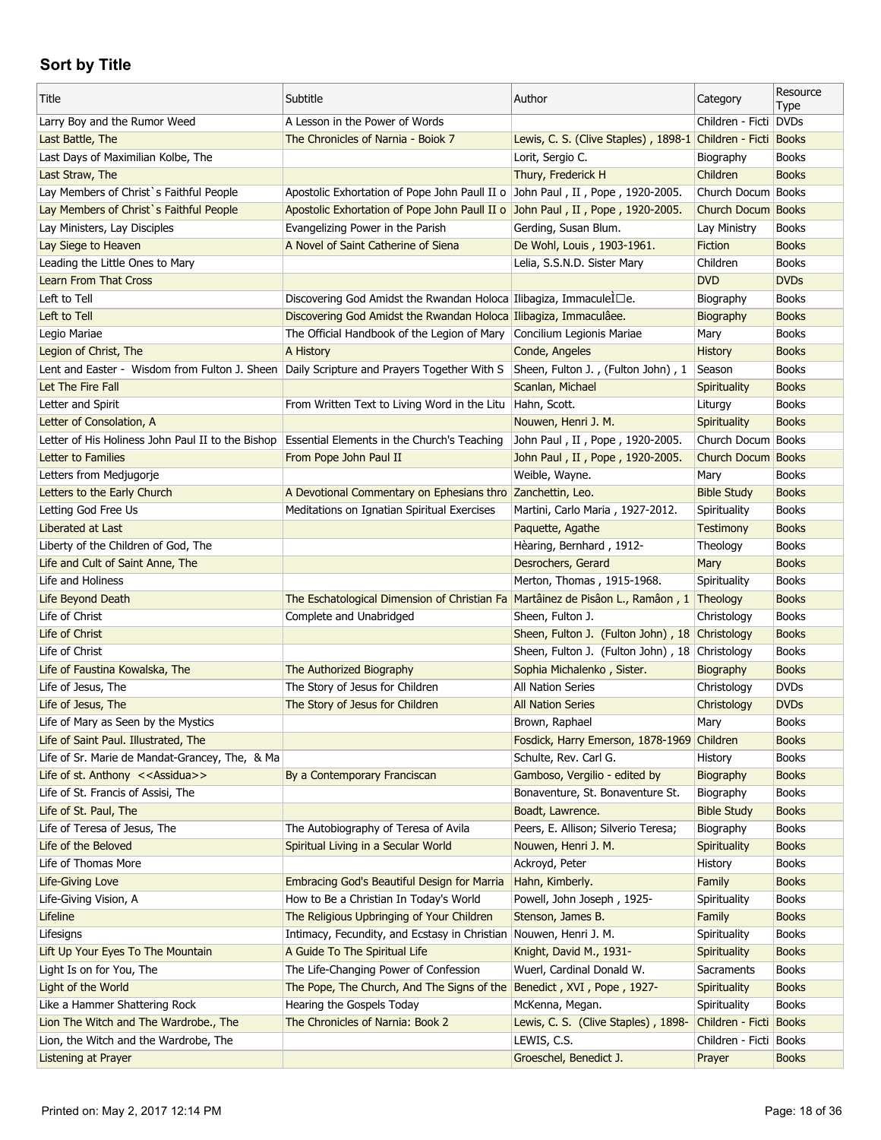| Title                                                                                     | Subtitle                                                                                | Author                                                      | Category               | Resource<br>Type |
|-------------------------------------------------------------------------------------------|-----------------------------------------------------------------------------------------|-------------------------------------------------------------|------------------------|------------------|
| Larry Boy and the Rumor Weed                                                              | A Lesson in the Power of Words                                                          |                                                             | Children - Ficti DVDs  |                  |
| Last Battle, The                                                                          | The Chronicles of Narnia - Boiok 7                                                      | Lewis, C. S. (Clive Staples), 1898-1 Children - Ficti Books |                        |                  |
| Last Days of Maximilian Kolbe, The                                                        |                                                                                         | Lorit, Sergio C.                                            | Biography              | <b>Books</b>     |
| Last Straw, The                                                                           |                                                                                         | Thury, Frederick H                                          | Children               | <b>Books</b>     |
| Lay Members of Christ's Faithful People                                                   | Apostolic Exhortation of Pope John Paull II o John Paul, II, Pope, 1920-2005.           |                                                             | Church Docum Books     |                  |
| Lay Members of Christ's Faithful People                                                   | Apostolic Exhortation of Pope John Paull II o John Paul, II, Pope, 1920-2005.           |                                                             | Church Docum Books     |                  |
| Lay Ministers, Lay Disciples                                                              | Evangelizing Power in the Parish                                                        | Gerding, Susan Blum.                                        | Lay Ministry           | <b>Books</b>     |
| Lay Siege to Heaven                                                                       | A Novel of Saint Catherine of Siena                                                     | De Wohl, Louis, 1903-1961.                                  | <b>Fiction</b>         | <b>Books</b>     |
| Leading the Little Ones to Mary                                                           |                                                                                         | Lelia, S.S.N.D. Sister Mary                                 | Children               | <b>Books</b>     |
| <b>Learn From That Cross</b>                                                              |                                                                                         |                                                             | <b>DVD</b>             | <b>DVDs</b>      |
| Left to Tell                                                                              | Discovering God Amidst the Rwandan Holoca Ilibagiza, ImmaculeI□e.                       |                                                             | Biography              | <b>Books</b>     |
| Left to Tell                                                                              | Discovering God Amidst the Rwandan Holoca Ilibagiza, Immaculâee.                        |                                                             | Biography              | <b>Books</b>     |
| Legio Mariae                                                                              | The Official Handbook of the Legion of Mary                                             | Concilium Legionis Mariae                                   | Mary                   | <b>Books</b>     |
| Legion of Christ, The                                                                     | A History                                                                               | Conde, Angeles                                              | History                | <b>Books</b>     |
| Lent and Easter - Wisdom from Fulton J. Sheen Daily Scripture and Prayers Together With S |                                                                                         | Sheen, Fulton J., (Fulton John), 1                          | Season                 | <b>Books</b>     |
| Let The Fire Fall                                                                         |                                                                                         | Scanlan, Michael                                            | Spirituality           | <b>Books</b>     |
| Letter and Spirit                                                                         | From Written Text to Living Word in the Litu                                            | Hahn, Scott.                                                | Liturgy                | <b>Books</b>     |
| Letter of Consolation, A                                                                  |                                                                                         | Nouwen, Henri J. M.                                         | Spirituality           | <b>Books</b>     |
| Letter of His Holiness John Paul II to the Bishop                                         | Essential Elements in the Church's Teaching                                             | John Paul, II, Pope, 1920-2005.                             | Church Docum Books     |                  |
| Letter to Families                                                                        | From Pope John Paul II                                                                  | John Paul, II, Pope, 1920-2005.                             | Church Docum Books     |                  |
| Letters from Medjugorje                                                                   |                                                                                         | Weible, Wayne.                                              | Mary                   | <b>Books</b>     |
| Letters to the Early Church                                                               | A Devotional Commentary on Ephesians thro Zanchettin, Leo.                              |                                                             | <b>Bible Study</b>     | <b>Books</b>     |
| Letting God Free Us                                                                       | Meditations on Ignatian Spiritual Exercises                                             | Martini, Carlo Maria, 1927-2012.                            | Spirituality           | <b>Books</b>     |
| Liberated at Last                                                                         |                                                                                         | Paquette, Agathe                                            | Testimony              | <b>Books</b>     |
| Liberty of the Children of God, The                                                       |                                                                                         | Hèaring, Bernhard, 1912-                                    | Theology               | <b>Books</b>     |
| Life and Cult of Saint Anne, The                                                          |                                                                                         | Desrochers, Gerard                                          | Mary                   | <b>Books</b>     |
| Life and Holiness                                                                         |                                                                                         | Merton, Thomas, 1915-1968.                                  | Spirituality           | <b>Books</b>     |
| Life Beyond Death                                                                         | The Eschatological Dimension of Christian Fa Martâinez de Pisâon L., Ramâon, 1 Theology |                                                             |                        | <b>Books</b>     |
| Life of Christ                                                                            | Complete and Unabridged                                                                 | Sheen, Fulton J.                                            | Christology            | <b>Books</b>     |
| Life of Christ                                                                            |                                                                                         | Sheen, Fulton J. (Fulton John), 18 Christology              |                        | <b>Books</b>     |
| Life of Christ                                                                            |                                                                                         | Sheen, Fulton J. (Fulton John), 18 Christology              |                        | <b>Books</b>     |
| Life of Faustina Kowalska, The                                                            | The Authorized Biography                                                                | Sophia Michalenko, Sister.                                  | Biography              | <b>Books</b>     |
| Life of Jesus, The                                                                        | The Story of Jesus for Children                                                         | All Nation Series                                           | Christology            | <b>DVDs</b>      |
| Life of Jesus, The                                                                        | The Story of Jesus for Children                                                         | <b>All Nation Series</b>                                    | Christology            | <b>DVDs</b>      |
| Life of Mary as Seen by the Mystics                                                       |                                                                                         | Brown, Raphael                                              | Mary                   | <b>Books</b>     |
| Life of Saint Paul. Illustrated, The                                                      |                                                                                         | Fosdick, Harry Emerson, 1878-1969 Children                  |                        | <b>Books</b>     |
| Life of Sr. Marie de Mandat-Grancey, The, & Ma                                            |                                                                                         | Schulte, Rev. Carl G.                                       | History                | <b>Books</b>     |
| Life of st. Anthony < <assidua>&gt;</assidua>                                             | By a Contemporary Franciscan                                                            | Gamboso, Vergilio - edited by                               | Biography              | <b>Books</b>     |
| Life of St. Francis of Assisi, The                                                        |                                                                                         | Bonaventure, St. Bonaventure St.                            | Biography              | <b>Books</b>     |
| Life of St. Paul, The                                                                     |                                                                                         | Boadt, Lawrence.                                            | <b>Bible Study</b>     | <b>Books</b>     |
| Life of Teresa of Jesus, The                                                              | The Autobiography of Teresa of Avila                                                    | Peers, E. Allison; Silverio Teresa;                         | Biography              | <b>Books</b>     |
| Life of the Beloved                                                                       | Spiritual Living in a Secular World                                                     | Nouwen, Henri J. M.                                         | Spirituality           | <b>Books</b>     |
| Life of Thomas More                                                                       |                                                                                         | Ackroyd, Peter                                              | History                | <b>Books</b>     |
| Life-Giving Love                                                                          | Embracing God's Beautiful Design for Marria                                             | Hahn, Kimberly.                                             | Family                 | <b>Books</b>     |
| Life-Giving Vision, A                                                                     | How to Be a Christian In Today's World                                                  | Powell, John Joseph, 1925-                                  | Spirituality           | <b>Books</b>     |
| Lifeline                                                                                  | The Religious Upbringing of Your Children                                               | Stenson, James B.                                           | Family                 | <b>Books</b>     |
| Lifesigns                                                                                 | Intimacy, Fecundity, and Ecstasy in Christian Nouwen, Henri J. M.                       |                                                             | Spirituality           | <b>Books</b>     |
| Lift Up Your Eyes To The Mountain                                                         | A Guide To The Spiritual Life                                                           | Knight, David M., 1931-                                     | Spirituality           | <b>Books</b>     |
| Light Is on for You, The                                                                  | The Life-Changing Power of Confession                                                   | Wuerl, Cardinal Donald W.                                   | Sacraments             | <b>Books</b>     |
| Light of the World                                                                        | The Pope, The Church, And The Signs of the Benedict, XVI, Pope, 1927-                   |                                                             | Spirituality           | <b>Books</b>     |
| Like a Hammer Shattering Rock                                                             | Hearing the Gospels Today                                                               | McKenna, Megan.                                             | Spirituality           | <b>Books</b>     |
| Lion The Witch and The Wardrobe., The                                                     |                                                                                         |                                                             |                        |                  |
|                                                                                           | The Chronicles of Narnia: Book 2                                                        | Lewis, C. S. (Clive Staples), 1898-                         | Children - Ficti Books |                  |
| Lion, the Witch and the Wardrobe, The                                                     |                                                                                         | LEWIS, C.S.                                                 | Children - Ficti Books |                  |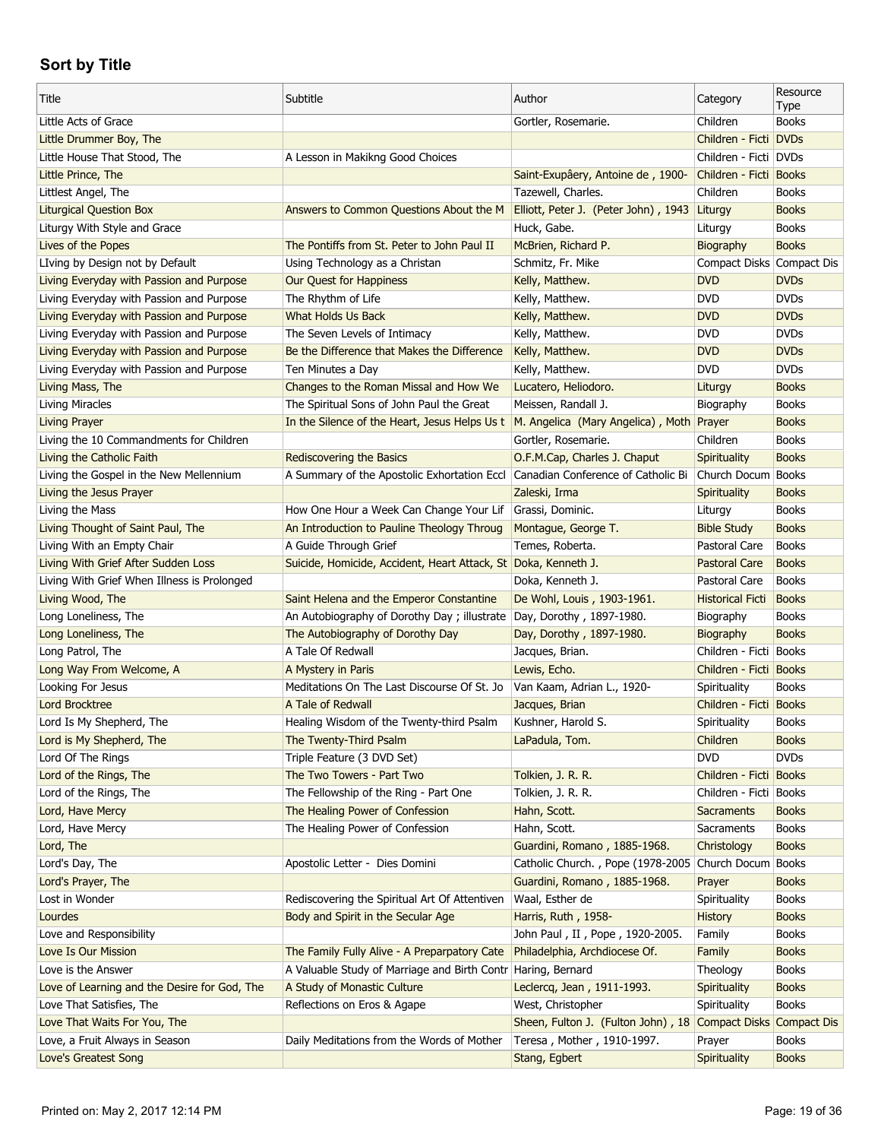| Title                                        | Subtitle                                                             | Author                                                       | Category                  | Resource                    |
|----------------------------------------------|----------------------------------------------------------------------|--------------------------------------------------------------|---------------------------|-----------------------------|
| Little Acts of Grace                         |                                                                      | Gortler, Rosemarie.                                          | Children                  | <b>Type</b><br><b>Books</b> |
| Little Drummer Boy, The                      |                                                                      |                                                              | Children - Ficti DVDs     |                             |
| Little House That Stood, The                 | A Lesson in Makikng Good Choices                                     |                                                              | Children - Ficti DVDs     |                             |
| Little Prince, The                           |                                                                      | Saint-Exupâery, Antoine de, 1900-                            | Children - Ficti Books    |                             |
| Littlest Angel, The                          |                                                                      | Tazewell, Charles.                                           | Children                  | <b>Books</b>                |
| <b>Liturgical Question Box</b>               | Answers to Common Questions About the M                              | Elliott, Peter J. (Peter John), 1943 Liturgy                 |                           | <b>Books</b>                |
| Liturgy With Style and Grace                 |                                                                      | Huck, Gabe.                                                  | Liturgy                   | <b>Books</b>                |
| Lives of the Popes                           | The Pontiffs from St. Peter to John Paul II                          | McBrien, Richard P.                                          | Biography                 | <b>Books</b>                |
| LIving by Design not by Default              | Using Technology as a Christan                                       | Schmitz, Fr. Mike                                            | Compact Disks Compact Dis |                             |
| Living Everyday with Passion and Purpose     | Our Quest for Happiness                                              | Kelly, Matthew.                                              | <b>DVD</b>                | <b>DVDs</b>                 |
| Living Everyday with Passion and Purpose     | The Rhythm of Life                                                   | Kelly, Matthew.                                              | <b>DVD</b>                | <b>DVDs</b>                 |
| Living Everyday with Passion and Purpose     | What Holds Us Back                                                   | Kelly, Matthew.                                              | <b>DVD</b>                | <b>DVDs</b>                 |
| Living Everyday with Passion and Purpose     | The Seven Levels of Intimacy                                         | Kelly, Matthew.                                              | <b>DVD</b>                | <b>DVDs</b>                 |
| Living Everyday with Passion and Purpose     | Be the Difference that Makes the Difference                          | Kelly, Matthew.                                              | <b>DVD</b>                | <b>DVDs</b>                 |
| Living Everyday with Passion and Purpose     | Ten Minutes a Day                                                    | Kelly, Matthew.                                              | <b>DVD</b>                | <b>DVDs</b>                 |
| Living Mass, The                             | Changes to the Roman Missal and How We                               | Lucatero, Heliodoro.                                         | Liturgy                   | <b>Books</b>                |
| Living Miracles                              | The Spiritual Sons of John Paul the Great                            | Meissen, Randall J.                                          | Biography                 | <b>Books</b>                |
| <b>Living Prayer</b>                         | In the Silence of the Heart, Jesus Helps Us t                        | M. Angelica (Mary Angelica), Moth Prayer                     |                           | <b>Books</b>                |
| Living the 10 Commandments for Children      |                                                                      | Gortler, Rosemarie.                                          | Children                  | <b>Books</b>                |
| Living the Catholic Faith                    | <b>Rediscovering the Basics</b>                                      | O.F.M.Cap, Charles J. Chaput                                 | Spirituality              | <b>Books</b>                |
|                                              |                                                                      |                                                              |                           | <b>Books</b>                |
| Living the Gospel in the New Mellennium      | A Summary of the Apostolic Exhortation Eccl                          | Canadian Conference of Catholic Bi                           | Church Docum              |                             |
| Living the Jesus Prayer                      |                                                                      | Zaleski, Irma                                                | Spirituality              | <b>Books</b>                |
| Living the Mass                              | How One Hour a Week Can Change Your Lif                              | Grassi, Dominic.                                             | Liturgy                   | <b>Books</b>                |
| Living Thought of Saint Paul, The            | An Introduction to Pauline Theology Throug                           | Montague, George T.                                          | <b>Bible Study</b>        | <b>Books</b>                |
| Living With an Empty Chair                   | A Guide Through Grief                                                | Temes, Roberta.                                              | Pastoral Care             | <b>Books</b>                |
| Living With Grief After Sudden Loss          | Suicide, Homicide, Accident, Heart Attack, St Doka, Kenneth J.       |                                                              | Pastoral Care             | <b>Books</b>                |
| Living With Grief When Illness is Prolonged  |                                                                      | Doka, Kenneth J.                                             | Pastoral Care             | <b>Books</b>                |
| Living Wood, The                             | Saint Helena and the Emperor Constantine                             | De Wohl, Louis, 1903-1961.                                   | <b>Historical Ficti</b>   | <b>Books</b>                |
| Long Loneliness, The                         | An Autobiography of Dorothy Day; illustrate Day, Dorothy, 1897-1980. |                                                              | Biography                 | <b>Books</b>                |
| Long Loneliness, The                         | The Autobiography of Dorothy Day                                     | Day, Dorothy, 1897-1980.                                     | Biography                 | <b>Books</b>                |
| Long Patrol, The                             | A Tale Of Redwall                                                    | Jacques, Brian.                                              | Children - Ficti   Books  |                             |
| Long Way From Welcome, A                     | A Mystery in Paris                                                   | Lewis, Echo.                                                 | Children - Ficti Books    |                             |
| Looking For Jesus                            | Meditations On The Last Discourse Of St. Jo                          | Van Kaam, Adrian L., 1920-                                   | Spirituality              | <b>Books</b>                |
| <b>Lord Brocktree</b>                        | A Tale of Redwall                                                    | Jacques, Brian                                               | Children - Ficti Books    |                             |
| Lord Is My Shepherd, The                     | Healing Wisdom of the Twenty-third Psalm                             | Kushner, Harold S.                                           | Spirituality              | <b>Books</b>                |
| Lord is My Shepherd, The                     | The Twenty-Third Psalm                                               | LaPadula, Tom.                                               | Children                  | <b>Books</b>                |
| Lord Of The Rings                            | Triple Feature (3 DVD Set)                                           |                                                              | <b>DVD</b>                | <b>DVDs</b>                 |
| Lord of the Rings, The                       | The Two Towers - Part Two                                            | Tolkien, J. R. R.                                            | Children - Ficti Books    |                             |
| Lord of the Rings, The                       | The Fellowship of the Ring - Part One                                | Tolkien, J. R. R.                                            | Children - Ficti Books    |                             |
| Lord, Have Mercy                             | The Healing Power of Confession                                      | Hahn, Scott.                                                 | <b>Sacraments</b>         | <b>Books</b>                |
| Lord, Have Mercy                             | The Healing Power of Confession                                      | Hahn, Scott.                                                 | Sacraments                | <b>Books</b>                |
| Lord, The                                    |                                                                      | Guardini, Romano, 1885-1968.                                 | Christology               | <b>Books</b>                |
| Lord's Day, The                              | Apostolic Letter - Dies Domini                                       | Catholic Church., Pope (1978-2005                            | Church Docum              | <b>Books</b>                |
| Lord's Prayer, The                           |                                                                      | Guardini, Romano, 1885-1968.                                 | Prayer                    | <b>Books</b>                |
| Lost in Wonder                               | Rediscovering the Spiritual Art Of Attentiven                        | Waal, Esther de                                              | Spirituality              | <b>Books</b>                |
| Lourdes                                      | Body and Spirit in the Secular Age                                   | Harris, Ruth, 1958-                                          | History                   | <b>Books</b>                |
| Love and Responsibility                      |                                                                      | John Paul, II, Pope, 1920-2005.                              | Family                    | <b>Books</b>                |
| Love Is Our Mission                          | The Family Fully Alive - A Preparpatory Cate                         | Philadelphia, Archdiocese Of.                                | Family                    | <b>Books</b>                |
| Love is the Answer                           | A Valuable Study of Marriage and Birth Contr Haring, Bernard         |                                                              | Theology                  | <b>Books</b>                |
| Love of Learning and the Desire for God, The | A Study of Monastic Culture                                          | Leclercq, Jean, 1911-1993.                                   | Spirituality              | <b>Books</b>                |
| Love That Satisfies, The                     | Reflections on Eros & Agape                                          | West, Christopher                                            | Spirituality              | <b>Books</b>                |
| Love That Waits For You, The                 |                                                                      | Sheen, Fulton J. (Fulton John), 18 Compact Disks Compact Dis |                           |                             |
| Love, a Fruit Always in Season               | Daily Meditations from the Words of Mother                           | Teresa, Mother, 1910-1997.                                   | Prayer                    | <b>Books</b>                |
| Love's Greatest Song                         |                                                                      | Stang, Egbert                                                | Spirituality              | <b>Books</b>                |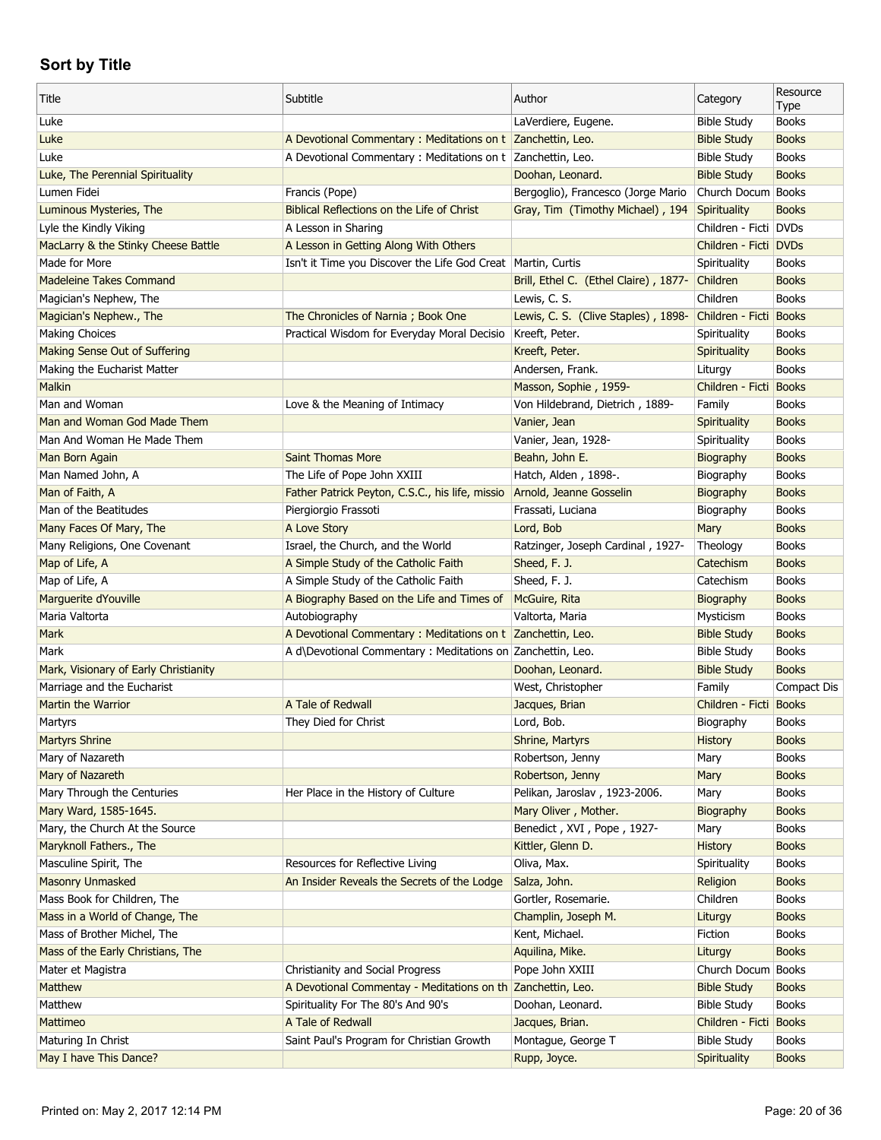| Title                                 | Subtitle                                                       | Author                                | Category                | Resource<br>Type |
|---------------------------------------|----------------------------------------------------------------|---------------------------------------|-------------------------|------------------|
| Luke                                  |                                                                | LaVerdiere, Eugene.                   | <b>Bible Study</b>      | <b>Books</b>     |
| Luke                                  | A Devotional Commentary : Meditations on t Zanchettin, Leo.    |                                       | <b>Bible Study</b>      | <b>Books</b>     |
| Luke                                  | A Devotional Commentary: Meditations on t Zanchettin, Leo.     |                                       | <b>Bible Study</b>      | <b>Books</b>     |
| Luke, The Perennial Spirituality      |                                                                | Doohan, Leonard.                      | <b>Bible Study</b>      | <b>Books</b>     |
| Lumen Fidei                           | Francis (Pope)                                                 | Bergoglio), Francesco (Jorge Mario    | Church Docum            | <b>Books</b>     |
| Luminous Mysteries, The               | Biblical Reflections on the Life of Christ                     | Gray, Tim (Timothy Michael), 194      | Spirituality            | <b>Books</b>     |
| Lyle the Kindly Viking                | A Lesson in Sharing                                            |                                       | Children - Ficti DVDs   |                  |
| MacLarry & the Stinky Cheese Battle   | A Lesson in Getting Along With Others                          |                                       | Children - Ficti   DVDs |                  |
| Made for More                         | Isn't it Time you Discover the Life God Creat   Martin, Curtis |                                       | Spirituality            | <b>Books</b>     |
| <b>Madeleine Takes Command</b>        |                                                                | Brill, Ethel C. (Ethel Claire), 1877- | Children                | <b>Books</b>     |
| Magician's Nephew, The                |                                                                | Lewis, C. S.                          | Children                | <b>Books</b>     |
| Magician's Nephew., The               | The Chronicles of Narnia; Book One                             | Lewis, C. S. (Clive Staples), 1898-   | Children - Ficti Books  |                  |
| <b>Making Choices</b>                 | Practical Wisdom for Everyday Moral Decisio                    | Kreeft, Peter.                        | Spirituality            | <b>Books</b>     |
| Making Sense Out of Suffering         |                                                                | Kreeft, Peter.                        | Spirituality            | <b>Books</b>     |
| Making the Eucharist Matter           |                                                                | Andersen, Frank.                      | Liturgy                 | <b>Books</b>     |
| Malkin                                |                                                                | Masson, Sophie, 1959-                 | Children - Ficti        | <b>Books</b>     |
| Man and Woman                         | Love & the Meaning of Intimacy                                 | Von Hildebrand, Dietrich, 1889-       | Family                  | <b>Books</b>     |
| Man and Woman God Made Them           |                                                                | Vanier, Jean                          | Spirituality            | <b>Books</b>     |
| Man And Woman He Made Them            |                                                                | Vanier, Jean, 1928-                   | Spirituality            | <b>Books</b>     |
| Man Born Again                        | <b>Saint Thomas More</b>                                       | Beahn, John E.                        | Biography               | <b>Books</b>     |
| Man Named John, A                     | The Life of Pope John XXIII                                    | Hatch, Alden, 1898-.                  | Biography               | <b>Books</b>     |
| Man of Faith, A                       | Father Patrick Peyton, C.S.C., his life, missio                | Arnold, Jeanne Gosselin               | Biography               | <b>Books</b>     |
| Man of the Beatitudes                 | Piergiorgio Frassoti                                           | Frassati, Luciana                     | Biography               | <b>Books</b>     |
| Many Faces Of Mary, The               | A Love Story                                                   | Lord, Bob                             | Mary                    | <b>Books</b>     |
| Many Religions, One Covenant          | Israel, the Church, and the World                              | Ratzinger, Joseph Cardinal, 1927-     | Theology                | <b>Books</b>     |
| Map of Life, A                        | A Simple Study of the Catholic Faith                           | Sheed, F. J.                          | Catechism               | <b>Books</b>     |
| Map of Life, A                        | A Simple Study of the Catholic Faith                           | Sheed, F. J.                          | Catechism               | <b>Books</b>     |
| Marguerite dYouville                  | A Biography Based on the Life and Times of                     | McGuire, Rita                         | Biography               | <b>Books</b>     |
| Maria Valtorta                        | Autobiography                                                  | Valtorta, Maria                       | Mysticism               | <b>Books</b>     |
| Mark                                  | A Devotional Commentary : Meditations on t Zanchettin, Leo.    |                                       | <b>Bible Study</b>      | <b>Books</b>     |
| Mark                                  | A d\Devotional Commentary : Meditations on Zanchettin, Leo.    |                                       | <b>Bible Study</b>      | <b>Books</b>     |
| Mark, Visionary of Early Christianity |                                                                | Doohan, Leonard.                      | <b>Bible Study</b>      | <b>Books</b>     |
| Marriage and the Eucharist            |                                                                | West, Christopher                     | Family                  | Compact Dis      |
| <b>Martin the Warrior</b>             | A Tale of Redwall                                              | Jacques, Brian                        | Children - Ficti Books  |                  |
| Martyrs                               | They Died for Christ                                           | Lord, Bob.                            | Biography               | <b>Books</b>     |
| <b>Martyrs Shrine</b>                 |                                                                | Shrine, Martyrs                       | History                 | <b>Books</b>     |
| Mary of Nazareth                      |                                                                | Robertson, Jenny                      | Mary                    | <b>Books</b>     |
| Mary of Nazareth                      |                                                                | Robertson, Jenny                      | Mary                    | <b>Books</b>     |
| Mary Through the Centuries            | Her Place in the History of Culture                            | Pelikan, Jaroslav, 1923-2006.         | Mary                    | <b>Books</b>     |
| Mary Ward, 1585-1645.                 |                                                                | Mary Oliver, Mother.                  | Biography               | <b>Books</b>     |
| Mary, the Church At the Source        |                                                                | Benedict, XVI, Pope, 1927-            | Mary                    | <b>Books</b>     |
| Maryknoll Fathers., The               |                                                                | Kittler, Glenn D.                     | <b>History</b>          | <b>Books</b>     |
| Masculine Spirit, The                 | Resources for Reflective Living                                | Oliva, Max.                           | Spirituality            | <b>Books</b>     |
| <b>Masonry Unmasked</b>               | An Insider Reveals the Secrets of the Lodge                    | Salza, John.                          | Religion                | <b>Books</b>     |
| Mass Book for Children, The           |                                                                | Gortler, Rosemarie.                   | Children                | <b>Books</b>     |
| Mass in a World of Change, The        |                                                                | Champlin, Joseph M.                   | Liturgy                 | <b>Books</b>     |
| Mass of Brother Michel, The           |                                                                | Kent, Michael.                        | Fiction                 | <b>Books</b>     |
| Mass of the Early Christians, The     |                                                                | Aquilina, Mike.                       | Liturgy                 | <b>Books</b>     |
| Mater et Magistra                     | Christianity and Social Progress                               | Pope John XXIII                       | Church Docum            | <b>Books</b>     |
| Matthew                               | A Devotional Commentay - Meditations on th Zanchettin, Leo.    |                                       | <b>Bible Study</b>      | <b>Books</b>     |
| Matthew                               | Spirituality For The 80's And 90's                             | Doohan, Leonard.                      | <b>Bible Study</b>      | <b>Books</b>     |
| Mattimeo                              | A Tale of Redwall                                              | Jacques, Brian.                       | Children - Ficti Books  |                  |
| Maturing In Christ                    | Saint Paul's Program for Christian Growth                      | Montague, George T                    | <b>Bible Study</b>      | <b>Books</b>     |
| May I have This Dance?                |                                                                | Rupp, Joyce.                          | Spirituality            | <b>Books</b>     |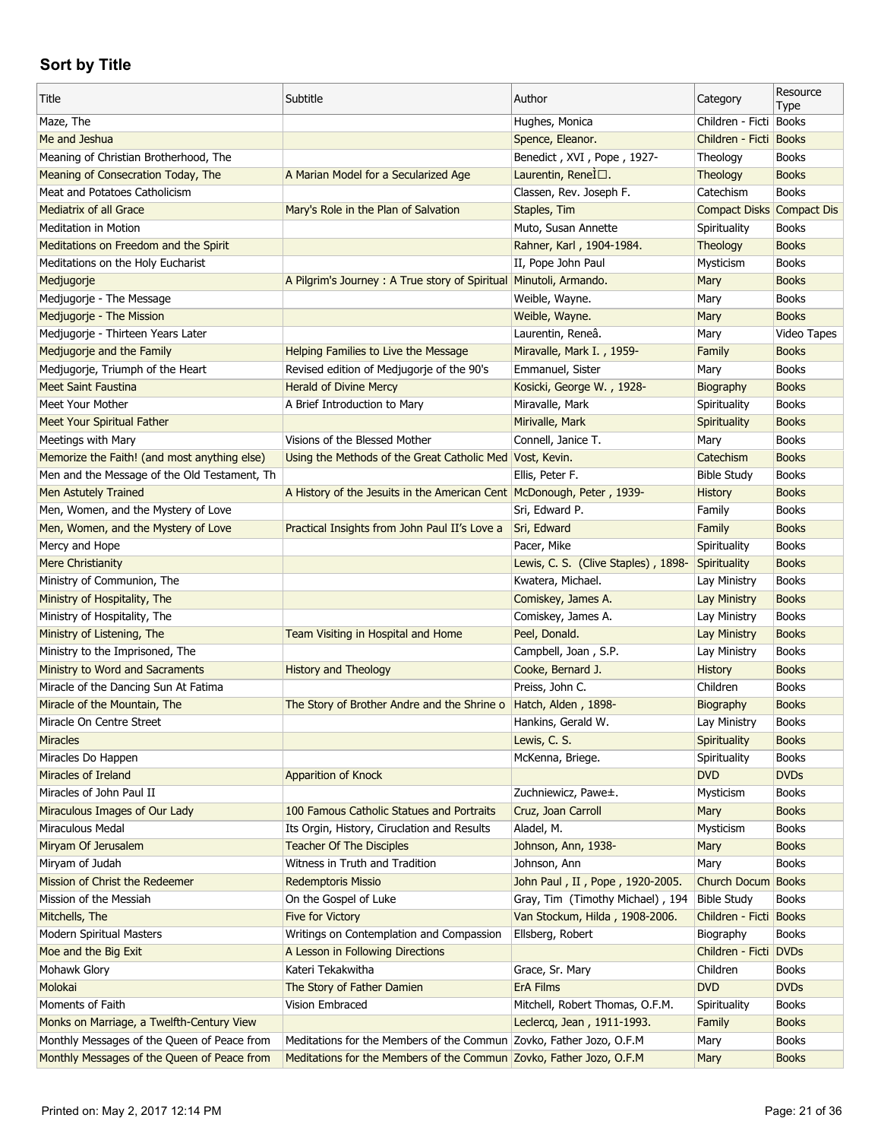| Title                                                          | Subtitle                                                              | Author                              | Category                  | Resource                     |
|----------------------------------------------------------------|-----------------------------------------------------------------------|-------------------------------------|---------------------------|------------------------------|
| Maze, The                                                      |                                                                       | Hughes, Monica                      | Children - Ficti Books    | Type                         |
| Me and Jeshua                                                  |                                                                       | Spence, Eleanor.                    | Children - Ficti          | <b>Books</b>                 |
| Meaning of Christian Brotherhood, The                          |                                                                       | Benedict, XVI, Pope, 1927-          | Theology                  | <b>Books</b>                 |
| Meaning of Consecration Today, The                             | A Marian Model for a Secularized Age                                  | Laurentin, Renel <sup>[</sup> □.    | Theology                  | <b>Books</b>                 |
| Meat and Potatoes Catholicism                                  |                                                                       | Classen, Rev. Joseph F.             | Catechism                 | <b>Books</b>                 |
| Mediatrix of all Grace                                         | Mary's Role in the Plan of Salvation                                  | Staples, Tim                        | Compact Disks Compact Dis |                              |
| <b>Meditation in Motion</b>                                    |                                                                       | Muto, Susan Annette                 | Spirituality              | <b>Books</b>                 |
| Meditations on Freedom and the Spirit                          |                                                                       | Rahner, Karl, 1904-1984.            | Theology                  | <b>Books</b>                 |
| Meditations on the Holy Eucharist                              |                                                                       | II, Pope John Paul                  | Mysticism                 | <b>Books</b>                 |
|                                                                | A Pilgrim's Journey: A True story of Spiritual Minutoli, Armando.     |                                     | Mary                      | <b>Books</b>                 |
| Medjugorje                                                     |                                                                       | Weible, Wayne.                      |                           | <b>Books</b>                 |
| Medjugorje - The Message<br>Medjugorje - The Mission           |                                                                       | Weible, Wayne.                      | Mary<br>Mary              | <b>Books</b>                 |
|                                                                |                                                                       | Laurentin, Reneâ.                   |                           | Video Tapes                  |
| Medjugorje - Thirteen Years Later                              |                                                                       |                                     | Mary                      |                              |
| Medjugorje and the Family                                      | Helping Families to Live the Message                                  | Miravalle, Mark I., 1959-           | Family                    | <b>Books</b><br><b>Books</b> |
| Medjugorje, Triumph of the Heart<br><b>Meet Saint Faustina</b> | Revised edition of Medjugorje of the 90's                             | Emmanuel, Sister                    | Mary                      |                              |
|                                                                | <b>Herald of Divine Mercy</b>                                         | Kosicki, George W., 1928-           | Biography                 | <b>Books</b>                 |
| Meet Your Mother                                               | A Brief Introduction to Mary                                          | Miravalle, Mark                     | Spirituality              | <b>Books</b>                 |
| Meet Your Spiritual Father                                     |                                                                       | Mirivalle, Mark                     | Spirituality              | <b>Books</b>                 |
| Meetings with Mary                                             | Visions of the Blessed Mother                                         | Connell, Janice T.                  | Mary                      | <b>Books</b>                 |
| Memorize the Faith! (and most anything else)                   | Using the Methods of the Great Catholic Med Vost, Kevin.              |                                     | Catechism                 | <b>Books</b>                 |
| Men and the Message of the Old Testament, Th                   |                                                                       | Ellis, Peter F.                     | <b>Bible Study</b>        | <b>Books</b>                 |
| Men Astutely Trained                                           | A History of the Jesuits in the American Cent McDonough, Peter, 1939- |                                     | <b>History</b>            | <b>Books</b>                 |
| Men, Women, and the Mystery of Love                            |                                                                       | Sri, Edward P.                      | Family                    | <b>Books</b>                 |
| Men, Women, and the Mystery of Love                            | Practical Insights from John Paul II's Love a                         | Sri, Edward                         | Family                    | <b>Books</b>                 |
| Mercy and Hope                                                 |                                                                       | Pacer, Mike                         | Spirituality              | <b>Books</b>                 |
| <b>Mere Christianity</b>                                       |                                                                       | Lewis, C. S. (Clive Staples), 1898- | <b>Spirituality</b>       | <b>Books</b>                 |
| Ministry of Communion, The                                     |                                                                       | Kwatera, Michael.                   | Lay Ministry              | <b>Books</b>                 |
| Ministry of Hospitality, The                                   |                                                                       | Comiskey, James A.                  | <b>Lay Ministry</b>       | <b>Books</b>                 |
| Ministry of Hospitality, The                                   |                                                                       | Comiskey, James A.                  | Lay Ministry              | <b>Books</b>                 |
| Ministry of Listening, The                                     | Team Visiting in Hospital and Home                                    | Peel, Donald.                       | Lay Ministry              | <b>Books</b>                 |
| Ministry to the Imprisoned, The                                |                                                                       | Campbell, Joan, S.P.                | Lay Ministry              | <b>Books</b>                 |
| Ministry to Word and Sacraments                                | <b>History and Theology</b>                                           | Cooke, Bernard J.                   | <b>History</b>            | <b>Books</b>                 |
| Miracle of the Dancing Sun At Fatima                           |                                                                       | Preiss, John C.                     | Children                  | <b>Books</b>                 |
| Miracle of the Mountain, The                                   | The Story of Brother Andre and the Shrine o                           | Hatch, Alden, 1898-                 | Biography                 | <b>Books</b>                 |
| Miracle On Centre Street                                       |                                                                       | Hankins, Gerald W.                  | Lay Ministry              | <b>Books</b>                 |
| <b>Miracles</b>                                                |                                                                       | Lewis, C. S.                        | Spirituality              | <b>Books</b>                 |
| Miracles Do Happen                                             |                                                                       | McKenna, Briege.                    | Spirituality              | <b>Books</b>                 |
| Miracles of Ireland                                            | Apparition of Knock                                                   |                                     | <b>DVD</b>                | <b>DVDs</b>                  |
| Miracles of John Paul II                                       |                                                                       | Zuchniewicz, Pawe±.                 | Mysticism                 | <b>Books</b>                 |
| Miraculous Images of Our Lady                                  | 100 Famous Catholic Statues and Portraits                             | Cruz, Joan Carroll                  | Mary                      | <b>Books</b>                 |
| Miraculous Medal                                               | Its Orgin, History, Ciruclation and Results                           | Aladel, M.                          | Mysticism                 | <b>Books</b>                 |
| Miryam Of Jerusalem                                            | <b>Teacher Of The Disciples</b>                                       | Johnson, Ann, 1938-                 | Mary                      | <b>Books</b>                 |
| Miryam of Judah                                                | Witness in Truth and Tradition                                        | Johnson, Ann                        | Mary                      | <b>Books</b>                 |
| Mission of Christ the Redeemer                                 | <b>Redemptoris Missio</b>                                             | John Paul, II, Pope, 1920-2005.     | Church Docum              | <b>Books</b>                 |
| Mission of the Messiah                                         | On the Gospel of Luke                                                 | Gray, Tim (Timothy Michael), 194    | <b>Bible Study</b>        | <b>Books</b>                 |
| Mitchells, The                                                 | Five for Victory                                                      | Van Stockum, Hilda, 1908-2006.      | Children - Ficti          | <b>Books</b>                 |
| Modern Spiritual Masters                                       | Writings on Contemplation and Compassion                              | Ellsberg, Robert                    | Biography                 | <b>Books</b>                 |
| Moe and the Big Exit                                           | A Lesson in Following Directions                                      |                                     | Children - Ficti          | <b>DVDs</b>                  |
| Mohawk Glory                                                   | Kateri Tekakwitha                                                     | Grace, Sr. Mary                     | Children                  | <b>Books</b>                 |
| Molokai                                                        | The Story of Father Damien                                            | <b>ErA Films</b>                    | <b>DVD</b>                | <b>DVDs</b>                  |
| Moments of Faith                                               | Vision Embraced                                                       | Mitchell, Robert Thomas, O.F.M.     | Spirituality              | <b>Books</b>                 |
| Monks on Marriage, a Twelfth-Century View                      |                                                                       | Leclercq, Jean, 1911-1993.          | Family                    | <b>Books</b>                 |
| Monthly Messages of the Queen of Peace from                    | Meditations for the Members of the Commun Zovko, Father Jozo, O.F.M   |                                     | Mary                      | <b>Books</b>                 |
| Monthly Messages of the Queen of Peace from                    | Meditations for the Members of the Commun Zovko, Father Jozo, O.F.M   |                                     | Mary                      | <b>Books</b>                 |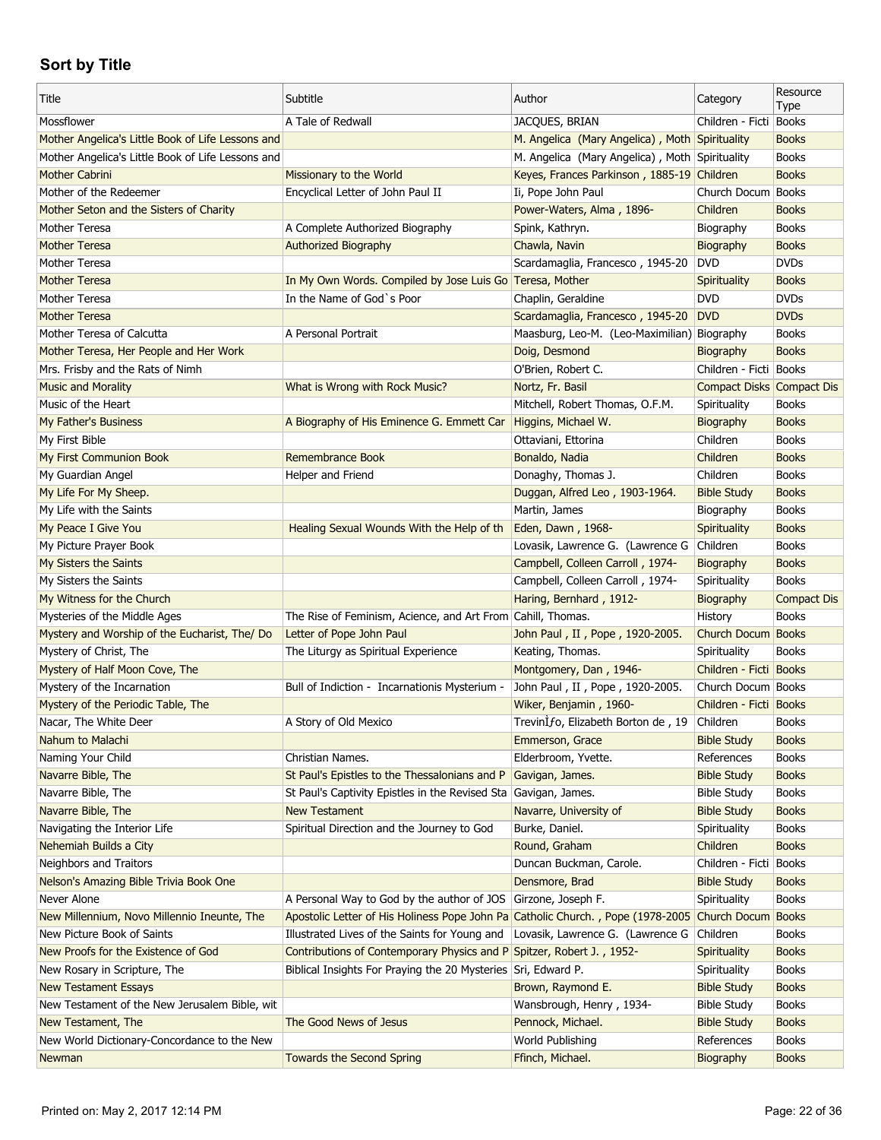| Title                                                 | Subtitle                                                                                           | Author                                         | Category                  | Resource<br>Type             |
|-------------------------------------------------------|----------------------------------------------------------------------------------------------------|------------------------------------------------|---------------------------|------------------------------|
| Mossflower                                            | A Tale of Redwall                                                                                  | <b>JACQUES, BRIAN</b>                          | Children - Ficti Books    |                              |
| Mother Angelica's Little Book of Life Lessons and     |                                                                                                    | M. Angelica (Mary Angelica), Moth Spirituality |                           | <b>Books</b>                 |
| Mother Angelica's Little Book of Life Lessons and     |                                                                                                    | M. Angelica (Mary Angelica), Moth Spirituality |                           | <b>Books</b>                 |
| <b>Mother Cabrini</b>                                 | Missionary to the World                                                                            | Keyes, Frances Parkinson, 1885-19 Children     |                           | <b>Books</b>                 |
| Mother of the Redeemer                                | Encyclical Letter of John Paul II                                                                  | Ii, Pope John Paul                             | Church Docum Books        |                              |
| Mother Seton and the Sisters of Charity               |                                                                                                    | Power-Waters, Alma, 1896-                      | Children                  | <b>Books</b>                 |
| Mother Teresa                                         | A Complete Authorized Biography                                                                    | Spink, Kathryn.                                | Biography                 | <b>Books</b>                 |
| <b>Mother Teresa</b>                                  | <b>Authorized Biography</b>                                                                        | Chawla, Navin                                  | Biography                 | <b>Books</b>                 |
| Mother Teresa                                         |                                                                                                    | Scardamaglia, Francesco, 1945-20               | <b>DVD</b>                | <b>DVDs</b>                  |
| <b>Mother Teresa</b>                                  | In My Own Words. Compiled by Jose Luis Go Teresa, Mother                                           |                                                | Spirituality              | <b>Books</b>                 |
| Mother Teresa                                         | In the Name of God's Poor                                                                          | Chaplin, Geraldine                             | <b>DVD</b>                | <b>DVDs</b>                  |
| <b>Mother Teresa</b>                                  |                                                                                                    | Scardamaglia, Francesco, 1945-20               | <b>DVD</b>                | <b>DVDs</b>                  |
| Mother Teresa of Calcutta                             | A Personal Portrait                                                                                | Maasburg, Leo-M. (Leo-Maximilian) Biography    |                           | <b>Books</b>                 |
| Mother Teresa, Her People and Her Work                |                                                                                                    | Doig, Desmond                                  | Biography                 | <b>Books</b>                 |
| Mrs. Frisby and the Rats of Nimh                      |                                                                                                    | O'Brien, Robert C.                             | Children - Ficti Books    |                              |
| <b>Music and Morality</b>                             | What is Wrong with Rock Music?                                                                     | Nortz, Fr. Basil                               | Compact Disks Compact Dis |                              |
| Music of the Heart                                    |                                                                                                    | Mitchell, Robert Thomas, O.F.M.                | Spirituality              | <b>Books</b>                 |
| My Father's Business                                  | A Biography of His Eminence G. Emmett Car                                                          | Higgins, Michael W.                            | Biography                 | <b>Books</b>                 |
| My First Bible                                        |                                                                                                    | Ottaviani, Ettorina                            | Children                  | <b>Books</b>                 |
| My First Communion Book                               | Remembrance Book                                                                                   | Bonaldo, Nadia                                 | Children                  | <b>Books</b>                 |
| My Guardian Angel                                     | Helper and Friend                                                                                  | Donaghy, Thomas J.                             | Children                  | <b>Books</b>                 |
| My Life For My Sheep.                                 |                                                                                                    | Duggan, Alfred Leo, 1903-1964.                 | <b>Bible Study</b>        | <b>Books</b>                 |
| My Life with the Saints                               |                                                                                                    | Martin, James                                  | Biography                 | <b>Books</b>                 |
| My Peace I Give You                                   | Healing Sexual Wounds With the Help of th                                                          | Eden, Dawn, 1968-                              | Spirituality              | <b>Books</b>                 |
| My Picture Prayer Book                                |                                                                                                    | Lovasik, Lawrence G. (Lawrence G               | Children                  | <b>Books</b>                 |
| My Sisters the Saints                                 |                                                                                                    | Campbell, Colleen Carroll, 1974-               | Biography                 | <b>Books</b>                 |
| My Sisters the Saints                                 |                                                                                                    | Campbell, Colleen Carroll, 1974-               | Spirituality              | <b>Books</b>                 |
| My Witness for the Church                             |                                                                                                    | Haring, Bernhard, 1912-                        | Biography                 | <b>Compact Dis</b>           |
| Mysteries of the Middle Ages                          | The Rise of Feminism, Acience, and Art From Cahill, Thomas.                                        |                                                | History                   | <b>Books</b>                 |
|                                                       |                                                                                                    |                                                |                           |                              |
|                                                       |                                                                                                    |                                                |                           |                              |
| Mystery and Worship of the Eucharist, The/ Do         | Letter of Pope John Paul                                                                           | John Paul, II, Pope, 1920-2005.                | Church Docum Books        |                              |
| Mystery of Christ, The                                | The Liturgy as Spiritual Experience                                                                | Keating, Thomas.                               | Spirituality              | <b>Books</b>                 |
| Mystery of Half Moon Cove, The                        |                                                                                                    | Montgomery, Dan, 1946-                         | Children - Ficti Books    |                              |
| Mystery of the Incarnation                            | Bull of Indiction - Incarnationis Mysterium -                                                      | John Paul, II, Pope, 1920-2005.                | Church Docum Books        |                              |
| Mystery of the Periodic Table, The                    |                                                                                                    | Wiker, Benjamin, 1960-                         | Children - Ficti Books    |                              |
| Nacar, The White Deer                                 | A Story of Old Mexico                                                                              | TrevinIfo, Elizabeth Borton de, 19             | Children                  | <b>Books</b>                 |
| Nahum to Malachi                                      |                                                                                                    | Emmerson, Grace                                | <b>Bible Study</b>        | <b>Books</b>                 |
| Naming Your Child                                     | Christian Names.                                                                                   | Elderbroom, Yvette.                            | References                | <b>Books</b>                 |
| Navarre Bible, The                                    | St Paul's Epistles to the Thessalonians and P                                                      | Gavigan, James.                                | <b>Bible Study</b>        | <b>Books</b>                 |
| Navarre Bible, The                                    | St Paul's Captivity Epistles in the Revised Sta                                                    | Gavigan, James.                                | <b>Bible Study</b>        | <b>Books</b>                 |
| Navarre Bible, The                                    | <b>New Testament</b>                                                                               | Navarre, University of                         | <b>Bible Study</b>        | <b>Books</b>                 |
| Navigating the Interior Life                          | Spiritual Direction and the Journey to God                                                         | Burke, Daniel.                                 | Spirituality              | <b>Books</b>                 |
| Nehemiah Builds a City                                |                                                                                                    | Round, Graham                                  | Children                  | <b>Books</b>                 |
| Neighbors and Traitors                                |                                                                                                    | Duncan Buckman, Carole.                        | Children - Ficti Books    |                              |
| Nelson's Amazing Bible Trivia Book One                |                                                                                                    | Densmore, Brad                                 | <b>Bible Study</b>        | <b>Books</b>                 |
| Never Alone                                           | A Personal Way to God by the author of JOS Girzone, Joseph F.                                      |                                                | Spirituality              | <b>Books</b>                 |
| New Millennium, Novo Millennio Ineunte, The           | Apostolic Letter of His Holiness Pope John Pa Catholic Church., Pope (1978-2005 Church Docum Books |                                                |                           |                              |
| New Picture Book of Saints                            | Illustrated Lives of the Saints for Young and                                                      | Lovasik, Lawrence G. (Lawrence G               | Children                  | <b>Books</b>                 |
| New Proofs for the Existence of God                   | Contributions of Contemporary Physics and P Spitzer, Robert J., 1952-                              |                                                | <b>Spirituality</b>       | <b>Books</b>                 |
| New Rosary in Scripture, The                          | Biblical Insights For Praying the 20 Mysteries Sri, Edward P.                                      |                                                | Spirituality              | <b>Books</b>                 |
| <b>New Testament Essays</b>                           |                                                                                                    | Brown, Raymond E.                              | <b>Bible Study</b>        | <b>Books</b>                 |
| New Testament of the New Jerusalem Bible, wit         |                                                                                                    | Wansbrough, Henry, 1934-                       | <b>Bible Study</b>        | <b>Books</b>                 |
| New Testament, The                                    | The Good News of Jesus                                                                             | Pennock, Michael.                              | <b>Bible Study</b>        | <b>Books</b>                 |
| New World Dictionary-Concordance to the New<br>Newman | <b>Towards the Second Spring</b>                                                                   | World Publishing<br>Ffinch, Michael.           | References<br>Biography   | <b>Books</b><br><b>Books</b> |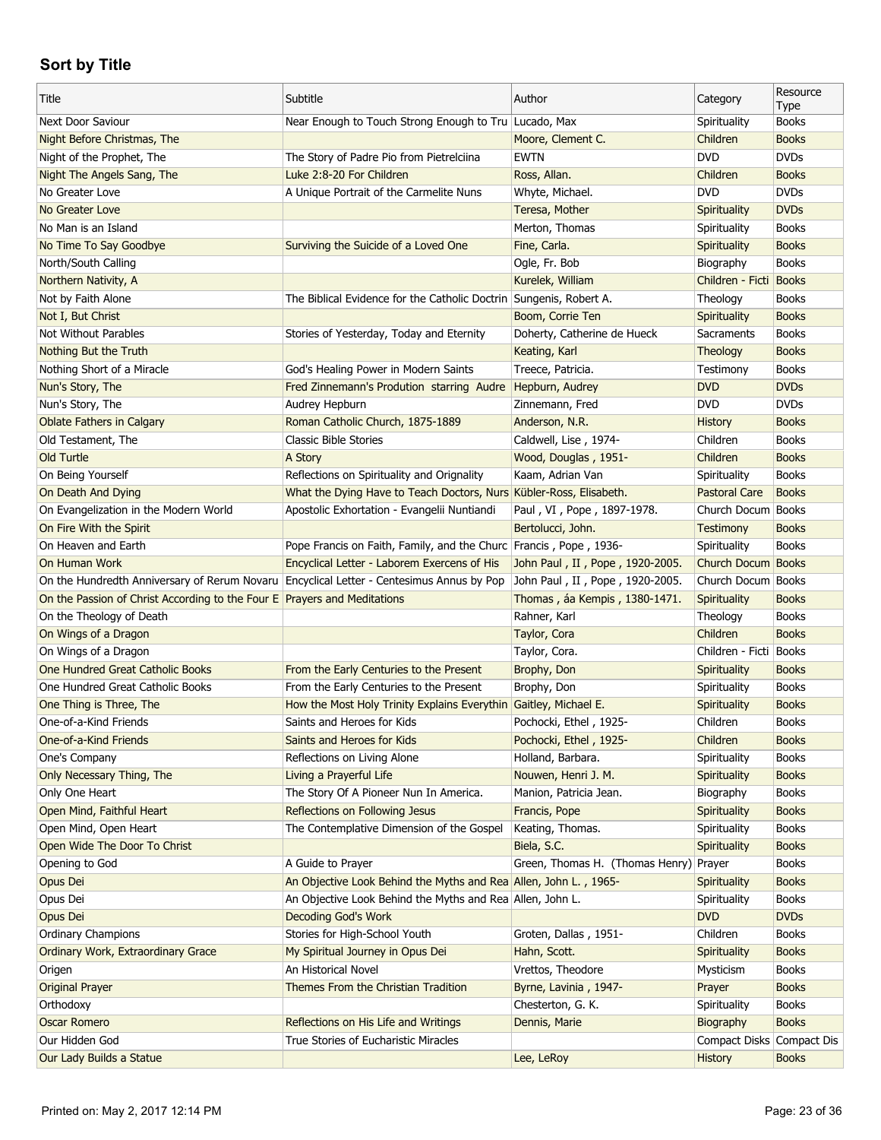| Title                                                                    | Subtitle                                                           | Author                                 | Category                  | Resource<br>Type |
|--------------------------------------------------------------------------|--------------------------------------------------------------------|----------------------------------------|---------------------------|------------------|
| Next Door Saviour                                                        | Near Enough to Touch Strong Enough to Tru Lucado, Max              |                                        | Spirituality              | <b>Books</b>     |
| Night Before Christmas, The                                              |                                                                    | Moore, Clement C.                      | Children                  | <b>Books</b>     |
| Night of the Prophet, The                                                | The Story of Padre Pio from Pietrelciina                           | <b>EWTN</b>                            | <b>DVD</b>                | <b>DVDs</b>      |
| Night The Angels Sang, The                                               | Luke 2:8-20 For Children                                           | Ross, Allan.                           | Children                  | <b>Books</b>     |
| No Greater Love                                                          | A Unique Portrait of the Carmelite Nuns                            | Whyte, Michael.                        | <b>DVD</b>                | <b>DVDs</b>      |
| No Greater Love                                                          |                                                                    | Teresa, Mother                         | Spirituality              | <b>DVDs</b>      |
| No Man is an Island                                                      |                                                                    | Merton, Thomas                         | Spirituality              | <b>Books</b>     |
| No Time To Say Goodbye                                                   | Surviving the Suicide of a Loved One                               | Fine, Carla.                           | Spirituality              | <b>Books</b>     |
| North/South Calling                                                      |                                                                    | Ogle, Fr. Bob                          | Biography                 | <b>Books</b>     |
| Northern Nativity, A                                                     |                                                                    | Kurelek, William                       | Children - Ficti Books    |                  |
| Not by Faith Alone                                                       | The Biblical Evidence for the Catholic Doctrin Sungenis, Robert A. |                                        | Theology                  | <b>Books</b>     |
| Not I, But Christ                                                        |                                                                    | Boom, Corrie Ten                       | Spirituality              | <b>Books</b>     |
| Not Without Parables                                                     | Stories of Yesterday, Today and Eternity                           | Doherty, Catherine de Hueck            | Sacraments                | <b>Books</b>     |
| Nothing But the Truth                                                    |                                                                    | Keating, Karl                          | Theology                  | <b>Books</b>     |
| Nothing Short of a Miracle                                               | God's Healing Power in Modern Saints                               | Treece, Patricia.                      | Testimony                 | <b>Books</b>     |
| Nun's Story, The                                                         | Fred Zinnemann's Prodution starring Audre                          | Hepburn, Audrey                        | <b>DVD</b>                | <b>DVDs</b>      |
| Nun's Story, The                                                         | Audrey Hepburn                                                     | Zinnemann, Fred                        | <b>DVD</b>                | <b>DVDs</b>      |
| <b>Oblate Fathers in Calgary</b>                                         | Roman Catholic Church, 1875-1889                                   | Anderson, N.R.                         | <b>History</b>            | <b>Books</b>     |
| Old Testament, The                                                       | <b>Classic Bible Stories</b>                                       | Caldwell, Lise, 1974-                  | Children                  | <b>Books</b>     |
| Old Turtle                                                               | A Story                                                            | Wood, Douglas, 1951-                   | Children                  | <b>Books</b>     |
|                                                                          | Reflections on Spirituality and Orignality                         | Kaam, Adrian Van                       | Spirituality              | <b>Books</b>     |
| On Being Yourself                                                        |                                                                    |                                        | Pastoral Care             | <b>Books</b>     |
| On Death And Dying                                                       | What the Dying Have to Teach Doctors, Nurs Kübler-Ross, Elisabeth. |                                        | Church Docum Books        |                  |
| On Evangelization in the Modern World                                    | Apostolic Exhortation - Evangelii Nuntiandi                        | Paul, VI, Pope, 1897-1978.             |                           |                  |
| On Fire With the Spirit                                                  |                                                                    | Bertolucci, John.                      | Testimony                 | <b>Books</b>     |
| On Heaven and Earth                                                      | Pope Francis on Faith, Family, and the Churc Francis, Pope, 1936-  |                                        | Spirituality              | <b>Books</b>     |
| On Human Work<br>On the Hundredth Anniversary of Rerum Novaru            | Encyclical Letter - Laborem Exercens of His                        | John Paul, II, Pope, 1920-2005.        | Church Docum Books        |                  |
|                                                                          |                                                                    |                                        |                           |                  |
|                                                                          | Encyclical Letter - Centesimus Annus by Pop                        | John Paul, II, Pope, 1920-2005.        | Church Docum Books        |                  |
| On the Passion of Christ According to the Four E Prayers and Meditations |                                                                    | Thomas, áa Kempis, 1380-1471.          | Spirituality              | <b>Books</b>     |
| On the Theology of Death                                                 |                                                                    | Rahner, Karl                           | Theology                  | <b>Books</b>     |
| On Wings of a Dragon                                                     |                                                                    | Taylor, Cora                           | Children                  | <b>Books</b>     |
| On Wings of a Dragon                                                     |                                                                    | Taylor, Cora.                          | Children - Ficti   Books  |                  |
| One Hundred Great Catholic Books                                         | From the Early Centuries to the Present                            | Brophy, Don                            | Spirituality              | <b>Books</b>     |
| One Hundred Great Catholic Books                                         | From the Early Centuries to the Present                            | Brophy, Don                            | Spirituality              | <b>Books</b>     |
| One Thing is Three, The                                                  | How the Most Holy Trinity Explains Everythin Gaitley, Michael E.   |                                        | Spirituality              | <b>Books</b>     |
| One-of-a-Kind Friends                                                    | Saints and Heroes for Kids                                         | Pochocki, Ethel, 1925-                 | Children                  | <b>Books</b>     |
| One-of-a-Kind Friends                                                    | Saints and Heroes for Kids                                         | Pochocki, Ethel, 1925-                 | Children                  | <b>Books</b>     |
| One's Company                                                            | Reflections on Living Alone                                        | Holland, Barbara.                      | Spirituality              | <b>Books</b>     |
| Only Necessary Thing, The                                                | Living a Prayerful Life                                            | Nouwen, Henri J. M.                    | Spirituality              | <b>Books</b>     |
| Only One Heart                                                           | The Story Of A Pioneer Nun In America.                             | Manion, Patricia Jean.                 | Biography                 | <b>Books</b>     |
| Open Mind, Faithful Heart                                                | Reflections on Following Jesus                                     | Francis, Pope                          | Spirituality              | <b>Books</b>     |
| Open Mind, Open Heart                                                    | The Contemplative Dimension of the Gospel                          | Keating, Thomas.                       | Spirituality              | <b>Books</b>     |
| Open Wide The Door To Christ                                             |                                                                    | Biela, S.C.                            | Spirituality              | <b>Books</b>     |
| Opening to God                                                           | A Guide to Prayer                                                  | Green, Thomas H. (Thomas Henry) Prayer |                           | Books            |
| Opus Dei                                                                 | An Objective Look Behind the Myths and Rea Allen, John L., 1965-   |                                        | Spirituality              | <b>Books</b>     |
| Opus Dei                                                                 | An Objective Look Behind the Myths and Rea Allen, John L.          |                                        | Spirituality              | <b>Books</b>     |
| Opus Dei                                                                 | <b>Decoding God's Work</b>                                         |                                        | <b>DVD</b>                | <b>DVDs</b>      |
| Ordinary Champions                                                       | Stories for High-School Youth                                      | Groten, Dallas, 1951-                  | Children                  | <b>Books</b>     |
| Ordinary Work, Extraordinary Grace                                       | My Spiritual Journey in Opus Dei                                   | Hahn, Scott.                           | Spirituality              | <b>Books</b>     |
| Origen                                                                   | An Historical Novel                                                | Vrettos, Theodore                      | Mysticism                 | <b>Books</b>     |
| <b>Original Prayer</b>                                                   | Themes From the Christian Tradition                                | Byrne, Lavinia, 1947-                  | Prayer                    | <b>Books</b>     |
| Orthodoxy                                                                |                                                                    | Chesterton, G. K.                      | Spirituality              | <b>Books</b>     |
| <b>Oscar Romero</b>                                                      | Reflections on His Life and Writings                               | Dennis, Marie                          | Biography                 | <b>Books</b>     |
| Our Hidden God<br>Our Lady Builds a Statue                               | True Stories of Eucharistic Miracles                               | Lee, LeRoy                             | Compact Disks Compact Dis | <b>Books</b>     |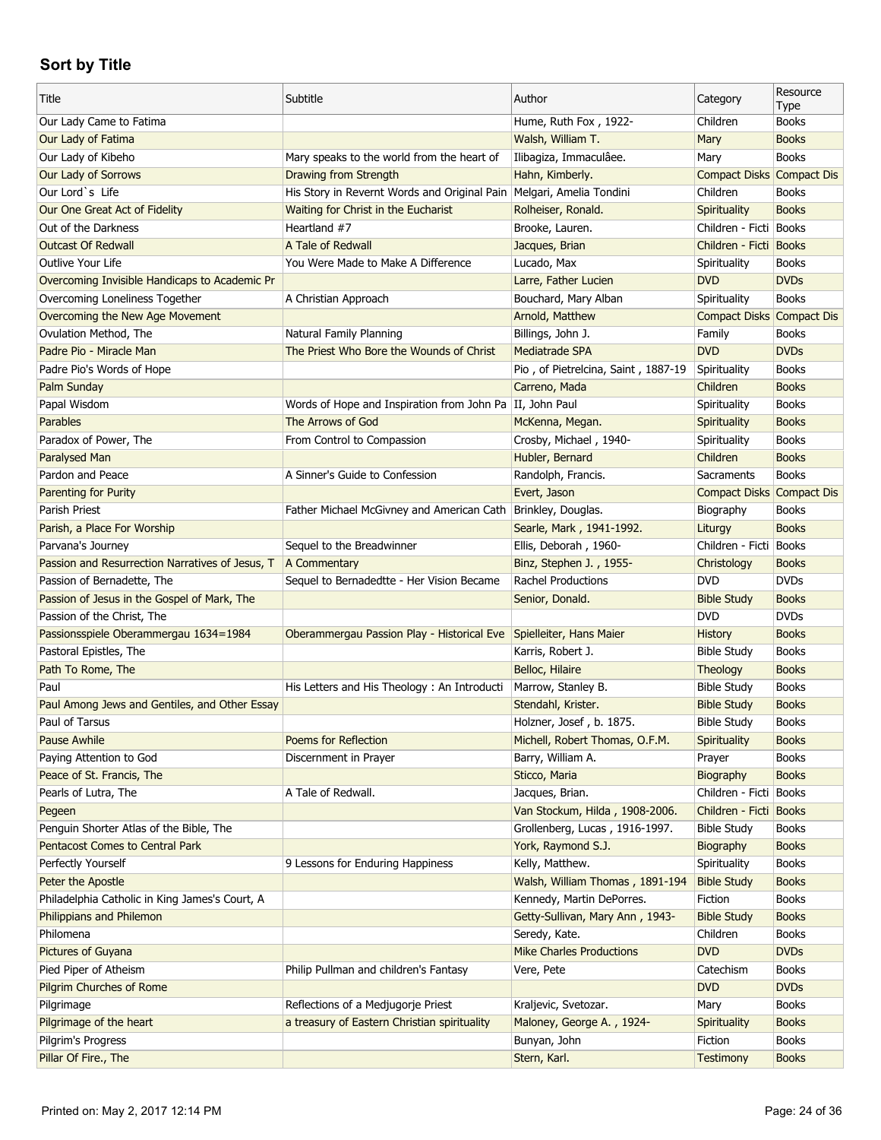| Title                                                                      | Subtitle                                                                           | Author                                           | Category                             | Resource<br>Type             |
|----------------------------------------------------------------------------|------------------------------------------------------------------------------------|--------------------------------------------------|--------------------------------------|------------------------------|
| Our Lady Came to Fatima                                                    |                                                                                    | Hume, Ruth Fox, 1922-                            | Children                             | <b>Books</b>                 |
| Our Lady of Fatima                                                         |                                                                                    | Walsh, William T.                                | Mary                                 | <b>Books</b>                 |
| Our Lady of Kibeho                                                         | Mary speaks to the world from the heart of                                         | Ilibagiza, Immaculâee.                           | Mary                                 | <b>Books</b>                 |
| Our Lady of Sorrows                                                        | <b>Drawing from Strength</b>                                                       | Hahn, Kimberly.                                  | Compact Disks Compact Dis            |                              |
| Our Lord's Life                                                            | His Story in Revernt Words and Original Pain   Melgari, Amelia Tondini             |                                                  | Children                             | <b>Books</b>                 |
| Our One Great Act of Fidelity                                              | Waiting for Christ in the Eucharist                                                | Rolheiser, Ronald.                               | Spirituality                         | <b>Books</b>                 |
| Out of the Darkness                                                        | Heartland #7                                                                       | Brooke, Lauren.                                  | Children - Ficti Books               |                              |
| <b>Outcast Of Redwall</b>                                                  | A Tale of Redwall                                                                  | Jacques, Brian                                   | Children - Ficti Books               |                              |
| Outlive Your Life                                                          | You Were Made to Make A Difference                                                 | Lucado, Max                                      | Spirituality                         | <b>Books</b>                 |
| Overcoming Invisible Handicaps to Academic Pr                              |                                                                                    | Larre, Father Lucien                             | <b>DVD</b>                           | <b>DVDs</b>                  |
| Overcoming Loneliness Together                                             | A Christian Approach                                                               | Bouchard, Mary Alban                             | Spirituality                         | <b>Books</b>                 |
| Overcoming the New Age Movement                                            |                                                                                    | Arnold, Matthew                                  | Compact Disks Compact Dis            |                              |
| Ovulation Method, The                                                      | Natural Family Planning                                                            | Billings, John J.                                | Family                               | <b>Books</b>                 |
| Padre Pio - Miracle Man                                                    | The Priest Who Bore the Wounds of Christ                                           | <b>Mediatrade SPA</b>                            | <b>DVD</b>                           | <b>DVDs</b>                  |
| Padre Pio's Words of Hope                                                  |                                                                                    | Pio, of Pietrelcina, Saint, 1887-19              | Spirituality                         | <b>Books</b>                 |
| Palm Sunday                                                                |                                                                                    | Carreno, Mada                                    | Children                             | <b>Books</b>                 |
| Papal Wisdom                                                               | Words of Hope and Inspiration from John Pa II, John Paul                           |                                                  | Spirituality                         | <b>Books</b>                 |
| <b>Parables</b>                                                            | The Arrows of God                                                                  | McKenna, Megan.                                  | Spirituality                         | <b>Books</b>                 |
| Paradox of Power, The                                                      | From Control to Compassion                                                         | Crosby, Michael, 1940-                           | Spirituality                         | <b>Books</b>                 |
| Paralysed Man                                                              |                                                                                    | Hubler, Bernard                                  | Children                             | <b>Books</b>                 |
| Pardon and Peace                                                           | A Sinner's Guide to Confession                                                     | Randolph, Francis.                               | Sacraments                           | <b>Books</b>                 |
| Parenting for Purity                                                       |                                                                                    | Evert, Jason                                     | <b>Compact Disks Compact Dis</b>     |                              |
| Parish Priest                                                              | Father Michael McGivney and American Cath                                          | Brinkley, Douglas.                               | Biography                            | <b>Books</b>                 |
| Parish, a Place For Worship                                                |                                                                                    | Searle, Mark, 1941-1992.                         | Liturgy                              | <b>Books</b>                 |
| Parvana's Journey                                                          | Sequel to the Breadwinner                                                          | Ellis, Deborah, 1960-                            | Children - Ficti                     | <b>Books</b>                 |
| Passion and Resurrection Narratives of Jesus, T                            | A Commentary                                                                       | Binz, Stephen J., 1955-                          | Christology                          | <b>Books</b>                 |
|                                                                            |                                                                                    |                                                  |                                      |                              |
|                                                                            | Sequel to Bernadedtte - Her Vision Became                                          | <b>Rachel Productions</b>                        | <b>DVD</b>                           | <b>DVDs</b>                  |
| Passion of Bernadette, The                                                 |                                                                                    |                                                  |                                      | <b>Books</b>                 |
| Passion of Jesus in the Gospel of Mark, The                                |                                                                                    | Senior, Donald.                                  | <b>Bible Study</b><br><b>DVD</b>     | <b>DVDs</b>                  |
| Passion of the Christ, The                                                 |                                                                                    |                                                  |                                      | <b>Books</b>                 |
| Passionsspiele Oberammergau 1634=1984                                      | Oberammergau Passion Play - Historical Eve                                         | Spielleiter, Hans Maier<br>Karris, Robert J.     | <b>History</b><br><b>Bible Study</b> | <b>Books</b>                 |
| Pastoral Epistles, The                                                     |                                                                                    |                                                  |                                      | <b>Books</b>                 |
| Path To Rome, The<br>Paul                                                  |                                                                                    | Belloc, Hilaire                                  | Theology                             | <b>Books</b>                 |
|                                                                            | His Letters and His Theology: An Introducti                                        | Marrow, Stanley B.                               | <b>Bible Study</b>                   | <b>Books</b>                 |
| Paul Among Jews and Gentiles, and Other Essay<br>Paul of Tarsus            |                                                                                    | Stendahl, Krister.                               | <b>Bible Study</b>                   | <b>Books</b>                 |
|                                                                            |                                                                                    | Holzner, Josef, b. 1875.                         | <b>Bible Study</b>                   |                              |
| <b>Pause Awhile</b>                                                        | Poems for Reflection<br>Discernment in Prayer                                      | Michell, Robert Thomas, O.F.M.                   | Spirituality<br>Prayer               | <b>Books</b><br><b>Books</b> |
| Paying Attention to God                                                    |                                                                                    | Barry, William A.                                |                                      |                              |
| Peace of St. Francis, The                                                  |                                                                                    | Sticco, Maria                                    | Biography<br>Children - Ficti        | <b>Books</b>                 |
| Pearls of Lutra, The<br>Pegeen                                             | A Tale of Redwall.                                                                 | Jacques, Brian.                                  | Children - Ficti                     | Books<br><b>Books</b>        |
|                                                                            |                                                                                    | Van Stockum, Hilda, 1908-2006.                   | <b>Bible Study</b>                   |                              |
| Penguin Shorter Atlas of the Bible, The                                    |                                                                                    | Grollenberg, Lucas, 1916-1997.                   |                                      | <b>Books</b>                 |
| Pentacost Comes to Central Park                                            |                                                                                    | York, Raymond S.J.                               | Biography                            | <b>Books</b>                 |
| Perfectly Yourself                                                         | 9 Lessons for Enduring Happiness                                                   | Kelly, Matthew.                                  | Spirituality                         | <b>Books</b>                 |
| Peter the Apostle                                                          |                                                                                    | Walsh, William Thomas, 1891-194                  | <b>Bible Study</b>                   | <b>Books</b>                 |
| Philadelphia Catholic in King James's Court, A<br>Philippians and Philemon |                                                                                    | Kennedy, Martin DePorres.                        | Fiction                              | <b>Books</b><br><b>Books</b> |
| Philomena                                                                  |                                                                                    | Getty-Sullivan, Mary Ann, 1943-<br>Seredy, Kate. | <b>Bible Study</b><br>Children       | <b>Books</b>                 |
|                                                                            |                                                                                    | <b>Mike Charles Productions</b>                  | <b>DVD</b>                           | <b>DVDs</b>                  |
| <b>Pictures of Guyana</b>                                                  |                                                                                    | Vere, Pete                                       | Catechism                            | <b>Books</b>                 |
| Pied Piper of Atheism                                                      | Philip Pullman and children's Fantasy                                              |                                                  | <b>DVD</b>                           | <b>DVDs</b>                  |
| <b>Pilgrim Churches of Rome</b>                                            |                                                                                    |                                                  | Mary                                 | <b>Books</b>                 |
| Pilgrimage                                                                 | Reflections of a Medjugorje Priest<br>a treasury of Eastern Christian spirituality | Kraljevic, Svetozar.                             |                                      |                              |
| Pilgrimage of the heart<br>Pilgrim's Progress                              |                                                                                    | Maloney, George A., 1924-<br>Bunyan, John        | Spirituality<br>Fiction              | <b>Books</b><br><b>Books</b> |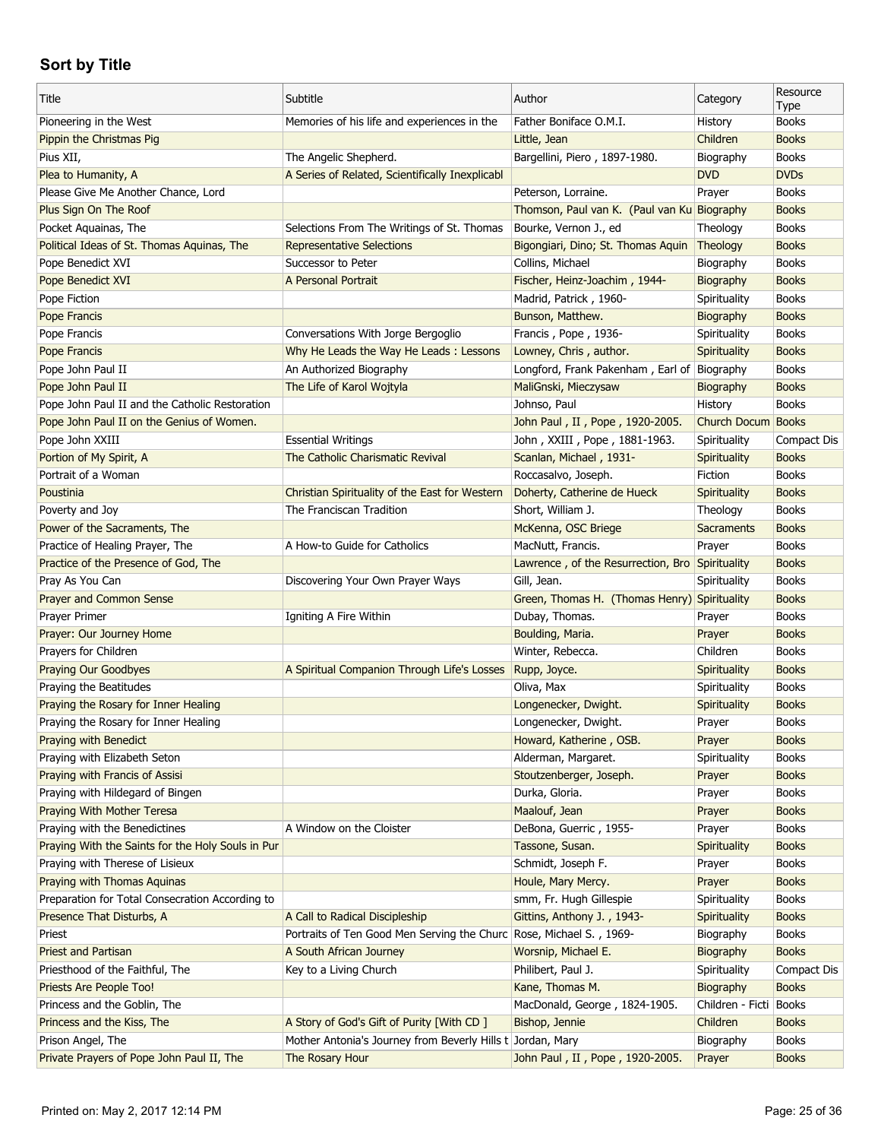| Title                                             | Subtitle                                                                                              | Author                                          | Category                  | Resource<br>Type             |
|---------------------------------------------------|-------------------------------------------------------------------------------------------------------|-------------------------------------------------|---------------------------|------------------------------|
| Pioneering in the West                            | Memories of his life and experiences in the                                                           | Father Boniface O.M.I.                          | History                   | <b>Books</b>                 |
| Pippin the Christmas Pig                          |                                                                                                       | Little, Jean                                    | Children                  | <b>Books</b>                 |
| Pius XII,                                         | The Angelic Shepherd.                                                                                 | Bargellini, Piero, 1897-1980.                   | Biography                 | <b>Books</b>                 |
| Plea to Humanity, A                               | A Series of Related, Scientifically Inexplicabl                                                       |                                                 | <b>DVD</b>                | <b>DVDs</b>                  |
| Please Give Me Another Chance, Lord               |                                                                                                       | Peterson, Lorraine.                             | Prayer                    | <b>Books</b>                 |
| Plus Sign On The Roof                             |                                                                                                       | Thomson, Paul van K. (Paul van Ku Biography     |                           | <b>Books</b>                 |
| Pocket Aquainas, The                              | Selections From The Writings of St. Thomas                                                            | Bourke, Vernon J., ed                           | Theology                  | <b>Books</b>                 |
| Political Ideas of St. Thomas Aquinas, The        | <b>Representative Selections</b>                                                                      | Bigongiari, Dino; St. Thomas Aquin              | Theology                  | <b>Books</b>                 |
| Pope Benedict XVI                                 | Successor to Peter                                                                                    | Collins, Michael                                | Biography                 | <b>Books</b>                 |
| Pope Benedict XVI                                 | A Personal Portrait                                                                                   | Fischer, Heinz-Joachim, 1944-                   | Biography                 | <b>Books</b>                 |
| Pope Fiction                                      |                                                                                                       | Madrid, Patrick, 1960-                          | Spirituality              | <b>Books</b>                 |
| Pope Francis                                      |                                                                                                       | Bunson, Matthew.                                | Biography                 | <b>Books</b>                 |
| Pope Francis                                      | Conversations With Jorge Bergoglio                                                                    | Francis, Pope, 1936-                            | Spirituality              | <b>Books</b>                 |
| Pope Francis                                      | Why He Leads the Way He Leads: Lessons                                                                | Lowney, Chris, author.                          | Spirituality              | <b>Books</b>                 |
| Pope John Paul II                                 | An Authorized Biography                                                                               | Longford, Frank Pakenham, Earl of Biography     |                           | <b>Books</b>                 |
| Pope John Paul II                                 | The Life of Karol Wojtyla                                                                             | MaliGnski, Mieczysaw                            | Biography                 | <b>Books</b>                 |
| Pope John Paul II and the Catholic Restoration    |                                                                                                       | Johnso, Paul                                    | History                   | <b>Books</b>                 |
| Pope John Paul II on the Genius of Women.         |                                                                                                       | John Paul, II, Pope, 1920-2005.                 | Church Docum              | <b>Books</b>                 |
| Pope John XXIII                                   | <b>Essential Writings</b>                                                                             | John, XXIII, Pope, 1881-1963.                   | Spirituality              | Compact Dis                  |
| Portion of My Spirit, A                           | The Catholic Charismatic Revival                                                                      | Scanlan, Michael, 1931-                         | Spirituality              | <b>Books</b>                 |
| Portrait of a Woman                               |                                                                                                       | Roccasalvo, Joseph.                             | Fiction                   | <b>Books</b>                 |
| Poustinia                                         | Christian Spirituality of the East for Western                                                        | Doherty, Catherine de Hueck                     | Spirituality              | <b>Books</b>                 |
| Poverty and Joy                                   | The Franciscan Tradition                                                                              | Short, William J.                               | Theology                  | <b>Books</b>                 |
| Power of the Sacraments, The                      |                                                                                                       | McKenna, OSC Briege                             | <b>Sacraments</b>         | <b>Books</b>                 |
| Practice of Healing Prayer, The                   | A How-to Guide for Catholics                                                                          | MacNutt, Francis.                               | Prayer                    | <b>Books</b>                 |
| Practice of the Presence of God, The              |                                                                                                       | Lawrence, of the Resurrection, Bro Spirituality |                           | <b>Books</b>                 |
| Pray As You Can                                   | Discovering Your Own Prayer Ways                                                                      | Gill, Jean.                                     | Spirituality              | <b>Books</b>                 |
| <b>Prayer and Common Sense</b>                    |                                                                                                       | Green, Thomas H. (Thomas Henry) Spirituality    |                           | <b>Books</b>                 |
| Prayer Primer                                     | Igniting A Fire Within                                                                                | Dubay, Thomas.                                  | Prayer                    | <b>Books</b>                 |
| Prayer: Our Journey Home                          |                                                                                                       | Boulding, Maria.                                | Prayer                    | <b>Books</b>                 |
| Prayers for Children                              |                                                                                                       | Winter, Rebecca.                                | Children                  | <b>Books</b>                 |
| <b>Praying Our Goodbyes</b>                       | A Spiritual Companion Through Life's Losses                                                           | Rupp, Joyce.                                    | Spirituality              | <b>Books</b>                 |
| Praying the Beatitudes                            |                                                                                                       | Oliva, Max                                      | Spirituality              | <b>Books</b>                 |
| Praying the Rosary for Inner Healing              |                                                                                                       | Longenecker, Dwight.                            | Spirituality              | <b>Books</b>                 |
| Praying the Rosary for Inner Healing              |                                                                                                       | Longenecker, Dwight.                            | Prayer                    | <b>Books</b>                 |
| Praying with Benedict                             |                                                                                                       | Howard, Katherine, OSB.                         | Prayer                    | <b>Books</b>                 |
| Praying with Elizabeth Seton                      |                                                                                                       | Alderman, Margaret.                             | Spirituality              | <b>Books</b>                 |
| Praying with Francis of Assisi                    |                                                                                                       | Stoutzenberger, Joseph.                         | Prayer                    | <b>Books</b>                 |
| Praying with Hildegard of Bingen                  |                                                                                                       | Durka, Gloria.                                  | Prayer                    | <b>Books</b>                 |
| Praying With Mother Teresa                        |                                                                                                       | Maalouf, Jean                                   | Prayer                    | <b>Books</b>                 |
| Praying with the Benedictines                     | A Window on the Cloister                                                                              | DeBona, Guerric, 1955-                          | Prayer                    | <b>Books</b>                 |
| Praying With the Saints for the Holy Souls in Pur |                                                                                                       | Tassone, Susan.                                 | Spirituality              | <b>Books</b>                 |
| Praying with Therese of Lisieux                   |                                                                                                       | Schmidt, Joseph F.                              | Prayer                    | <b>Books</b>                 |
| Praying with Thomas Aquinas                       |                                                                                                       | Houle, Mary Mercy.                              | Prayer                    | <b>Books</b>                 |
| Preparation for Total Consecration According to   |                                                                                                       | smm, Fr. Hugh Gillespie                         | Spirituality              | <b>Books</b>                 |
|                                                   |                                                                                                       |                                                 |                           |                              |
| Presence That Disturbs, A<br>Priest               | A Call to Radical Discipleship<br>Portraits of Ten Good Men Serving the Churc Rose, Michael S., 1969- | Gittins, Anthony J., 1943-                      | Spirituality<br>Biography | <b>Books</b><br><b>Books</b> |
| <b>Priest and Partisan</b>                        | A South African Journey                                                                               |                                                 |                           | <b>Books</b>                 |
|                                                   |                                                                                                       | Worsnip, Michael E.                             | Biography                 |                              |
| Priesthood of the Faithful, The                   | Key to a Living Church                                                                                | Philibert, Paul J.                              | Spirituality              | Compact Dis                  |
| Priests Are People Too!                           |                                                                                                       | Kane, Thomas M.                                 | Biography                 | <b>Books</b>                 |
| Princess and the Goblin, The                      |                                                                                                       | MacDonald, George, 1824-1905.                   | Children - Ficti          | <b>Books</b>                 |
| Princess and the Kiss, The                        | A Story of God's Gift of Purity [With CD]                                                             | Bishop, Jennie                                  | Children                  | <b>Books</b>                 |
| Prison Angel, The                                 | Mother Antonia's Journey from Beverly Hills t Jordan, Mary                                            |                                                 | Biography                 | <b>Books</b>                 |
| Private Prayers of Pope John Paul II, The         | The Rosary Hour                                                                                       | John Paul, II, Pope, 1920-2005.                 | Prayer                    | <b>Books</b>                 |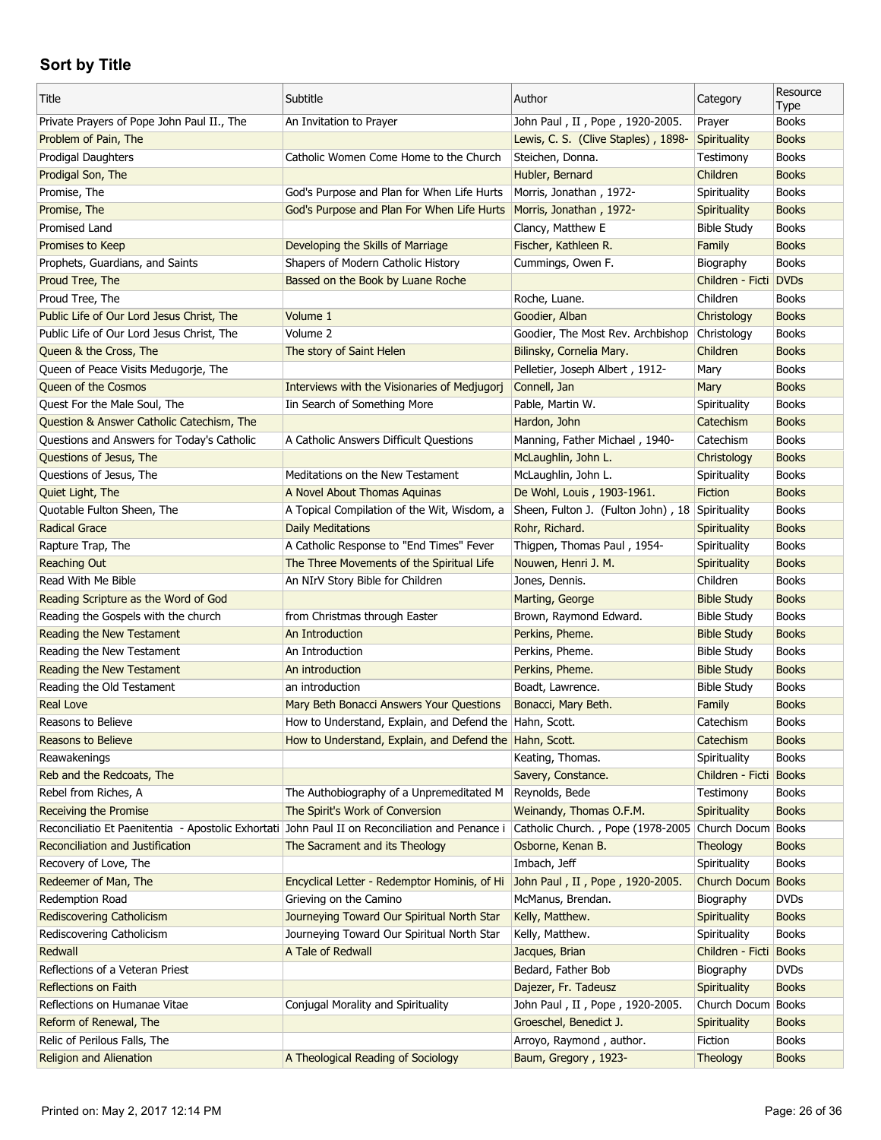| Title                                                                                           | Subtitle                                                | Author                                          | Category              | Resource<br>Type |
|-------------------------------------------------------------------------------------------------|---------------------------------------------------------|-------------------------------------------------|-----------------------|------------------|
| Private Prayers of Pope John Paul II., The                                                      | An Invitation to Prayer                                 | John Paul, II, Pope, 1920-2005.                 | Prayer                | <b>Books</b>     |
| Problem of Pain, The                                                                            |                                                         | Lewis, C. S. (Clive Staples), 1898-             | Spirituality          | <b>Books</b>     |
| Prodigal Daughters                                                                              | Catholic Women Come Home to the Church                  | Steichen, Donna.                                | Testimony             | <b>Books</b>     |
| Prodigal Son, The                                                                               |                                                         | Hubler, Bernard                                 | Children              | <b>Books</b>     |
| Promise, The                                                                                    | God's Purpose and Plan for When Life Hurts              | Morris, Jonathan, 1972-                         | Spirituality          | <b>Books</b>     |
| Promise, The                                                                                    | God's Purpose and Plan For When Life Hurts              | Morris, Jonathan, 1972-                         | Spirituality          | <b>Books</b>     |
| Promised Land                                                                                   |                                                         | Clancy, Matthew E                               | <b>Bible Study</b>    | <b>Books</b>     |
| Promises to Keep                                                                                | Developing the Skills of Marriage                       | Fischer, Kathleen R.                            | Family                | <b>Books</b>     |
| Prophets, Guardians, and Saints                                                                 | Shapers of Modern Catholic History                      | Cummings, Owen F.                               | Biography             | <b>Books</b>     |
| Proud Tree, The                                                                                 | Bassed on the Book by Luane Roche                       |                                                 | Children - Ficti DVDs |                  |
| Proud Tree, The                                                                                 |                                                         | Roche, Luane.                                   | Children              | <b>Books</b>     |
| Public Life of Our Lord Jesus Christ, The                                                       | Volume 1                                                | Goodier, Alban                                  | Christology           | <b>Books</b>     |
| Public Life of Our Lord Jesus Christ, The                                                       | Volume 2                                                | Goodier, The Most Rev. Archbishop               | Christology           | <b>Books</b>     |
| Queen & the Cross, The                                                                          | The story of Saint Helen                                | Bilinsky, Cornelia Mary.                        | Children              | <b>Books</b>     |
| Queen of Peace Visits Medugorje, The                                                            |                                                         | Pelletier, Joseph Albert, 1912-                 | Mary                  | <b>Books</b>     |
| <b>Queen of the Cosmos</b>                                                                      | Interviews with the Visionaries of Medjugorj            | Connell, Jan                                    | Mary                  | <b>Books</b>     |
| Quest For the Male Soul, The                                                                    | Iin Search of Something More                            | Pable, Martin W.                                | Spirituality          | <b>Books</b>     |
| <b>Question &amp; Answer Catholic Catechism, The</b>                                            |                                                         | Hardon, John                                    | Catechism             | <b>Books</b>     |
| Questions and Answers for Today's Catholic                                                      | A Catholic Answers Difficult Questions                  | Manning, Father Michael, 1940-                  | Catechism             | <b>Books</b>     |
| Questions of Jesus, The                                                                         |                                                         | McLaughlin, John L.                             | Christology           | <b>Books</b>     |
| Questions of Jesus, The                                                                         | Meditations on the New Testament                        | McLaughlin, John L.                             | Spirituality          | <b>Books</b>     |
| Quiet Light, The                                                                                | A Novel About Thomas Aquinas                            | De Wohl, Louis, 1903-1961.                      | <b>Fiction</b>        | <b>Books</b>     |
| Quotable Fulton Sheen, The                                                                      | A Topical Compilation of the Wit, Wisdom, a             | Sheen, Fulton J. (Fulton John), 18 Spirituality |                       | <b>Books</b>     |
| <b>Radical Grace</b>                                                                            | Daily Meditations                                       | Rohr, Richard.                                  | <b>Spirituality</b>   | <b>Books</b>     |
| Rapture Trap, The                                                                               | A Catholic Response to "End Times" Fever                | Thigpen, Thomas Paul, 1954-                     | Spirituality          | <b>Books</b>     |
| Reaching Out                                                                                    | The Three Movements of the Spiritual Life               | Nouwen, Henri J. M.                             | Spirituality          | <b>Books</b>     |
| Read With Me Bible                                                                              | An NIrV Story Bible for Children                        | Jones, Dennis.                                  | Children              | <b>Books</b>     |
| Reading Scripture as the Word of God                                                            |                                                         | Marting, George                                 | <b>Bible Study</b>    | <b>Books</b>     |
| Reading the Gospels with the church                                                             | from Christmas through Easter                           | Brown, Raymond Edward.                          | <b>Bible Study</b>    | <b>Books</b>     |
| Reading the New Testament                                                                       | An Introduction                                         | Perkins, Pheme.                                 | <b>Bible Study</b>    | <b>Books</b>     |
| Reading the New Testament                                                                       | An Introduction                                         | Perkins, Pheme.                                 | <b>Bible Study</b>    | <b>Books</b>     |
| Reading the New Testament                                                                       | An introduction                                         | Perkins, Pheme.                                 | <b>Bible Study</b>    | <b>Books</b>     |
| Reading the Old Testament                                                                       | an introduction                                         | Boadt, Lawrence.                                | <b>Bible Study</b>    | <b>Books</b>     |
| <b>Real Love</b>                                                                                |                                                         | Bonacci, Mary Beth.                             |                       | <b>Books</b>     |
| Reasons to Believe                                                                              | Mary Beth Bonacci Answers Your Questions                |                                                 | Family                |                  |
|                                                                                                 | How to Understand, Explain, and Defend the Hahn, Scott. |                                                 | Catechism             | <b>Books</b>     |
| Reasons to Believe                                                                              | How to Understand, Explain, and Defend the Hahn, Scott. |                                                 | Catechism             | <b>Books</b>     |
| Reawakenings                                                                                    |                                                         | Keating, Thomas.                                | Spirituality          | <b>Books</b>     |
| Reb and the Redcoats, The                                                                       |                                                         | Savery, Constance.                              | Children - Ficti      | <b>Books</b>     |
| Rebel from Riches, A                                                                            | The Authobiography of a Unpremeditated M                | Reynolds, Bede                                  | Testimony             | <b>Books</b>     |
| <b>Receiving the Promise</b>                                                                    | The Spirit's Work of Conversion                         | Weinandy, Thomas O.F.M.                         | Spirituality          | <b>Books</b>     |
| Reconciliatio Et Paenitentia - Apostolic Exhortati John Paul II on Reconciliation and Penance i |                                                         | Catholic Church., Pope (1978-2005               | Church Docum          | <b>Books</b>     |
| Reconciliation and Justification                                                                | The Sacrament and its Theology                          | Osborne, Kenan B.                               | Theology              | <b>Books</b>     |
| Recovery of Love, The                                                                           |                                                         | Imbach, Jeff                                    | Spirituality          | <b>Books</b>     |
| Redeemer of Man, The                                                                            | Encyclical Letter - Redemptor Hominis, of Hi            | John Paul, II, Pope, 1920-2005.                 | Church Docum          | <b>Books</b>     |
| Redemption Road                                                                                 | Grieving on the Camino                                  | McManus, Brendan.                               | Biography             | <b>DVDs</b>      |
| <b>Rediscovering Catholicism</b>                                                                | Journeying Toward Our Spiritual North Star              | Kelly, Matthew.                                 | Spirituality          | <b>Books</b>     |
| Rediscovering Catholicism                                                                       | Journeying Toward Our Spiritual North Star              | Kelly, Matthew.                                 | Spirituality          | <b>Books</b>     |
| Redwall                                                                                         | A Tale of Redwall                                       | Jacques, Brian                                  | Children - Ficti      | <b>Books</b>     |
| Reflections of a Veteran Priest                                                                 |                                                         | Bedard, Father Bob                              | Biography             | <b>DVDs</b>      |
| <b>Reflections on Faith</b>                                                                     |                                                         | Dajezer, Fr. Tadeusz                            | Spirituality          | <b>Books</b>     |
| Reflections on Humanae Vitae                                                                    | Conjugal Morality and Spirituality                      | John Paul, II, Pope, 1920-2005.                 | Church Docum          | <b>Books</b>     |
| Reform of Renewal, The                                                                          |                                                         | Groeschel, Benedict J.                          | Spirituality          | <b>Books</b>     |
| Relic of Perilous Falls, The                                                                    |                                                         | Arroyo, Raymond, author.                        | Fiction               | <b>Books</b>     |
| Religion and Alienation                                                                         | A Theological Reading of Sociology                      | Baum, Gregory, 1923-                            | Theology              | <b>Books</b>     |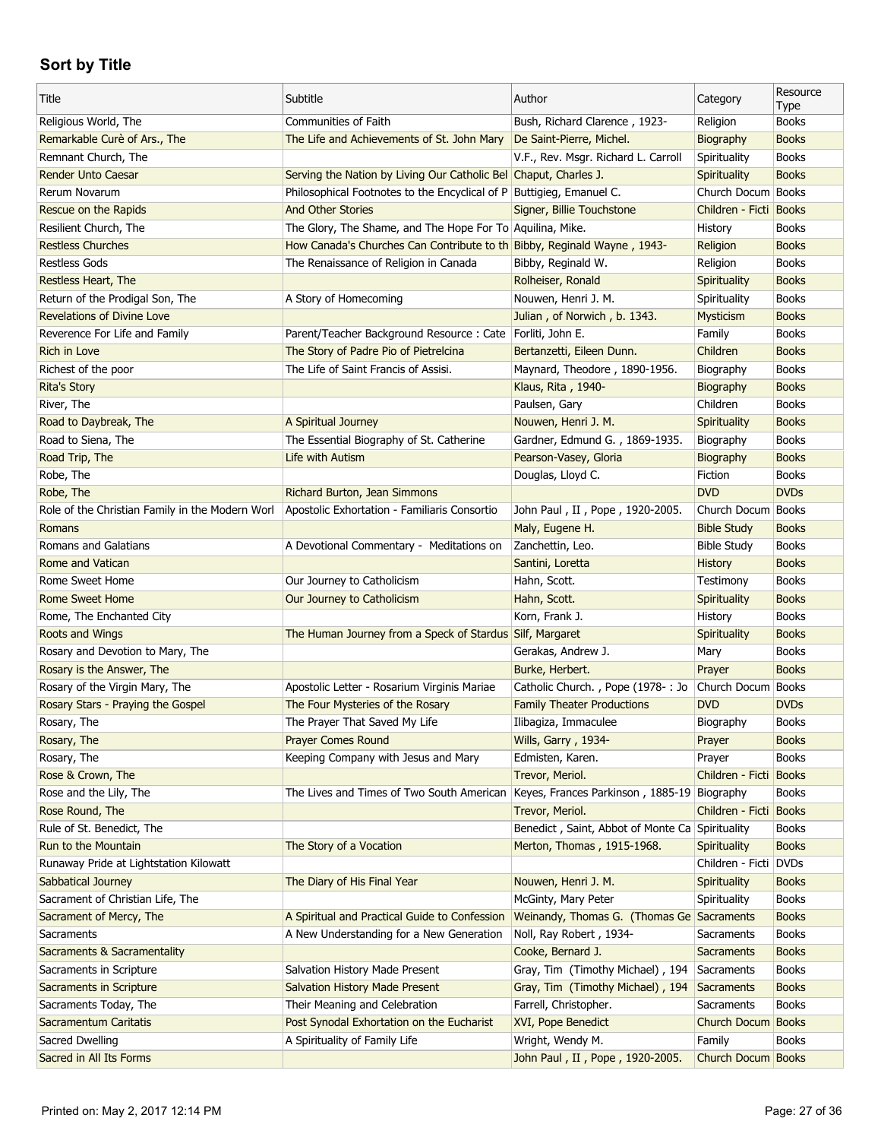| Title                                           | Subtitle                                                                | Author                                          | Category               | Resource<br>Type |
|-------------------------------------------------|-------------------------------------------------------------------------|-------------------------------------------------|------------------------|------------------|
| Religious World, The                            | Communities of Faith                                                    | Bush, Richard Clarence, 1923-                   | Religion               | <b>Books</b>     |
| Remarkable Curè of Ars., The                    | The Life and Achievements of St. John Mary                              | De Saint-Pierre, Michel.                        | Biography              | <b>Books</b>     |
| Remnant Church, The                             |                                                                         | V.F., Rev. Msgr. Richard L. Carroll             | Spirituality           | <b>Books</b>     |
| <b>Render Unto Caesar</b>                       | Serving the Nation by Living Our Catholic Bel Chaput, Charles J.        |                                                 | Spirituality           | <b>Books</b>     |
| Rerum Novarum                                   | Philosophical Footnotes to the Encyclical of P Buttigleg, Emanuel C.    |                                                 | Church Docum Books     |                  |
| Rescue on the Rapids                            | <b>And Other Stories</b>                                                | Signer, Billie Touchstone                       | Children - Ficti Books |                  |
| Resilient Church, The                           | The Glory, The Shame, and The Hope For To Aquilina, Mike.               |                                                 | History                | <b>Books</b>     |
| <b>Restless Churches</b>                        | How Canada's Churches Can Contribute to th Bibby, Reginald Wayne, 1943- |                                                 | Religion               | <b>Books</b>     |
| <b>Restless Gods</b>                            | The Renaissance of Religion in Canada                                   | Bibby, Reginald W.                              | Religion               | <b>Books</b>     |
| Restless Heart, The                             |                                                                         | Rolheiser, Ronald                               | Spirituality           | <b>Books</b>     |
| Return of the Prodigal Son, The                 | A Story of Homecoming                                                   | Nouwen, Henri J. M.                             | Spirituality           | <b>Books</b>     |
| <b>Revelations of Divine Love</b>               |                                                                         | Julian, of Norwich, b. 1343.                    | Mysticism              | <b>Books</b>     |
| Reverence For Life and Family                   | Parent/Teacher Background Resource : Cate   Forliti, John E.            |                                                 | Family                 | <b>Books</b>     |
| <b>Rich in Love</b>                             | The Story of Padre Pio of Pietrelcina                                   | Bertanzetti, Eileen Dunn.                       | Children               | <b>Books</b>     |
| Richest of the poor                             | The Life of Saint Francis of Assisi.                                    | Maynard, Theodore, 1890-1956.                   | Biography              | <b>Books</b>     |
| <b>Rita's Story</b>                             |                                                                         | Klaus, Rita, 1940-                              | Biography              | <b>Books</b>     |
| River, The                                      |                                                                         | Paulsen, Gary                                   | Children               | <b>Books</b>     |
| Road to Daybreak, The                           | A Spiritual Journey                                                     | Nouwen, Henri J. M.                             | Spirituality           | <b>Books</b>     |
| Road to Siena, The                              | The Essential Biography of St. Catherine                                | Gardner, Edmund G., 1869-1935.                  | Biography              | <b>Books</b>     |
| Road Trip, The                                  | Life with Autism                                                        | Pearson-Vasey, Gloria                           | Biography              | <b>Books</b>     |
| Robe, The                                       |                                                                         | Douglas, Lloyd C.                               | Fiction                | <b>Books</b>     |
| Robe, The                                       | Richard Burton, Jean Simmons                                            |                                                 | <b>DVD</b>             | <b>DVDs</b>      |
| Role of the Christian Family in the Modern Worl | Apostolic Exhortation - Familiaris Consortio                            | John Paul, II, Pope, 1920-2005.                 | Church Docum Books     |                  |
| Romans                                          |                                                                         | Maly, Eugene H.                                 | <b>Bible Study</b>     | <b>Books</b>     |
| Romans and Galatians                            | A Devotional Commentary - Meditations on                                | Zanchettin, Leo.                                | <b>Bible Study</b>     | <b>Books</b>     |
| Rome and Vatican                                |                                                                         | Santini, Loretta                                | <b>History</b>         | <b>Books</b>     |
| Rome Sweet Home                                 | Our Journey to Catholicism                                              | Hahn, Scott.                                    | Testimony              | <b>Books</b>     |
| <b>Rome Sweet Home</b>                          |                                                                         |                                                 |                        | <b>Books</b>     |
|                                                 | Our Journey to Catholicism                                              | Hahn, Scott.                                    | Spirituality           |                  |
| Rome, The Enchanted City                        |                                                                         | Korn, Frank J.                                  | History                | <b>Books</b>     |
|                                                 |                                                                         |                                                 |                        |                  |
| Roots and Wings                                 | The Human Journey from a Speck of Stardus Silf, Margaret                |                                                 | <b>Spirituality</b>    | <b>Books</b>     |
| Rosary and Devotion to Mary, The                |                                                                         | Gerakas, Andrew J.                              | Mary                   | <b>Books</b>     |
| Rosary is the Answer, The                       |                                                                         | Burke, Herbert.                                 | Prayer                 | <b>Books</b>     |
| Rosary of the Virgin Mary, The                  | Apostolic Letter - Rosarium Virginis Mariae                             | Catholic Church., Pope (1978-: Jo               | Church Docum Books     |                  |
| Rosary Stars - Praying the Gospel               | The Four Mysteries of the Rosary                                        | <b>Family Theater Productions</b>               | <b>DVD</b>             | <b>DVDs</b>      |
| Rosary, The                                     | The Prayer That Saved My Life                                           | Ilibagiza, Immaculee                            | Biography              | <b>Books</b>     |
| Rosary, The                                     | <b>Prayer Comes Round</b>                                               | Wills, Garry, 1934-                             | Prayer                 | <b>Books</b>     |
| Rosary, The                                     | Keeping Company with Jesus and Mary                                     | Edmisten, Karen.                                | Prayer                 | <b>Books</b>     |
| Rose & Crown, The                               |                                                                         | Trevor, Meriol.                                 | Children - Ficti Books |                  |
| Rose and the Lily, The                          | The Lives and Times of Two South American                               | Keyes, Frances Parkinson, 1885-19 Biography     |                        | <b>Books</b>     |
| Rose Round, The                                 |                                                                         | Trevor, Meriol.                                 | Children - Ficti Books |                  |
| Rule of St. Benedict, The                       |                                                                         | Benedict, Saint, Abbot of Monte Ca Spirituality |                        | <b>Books</b>     |
| Run to the Mountain                             | The Story of a Vocation                                                 | Merton, Thomas, 1915-1968.                      | <b>Spirituality</b>    | <b>Books</b>     |
| Runaway Pride at Lightstation Kilowatt          |                                                                         |                                                 | Children - Ficti DVDs  |                  |
| Sabbatical Journey                              | The Diary of His Final Year                                             | Nouwen, Henri J. M.                             | <b>Spirituality</b>    | <b>Books</b>     |
| Sacrament of Christian Life, The                |                                                                         | McGinty, Mary Peter                             | Spirituality           | <b>Books</b>     |
| Sacrament of Mercy, The                         | A Spiritual and Practical Guide to Confession                           | Weinandy, Thomas G. (Thomas Ge Sacraments       |                        | <b>Books</b>     |
| Sacraments                                      | A New Understanding for a New Generation                                | Noll, Ray Robert, 1934-                         | Sacraments             | <b>Books</b>     |
| Sacraments & Sacramentality                     |                                                                         | Cooke, Bernard J.                               | <b>Sacraments</b>      | <b>Books</b>     |
| Sacraments in Scripture                         | Salvation History Made Present                                          | Gray, Tim (Timothy Michael), 194                | Sacraments             | <b>Books</b>     |
| Sacraments in Scripture                         | <b>Salvation History Made Present</b>                                   | Gray, Tim (Timothy Michael), 194                | Sacraments             | <b>Books</b>     |
| Sacraments Today, The                           | Their Meaning and Celebration                                           | Farrell, Christopher.                           | Sacraments             | <b>Books</b>     |
| Sacramentum Caritatis                           | Post Synodal Exhortation on the Eucharist                               | XVI, Pope Benedict                              | Church Docum Books     |                  |
| Sacred Dwelling                                 | A Spirituality of Family Life                                           | Wright, Wendy M.                                | Family                 | <b>Books</b>     |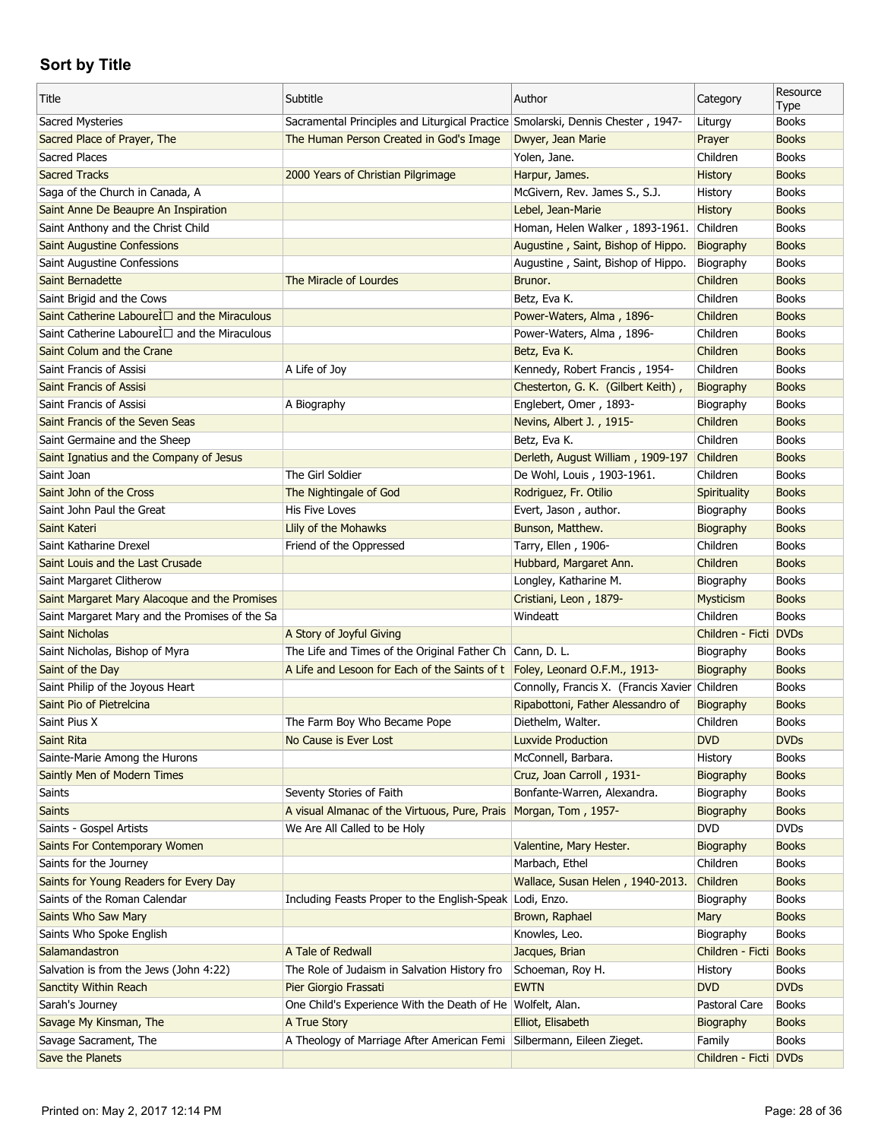| Title                                          | Subtitle                                                                        | Author                                        | Category               | Resource<br>Type |
|------------------------------------------------|---------------------------------------------------------------------------------|-----------------------------------------------|------------------------|------------------|
| Sacred Mysteries                               | Sacramental Principles and Liturgical Practice Smolarski, Dennis Chester, 1947- |                                               | Liturgy                | <b>Books</b>     |
| Sacred Place of Prayer, The                    | The Human Person Created in God's Image                                         | Dwyer, Jean Marie                             | Prayer                 | <b>Books</b>     |
| Sacred Places                                  |                                                                                 | Yolen, Jane.                                  | Children               | <b>Books</b>     |
| <b>Sacred Tracks</b>                           | 2000 Years of Christian Pilgrimage                                              | Harpur, James.                                | History                | <b>Books</b>     |
| Saga of the Church in Canada, A                |                                                                                 | McGivern, Rev. James S., S.J.                 | History                | <b>Books</b>     |
| Saint Anne De Beaupre An Inspiration           |                                                                                 | Lebel, Jean-Marie                             | <b>History</b>         | <b>Books</b>     |
| Saint Anthony and the Christ Child             |                                                                                 | Homan, Helen Walker, 1893-1961.               | Children               | <b>Books</b>     |
| <b>Saint Augustine Confessions</b>             |                                                                                 | Augustine, Saint, Bishop of Hippo.            | Biography              | <b>Books</b>     |
| Saint Augustine Confessions                    |                                                                                 | Augustine, Saint, Bishop of Hippo.            | Biography              | <b>Books</b>     |
| Saint Bernadette                               | The Miracle of Lourdes                                                          | Brunor.                                       | Children               | <b>Books</b>     |
| Saint Brigid and the Cows                      |                                                                                 | Betz, Eva K.                                  | Children               | <b>Books</b>     |
| Saint Catherine LaboureÌ□ and the Miraculous   |                                                                                 | Power-Waters, Alma, 1896-                     | Children               | <b>Books</b>     |
| Saint Catherine Labourel D and the Miraculous  |                                                                                 | Power-Waters, Alma, 1896-                     | Children               | <b>Books</b>     |
| Saint Colum and the Crane                      |                                                                                 | Betz, Eva K.                                  | Children               | <b>Books</b>     |
| Saint Francis of Assisi                        | A Life of Joy                                                                   | Kennedy, Robert Francis, 1954-                | Children               | <b>Books</b>     |
| <b>Saint Francis of Assisi</b>                 |                                                                                 | Chesterton, G. K. (Gilbert Keith),            | Biography              | <b>Books</b>     |
| Saint Francis of Assisi                        | A Biography                                                                     | Englebert, Omer, 1893-                        | Biography              | <b>Books</b>     |
| Saint Francis of the Seven Seas                |                                                                                 | Nevins, Albert J., 1915-                      | Children               | <b>Books</b>     |
| Saint Germaine and the Sheep                   |                                                                                 | Betz, Eva K.                                  | Children               | <b>Books</b>     |
| Saint Ignatius and the Company of Jesus        |                                                                                 | Derleth, August William, 1909-197             | Children               | <b>Books</b>     |
| Saint Joan                                     | The Girl Soldier                                                                | De Wohl, Louis, 1903-1961.                    | Children               | <b>Books</b>     |
|                                                |                                                                                 |                                               |                        | <b>Books</b>     |
| Saint John of the Cross                        | The Nightingale of God                                                          | Rodriguez, Fr. Otilio                         | Spirituality           |                  |
| Saint John Paul the Great                      | His Five Loves                                                                  | Evert, Jason, author.                         | Biography              | <b>Books</b>     |
| Saint Kateri                                   | Llily of the Mohawks                                                            | Bunson, Matthew.                              | Biography              | <b>Books</b>     |
| Saint Katharine Drexel                         | Friend of the Oppressed                                                         | Tarry, Ellen, 1906-                           | Children               | <b>Books</b>     |
| Saint Louis and the Last Crusade               |                                                                                 | Hubbard, Margaret Ann.                        | Children               | <b>Books</b>     |
| Saint Margaret Clitherow                       |                                                                                 | Longley, Katharine M.                         | Biography              | <b>Books</b>     |
| Saint Margaret Mary Alacoque and the Promises  |                                                                                 | Cristiani, Leon, 1879-                        | Mysticism              | <b>Books</b>     |
| Saint Margaret Mary and the Promises of the Sa |                                                                                 | Windeatt                                      | Children               | <b>Books</b>     |
| <b>Saint Nicholas</b>                          | A Story of Joyful Giving                                                        |                                               | Children - Ficti DVDs  |                  |
| Saint Nicholas, Bishop of Myra                 | The Life and Times of the Original Father Ch Cann, D. L.                        |                                               | Biography              | <b>Books</b>     |
| Saint of the Day                               | A Life and Lesoon for Each of the Saints of t Foley, Leonard O.F.M., 1913-      |                                               | Biography              | <b>Books</b>     |
| Saint Philip of the Joyous Heart               |                                                                                 | Connolly, Francis X. (Francis Xavier Children |                        | <b>Books</b>     |
| Saint Pio of Pietrelcina                       |                                                                                 | Ripabottoni, Father Alessandro of             | Biography              | <b>Books</b>     |
| Saint Pius X                                   | The Farm Boy Who Became Pope                                                    | Diethelm, Walter.                             | Children               | <b>Books</b>     |
| Saint Rita                                     | No Cause is Ever Lost                                                           | <b>Luxvide Production</b>                     | <b>DVD</b>             | <b>DVDs</b>      |
| Sainte-Marie Among the Hurons                  |                                                                                 | McConnell, Barbara.                           | History                | <b>Books</b>     |
| Saintly Men of Modern Times                    |                                                                                 | Cruz, Joan Carroll, 1931-                     | Biography              | <b>Books</b>     |
| Saints                                         | Seventy Stories of Faith                                                        | Bonfante-Warren, Alexandra.                   | Biography              | <b>Books</b>     |
| <b>Saints</b>                                  | A visual Almanac of the Virtuous, Pure, Prais   Morgan, Tom, 1957-              |                                               | Biography              | <b>Books</b>     |
| Saints - Gospel Artists                        | We Are All Called to be Holy                                                    |                                               | <b>DVD</b>             | <b>DVDs</b>      |
| Saints For Contemporary Women                  |                                                                                 | Valentine, Mary Hester.                       | Biography              | <b>Books</b>     |
| Saints for the Journey                         |                                                                                 | Marbach, Ethel                                | Children               | Books            |
| Saints for Young Readers for Every Day         |                                                                                 | Wallace, Susan Helen, 1940-2013.              | Children               | <b>Books</b>     |
| Saints of the Roman Calendar                   | Including Feasts Proper to the English-Speak                                    | Lodi, Enzo.                                   | Biography              | <b>Books</b>     |
| Saints Who Saw Mary                            |                                                                                 | Brown, Raphael                                | Mary                   | <b>Books</b>     |
| Saints Who Spoke English                       |                                                                                 | Knowles, Leo.                                 | Biography              | <b>Books</b>     |
| Salamandastron                                 | A Tale of Redwall                                                               | Jacques, Brian                                | Children - Ficti Books |                  |
| Salvation is from the Jews (John 4:22)         | The Role of Judaism in Salvation History fro                                    | Schoeman, Roy H.                              | History                | <b>Books</b>     |
| Sanctity Within Reach                          | Pier Giorgio Frassati                                                           | <b>EWTN</b>                                   | <b>DVD</b>             | <b>DVDs</b>      |
| Sarah's Journey                                | One Child's Experience With the Death of He Wolfelt, Alan.                      |                                               | Pastoral Care          | <b>Books</b>     |
| Savage My Kinsman, The                         | A True Story                                                                    | Elliot, Elisabeth                             | Biography              | <b>Books</b>     |
| Savage Sacrament, The                          | A Theology of Marriage After American Femi                                      | Silbermann, Eileen Zieget.                    | Family                 | Books            |
| Save the Planets                               |                                                                                 |                                               | Children - Ficti DVDs  |                  |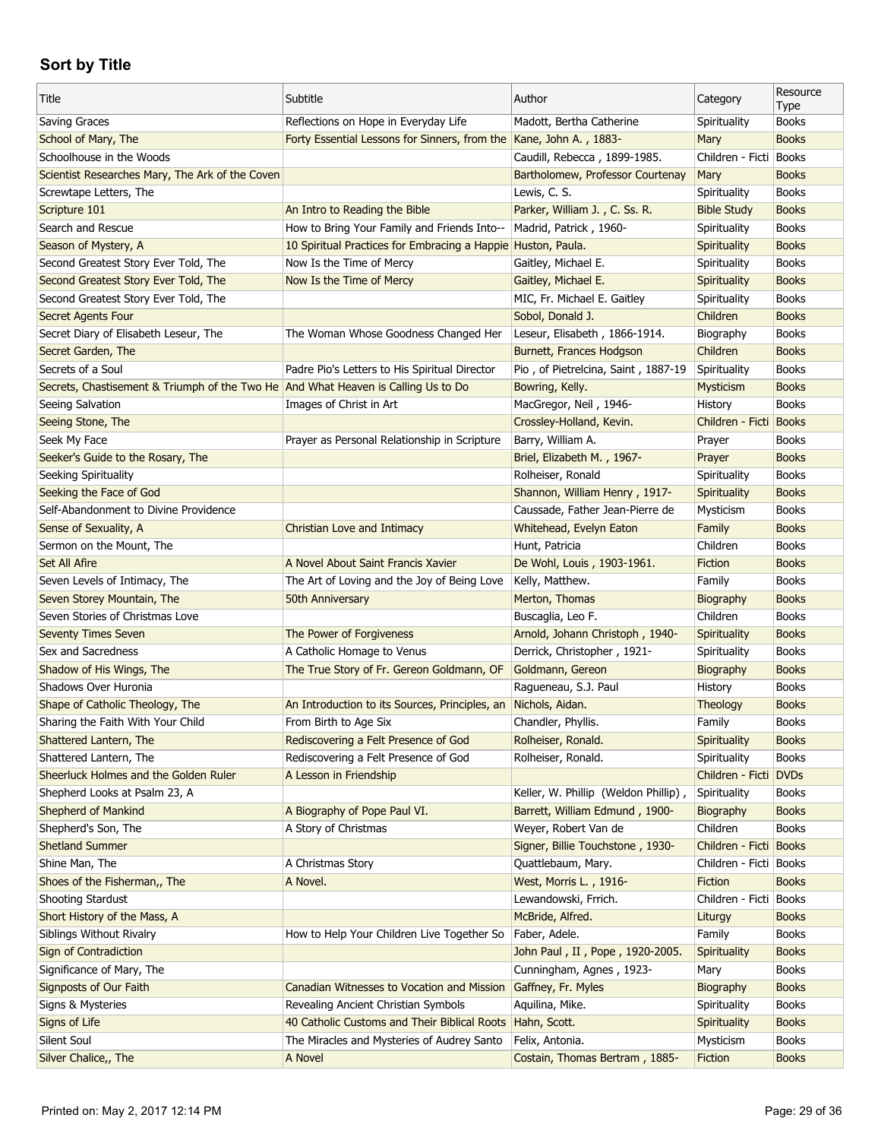| Title                                                                             | Subtitle                                                           | Author                               | Category               | Resource<br>Type |
|-----------------------------------------------------------------------------------|--------------------------------------------------------------------|--------------------------------------|------------------------|------------------|
| Saving Graces                                                                     | Reflections on Hope in Everyday Life                               | Madott, Bertha Catherine             | Spirituality           | <b>Books</b>     |
| School of Mary, The                                                               | Forty Essential Lessons for Sinners, from the Kane, John A., 1883- |                                      | Mary                   | <b>Books</b>     |
| Schoolhouse in the Woods                                                          |                                                                    | Caudill, Rebecca, 1899-1985.         | Children - Ficti Books |                  |
| Scientist Researches Mary, The Ark of the Coven                                   |                                                                    | Bartholomew, Professor Courtenay     | Mary                   | <b>Books</b>     |
| Screwtape Letters, The                                                            |                                                                    | Lewis, C. S.                         | Spirituality           | <b>Books</b>     |
| Scripture 101                                                                     | An Intro to Reading the Bible                                      | Parker, William J., C. Ss. R.        | <b>Bible Study</b>     | <b>Books</b>     |
| Search and Rescue                                                                 | How to Bring Your Family and Friends Into--                        | Madrid, Patrick, 1960-               | Spirituality           | <b>Books</b>     |
| Season of Mystery, A                                                              | 10 Spiritual Practices for Embracing a Happie Huston, Paula.       |                                      | Spirituality           | <b>Books</b>     |
| Second Greatest Story Ever Told, The                                              | Now Is the Time of Mercy                                           | Gaitley, Michael E.                  | Spirituality           | <b>Books</b>     |
| Second Greatest Story Ever Told, The                                              | Now Is the Time of Mercy                                           | Gaitley, Michael E.                  | Spirituality           | <b>Books</b>     |
| Second Greatest Story Ever Told, The                                              |                                                                    | MIC, Fr. Michael E. Gaitley          | Spirituality           | <b>Books</b>     |
| Secret Agents Four                                                                |                                                                    | Sobol, Donald J.                     | Children               | <b>Books</b>     |
| Secret Diary of Elisabeth Leseur, The                                             | The Woman Whose Goodness Changed Her                               | Leseur, Elisabeth, 1866-1914.        | Biography              | <b>Books</b>     |
| Secret Garden, The                                                                |                                                                    | Burnett, Frances Hodgson             | Children               | <b>Books</b>     |
| Secrets of a Soul                                                                 | Padre Pio's Letters to His Spiritual Director                      | Pio, of Pietrelcina, Saint, 1887-19  | Spirituality           | <b>Books</b>     |
| Secrets, Chastisement & Triumph of the Two He And What Heaven is Calling Us to Do |                                                                    | Bowring, Kelly.                      | Mysticism              | <b>Books</b>     |
| Seeing Salvation                                                                  | Images of Christ in Art                                            | MacGregor, Neil, 1946-               | History                | <b>Books</b>     |
| Seeing Stone, The                                                                 |                                                                    | Crossley-Holland, Kevin.             | Children - Ficti Books |                  |
| Seek My Face                                                                      | Prayer as Personal Relationship in Scripture                       | Barry, William A.                    | Prayer                 | <b>Books</b>     |
| Seeker's Guide to the Rosary, The                                                 |                                                                    | Briel, Elizabeth M., 1967-           | Prayer                 | <b>Books</b>     |
| Seeking Spirituality                                                              |                                                                    | Rolheiser, Ronald                    | Spirituality           | <b>Books</b>     |
| Seeking the Face of God                                                           |                                                                    | Shannon, William Henry, 1917-        | Spirituality           | <b>Books</b>     |
| Self-Abandonment to Divine Providence                                             |                                                                    | Caussade, Father Jean-Pierre de      | Mysticism              | <b>Books</b>     |
| Sense of Sexuality, A                                                             | Christian Love and Intimacy                                        | Whitehead, Evelyn Eaton              | Family                 | <b>Books</b>     |
| Sermon on the Mount, The                                                          |                                                                    | Hunt, Patricia                       | Children               | <b>Books</b>     |
| Set All Afire                                                                     | A Novel About Saint Francis Xavier                                 |                                      | Fiction                | <b>Books</b>     |
| Seven Levels of Intimacy, The                                                     | The Art of Loving and the Joy of Being Love                        | De Wohl, Louis, 1903-1961.           |                        | <b>Books</b>     |
|                                                                                   |                                                                    |                                      |                        |                  |
|                                                                                   |                                                                    | Kelly, Matthew.                      | Family                 |                  |
| Seven Storey Mountain, The                                                        | 50th Anniversary                                                   | Merton, Thomas                       | Biography              | <b>Books</b>     |
| Seven Stories of Christmas Love                                                   |                                                                    | Buscaglia, Leo F.                    | Children               | <b>Books</b>     |
| <b>Seventy Times Seven</b>                                                        | The Power of Forgiveness                                           | Arnold, Johann Christoph, 1940-      | Spirituality           | <b>Books</b>     |
| Sex and Sacredness                                                                | A Catholic Homage to Venus                                         | Derrick, Christopher, 1921-          | Spirituality           | <b>Books</b>     |
| Shadow of His Wings, The                                                          | The True Story of Fr. Gereon Goldmann, OF                          | Goldmann, Gereon                     | Biography              | <b>Books</b>     |
| Shadows Over Huronia                                                              |                                                                    | Ragueneau, S.J. Paul                 | History                | <b>Books</b>     |
| Shape of Catholic Theology, The                                                   | An Introduction to its Sources, Principles, an                     | Nichols, Aidan.                      | Theology               | <b>Books</b>     |
| Sharing the Faith With Your Child                                                 | From Birth to Age Six                                              | Chandler, Phyllis.                   | Family                 | <b>Books</b>     |
| Shattered Lantern, The                                                            | Rediscovering a Felt Presence of God                               | Rolheiser, Ronald.                   | Spirituality           | <b>Books</b>     |
| Shattered Lantern, The                                                            | Rediscovering a Felt Presence of God                               | Rolheiser, Ronald.                   | Spirituality           | <b>Books</b>     |
| Sheerluck Holmes and the Golden Ruler                                             | A Lesson in Friendship                                             |                                      | Children - Ficti DVDs  |                  |
| Shepherd Looks at Psalm 23, A                                                     |                                                                    | Keller, W. Phillip (Weldon Phillip), | Spirituality           | <b>Books</b>     |
| <b>Shepherd of Mankind</b>                                                        | A Biography of Pope Paul VI.                                       | Barrett, William Edmund, 1900-       | Biography              | <b>Books</b>     |
| Shepherd's Son, The                                                               | A Story of Christmas                                               | Weyer, Robert Van de                 | Children               | <b>Books</b>     |
| <b>Shetland Summer</b>                                                            |                                                                    | Signer, Billie Touchstone, 1930-     | Children - Ficti Books |                  |
| Shine Man, The                                                                    | A Christmas Story                                                  | Quattlebaum, Mary.                   | Children - Ficti Books |                  |
| Shoes of the Fisherman,, The                                                      | A Novel.                                                           | West, Morris L., 1916-               | Fiction                | <b>Books</b>     |
| <b>Shooting Stardust</b>                                                          |                                                                    | Lewandowski, Frrich.                 | Children - Ficti Books |                  |
| Short History of the Mass, A                                                      |                                                                    | McBride, Alfred.                     | Liturgy                | <b>Books</b>     |
| Siblings Without Rivalry                                                          | How to Help Your Children Live Together So                         | Faber, Adele.                        | Family                 | <b>Books</b>     |
| Sign of Contradiction                                                             |                                                                    | John Paul, II, Pope, 1920-2005.      | Spirituality           | <b>Books</b>     |
| Significance of Mary, The                                                         |                                                                    | Cunningham, Agnes, 1923-             | Mary                   | <b>Books</b>     |
| Signposts of Our Faith                                                            | Canadian Witnesses to Vocation and Mission                         | Gaffney, Fr. Myles                   | Biography              | <b>Books</b>     |
| Signs & Mysteries                                                                 | Revealing Ancient Christian Symbols                                | Aquilina, Mike.                      | Spirituality           | <b>Books</b>     |
| Signs of Life                                                                     | 40 Catholic Customs and Their Biblical Roots                       | Hahn, Scott.                         | Spirituality           | <b>Books</b>     |
| Silent Soul                                                                       | The Miracles and Mysteries of Audrey Santo                         | Felix, Antonia.                      | Mysticism              | <b>Books</b>     |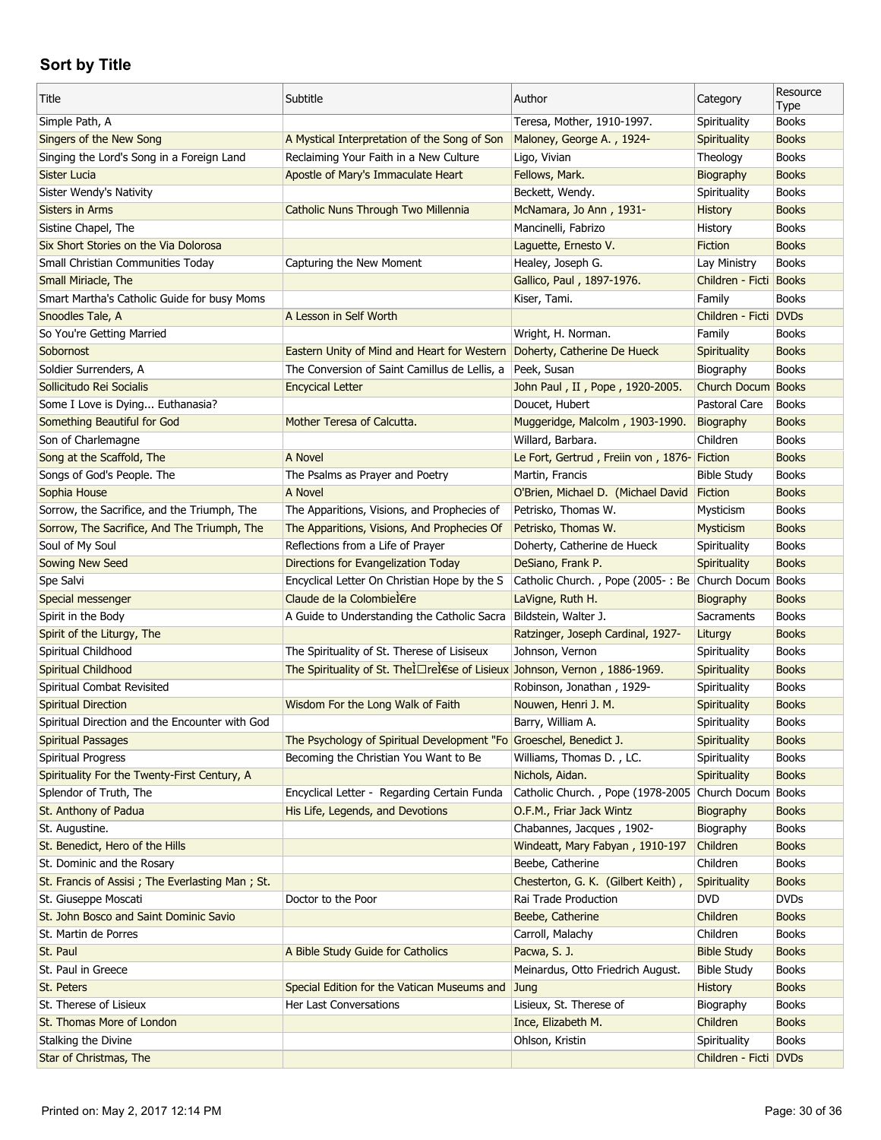| Title                                           | Subtitle                                                                   | Author                                                  | Category                        | Resource             |
|-------------------------------------------------|----------------------------------------------------------------------------|---------------------------------------------------------|---------------------------------|----------------------|
|                                                 |                                                                            |                                                         |                                 | Type<br><b>Books</b> |
| Simple Path, A<br>Singers of the New Song       |                                                                            | Teresa, Mother, 1910-1997.<br>Maloney, George A., 1924- | Spirituality                    | <b>Books</b>         |
| Singing the Lord's Song in a Foreign Land       | A Mystical Interpretation of the Song of Son                               |                                                         | Spirituality                    | <b>Books</b>         |
|                                                 | Reclaiming Your Faith in a New Culture                                     | Ligo, Vivian                                            | Theology                        | <b>Books</b>         |
| <b>Sister Lucia</b>                             | Apostle of Mary's Immaculate Heart                                         | Fellows, Mark.<br>Beckett, Wendy.                       | Biography                       | <b>Books</b>         |
| Sister Wendy's Nativity                         |                                                                            |                                                         | Spirituality                    |                      |
| <b>Sisters in Arms</b>                          | Catholic Nuns Through Two Millennia                                        | McNamara, Jo Ann, 1931-                                 | <b>History</b>                  | <b>Books</b>         |
| Sistine Chapel, The                             |                                                                            | Mancinelli, Fabrizo                                     | History                         | <b>Books</b>         |
| Six Short Stories on the Via Dolorosa           |                                                                            | Laguette, Ernesto V.                                    | <b>Fiction</b>                  | <b>Books</b>         |
| Small Christian Communities Today               | Capturing the New Moment                                                   | Healey, Joseph G.                                       | Lay Ministry                    | <b>Books</b>         |
| Small Miriacle, The                             |                                                                            | Gallico, Paul, 1897-1976.                               | Children - Ficti Books          |                      |
| Smart Martha's Catholic Guide for busy Moms     |                                                                            | Kiser, Tami.                                            | Family<br>Children - Ficti DVDs | <b>Books</b>         |
| Snoodles Tale, A                                | A Lesson in Self Worth                                                     |                                                         |                                 |                      |
| So You're Getting Married                       |                                                                            | Wright, H. Norman.                                      | Family                          | <b>Books</b>         |
| Sobornost                                       | Eastern Unity of Mind and Heart for Western                                | Doherty, Catherine De Hueck                             | Spirituality                    | <b>Books</b>         |
| Soldier Surrenders, A                           | The Conversion of Saint Camillus de Lellis, a                              | Peek, Susan                                             | Biography                       | <b>Books</b>         |
| Sollicitudo Rei Socialis                        | <b>Encycical Letter</b>                                                    | John Paul, II, Pope, 1920-2005.                         | Church Docum Books              |                      |
| Some I Love is Dying Euthanasia?                |                                                                            | Doucet, Hubert                                          | Pastoral Care                   | <b>Books</b>         |
| Something Beautiful for God                     | Mother Teresa of Calcutta.                                                 | Muggeridge, Malcolm, 1903-1990.                         | Biography                       | <b>Books</b>         |
| Son of Charlemagne                              |                                                                            | Willard, Barbara.                                       | Children                        | <b>Books</b>         |
| Song at the Scaffold, The                       | A Novel                                                                    | Le Fort, Gertrud, Freiin von, 1876- Fiction             |                                 | <b>Books</b>         |
| Songs of God's People. The                      | The Psalms as Prayer and Poetry                                            | Martin, Francis                                         | <b>Bible Study</b>              | <b>Books</b>         |
| Sophia House                                    | A Novel                                                                    | O'Brien, Michael D. (Michael David                      | Fiction                         | <b>Books</b>         |
| Sorrow, the Sacrifice, and the Triumph, The     | The Apparitions, Visions, and Prophecies of                                | Petrisko, Thomas W.                                     | Mysticism                       | <b>Books</b>         |
| Sorrow, The Sacrifice, And The Triumph, The     | The Apparitions, Visions, And Prophecies Of                                | Petrisko, Thomas W.                                     | Mysticism                       | <b>Books</b>         |
| Soul of My Soul                                 | Reflections from a Life of Prayer                                          | Doherty, Catherine de Hueck                             | Spirituality                    | <b>Books</b>         |
| Sowing New Seed                                 | Directions for Evangelization Today                                        | DeSiano, Frank P.                                       | Spirituality                    | <b>Books</b>         |
| Spe Salvi                                       | Encyclical Letter On Christian Hope by the S                               | Catholic Church., Pope (2005-: Be Church Docum Books    |                                 |                      |
| Special messenger                               | Claude de la Colombière                                                    | LaVigne, Ruth H.                                        | Biography                       | <b>Books</b>         |
| Spirit in the Body                              | A Guide to Understanding the Catholic Sacra   Bildstein, Walter J.         |                                                         | Sacraments                      | <b>Books</b>         |
| Spirit of the Liturgy, The                      |                                                                            | Ratzinger, Joseph Cardinal, 1927-                       | Liturgy                         | <b>Books</b>         |
| Spiritual Childhood                             | The Spirituality of St. Therese of Lisiseux                                | Johnson, Vernon                                         | Spirituality                    | <b>Books</b>         |
| Spiritual Childhood                             | The Spirituality of St. TheÌ□reÌ€se of Lisieux Johnson, Vernon, 1886-1969. |                                                         | Spirituality                    | <b>Books</b>         |
| Spiritual Combat Revisited                      |                                                                            | Robinson, Jonathan, 1929-                               | Spirituality                    | <b>Books</b>         |
| <b>Spiritual Direction</b>                      | Wisdom For the Long Walk of Faith                                          | Nouwen, Henri J. M.                                     | Spirituality                    | <b>Books</b>         |
| Spiritual Direction and the Encounter with God  |                                                                            | Barry, William A.                                       | Spirituality                    | <b>Books</b>         |
| <b>Spiritual Passages</b>                       | The Psychology of Spiritual Development "Fo Groeschel, Benedict J.         |                                                         | Spirituality                    | <b>Books</b>         |
| Spiritual Progress                              | Becoming the Christian You Want to Be                                      | Williams, Thomas D., LC.                                | Spirituality                    | <b>Books</b>         |
| Spirituality For the Twenty-First Century, A    |                                                                            | Nichols, Aidan.                                         | Spirituality                    | <b>Books</b>         |
| Splendor of Truth, The                          | Encyclical Letter - Regarding Certain Funda                                | Catholic Church., Pope (1978-2005 Church Docum Books    |                                 |                      |
| St. Anthony of Padua                            | His Life, Legends, and Devotions                                           | O.F.M., Friar Jack Wintz                                | Biography                       | <b>Books</b>         |
| St. Augustine.                                  |                                                                            | Chabannes, Jacques, 1902-                               | Biography                       | <b>Books</b>         |
| St. Benedict, Hero of the Hills                 |                                                                            | Windeatt, Mary Fabyan, 1910-197                         | Children                        | <b>Books</b>         |
| St. Dominic and the Rosary                      |                                                                            | Beebe, Catherine                                        | Children                        | <b>Books</b>         |
| St. Francis of Assisi; The Everlasting Man; St. |                                                                            | Chesterton, G. K. (Gilbert Keith),                      | Spirituality                    | <b>Books</b>         |
| St. Giuseppe Moscati                            | Doctor to the Poor                                                         | Rai Trade Production                                    | <b>DVD</b>                      | <b>DVDs</b>          |
| St. John Bosco and Saint Dominic Savio          |                                                                            | Beebe, Catherine                                        | Children                        | <b>Books</b>         |
| St. Martin de Porres                            |                                                                            | Carroll, Malachy                                        | Children                        | <b>Books</b>         |
| St. Paul                                        | A Bible Study Guide for Catholics                                          | Pacwa, S. J.                                            | <b>Bible Study</b>              | <b>Books</b>         |
| St. Paul in Greece                              |                                                                            | Meinardus, Otto Friedrich August.                       | <b>Bible Study</b>              | <b>Books</b>         |
| St. Peters                                      | Special Edition for the Vatican Museums and                                | Jung                                                    | <b>History</b>                  | <b>Books</b>         |
| St. Therese of Lisieux                          | Her Last Conversations                                                     | Lisieux, St. Therese of                                 | Biography                       | <b>Books</b>         |
| St. Thomas More of London                       |                                                                            | Ince, Elizabeth M.                                      | Children                        | <b>Books</b>         |
| Stalking the Divine                             |                                                                            | Ohlson, Kristin                                         | Spirituality                    | <b>Books</b>         |
| Star of Christmas, The                          |                                                                            |                                                         | Children - Ficti DVDs           |                      |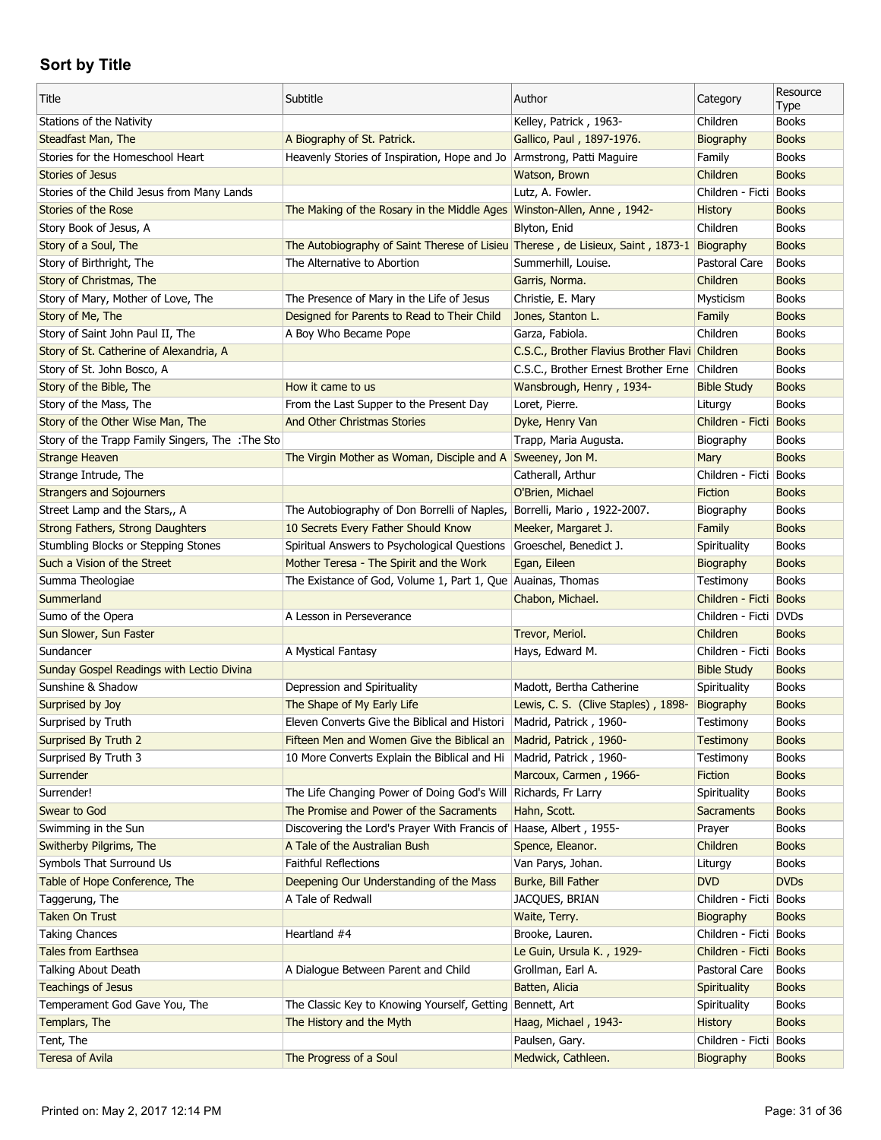| Title                                            | Subtitle                                                                                  | Author                                         | Category                | Resource<br>Type |
|--------------------------------------------------|-------------------------------------------------------------------------------------------|------------------------------------------------|-------------------------|------------------|
| Stations of the Nativity                         |                                                                                           | Kelley, Patrick, 1963-                         | Children                | <b>Books</b>     |
| Steadfast Man, The                               | A Biography of St. Patrick.                                                               | Gallico, Paul, 1897-1976.                      | Biography               | <b>Books</b>     |
| Stories for the Homeschool Heart                 | Heavenly Stories of Inspiration, Hope and Jo   Armstrong, Patti Maguire                   |                                                | Family                  | <b>Books</b>     |
| <b>Stories of Jesus</b>                          |                                                                                           | Watson, Brown                                  | Children                | <b>Books</b>     |
| Stories of the Child Jesus from Many Lands       |                                                                                           | Lutz, A. Fowler.                               | Children - Ficti        | <b>Books</b>     |
| Stories of the Rose                              | The Making of the Rosary in the Middle Ages   Winston-Allen, Anne, 1942-                  |                                                | <b>History</b>          | <b>Books</b>     |
| Story Book of Jesus, A                           |                                                                                           | Blyton, Enid                                   | Children                | <b>Books</b>     |
| Story of a Soul, The                             | The Autobiography of Saint Therese of Lisieu Therese, de Lisieux, Saint, 1873-1 Biography |                                                |                         | <b>Books</b>     |
| Story of Birthright, The                         | The Alternative to Abortion                                                               | Summerhill, Louise.                            | Pastoral Care           | <b>Books</b>     |
| Story of Christmas, The                          |                                                                                           | Garris, Norma.                                 | Children                | <b>Books</b>     |
| Story of Mary, Mother of Love, The               | The Presence of Mary in the Life of Jesus                                                 | Christie, E. Mary                              | Mysticism               | <b>Books</b>     |
| Story of Me, The                                 | Designed for Parents to Read to Their Child                                               | Jones, Stanton L.                              | Family                  | <b>Books</b>     |
| Story of Saint John Paul II, The                 | A Boy Who Became Pope                                                                     | Garza, Fabiola.                                | Children                | <b>Books</b>     |
| Story of St. Catherine of Alexandria, A          |                                                                                           | C.S.C., Brother Flavius Brother Flavi Children |                         | <b>Books</b>     |
| Story of St. John Bosco, A                       |                                                                                           | C.S.C., Brother Ernest Brother Erne Children   |                         | <b>Books</b>     |
| Story of the Bible, The                          | How it came to us                                                                         | Wansbrough, Henry, 1934-                       | <b>Bible Study</b>      | <b>Books</b>     |
| Story of the Mass, The                           | From the Last Supper to the Present Day                                                   | Loret, Pierre.                                 | Liturgy                 | <b>Books</b>     |
| Story of the Other Wise Man, The                 | And Other Christmas Stories                                                               | Dyke, Henry Van                                | Children - Ficti        | <b>Books</b>     |
| Story of the Trapp Family Singers, The : The Sto |                                                                                           | Trapp, Maria Augusta.                          | Biography               | <b>Books</b>     |
| <b>Strange Heaven</b>                            | The Virgin Mother as Woman, Disciple and A Sweeney, Jon M.                                |                                                | Mary                    | <b>Books</b>     |
| Strange Intrude, The                             |                                                                                           | Catherall, Arthur                              | Children - Ficti        | <b>Books</b>     |
| <b>Strangers and Sojourners</b>                  |                                                                                           | O'Brien, Michael                               | Fiction                 | <b>Books</b>     |
| Street Lamp and the Stars,, A                    | The Autobiography of Don Borrelli of Naples, Borrelli, Mario, 1922-2007.                  |                                                | Biography               | <b>Books</b>     |
| Strong Fathers, Strong Daughters                 | 10 Secrets Every Father Should Know                                                       | Meeker, Margaret J.                            | Family                  | <b>Books</b>     |
| Stumbling Blocks or Stepping Stones              | Spiritual Answers to Psychological Questions                                              | Groeschel, Benedict J.                         | Spirituality            | <b>Books</b>     |
| Such a Vision of the Street                      | Mother Teresa - The Spirit and the Work                                                   | Egan, Eileen                                   | Biography               | <b>Books</b>     |
|                                                  |                                                                                           |                                                |                         |                  |
|                                                  |                                                                                           |                                                |                         |                  |
| Summa Theologiae                                 | The Existance of God, Volume 1, Part 1, Que Auainas, Thomas                               |                                                | Testimony               | <b>Books</b>     |
| Summerland                                       |                                                                                           | Chabon, Michael.                               | Children - Ficti Books  |                  |
| Sumo of the Opera                                | A Lesson in Perseverance                                                                  |                                                | Children - Ficti   DVDs |                  |
| Sun Slower, Sun Faster                           |                                                                                           | Trevor, Meriol.                                | Children                | <b>Books</b>     |
| Sundancer                                        | A Mystical Fantasy                                                                        | Hays, Edward M.                                | Children - Ficti Books  |                  |
| Sunday Gospel Readings with Lectio Divina        |                                                                                           |                                                | <b>Bible Study</b>      | <b>Books</b>     |
| Sunshine & Shadow                                | Depression and Spirituality                                                               | Madott, Bertha Catherine                       | Spirituality            | <b>Books</b>     |
| Surprised by Joy                                 | The Shape of My Early Life                                                                | Lewis, C. S. (Clive Staples), 1898-            | Biography               | <b>Books</b>     |
| Surprised by Truth                               | Eleven Converts Give the Biblical and Histori   Madrid, Patrick, 1960-                    |                                                | Testimony               | <b>Books</b>     |
| Surprised By Truth 2                             | Fifteen Men and Women Give the Biblical an                                                | Madrid, Patrick, 1960-                         | Testimony               | <b>Books</b>     |
| Surprised By Truth 3                             | 10 More Converts Explain the Biblical and Hi                                              | Madrid, Patrick, 1960-                         | Testimony               | <b>Books</b>     |
| Surrender                                        |                                                                                           | Marcoux, Carmen, 1966-                         | Fiction                 | <b>Books</b>     |
| Surrender!                                       | The Life Changing Power of Doing God's Will Richards, Fr Larry                            |                                                | Spirituality            | <b>Books</b>     |
| Swear to God                                     | The Promise and Power of the Sacraments                                                   | Hahn, Scott.                                   | <b>Sacraments</b>       | <b>Books</b>     |
| Swimming in the Sun                              | Discovering the Lord's Prayer With Francis of Haase, Albert, 1955-                        |                                                | Prayer                  | <b>Books</b>     |
| Switherby Pilgrims, The                          | A Tale of the Australian Bush                                                             | Spence, Eleanor.                               | Children                | <b>Books</b>     |
| Symbols That Surround Us                         | <b>Faithful Reflections</b>                                                               | Van Parys, Johan.                              | Liturgy                 | <b>Books</b>     |
| Table of Hope Conference, The                    | Deepening Our Understanding of the Mass                                                   | Burke, Bill Father                             | <b>DVD</b>              | <b>DVDs</b>      |
| Taggerung, The                                   | A Tale of Redwall                                                                         | JACQUES, BRIAN                                 | Children - Ficti        | <b>Books</b>     |
| <b>Taken On Trust</b>                            |                                                                                           | Waite, Terry.                                  | Biography               | <b>Books</b>     |
| <b>Taking Chances</b>                            | Heartland #4                                                                              | Brooke, Lauren.                                | Children - Ficti Books  |                  |
| <b>Tales from Earthsea</b>                       |                                                                                           | Le Guin, Ursula K., 1929-                      | Children - Ficti        | <b>Books</b>     |
| Talking About Death                              | A Dialogue Between Parent and Child                                                       | Grollman, Earl A.                              | Pastoral Care           | <b>Books</b>     |
| <b>Teachings of Jesus</b>                        |                                                                                           | Batten, Alicia                                 | Spirituality            | <b>Books</b>     |
| Temperament God Gave You, The                    | The Classic Key to Knowing Yourself, Getting                                              | Bennett, Art                                   | Spirituality            | <b>Books</b>     |
| Templars, The                                    | The History and the Myth                                                                  | Haag, Michael, 1943-                           | <b>History</b>          | <b>Books</b>     |
| Tent, The                                        |                                                                                           | Paulsen, Gary.                                 | Children - Ficti Books  |                  |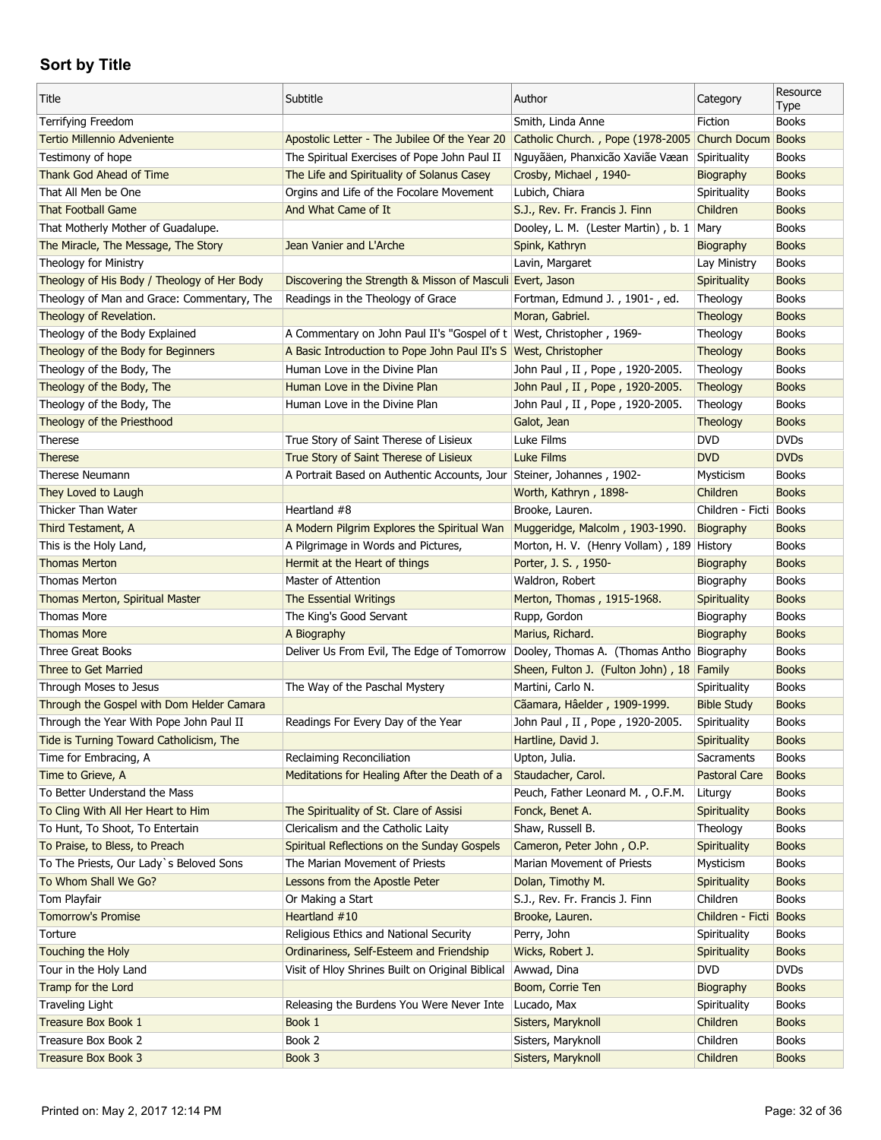| Title                                                 | Subtitle                                                                                 | Author                                                         | Category               | Resource<br>Type             |
|-------------------------------------------------------|------------------------------------------------------------------------------------------|----------------------------------------------------------------|------------------------|------------------------------|
| Terrifying Freedom                                    |                                                                                          | Smith, Linda Anne                                              | Fiction                | <b>Books</b>                 |
| <b>Tertio Millennio Adveniente</b>                    | Apostolic Letter - The Jubilee Of the Year 20                                            | Catholic Church., Pope (1978-2005 Church Docum Books           |                        |                              |
| Testimony of hope                                     | The Spiritual Exercises of Pope John Paul II                                             | Nguyãäen, Phanxicão Xaviãe Væan                                | Spirituality           | <b>Books</b>                 |
| Thank God Ahead of Time                               | The Life and Spirituality of Solanus Casey                                               | Crosby, Michael, 1940-                                         | Biography              | <b>Books</b>                 |
| That All Men be One                                   | Orgins and Life of the Focolare Movement                                                 | Lubich, Chiara                                                 | Spirituality           | <b>Books</b>                 |
| <b>That Football Game</b>                             | And What Came of It                                                                      | S.J., Rev. Fr. Francis J. Finn                                 | Children               | <b>Books</b>                 |
| That Motherly Mother of Guadalupe.                    |                                                                                          | Dooley, L. M. (Lester Martin), b. 1 Mary                       |                        | <b>Books</b>                 |
| The Miracle, The Message, The Story                   | Jean Vanier and L'Arche                                                                  | Spink, Kathryn                                                 | Biography              | <b>Books</b>                 |
| Theology for Ministry                                 |                                                                                          | Lavin, Margaret                                                | Lay Ministry           | <b>Books</b>                 |
| Theology of His Body / Theology of Her Body           | Discovering the Strength & Misson of Masculi Evert, Jason                                |                                                                | Spirituality           | <b>Books</b>                 |
| Theology of Man and Grace: Commentary, The            | Readings in the Theology of Grace                                                        | Fortman, Edmund J., 1901-, ed.                                 | Theology               | <b>Books</b>                 |
| Theology of Revelation.                               |                                                                                          | Moran, Gabriel.                                                | <b>Theology</b>        | <b>Books</b>                 |
| Theology of the Body Explained                        | A Commentary on John Paul II's "Gospel of t   West, Christopher, 1969-                   |                                                                | Theology               | <b>Books</b>                 |
| Theology of the Body for Beginners                    | A Basic Introduction to Pope John Paul II's S West, Christopher                          |                                                                | Theology               | <b>Books</b>                 |
| Theology of the Body, The                             | Human Love in the Divine Plan                                                            | John Paul, II, Pope, 1920-2005.                                | Theology               | <b>Books</b>                 |
| Theology of the Body, The                             | Human Love in the Divine Plan                                                            | John Paul, II, Pope, 1920-2005.                                | Theology               | <b>Books</b>                 |
| Theology of the Body, The                             | Human Love in the Divine Plan                                                            | John Paul, II, Pope, 1920-2005.                                | Theology               | <b>Books</b>                 |
| Theology of the Priesthood                            |                                                                                          | Galot, Jean                                                    | Theology               | <b>Books</b>                 |
| Therese                                               | True Story of Saint Therese of Lisieux                                                   | Luke Films                                                     | <b>DVD</b>             | <b>DVDs</b>                  |
| <b>Therese</b>                                        | True Story of Saint Therese of Lisieux                                                   | <b>Luke Films</b>                                              | <b>DVD</b>             | <b>DVDs</b>                  |
| Therese Neumann                                       | A Portrait Based on Authentic Accounts, Jour Steiner, Johannes, 1902-                    |                                                                | Mysticism              | <b>Books</b>                 |
| They Loved to Laugh                                   |                                                                                          | Worth, Kathryn, 1898-                                          | Children               | <b>Books</b>                 |
| Thicker Than Water                                    | Heartland #8                                                                             | Brooke, Lauren.                                                | Children - Ficti Books |                              |
| Third Testament, A                                    | A Modern Pilgrim Explores the Spiritual Wan                                              | Muggeridge, Malcolm, 1903-1990.                                | Biography              | <b>Books</b>                 |
| This is the Holy Land,                                | A Pilgrimage in Words and Pictures,                                                      | Morton, H. V. (Henry Vollam), 189 History                      |                        | <b>Books</b>                 |
| <b>Thomas Merton</b>                                  | Hermit at the Heart of things                                                            | Porter, J. S., 1950-                                           | Biography              | <b>Books</b>                 |
| Thomas Merton                                         | Master of Attention                                                                      | Waldron, Robert                                                | Biography              | <b>Books</b>                 |
|                                                       | <b>The Essential Writings</b>                                                            | Merton, Thomas, 1915-1968.                                     |                        | <b>Books</b>                 |
| Thomas Merton, Spiritual Master<br><b>Thomas More</b> | The King's Good Servant                                                                  |                                                                | Spirituality           | <b>Books</b>                 |
| <b>Thomas More</b>                                    |                                                                                          | Rupp, Gordon                                                   | Biography              | <b>Books</b>                 |
| <b>Three Great Books</b>                              | A Biography                                                                              | Marius, Richard.                                               | Biography              | <b>Books</b>                 |
|                                                       | Deliver Us From Evil, The Edge of Tomorrow   Dooley, Thomas A. (Thomas Antho   Biography |                                                                |                        |                              |
| Three to Get Married                                  | The Way of the Paschal Mystery                                                           | Sheen, Fulton J. (Fulton John), 18 Family<br>Martini, Carlo N. | Spirituality           | <b>Books</b><br><b>Books</b> |
| Through Moses to Jesus                                |                                                                                          |                                                                |                        |                              |
| Through the Gospel with Dom Helder Camara             |                                                                                          | Cãamara, Hâelder, 1909-1999.                                   | <b>Bible Study</b>     | <b>Books</b>                 |
| Through the Year With Pope John Paul II               | Readings For Every Day of the Year                                                       | John Paul, II, Pope, 1920-2005.                                | Spirituality           | <b>Books</b>                 |
| Tide is Turning Toward Catholicism, The               |                                                                                          | Hartline, David J.                                             | Spirituality           | <b>Books</b>                 |
| Time for Embracing, A                                 | Reclaiming Reconciliation                                                                | Upton, Julia.                                                  | Sacraments             | <b>Books</b>                 |
| Time to Grieve, A                                     | Meditations for Healing After the Death of a                                             | Staudacher, Carol.                                             | <b>Pastoral Care</b>   | <b>Books</b>                 |
| To Better Understand the Mass                         |                                                                                          | Peuch, Father Leonard M., O.F.M.                               | Liturgy                | <b>Books</b>                 |
| To Cling With All Her Heart to Him                    | The Spirituality of St. Clare of Assisi                                                  | Fonck, Benet A.                                                | Spirituality           | <b>Books</b>                 |
| To Hunt, To Shoot, To Entertain                       | Clericalism and the Catholic Laity                                                       | Shaw, Russell B.                                               | Theology               | <b>Books</b>                 |
| To Praise, to Bless, to Preach                        | Spiritual Reflections on the Sunday Gospels                                              | Cameron, Peter John, O.P.                                      | Spirituality           | <b>Books</b>                 |
| To The Priests, Our Lady's Beloved Sons               | The Marian Movement of Priests                                                           | Marian Movement of Priests                                     | Mysticism              | <b>Books</b>                 |
| To Whom Shall We Go?                                  | Lessons from the Apostle Peter                                                           | Dolan, Timothy M.                                              | Spirituality           | <b>Books</b>                 |
| Tom Playfair                                          | Or Making a Start                                                                        | S.J., Rev. Fr. Francis J. Finn                                 | Children               | <b>Books</b>                 |
| <b>Tomorrow's Promise</b>                             | Heartland #10                                                                            | Brooke, Lauren.                                                | Children - Ficti Books |                              |
| Torture                                               | Religious Ethics and National Security                                                   | Perry, John                                                    | Spirituality           | <b>Books</b>                 |
| Touching the Holy                                     | Ordinariness, Self-Esteem and Friendship                                                 | Wicks, Robert J.                                               | Spirituality           | <b>Books</b>                 |
| Tour in the Holy Land                                 | Visit of Hloy Shrines Built on Original Biblical                                         | Awwad, Dina                                                    | <b>DVD</b>             | <b>DVDs</b>                  |
| Tramp for the Lord                                    |                                                                                          | Boom, Corrie Ten                                               | Biography              | <b>Books</b>                 |
| Traveling Light                                       | Releasing the Burdens You Were Never Inte                                                | Lucado, Max                                                    | Spirituality           | <b>Books</b>                 |
| <b>Treasure Box Book 1</b>                            | Book 1                                                                                   | Sisters, Maryknoll                                             | Children               | <b>Books</b>                 |
| Treasure Box Book 2                                   | Book 2                                                                                   | Sisters, Maryknoll                                             | Children               | <b>Books</b>                 |
| Treasure Box Book 3                                   | Book 3                                                                                   | Sisters, Maryknoll                                             | Children               | <b>Books</b>                 |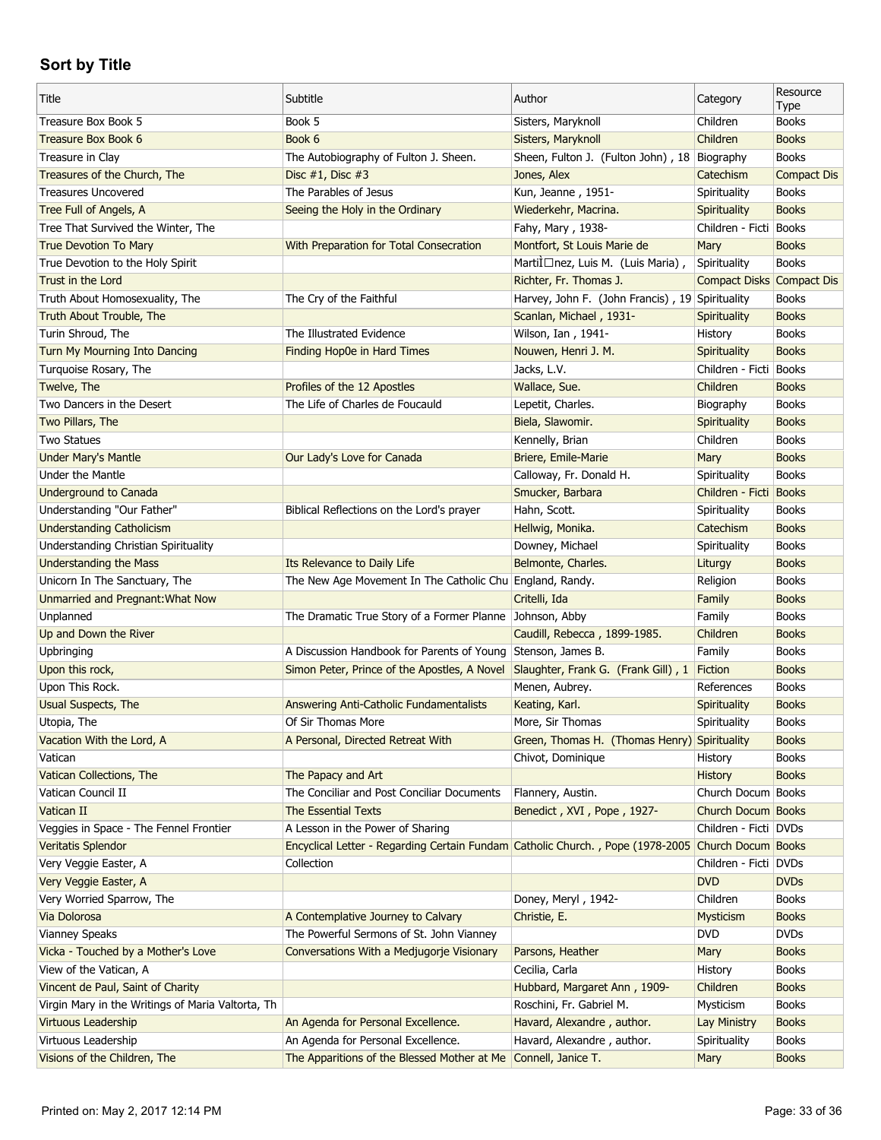| Title                                             | Subtitle                                                                                          | Author                                          | Category                  | Resource<br>Type   |
|---------------------------------------------------|---------------------------------------------------------------------------------------------------|-------------------------------------------------|---------------------------|--------------------|
| Treasure Box Book 5                               | Book 5                                                                                            | Sisters, Maryknoll                              | Children                  | <b>Books</b>       |
| Treasure Box Book 6                               | Book 6                                                                                            | Sisters, Maryknoll                              | Children                  | <b>Books</b>       |
| Treasure in Clay                                  | The Autobiography of Fulton J. Sheen.                                                             | Sheen, Fulton J. (Fulton John), 18 Biography    |                           | <b>Books</b>       |
| Treasures of the Church, The                      | Disc #1, Disc #3                                                                                  | Jones, Alex                                     | Catechism                 | <b>Compact Dis</b> |
| <b>Treasures Uncovered</b>                        | The Parables of Jesus                                                                             | Kun, Jeanne, 1951-                              | Spirituality              | <b>Books</b>       |
| Tree Full of Angels, A                            | Seeing the Holy in the Ordinary                                                                   | Wiederkehr, Macrina.                            | Spirituality              | <b>Books</b>       |
| Tree That Survived the Winter, The                |                                                                                                   | Fahy, Mary, 1938-                               | Children - Ficti          | <b>Books</b>       |
| <b>True Devotion To Mary</b>                      | With Preparation for Total Consecration                                                           | Montfort, St Louis Marie de                     | Mary                      | <b>Books</b>       |
| True Devotion to the Holy Spirit                  |                                                                                                   | Martilnez, Luis M. (Luis Maria),                | Spirituality              | <b>Books</b>       |
| Trust in the Lord                                 |                                                                                                   | Richter, Fr. Thomas J.                          | Compact Disks Compact Dis |                    |
| Truth About Homosexuality, The                    | The Cry of the Faithful                                                                           | Harvey, John F. (John Francis), 19 Spirituality |                           | <b>Books</b>       |
| Truth About Trouble, The                          |                                                                                                   | Scanlan, Michael, 1931-                         | <b>Spirituality</b>       | <b>Books</b>       |
| Turin Shroud, The                                 | The Illustrated Evidence                                                                          | Wilson, Ian, 1941-                              | History                   | <b>Books</b>       |
| Turn My Mourning Into Dancing                     | Finding Hop0e in Hard Times                                                                       | Nouwen, Henri J. M.                             | Spirituality              | <b>Books</b>       |
| Turquoise Rosary, The                             |                                                                                                   | Jacks, L.V.                                     | Children - Ficti Books    |                    |
| Twelve, The                                       | Profiles of the 12 Apostles                                                                       | Wallace, Sue.                                   | Children                  | <b>Books</b>       |
| Two Dancers in the Desert                         | The Life of Charles de Foucauld                                                                   | Lepetit, Charles.                               | Biography                 | <b>Books</b>       |
| Two Pillars, The                                  |                                                                                                   | Biela, Slawomir.                                | <b>Spirituality</b>       | <b>Books</b>       |
| <b>Two Statues</b>                                |                                                                                                   | Kennelly, Brian                                 | Children                  | <b>Books</b>       |
| <b>Under Mary's Mantle</b>                        | Our Lady's Love for Canada                                                                        | Briere, Emile-Marie                             | Mary                      | <b>Books</b>       |
| Under the Mantle                                  |                                                                                                   | Calloway, Fr. Donald H.                         | Spirituality              | <b>Books</b>       |
| <b>Underground to Canada</b>                      |                                                                                                   | Smucker, Barbara                                | Children - Ficti Books    |                    |
| Understanding "Our Father"                        | Biblical Reflections on the Lord's prayer                                                         | Hahn, Scott.                                    | Spirituality              | <b>Books</b>       |
| <b>Understanding Catholicism</b>                  |                                                                                                   | Hellwig, Monika.                                | Catechism                 | <b>Books</b>       |
| Understanding Christian Spirituality              |                                                                                                   | Downey, Michael                                 | Spirituality              | <b>Books</b>       |
| <b>Understanding the Mass</b>                     | Its Relevance to Daily Life                                                                       | Belmonte, Charles.                              | Liturgy                   | <b>Books</b>       |
| Unicorn In The Sanctuary, The                     | The New Age Movement In The Catholic Chu England, Randy.                                          |                                                 | Religion                  | <b>Books</b>       |
| Unmarried and Pregnant: What Now                  |                                                                                                   | Critelli, Ida                                   | Family                    | <b>Books</b>       |
| Unplanned                                         | The Dramatic True Story of a Former Planne                                                        | Johnson, Abby                                   | Family                    | <b>Books</b>       |
| Up and Down the River                             |                                                                                                   | Caudill, Rebecca, 1899-1985.                    | Children                  | <b>Books</b>       |
| Upbringing                                        | A Discussion Handbook for Parents of Young                                                        | Stenson, James B.                               | Family                    | <b>Books</b>       |
| Upon this rock,                                   | Simon Peter, Prince of the Apostles, A Novel                                                      | Slaughter, Frank G. (Frank Gill), 1             | Fiction                   | <b>Books</b>       |
| Upon This Rock.                                   |                                                                                                   | Menen, Aubrey.                                  | References                | <b>Books</b>       |
| Usual Suspects, The                               | Answering Anti-Catholic Fundamentalists                                                           | Keating, Karl.                                  | Spirituality              | <b>Books</b>       |
| Utopia, The                                       | Of Sir Thomas More                                                                                | More, Sir Thomas                                | Spirituality              | <b>Books</b>       |
| Vacation With the Lord, A                         | A Personal, Directed Retreat With                                                                 | Green, Thomas H. (Thomas Henry) Spirituality    |                           | <b>Books</b>       |
| Vatican                                           |                                                                                                   | Chivot, Dominique                               | History                   | <b>Books</b>       |
| Vatican Collections, The                          | The Papacy and Art                                                                                |                                                 | <b>History</b>            | <b>Books</b>       |
| Vatican Council II                                | The Conciliar and Post Conciliar Documents                                                        | Flannery, Austin.                               | Church Docum Books        |                    |
| Vatican II                                        | <b>The Essential Texts</b>                                                                        | Benedict, XVI, Pope, 1927-                      | Church Docum Books        |                    |
| Veggies in Space - The Fennel Frontier            | A Lesson in the Power of Sharing                                                                  |                                                 | Children - Ficti   DVDs   |                    |
| <b>Veritatis Splendor</b>                         | Encyclical Letter - Regarding Certain Fundam Catholic Church., Pope (1978-2005 Church Docum Books |                                                 |                           |                    |
| Very Veggie Easter, A                             | Collection                                                                                        |                                                 | Children - Ficti DVDs     |                    |
| Very Veggie Easter, A                             |                                                                                                   |                                                 | <b>DVD</b>                | <b>DVDs</b>        |
| Very Worried Sparrow, The                         |                                                                                                   | Doney, Meryl, 1942-                             | Children                  | <b>Books</b>       |
| Via Dolorosa                                      |                                                                                                   | Christie, E.                                    | <b>Mysticism</b>          | <b>Books</b>       |
| <b>Vianney Speaks</b>                             | A Contemplative Journey to Calvary<br>The Powerful Sermons of St. John Vianney                    |                                                 | <b>DVD</b>                | <b>DVDs</b>        |
|                                                   |                                                                                                   |                                                 |                           |                    |
| Vicka - Touched by a Mother's Love                | Conversations With a Medjugorje Visionary                                                         | Parsons, Heather                                | Mary                      | <b>Books</b>       |
| View of the Vatican, A                            |                                                                                                   | Cecilia, Carla                                  | History                   | <b>Books</b>       |
| Vincent de Paul, Saint of Charity                 |                                                                                                   | Hubbard, Margaret Ann, 1909-                    | Children                  | <b>Books</b>       |
| Virgin Mary in the Writings of Maria Valtorta, Th |                                                                                                   | Roschini, Fr. Gabriel M.                        | Mysticism                 | <b>Books</b>       |
| <b>Virtuous Leadership</b>                        | An Agenda for Personal Excellence.                                                                | Havard, Alexandre, author.                      | Lay Ministry              | <b>Books</b>       |
| Virtuous Leadership                               | An Agenda for Personal Excellence.                                                                | Havard, Alexandre, author.                      | Spirituality              | <b>Books</b>       |
| Visions of the Children, The                      | The Apparitions of the Blessed Mother at Me Connell, Janice T.                                    |                                                 | Mary                      | <b>Books</b>       |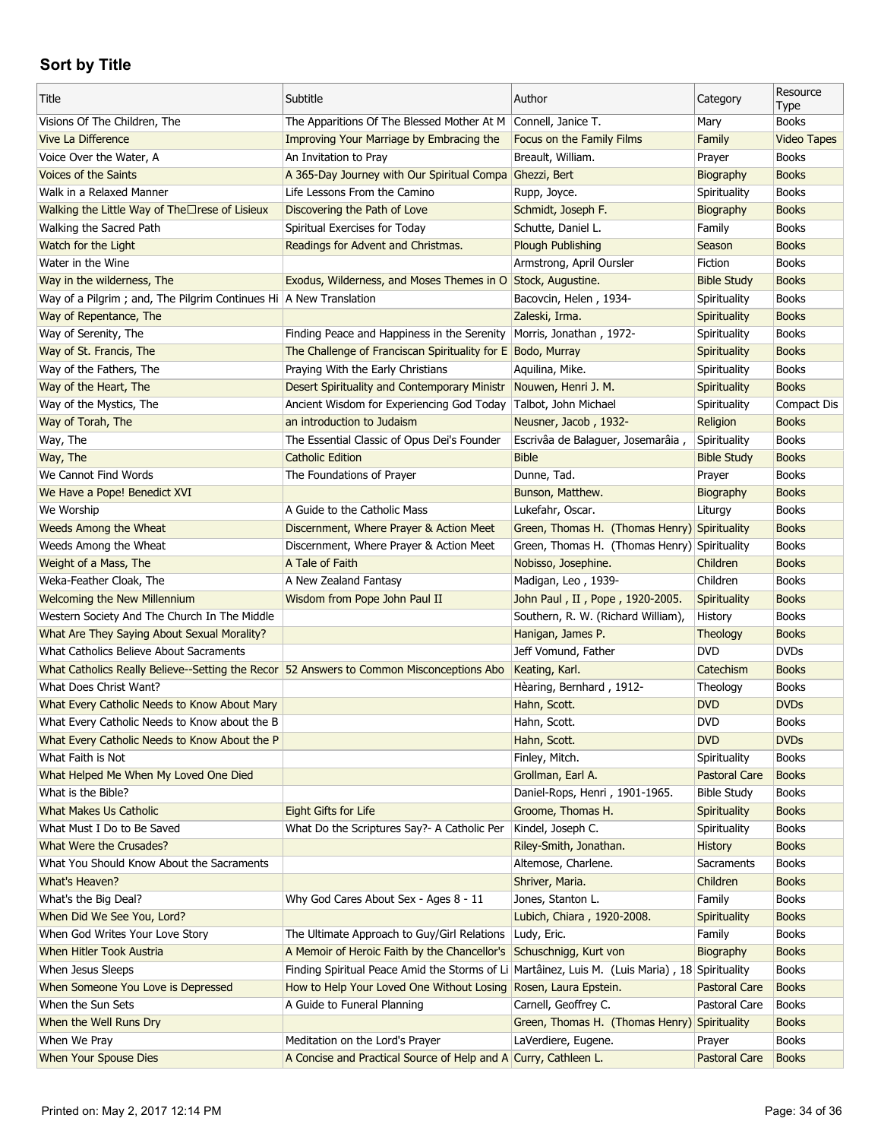| Title                                                                                    | Subtitle                                                                                       | Author                                       | Category             | Resource<br>Type   |
|------------------------------------------------------------------------------------------|------------------------------------------------------------------------------------------------|----------------------------------------------|----------------------|--------------------|
| Visions Of The Children, The                                                             | The Apparitions Of The Blessed Mother At M Connell, Janice T.                                  |                                              | Mary                 | <b>Books</b>       |
| <b>Vive La Difference</b>                                                                | Improving Your Marriage by Embracing the                                                       | Focus on the Family Films                    | Family               | <b>Video Tapes</b> |
| Voice Over the Water, A                                                                  | An Invitation to Pray                                                                          | Breault, William.                            | Prayer               | <b>Books</b>       |
| <b>Voices of the Saints</b>                                                              | A 365-Day Journey with Our Spiritual Compa Ghezzi, Bert                                        |                                              | Biography            | <b>Books</b>       |
| Walk in a Relaxed Manner                                                                 | Life Lessons From the Camino                                                                   | Rupp, Joyce.                                 | Spirituality         | <b>Books</b>       |
| Walking the Little Way of The□rese of Lisieux                                            | Discovering the Path of Love                                                                   | Schmidt, Joseph F.                           | Biography            | <b>Books</b>       |
| Walking the Sacred Path                                                                  | Spiritual Exercises for Today                                                                  | Schutte, Daniel L.                           | Family               | <b>Books</b>       |
| Watch for the Light                                                                      | Readings for Advent and Christmas.                                                             | <b>Plough Publishing</b>                     | Season               | <b>Books</b>       |
| Water in the Wine                                                                        |                                                                                                | Armstrong, April Oursler                     | Fiction              | <b>Books</b>       |
| Way in the wilderness, The                                                               | Exodus, Wilderness, and Moses Themes in O Stock, Augustine.                                    |                                              | <b>Bible Study</b>   | <b>Books</b>       |
| Way of a Pilgrim; and, The Pilgrim Continues Hi   A New Translation                      |                                                                                                | Bacovcin, Helen, 1934-                       | Spirituality         | <b>Books</b>       |
| Way of Repentance, The                                                                   |                                                                                                | Zaleski, Irma.                               | Spirituality         | <b>Books</b>       |
| Way of Serenity, The                                                                     | Finding Peace and Happiness in the Serenity                                                    | Morris, Jonathan, 1972-                      | Spirituality         | <b>Books</b>       |
| Way of St. Francis, The                                                                  | The Challenge of Franciscan Spirituality for E Bodo, Murray                                    |                                              | Spirituality         | <b>Books</b>       |
| Way of the Fathers, The                                                                  | Praying With the Early Christians                                                              | Aquilina, Mike.                              | Spirituality         | <b>Books</b>       |
| Way of the Heart, The                                                                    | Desert Spirituality and Contemporary Ministr                                                   | Nouwen, Henri J. M.                          | Spirituality         | <b>Books</b>       |
| Way of the Mystics, The                                                                  | Ancient Wisdom for Experiencing God Today                                                      | Talbot, John Michael                         | Spirituality         | Compact Dis        |
| Way of Torah, The                                                                        | an introduction to Judaism                                                                     | Neusner, Jacob, 1932-                        | Religion             | <b>Books</b>       |
| Way, The                                                                                 | The Essential Classic of Opus Dei's Founder                                                    | Escrivâa de Balaguer, Josemarâia,            | Spirituality         | <b>Books</b>       |
| Way, The                                                                                 | <b>Catholic Edition</b>                                                                        | <b>Bible</b>                                 | <b>Bible Study</b>   | <b>Books</b>       |
| We Cannot Find Words                                                                     | The Foundations of Prayer                                                                      | Dunne, Tad.                                  | Prayer               | <b>Books</b>       |
| We Have a Pope! Benedict XVI                                                             |                                                                                                | Bunson, Matthew.                             | Biography            | <b>Books</b>       |
| We Worship                                                                               | A Guide to the Catholic Mass                                                                   | Lukefahr, Oscar.                             | Liturgy              | <b>Books</b>       |
| Weeds Among the Wheat                                                                    | Discernment, Where Prayer & Action Meet                                                        | Green, Thomas H. (Thomas Henry) Spirituality |                      | <b>Books</b>       |
| Weeds Among the Wheat                                                                    | Discernment, Where Prayer & Action Meet                                                        | Green, Thomas H. (Thomas Henry) Spirituality |                      | <b>Books</b>       |
| Weight of a Mass, The                                                                    | A Tale of Faith                                                                                | Nobisso, Josephine.                          | Children             | <b>Books</b>       |
| Weka-Feather Cloak, The                                                                  | A New Zealand Fantasy                                                                          | Madigan, Leo, 1939-                          | Children             | <b>Books</b>       |
| <b>Welcoming the New Millennium</b>                                                      | Wisdom from Pope John Paul II                                                                  | John Paul, II, Pope, 1920-2005.              | Spirituality         | <b>Books</b>       |
| Western Society And The Church In The Middle                                             |                                                                                                | Southern, R. W. (Richard William),           | History              | <b>Books</b>       |
| What Are They Saying About Sexual Morality?                                              |                                                                                                | Hanigan, James P.                            | Theology             | <b>Books</b>       |
| What Catholics Believe About Sacraments                                                  |                                                                                                | Jeff Vomund, Father                          | <b>DVD</b>           | <b>DVDs</b>        |
| What Catholics Really Believe--Setting the Recor 52 Answers to Common Misconceptions Abo |                                                                                                | Keating, Karl.                               | Catechism            | <b>Books</b>       |
| What Does Christ Want?                                                                   |                                                                                                | Hèaring, Bernhard, 1912-                     | Theology             | <b>Books</b>       |
| What Every Catholic Needs to Know About Mary                                             |                                                                                                | Hahn, Scott.                                 | <b>DVD</b>           | <b>DVDs</b>        |
| What Every Catholic Needs to Know about the B                                            |                                                                                                | Hahn, Scott.                                 | <b>DVD</b>           | <b>Books</b>       |
| What Every Catholic Needs to Know About the P                                            |                                                                                                | Hahn, Scott.                                 | <b>DVD</b>           | <b>DVDs</b>        |
| What Faith is Not                                                                        |                                                                                                | Finley, Mitch.                               | Spirituality         | <b>Books</b>       |
| What Helped Me When My Loved One Died                                                    |                                                                                                | Grollman, Earl A.                            | <b>Pastoral Care</b> | <b>Books</b>       |
| What is the Bible?                                                                       |                                                                                                | Daniel-Rops, Henri, 1901-1965.               | <b>Bible Study</b>   | <b>Books</b>       |
| <b>What Makes Us Catholic</b>                                                            | Eight Gifts for Life                                                                           | Groome, Thomas H.                            | Spirituality         | <b>Books</b>       |
| What Must I Do to Be Saved                                                               | What Do the Scriptures Say?- A Catholic Per                                                    | Kindel, Joseph C.                            | Spirituality         | <b>Books</b>       |
| What Were the Crusades?                                                                  |                                                                                                | Riley-Smith, Jonathan.                       | <b>History</b>       | <b>Books</b>       |
| What You Should Know About the Sacraments                                                |                                                                                                | Altemose, Charlene.                          | Sacraments           | <b>Books</b>       |
| What's Heaven?                                                                           |                                                                                                | Shriver, Maria.                              | Children             | <b>Books</b>       |
| What's the Big Deal?                                                                     | Why God Cares About Sex - Ages 8 - 11                                                          | Jones, Stanton L.                            | Family               | <b>Books</b>       |
| When Did We See You, Lord?                                                               |                                                                                                | Lubich, Chiara, 1920-2008.                   | Spirituality         | <b>Books</b>       |
| When God Writes Your Love Story                                                          | The Ultimate Approach to Guy/Girl Relations                                                    | Ludy, Eric.                                  | Family               | <b>Books</b>       |
| When Hitler Took Austria                                                                 | A Memoir of Heroic Faith by the Chancellor's                                                   | Schuschnigg, Kurt von                        | Biography            | <b>Books</b>       |
| When Jesus Sleeps                                                                        | Finding Spiritual Peace Amid the Storms of Li Martâinez, Luis M. (Luis Maria), 18 Spirituality |                                              |                      | <b>Books</b>       |
| When Someone You Love is Depressed                                                       | How to Help Your Loved One Without Losing                                                      | Rosen, Laura Epstein.                        | <b>Pastoral Care</b> | <b>Books</b>       |
| When the Sun Sets                                                                        | A Guide to Funeral Planning                                                                    | Carnell, Geoffrey C.                         | Pastoral Care        | <b>Books</b>       |
| When the Well Runs Dry                                                                   |                                                                                                | Green, Thomas H. (Thomas Henry) Spirituality |                      | <b>Books</b>       |
| When We Pray                                                                             | Meditation on the Lord's Prayer                                                                | LaVerdiere, Eugene.                          | Prayer               | <b>Books</b>       |
| When Your Spouse Dies                                                                    | A Concise and Practical Source of Help and A Curry, Cathleen L.                                |                                              | <b>Pastoral Care</b> | <b>Books</b>       |
|                                                                                          |                                                                                                |                                              |                      |                    |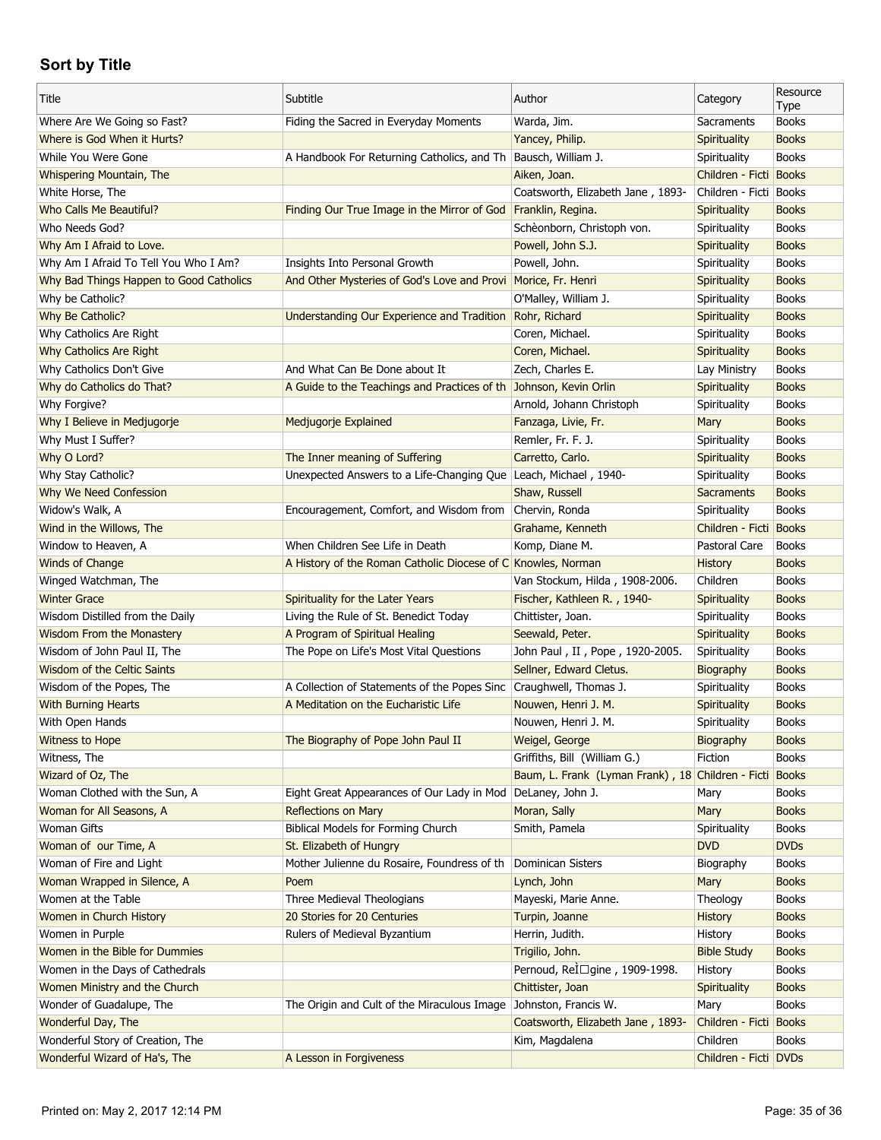| Title                                   | Subtitle                                                           | Author                                            | Category                 | Resource<br>Type |
|-----------------------------------------|--------------------------------------------------------------------|---------------------------------------------------|--------------------------|------------------|
| Where Are We Going so Fast?             | Fiding the Sacred in Everyday Moments                              | Warda, Jim.                                       | Sacraments               | <b>Books</b>     |
| Where is God When it Hurts?             |                                                                    | Yancey, Philip.                                   | Spirituality             | <b>Books</b>     |
| While You Were Gone                     | A Handbook For Returning Catholics, and Th Bausch, William J.      |                                                   | Spirituality             | <b>Books</b>     |
| Whispering Mountain, The                |                                                                    | Aiken, Joan.                                      | Children - Ficti Books   |                  |
| White Horse, The                        |                                                                    | Coatsworth, Elizabeth Jane, 1893-                 | Children - Ficti   Books |                  |
| <b>Who Calls Me Beautiful?</b>          | Finding Our True Image in the Mirror of God                        | Franklin, Regina.                                 | Spirituality             | <b>Books</b>     |
| Who Needs God?                          |                                                                    | Schèonborn, Christoph von.                        | Spirituality             | <b>Books</b>     |
| Why Am I Afraid to Love.                |                                                                    | Powell, John S.J.                                 | Spirituality             | <b>Books</b>     |
| Why Am I Afraid To Tell You Who I Am?   | Insights Into Personal Growth                                      | Powell, John.                                     | Spirituality             | <b>Books</b>     |
| Why Bad Things Happen to Good Catholics | And Other Mysteries of God's Love and Provi Morice, Fr. Henri      |                                                   | Spirituality             | <b>Books</b>     |
| Why be Catholic?                        |                                                                    | O'Malley, William J.                              | Spirituality             | <b>Books</b>     |
| Why Be Catholic?                        | Understanding Our Experience and Tradition                         | Rohr, Richard                                     | Spirituality             | <b>Books</b>     |
| Why Catholics Are Right                 |                                                                    | Coren, Michael.                                   | Spirituality             | <b>Books</b>     |
| Why Catholics Are Right                 |                                                                    | Coren, Michael.                                   | <b>Spirituality</b>      | <b>Books</b>     |
| Why Catholics Don't Give                | And What Can Be Done about It                                      | Zech, Charles E.                                  | Lay Ministry             | <b>Books</b>     |
| Why do Catholics do That?               | A Guide to the Teachings and Practices of th Johnson, Kevin Orlin  |                                                   | <b>Spirituality</b>      | <b>Books</b>     |
| Why Forgive?                            |                                                                    | Arnold, Johann Christoph                          | Spirituality             | <b>Books</b>     |
| Why I Believe in Medjugorje             | Medjugorje Explained                                               | Fanzaga, Livie, Fr.                               | Mary                     | <b>Books</b>     |
| Why Must I Suffer?                      |                                                                    | Remler, Fr. F. J.                                 | Spirituality             | <b>Books</b>     |
| Why O Lord?                             | The Inner meaning of Suffering                                     | Carretto, Carlo.                                  | Spirituality             | <b>Books</b>     |
| Why Stay Catholic?                      | Unexpected Answers to a Life-Changing Que Leach, Michael, 1940-    |                                                   | Spirituality             | <b>Books</b>     |
| Why We Need Confession                  |                                                                    | Shaw, Russell                                     | <b>Sacraments</b>        | <b>Books</b>     |
| Widow's Walk, A                         | Encouragement, Comfort, and Wisdom from                            | Chervin, Ronda                                    | Spirituality             | <b>Books</b>     |
| Wind in the Willows, The                |                                                                    | Grahame, Kenneth                                  | Children - Ficti         | <b>Books</b>     |
| Window to Heaven, A                     | When Children See Life in Death                                    | Komp, Diane M.                                    | Pastoral Care            | <b>Books</b>     |
| Winds of Change                         | A History of the Roman Catholic Diocese of C Knowles, Norman       |                                                   | <b>History</b>           | <b>Books</b>     |
| Winged Watchman, The                    |                                                                    | Van Stockum, Hilda, 1908-2006.                    | Children                 | <b>Books</b>     |
| <b>Winter Grace</b>                     | Spirituality for the Later Years                                   | Fischer, Kathleen R., 1940-                       | Spirituality             | <b>Books</b>     |
| Wisdom Distilled from the Daily         | Living the Rule of St. Benedict Today                              | Chittister, Joan.                                 | Spirituality             | <b>Books</b>     |
| <b>Wisdom From the Monastery</b>        | A Program of Spiritual Healing                                     | Seewald, Peter.                                   | Spirituality             | <b>Books</b>     |
| Wisdom of John Paul II, The             | The Pope on Life's Most Vital Questions                            | John Paul, II, Pope, 1920-2005.                   | Spirituality             | <b>Books</b>     |
| Wisdom of the Celtic Saints             |                                                                    | Sellner, Edward Cletus.                           | Biography                | <b>Books</b>     |
| Wisdom of the Popes, The                | A Collection of Statements of the Popes Sinc Craughwell, Thomas J. |                                                   | Spirituality             | <b>Books</b>     |
| <b>With Burning Hearts</b>              | A Meditation on the Eucharistic Life                               | Nouwen, Henri J. M.                               | Spirituality             | <b>Books</b>     |
| With Open Hands                         |                                                                    | Nouwen, Henri J. M.                               | Spirituality             | <b>Books</b>     |
| Witness to Hope                         | The Biography of Pope John Paul II                                 | Weigel, George                                    | Biography                | <b>Books</b>     |
| Witness, The                            |                                                                    | Griffiths, Bill (William G.)                      | Fiction                  | <b>Books</b>     |
| Wizard of Oz, The                       |                                                                    | Baum, L. Frank (Lyman Frank), 18 Children - Ficti |                          | <b>Books</b>     |
| Woman Clothed with the Sun, A           | Eight Great Appearances of Our Lady in Mod                         | DeLaney, John J.                                  | Mary                     | <b>Books</b>     |
| Woman for All Seasons, A                | <b>Reflections on Mary</b>                                         | Moran, Sally                                      | Mary                     | <b>Books</b>     |
| <b>Woman Gifts</b>                      | Biblical Models for Forming Church                                 | Smith, Pamela                                     | Spirituality             | <b>Books</b>     |
| Woman of our Time, A                    | St. Elizabeth of Hungry                                            |                                                   | <b>DVD</b>               | <b>DVDs</b>      |
| Woman of Fire and Light                 | Mother Julienne du Rosaire, Foundress of th                        | Dominican Sisters                                 | Biography                | <b>Books</b>     |
| Woman Wrapped in Silence, A             | Poem                                                               | Lynch, John                                       | Mary                     | <b>Books</b>     |
| Women at the Table                      | Three Medieval Theologians                                         | Mayeski, Marie Anne.                              | Theology                 | <b>Books</b>     |
| Women in Church History                 | 20 Stories for 20 Centuries                                        | Turpin, Joanne                                    | History                  | <b>Books</b>     |
| Women in Purple                         | Rulers of Medieval Byzantium                                       | Herrin, Judith.                                   | History                  | <b>Books</b>     |
| Women in the Bible for Dummies          |                                                                    | Trigilio, John.                                   | <b>Bible Study</b>       | <b>Books</b>     |
| Women in the Days of Cathedrals         |                                                                    | Pernoud, Relūgine, 1909-1998.                     | History                  | <b>Books</b>     |
| Women Ministry and the Church           |                                                                    | Chittister, Joan                                  | Spirituality             | <b>Books</b>     |
| Wonder of Guadalupe, The                | The Origin and Cult of the Miraculous Image                        | Johnston, Francis W.                              | Mary                     | <b>Books</b>     |
| Wonderful Day, The                      |                                                                    | Coatsworth, Elizabeth Jane, 1893-                 | Children - Ficti         | <b>Books</b>     |
| Wonderful Story of Creation, The        |                                                                    | Kim, Magdalena                                    | Children                 | <b>Books</b>     |
| Wonderful Wizard of Ha's, The           | A Lesson in Forgiveness                                            |                                                   | Children - Ficti DVDs    |                  |